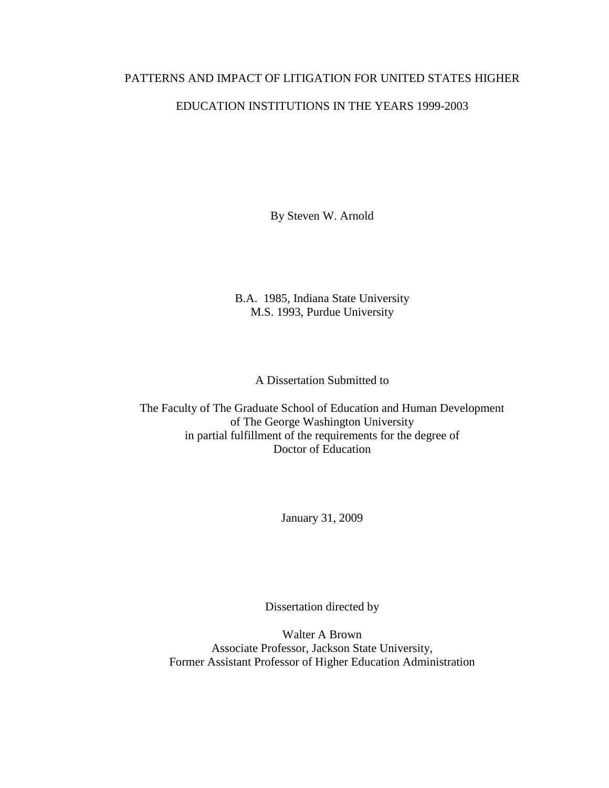## PATTERNS AND IMPACT OF LITIGATION FOR UNITED STATES HIGHER

## EDUCATION INSTITUTIONS IN THE YEARS 1999-2003

By Steven W. Arnold

B.A. 1985, Indiana State University M.S. 1993, Purdue University

A Dissertation Submitted to

The Faculty of The Graduate School of Education and Human Development of The George Washington University in partial fulfillment of the requirements for the degree of Doctor of Education

January 31, 2009

Dissertation directed by

Walter A Brown Associate Professor, Jackson State University, Former Assistant Professor of Higher Education Administration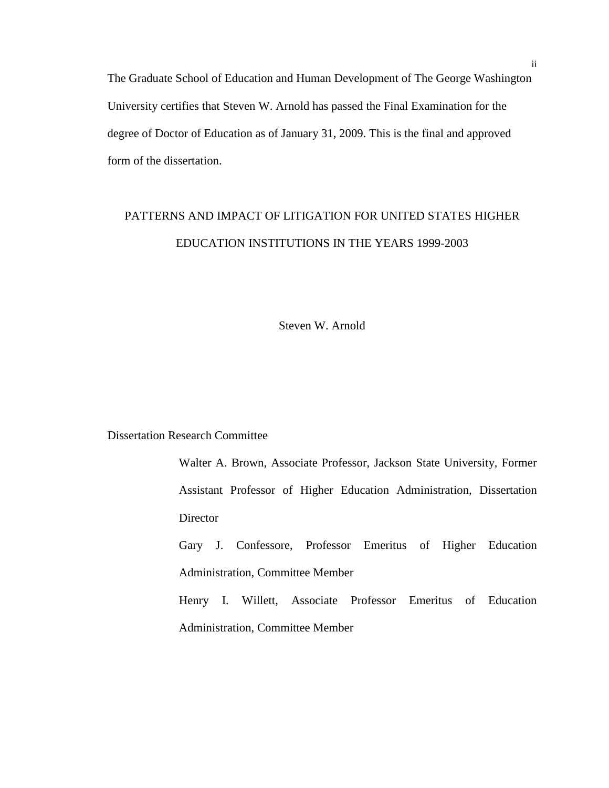The Graduate School of Education and Human Development of The George Washington University certifies that Steven W. Arnold has passed the Final Examination for the degree of Doctor of Education as of January 31, 2009. This is the final and approved form of the dissertation.

# PATTERNS AND IMPACT OF LITIGATION FOR UNITED STATES HIGHER EDUCATION INSTITUTIONS IN THE YEARS 1999-2003

Steven W. Arnold

Dissertation Research Committee

Walter A. Brown, Associate Professor, Jackson State University, Former Assistant Professor of Higher Education Administration, Dissertation **Director** 

Gary J. Confessore, Professor Emeritus of Higher Education Administration, Committee Member

Henry I. Willett, Associate Professor Emeritus of Education Administration, Committee Member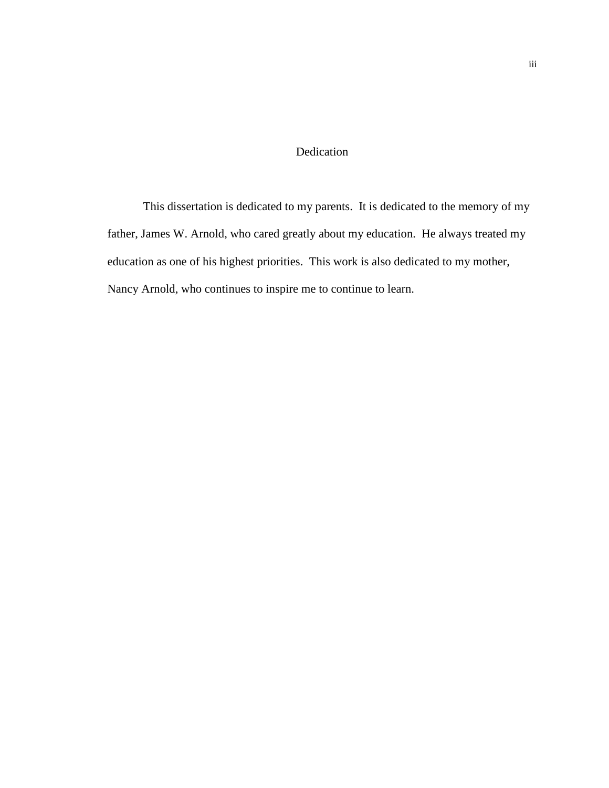## Dedication

 This dissertation is dedicated to my parents. It is dedicated to the memory of my father, James W. Arnold, who cared greatly about my education. He always treated my education as one of his highest priorities. This work is also dedicated to my mother, Nancy Arnold, who continues to inspire me to continue to learn.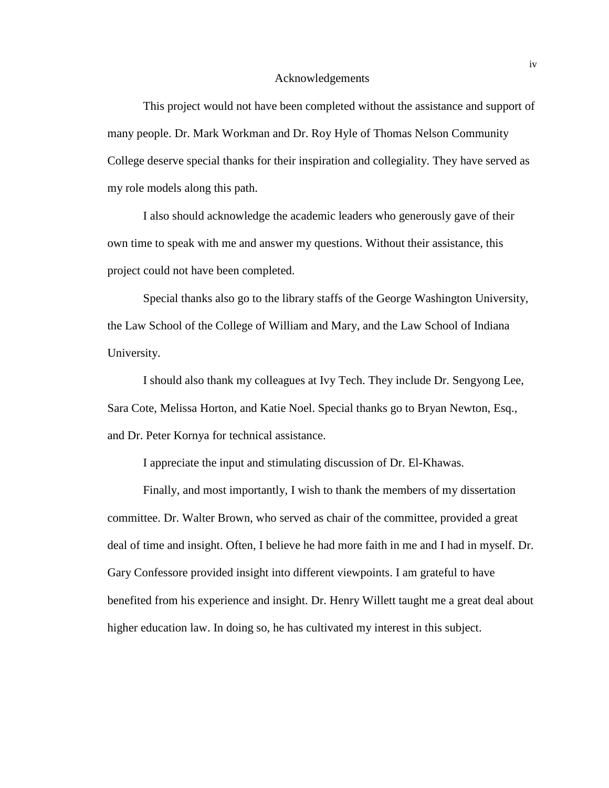#### Acknowledgements

 This project would not have been completed without the assistance and support of many people. Dr. Mark Workman and Dr. Roy Hyle of Thomas Nelson Community College deserve special thanks for their inspiration and collegiality. They have served as my role models along this path.

 I also should acknowledge the academic leaders who generously gave of their own time to speak with me and answer my questions. Without their assistance, this project could not have been completed.

 Special thanks also go to the library staffs of the George Washington University, the Law School of the College of William and Mary, and the Law School of Indiana University.

 I should also thank my colleagues at Ivy Tech. They include Dr. Sengyong Lee, Sara Cote, Melissa Horton, and Katie Noel. Special thanks go to Bryan Newton, Esq., and Dr. Peter Kornya for technical assistance.

I appreciate the input and stimulating discussion of Dr. El-Khawas.

 Finally, and most importantly, I wish to thank the members of my dissertation committee. Dr. Walter Brown, who served as chair of the committee, provided a great deal of time and insight. Often, I believe he had more faith in me and I had in myself. Dr. Gary Confessore provided insight into different viewpoints. I am grateful to have benefited from his experience and insight. Dr. Henry Willett taught me a great deal about higher education law. In doing so, he has cultivated my interest in this subject.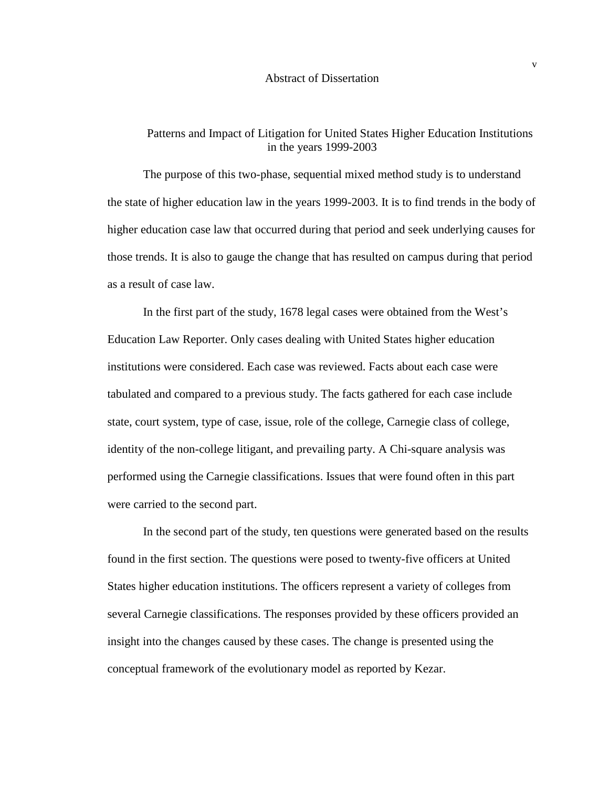#### Abstract of Dissertation

## Patterns and Impact of Litigation for United States Higher Education Institutions in the years 1999-2003

The purpose of this two-phase, sequential mixed method study is to understand the state of higher education law in the years 1999-2003. It is to find trends in the body of higher education case law that occurred during that period and seek underlying causes for those trends. It is also to gauge the change that has resulted on campus during that period as a result of case law.

 In the first part of the study, 1678 legal cases were obtained from the West's Education Law Reporter. Only cases dealing with United States higher education institutions were considered. Each case was reviewed. Facts about each case were tabulated and compared to a previous study. The facts gathered for each case include state, court system, type of case, issue, role of the college, Carnegie class of college, identity of the non-college litigant, and prevailing party. A Chi-square analysis was performed using the Carnegie classifications. Issues that were found often in this part were carried to the second part.

 In the second part of the study, ten questions were generated based on the results found in the first section. The questions were posed to twenty-five officers at United States higher education institutions. The officers represent a variety of colleges from several Carnegie classifications. The responses provided by these officers provided an insight into the changes caused by these cases. The change is presented using the conceptual framework of the evolutionary model as reported by Kezar.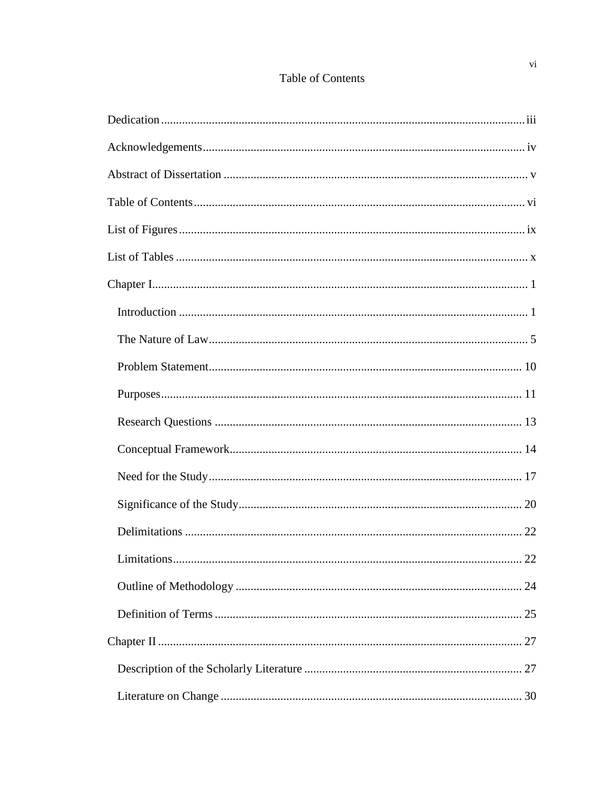# Table of Contents

| 22<br>Limitations. |
|--------------------|
|                    |
|                    |
|                    |
|                    |
|                    |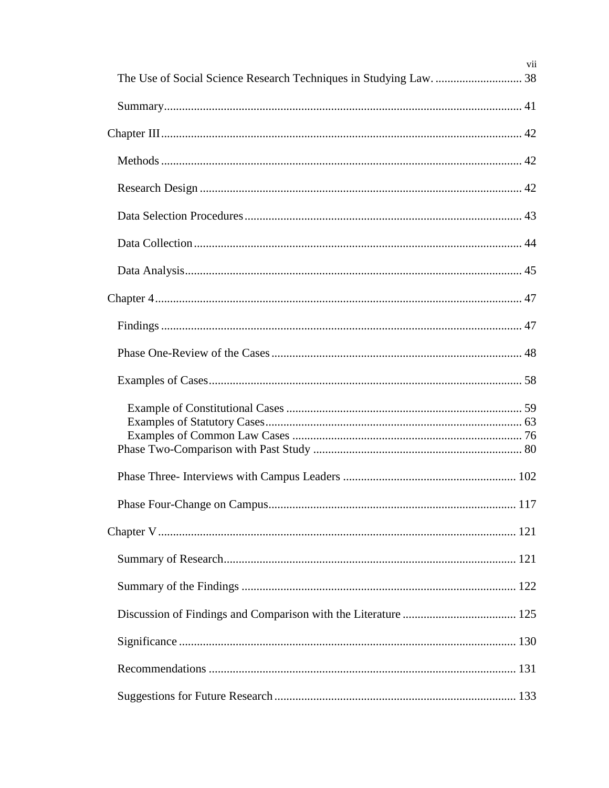| vii |
|-----|
|     |
|     |
|     |
|     |
|     |
|     |
|     |
|     |
|     |
|     |
|     |
|     |
|     |
|     |
|     |
|     |
|     |
|     |
|     |
|     |
|     |
|     |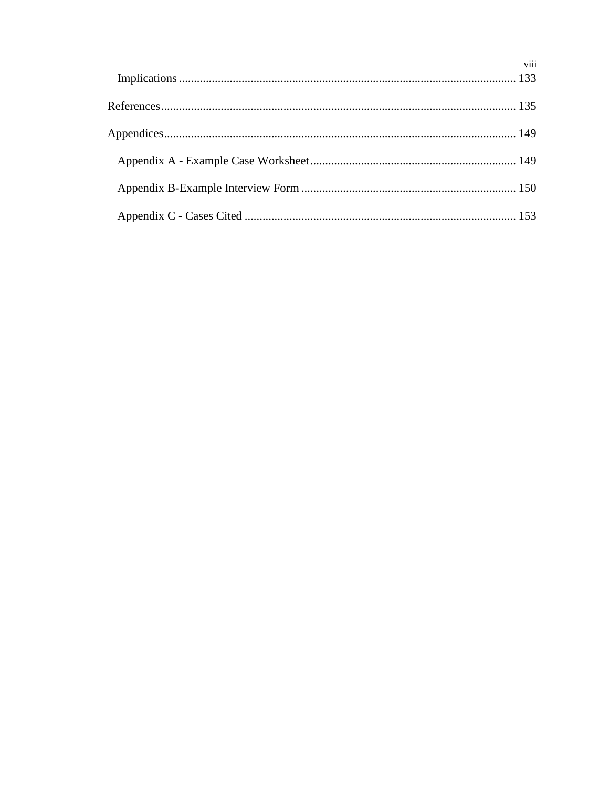| <b>Viii</b> |
|-------------|
|             |
|             |
|             |
|             |
|             |
|             |
|             |
|             |
|             |
|             |
|             |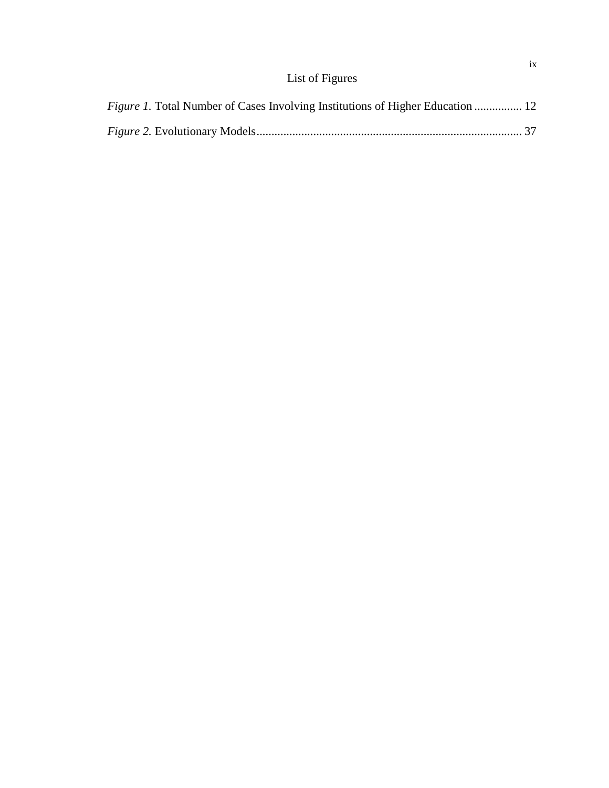| <i>Figure 1.</i> Total Number of Cases Involving Institutions of Higher Education  12 |  |  |
|---------------------------------------------------------------------------------------|--|--|
|                                                                                       |  |  |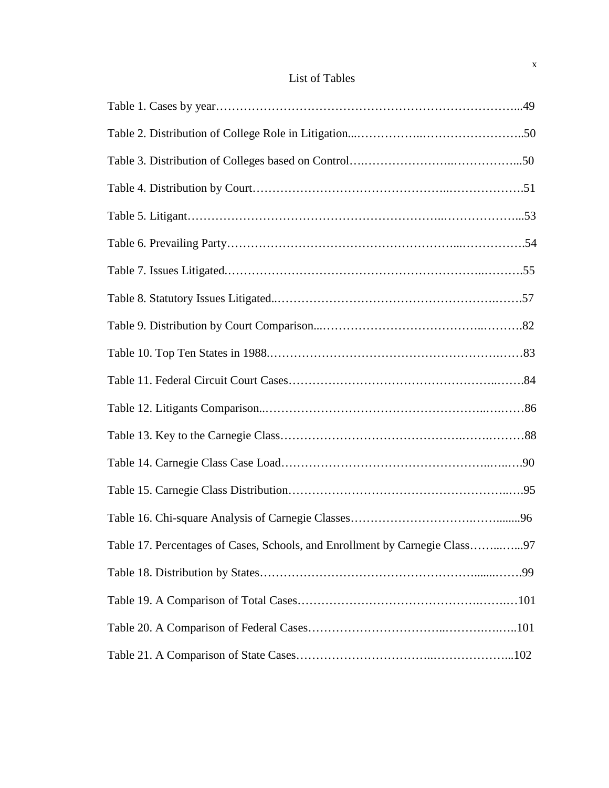# List of Tables

| Table 17. Percentages of Cases, Schools, and Enrollment by Carnegie Class97 |
|-----------------------------------------------------------------------------|
|                                                                             |
|                                                                             |
|                                                                             |
|                                                                             |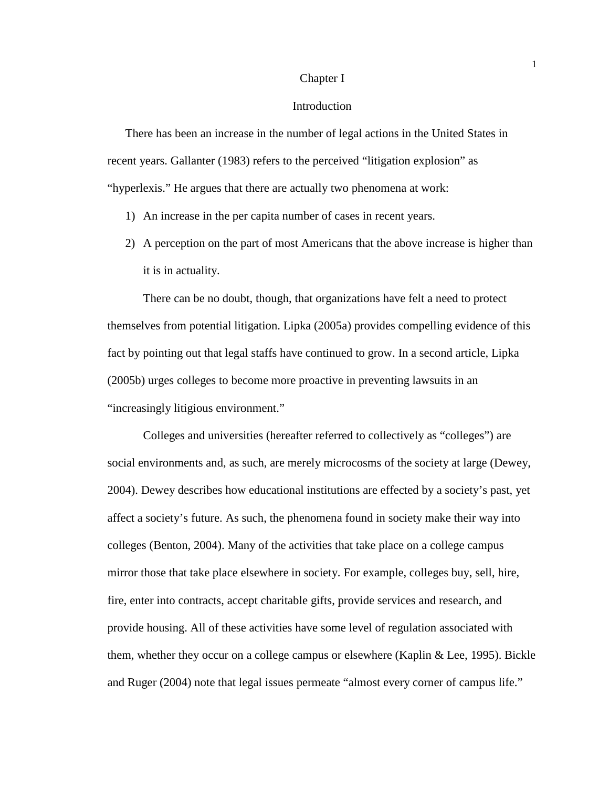#### Chapter I

#### **Introduction**

There has been an increase in the number of legal actions in the United States in recent years. Gallanter (1983) refers to the perceived "litigation explosion" as "hyperlexis." He argues that there are actually two phenomena at work:

- 1) An increase in the per capita number of cases in recent years.
- 2) A perception on the part of most Americans that the above increase is higher than it is in actuality.

 There can be no doubt, though, that organizations have felt a need to protect themselves from potential litigation. Lipka (2005a) provides compelling evidence of this fact by pointing out that legal staffs have continued to grow. In a second article, Lipka (2005b) urges colleges to become more proactive in preventing lawsuits in an "increasingly litigious environment."

 Colleges and universities (hereafter referred to collectively as "colleges") are social environments and, as such, are merely microcosms of the society at large (Dewey, 2004). Dewey describes how educational institutions are effected by a society's past, yet affect a society's future. As such, the phenomena found in society make their way into colleges (Benton, 2004). Many of the activities that take place on a college campus mirror those that take place elsewhere in society. For example, colleges buy, sell, hire, fire, enter into contracts, accept charitable gifts, provide services and research, and provide housing. All of these activities have some level of regulation associated with them, whether they occur on a college campus or elsewhere (Kaplin & Lee, 1995). Bickle and Ruger (2004) note that legal issues permeate "almost every corner of campus life."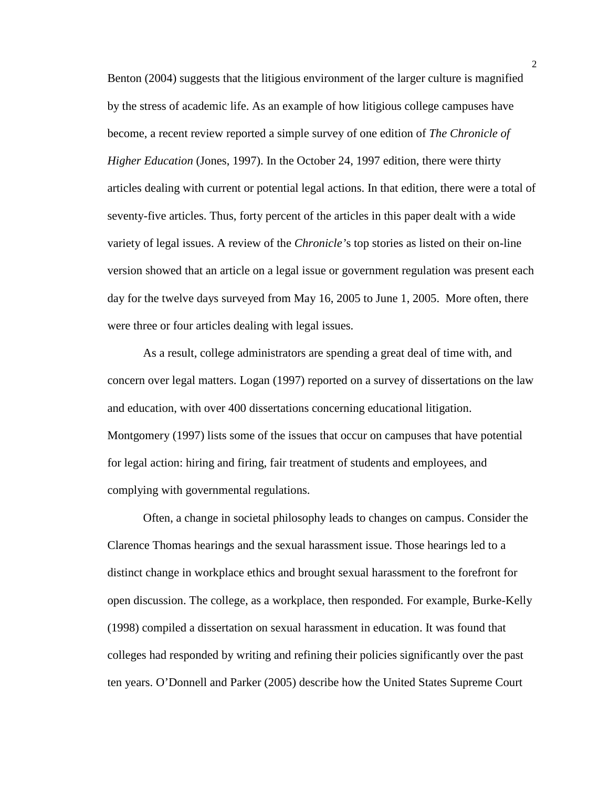Benton (2004) suggests that the litigious environment of the larger culture is magnified by the stress of academic life. As an example of how litigious college campuses have become, a recent review reported a simple survey of one edition of *The Chronicle of Higher Education* (Jones, 1997). In the October 24, 1997 edition, there were thirty articles dealing with current or potential legal actions. In that edition, there were a total of seventy-five articles. Thus, forty percent of the articles in this paper dealt with a wide variety of legal issues. A review of the *Chronicle'*s top stories as listed on their on-line version showed that an article on a legal issue or government regulation was present each day for the twelve days surveyed from May 16, 2005 to June 1, 2005. More often, there were three or four articles dealing with legal issues.

As a result, college administrators are spending a great deal of time with, and concern over legal matters. Logan (1997) reported on a survey of dissertations on the law and education, with over 400 dissertations concerning educational litigation. Montgomery (1997) lists some of the issues that occur on campuses that have potential for legal action: hiring and firing, fair treatment of students and employees, and complying with governmental regulations.

 Often, a change in societal philosophy leads to changes on campus. Consider the Clarence Thomas hearings and the sexual harassment issue. Those hearings led to a distinct change in workplace ethics and brought sexual harassment to the forefront for open discussion. The college, as a workplace, then responded. For example, Burke-Kelly (1998) compiled a dissertation on sexual harassment in education. It was found that colleges had responded by writing and refining their policies significantly over the past ten years. O'Donnell and Parker (2005) describe how the United States Supreme Court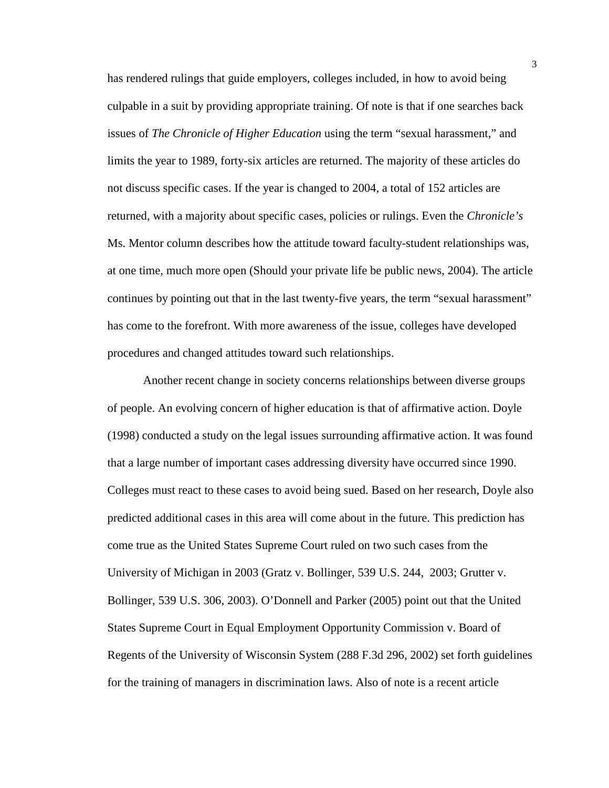has rendered rulings that guide employers, colleges included, in how to avoid being culpable in a suit by providing appropriate training. Of note is that if one searches back issues of *The Chronicle of Higher Education* using the term "sexual harassment," and limits the year to 1989, forty-six articles are returned. The majority of these articles do not discuss specific cases. If the year is changed to 2004, a total of 152 articles are returned, with a majority about specific cases, policies or rulings. Even the *Chronicle's* Ms. Mentor column describes how the attitude toward faculty-student relationships was, at one time, much more open (Should your private life be public news, 2004). The article continues by pointing out that in the last twenty-five years, the term "sexual harassment" has come to the forefront. With more awareness of the issue, colleges have developed procedures and changed attitudes toward such relationships.

 Another recent change in society concerns relationships between diverse groups of people. An evolving concern of higher education is that of affirmative action. Doyle (1998) conducted a study on the legal issues surrounding affirmative action. It was found that a large number of important cases addressing diversity have occurred since 1990. Colleges must react to these cases to avoid being sued. Based on her research, Doyle also predicted additional cases in this area will come about in the future. This prediction has come true as the United States Supreme Court ruled on two such cases from the University of Michigan in 2003 (Gratz v. Bollinger, 539 U.S. 244, 2003; Grutter v. Bollinger, 539 U.S. 306, 2003). O'Donnell and Parker (2005) point out that the United States Supreme Court in Equal Employment Opportunity Commission v. Board of Regents of the University of Wisconsin System (288 F.3d 296, 2002) set forth guidelines for the training of managers in discrimination laws. Also of note is a recent article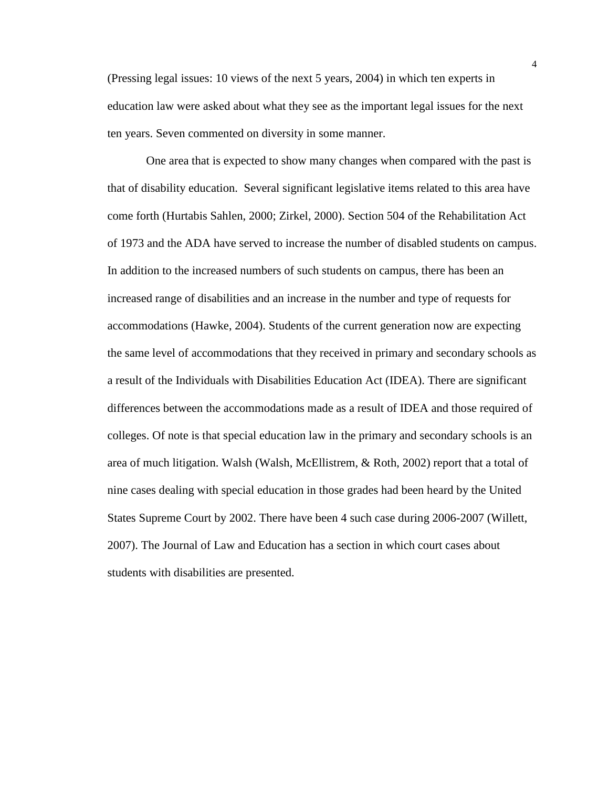(Pressing legal issues: 10 views of the next 5 years, 2004) in which ten experts in education law were asked about what they see as the important legal issues for the next ten years. Seven commented on diversity in some manner.

 One area that is expected to show many changes when compared with the past is that of disability education. Several significant legislative items related to this area have come forth (Hurtabis Sahlen, 2000; Zirkel, 2000). Section 504 of the Rehabilitation Act of 1973 and the ADA have served to increase the number of disabled students on campus. In addition to the increased numbers of such students on campus, there has been an increased range of disabilities and an increase in the number and type of requests for accommodations (Hawke, 2004). Students of the current generation now are expecting the same level of accommodations that they received in primary and secondary schools as a result of the Individuals with Disabilities Education Act (IDEA). There are significant differences between the accommodations made as a result of IDEA and those required of colleges. Of note is that special education law in the primary and secondary schools is an area of much litigation. Walsh (Walsh, McEllistrem, & Roth, 2002) report that a total of nine cases dealing with special education in those grades had been heard by the United States Supreme Court by 2002. There have been 4 such case during 2006-2007 (Willett, 2007). The Journal of Law and Education has a section in which court cases about students with disabilities are presented.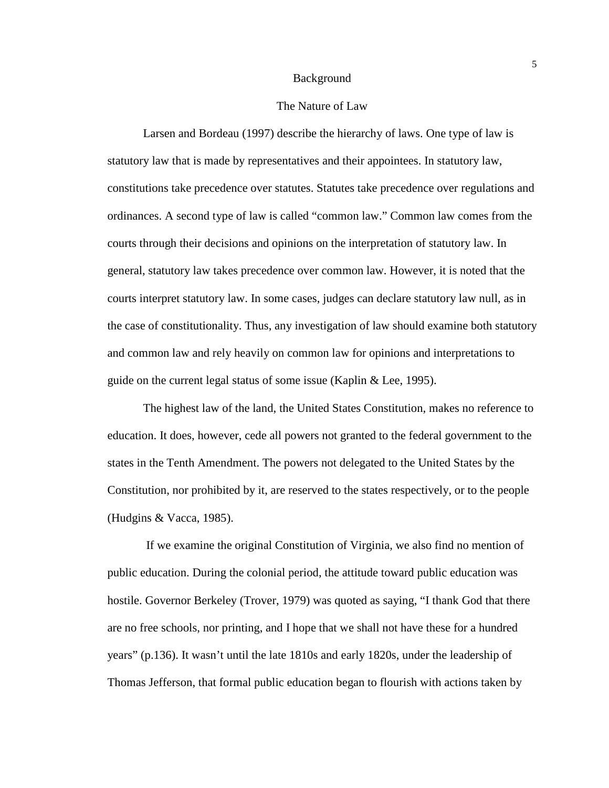#### Background

#### The Nature of Law

 Larsen and Bordeau (1997) describe the hierarchy of laws. One type of law is statutory law that is made by representatives and their appointees. In statutory law, constitutions take precedence over statutes. Statutes take precedence over regulations and ordinances. A second type of law is called "common law." Common law comes from the courts through their decisions and opinions on the interpretation of statutory law. In general, statutory law takes precedence over common law. However, it is noted that the courts interpret statutory law. In some cases, judges can declare statutory law null, as in the case of constitutionality. Thus, any investigation of law should examine both statutory and common law and rely heavily on common law for opinions and interpretations to guide on the current legal status of some issue (Kaplin & Lee, 1995).

 The highest law of the land, the United States Constitution, makes no reference to education. It does, however, cede all powers not granted to the federal government to the states in the Tenth Amendment. The powers not delegated to the United States by the Constitution, nor prohibited by it, are reserved to the states respectively, or to the people (Hudgins & Vacca, 1985).

 If we examine the original Constitution of Virginia, we also find no mention of public education. During the colonial period, the attitude toward public education was hostile. Governor Berkeley (Trover, 1979) was quoted as saying, "I thank God that there are no free schools, nor printing, and I hope that we shall not have these for a hundred years" (p.136). It wasn't until the late 1810s and early 1820s, under the leadership of Thomas Jefferson, that formal public education began to flourish with actions taken by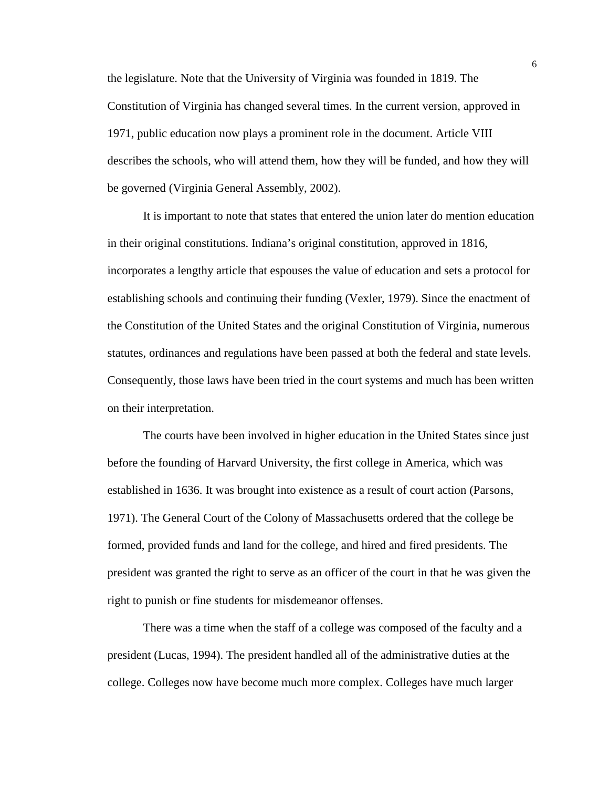the legislature. Note that the University of Virginia was founded in 1819. The Constitution of Virginia has changed several times. In the current version, approved in 1971, public education now plays a prominent role in the document. Article VIII describes the schools, who will attend them, how they will be funded, and how they will be governed (Virginia General Assembly, 2002).

 It is important to note that states that entered the union later do mention education in their original constitutions. Indiana's original constitution, approved in 1816, incorporates a lengthy article that espouses the value of education and sets a protocol for establishing schools and continuing their funding (Vexler, 1979). Since the enactment of the Constitution of the United States and the original Constitution of Virginia, numerous statutes, ordinances and regulations have been passed at both the federal and state levels. Consequently, those laws have been tried in the court systems and much has been written on their interpretation.

 The courts have been involved in higher education in the United States since just before the founding of Harvard University, the first college in America, which was established in 1636. It was brought into existence as a result of court action (Parsons, 1971). The General Court of the Colony of Massachusetts ordered that the college be formed, provided funds and land for the college, and hired and fired presidents. The president was granted the right to serve as an officer of the court in that he was given the right to punish or fine students for misdemeanor offenses.

 There was a time when the staff of a college was composed of the faculty and a president (Lucas, 1994). The president handled all of the administrative duties at the college. Colleges now have become much more complex. Colleges have much larger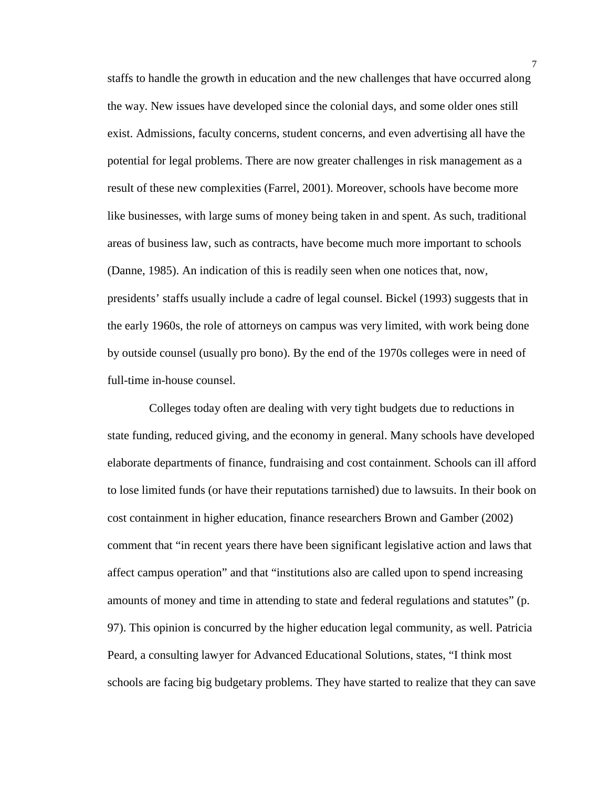staffs to handle the growth in education and the new challenges that have occurred along the way. New issues have developed since the colonial days, and some older ones still exist. Admissions, faculty concerns, student concerns, and even advertising all have the potential for legal problems. There are now greater challenges in risk management as a result of these new complexities (Farrel, 2001). Moreover, schools have become more like businesses, with large sums of money being taken in and spent. As such, traditional areas of business law, such as contracts, have become much more important to schools (Danne, 1985). An indication of this is readily seen when one notices that, now, presidents' staffs usually include a cadre of legal counsel. Bickel (1993) suggests that in the early 1960s, the role of attorneys on campus was very limited, with work being done by outside counsel (usually pro bono). By the end of the 1970s colleges were in need of full-time in-house counsel.

 Colleges today often are dealing with very tight budgets due to reductions in state funding, reduced giving, and the economy in general. Many schools have developed elaborate departments of finance, fundraising and cost containment. Schools can ill afford to lose limited funds (or have their reputations tarnished) due to lawsuits. In their book on cost containment in higher education, finance researchers Brown and Gamber (2002) comment that "in recent years there have been significant legislative action and laws that affect campus operation" and that "institutions also are called upon to spend increasing amounts of money and time in attending to state and federal regulations and statutes" (p. 97). This opinion is concurred by the higher education legal community, as well. Patricia Peard, a consulting lawyer for Advanced Educational Solutions, states, "I think most schools are facing big budgetary problems. They have started to realize that they can save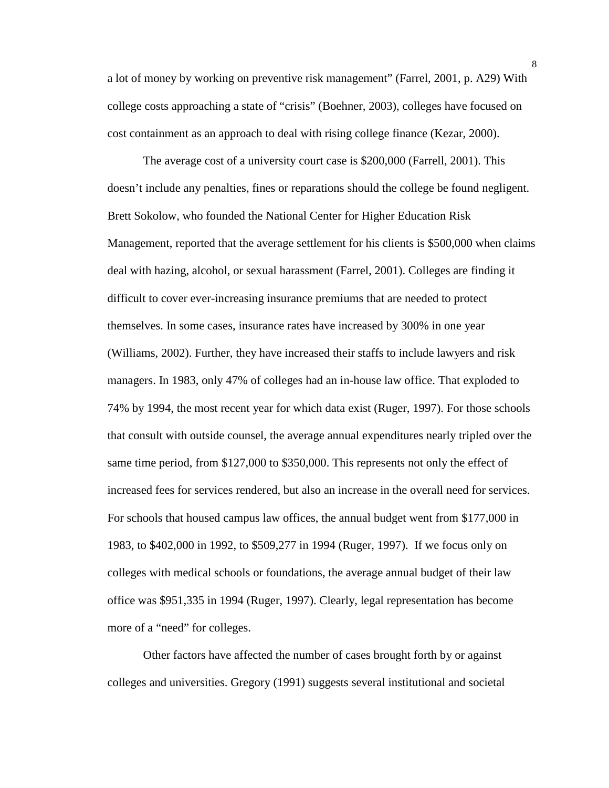a lot of money by working on preventive risk management" (Farrel, 2001, p. A29) With college costs approaching a state of "crisis" (Boehner, 2003), colleges have focused on cost containment as an approach to deal with rising college finance (Kezar, 2000).

 The average cost of a university court case is \$200,000 (Farrell, 2001). This doesn't include any penalties, fines or reparations should the college be found negligent. Brett Sokolow, who founded the National Center for Higher Education Risk Management, reported that the average settlement for his clients is \$500,000 when claims deal with hazing, alcohol, or sexual harassment (Farrel, 2001). Colleges are finding it difficult to cover ever-increasing insurance premiums that are needed to protect themselves. In some cases, insurance rates have increased by 300% in one year (Williams, 2002). Further, they have increased their staffs to include lawyers and risk managers. In 1983, only 47% of colleges had an in-house law office. That exploded to 74% by 1994, the most recent year for which data exist (Ruger, 1997). For those schools that consult with outside counsel, the average annual expenditures nearly tripled over the same time period, from \$127,000 to \$350,000. This represents not only the effect of increased fees for services rendered, but also an increase in the overall need for services. For schools that housed campus law offices, the annual budget went from \$177,000 in 1983, to \$402,000 in 1992, to \$509,277 in 1994 (Ruger, 1997). If we focus only on colleges with medical schools or foundations, the average annual budget of their law office was \$951,335 in 1994 (Ruger, 1997). Clearly, legal representation has become more of a "need" for colleges.

 Other factors have affected the number of cases brought forth by or against colleges and universities. Gregory (1991) suggests several institutional and societal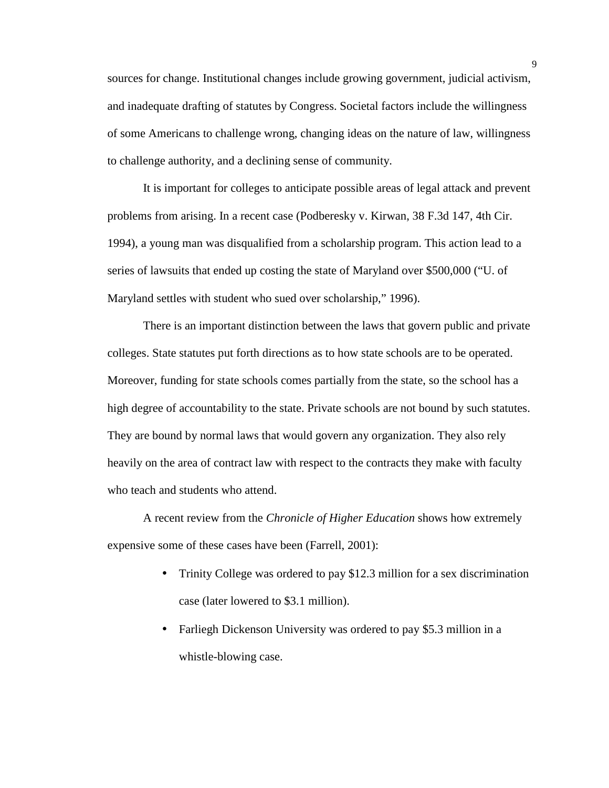sources for change. Institutional changes include growing government, judicial activism, and inadequate drafting of statutes by Congress. Societal factors include the willingness of some Americans to challenge wrong, changing ideas on the nature of law, willingness to challenge authority, and a declining sense of community.

 It is important for colleges to anticipate possible areas of legal attack and prevent problems from arising. In a recent case (Podberesky v. Kirwan, 38 F.3d 147, 4th Cir. 1994), a young man was disqualified from a scholarship program. This action lead to a series of lawsuits that ended up costing the state of Maryland over \$500,000 ("U. of Maryland settles with student who sued over scholarship," 1996).

There is an important distinction between the laws that govern public and private colleges. State statutes put forth directions as to how state schools are to be operated. Moreover, funding for state schools comes partially from the state, so the school has a high degree of accountability to the state. Private schools are not bound by such statutes. They are bound by normal laws that would govern any organization. They also rely heavily on the area of contract law with respect to the contracts they make with faculty who teach and students who attend.

 A recent review from the *Chronicle of Higher Education* shows how extremely expensive some of these cases have been (Farrell, 2001):

- Trinity College was ordered to pay \$12.3 million for a sex discrimination case (later lowered to \$3.1 million).
- Farliegh Dickenson University was ordered to pay \$5.3 million in a whistle-blowing case.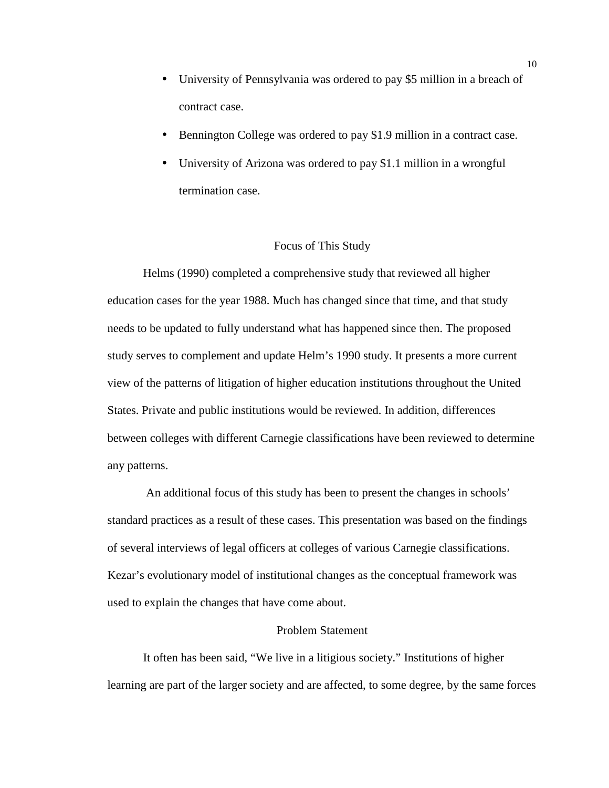- University of Pennsylvania was ordered to pay \$5 million in a breach of contract case.
- Bennington College was ordered to pay \$1.9 million in a contract case.
- University of Arizona was ordered to pay \$1.1 million in a wrongful termination case.

### Focus of This Study

Helms (1990) completed a comprehensive study that reviewed all higher education cases for the year 1988. Much has changed since that time, and that study needs to be updated to fully understand what has happened since then. The proposed study serves to complement and update Helm's 1990 study. It presents a more current view of the patterns of litigation of higher education institutions throughout the United States. Private and public institutions would be reviewed. In addition, differences between colleges with different Carnegie classifications have been reviewed to determine any patterns.

 An additional focus of this study has been to present the changes in schools' standard practices as a result of these cases. This presentation was based on the findings of several interviews of legal officers at colleges of various Carnegie classifications. Kezar's evolutionary model of institutional changes as the conceptual framework was used to explain the changes that have come about.

#### Problem Statement

 It often has been said, "We live in a litigious society." Institutions of higher learning are part of the larger society and are affected, to some degree, by the same forces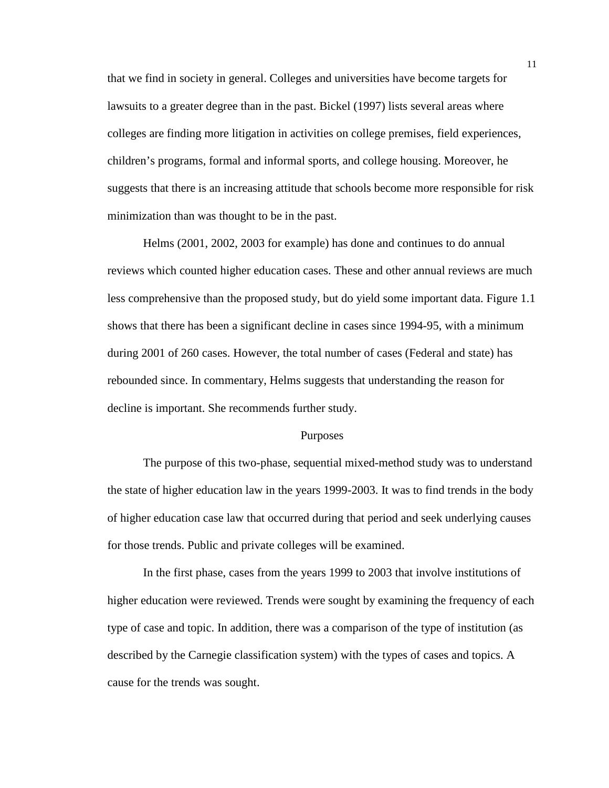that we find in society in general. Colleges and universities have become targets for lawsuits to a greater degree than in the past. Bickel (1997) lists several areas where colleges are finding more litigation in activities on college premises, field experiences, children's programs, formal and informal sports, and college housing. Moreover, he suggests that there is an increasing attitude that schools become more responsible for risk minimization than was thought to be in the past.

 Helms (2001, 2002, 2003 for example) has done and continues to do annual reviews which counted higher education cases. These and other annual reviews are much less comprehensive than the proposed study, but do yield some important data. Figure 1.1 shows that there has been a significant decline in cases since 1994-95, with a minimum during 2001 of 260 cases. However, the total number of cases (Federal and state) has rebounded since. In commentary, Helms suggests that understanding the reason for decline is important. She recommends further study.

#### Purposes

The purpose of this two-phase, sequential mixed-method study was to understand the state of higher education law in the years 1999-2003. It was to find trends in the body of higher education case law that occurred during that period and seek underlying causes for those trends. Public and private colleges will be examined.

In the first phase, cases from the years 1999 to 2003 that involve institutions of higher education were reviewed. Trends were sought by examining the frequency of each type of case and topic. In addition, there was a comparison of the type of institution (as described by the Carnegie classification system) with the types of cases and topics. A cause for the trends was sought.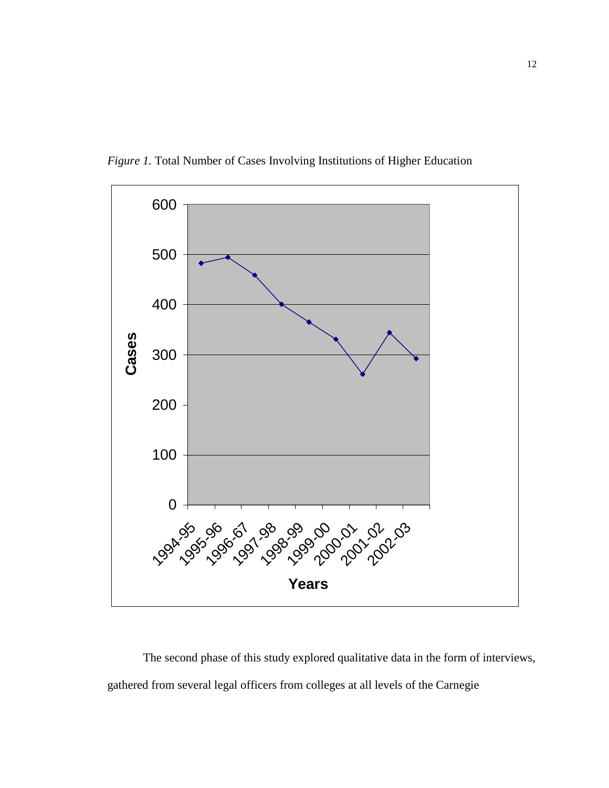

*Figure 1.* Total Number of Cases Involving Institutions of Higher Education

The second phase of this study explored qualitative data in the form of interviews, gathered from several legal officers from colleges at all levels of the Carnegie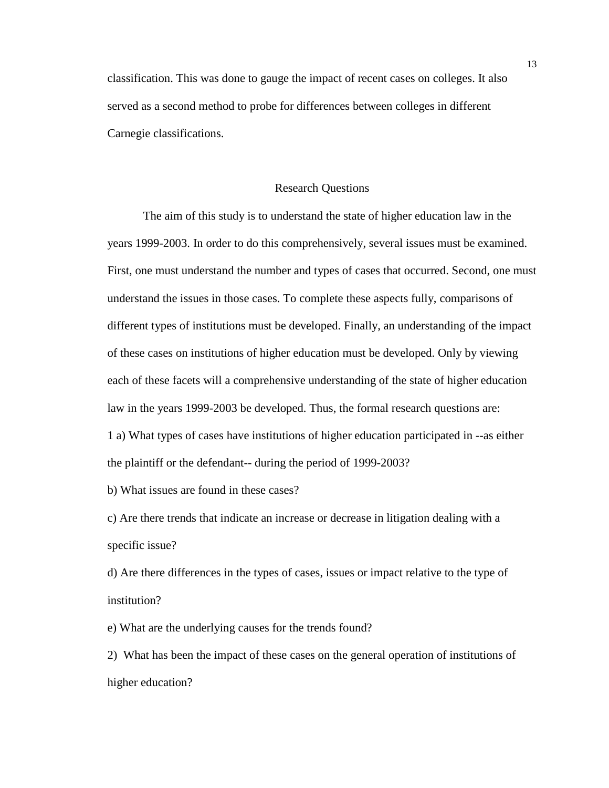classification. This was done to gauge the impact of recent cases on colleges. It also served as a second method to probe for differences between colleges in different Carnegie classifications.

#### Research Questions

 The aim of this study is to understand the state of higher education law in the years 1999-2003. In order to do this comprehensively, several issues must be examined. First, one must understand the number and types of cases that occurred. Second, one must understand the issues in those cases. To complete these aspects fully, comparisons of different types of institutions must be developed. Finally, an understanding of the impact of these cases on institutions of higher education must be developed. Only by viewing each of these facets will a comprehensive understanding of the state of higher education law in the years 1999-2003 be developed. Thus, the formal research questions are: 1 a) What types of cases have institutions of higher education participated in --as either the plaintiff or the defendant-- during the period of 1999-2003?

b) What issues are found in these cases?

c) Are there trends that indicate an increase or decrease in litigation dealing with a specific issue?

d) Are there differences in the types of cases, issues or impact relative to the type of institution?

e) What are the underlying causes for the trends found?

2) What has been the impact of these cases on the general operation of institutions of higher education?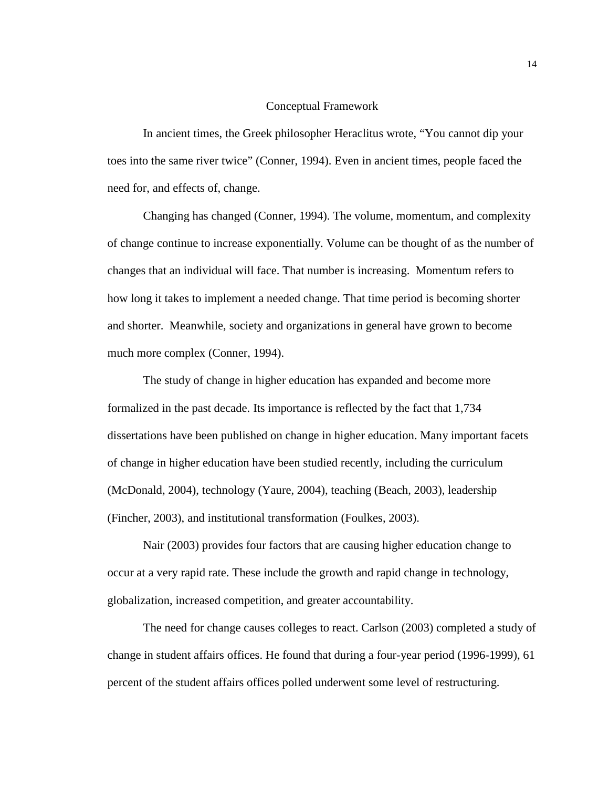## Conceptual Framework

 In ancient times, the Greek philosopher Heraclitus wrote, "You cannot dip your toes into the same river twice" (Conner, 1994). Even in ancient times, people faced the need for, and effects of, change.

 Changing has changed (Conner, 1994). The volume, momentum, and complexity of change continue to increase exponentially. Volume can be thought of as the number of changes that an individual will face. That number is increasing. Momentum refers to how long it takes to implement a needed change. That time period is becoming shorter and shorter. Meanwhile, society and organizations in general have grown to become much more complex (Conner, 1994).

 The study of change in higher education has expanded and become more formalized in the past decade. Its importance is reflected by the fact that 1,734 dissertations have been published on change in higher education. Many important facets of change in higher education have been studied recently, including the curriculum (McDonald, 2004), technology (Yaure, 2004), teaching (Beach, 2003), leadership (Fincher, 2003), and institutional transformation (Foulkes, 2003).

 Nair (2003) provides four factors that are causing higher education change to occur at a very rapid rate. These include the growth and rapid change in technology, globalization, increased competition, and greater accountability.

 The need for change causes colleges to react. Carlson (2003) completed a study of change in student affairs offices. He found that during a four-year period (1996-1999), 61 percent of the student affairs offices polled underwent some level of restructuring.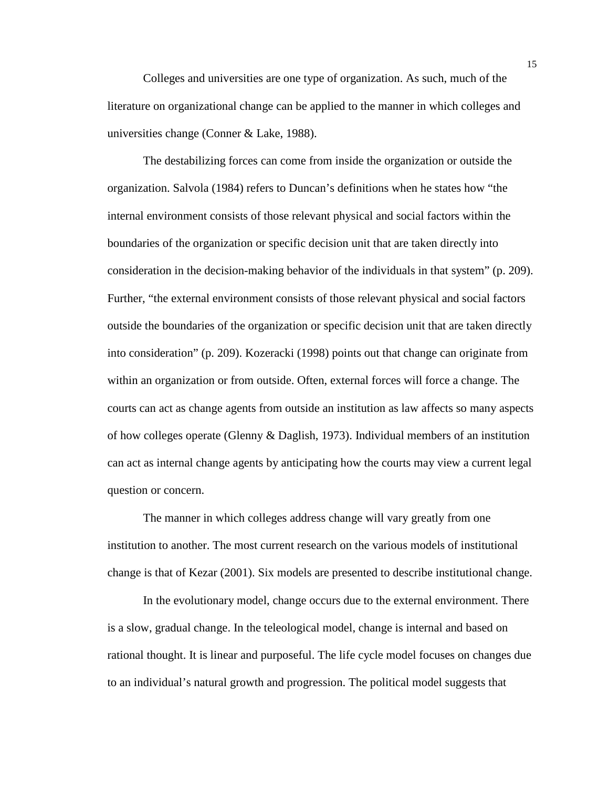Colleges and universities are one type of organization. As such, much of the literature on organizational change can be applied to the manner in which colleges and universities change (Conner & Lake, 1988).

 The destabilizing forces can come from inside the organization or outside the organization. Salvola (1984) refers to Duncan's definitions when he states how "the internal environment consists of those relevant physical and social factors within the boundaries of the organization or specific decision unit that are taken directly into consideration in the decision-making behavior of the individuals in that system" (p. 209). Further, "the external environment consists of those relevant physical and social factors outside the boundaries of the organization or specific decision unit that are taken directly into consideration" (p. 209). Kozeracki (1998) points out that change can originate from within an organization or from outside. Often, external forces will force a change. The courts can act as change agents from outside an institution as law affects so many aspects of how colleges operate (Glenny  $\&$  Daglish, 1973). Individual members of an institution can act as internal change agents by anticipating how the courts may view a current legal question or concern.

 The manner in which colleges address change will vary greatly from one institution to another. The most current research on the various models of institutional change is that of Kezar (2001). Six models are presented to describe institutional change.

In the evolutionary model, change occurs due to the external environment. There is a slow, gradual change. In the teleological model, change is internal and based on rational thought. It is linear and purposeful. The life cycle model focuses on changes due to an individual's natural growth and progression. The political model suggests that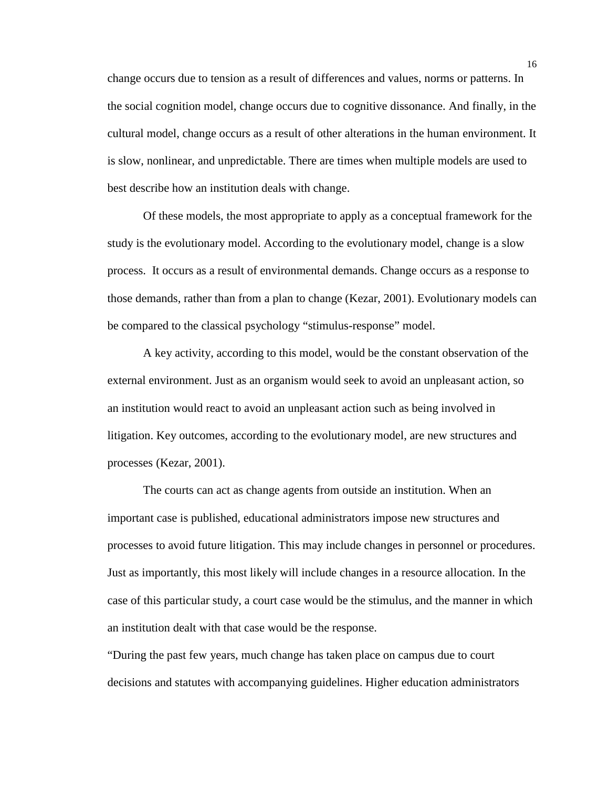change occurs due to tension as a result of differences and values, norms or patterns. In the social cognition model, change occurs due to cognitive dissonance. And finally, in the cultural model, change occurs as a result of other alterations in the human environment. It is slow, nonlinear, and unpredictable. There are times when multiple models are used to best describe how an institution deals with change.

 Of these models, the most appropriate to apply as a conceptual framework for the study is the evolutionary model. According to the evolutionary model, change is a slow process. It occurs as a result of environmental demands. Change occurs as a response to those demands, rather than from a plan to change (Kezar, 2001). Evolutionary models can be compared to the classical psychology "stimulus-response" model.

 A key activity, according to this model, would be the constant observation of the external environment. Just as an organism would seek to avoid an unpleasant action, so an institution would react to avoid an unpleasant action such as being involved in litigation. Key outcomes, according to the evolutionary model, are new structures and processes (Kezar, 2001).

The courts can act as change agents from outside an institution. When an important case is published, educational administrators impose new structures and processes to avoid future litigation. This may include changes in personnel or procedures. Just as importantly, this most likely will include changes in a resource allocation. In the case of this particular study, a court case would be the stimulus, and the manner in which an institution dealt with that case would be the response.

"During the past few years, much change has taken place on campus due to court decisions and statutes with accompanying guidelines. Higher education administrators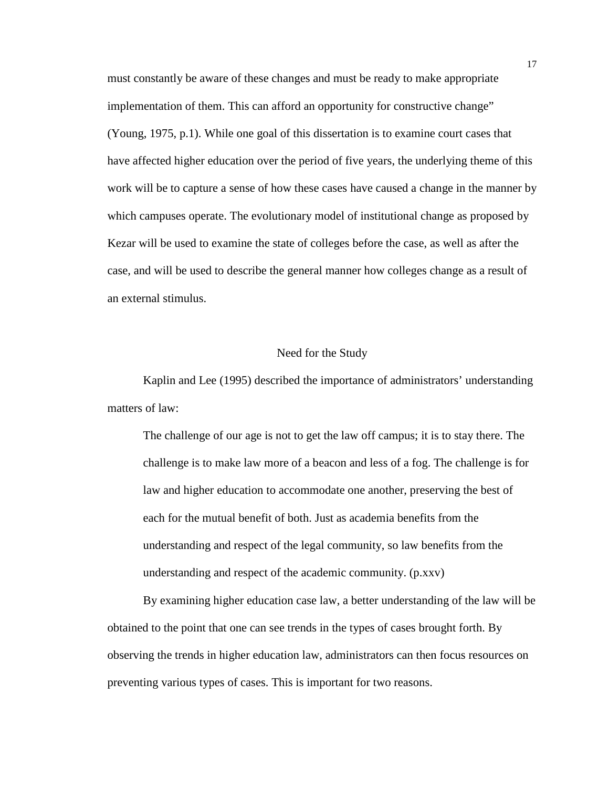must constantly be aware of these changes and must be ready to make appropriate implementation of them. This can afford an opportunity for constructive change" (Young, 1975, p.1). While one goal of this dissertation is to examine court cases that have affected higher education over the period of five years, the underlying theme of this work will be to capture a sense of how these cases have caused a change in the manner by which campuses operate. The evolutionary model of institutional change as proposed by Kezar will be used to examine the state of colleges before the case, as well as after the case, and will be used to describe the general manner how colleges change as a result of an external stimulus.

## Need for the Study

Kaplin and Lee (1995) described the importance of administrators' understanding matters of law:

The challenge of our age is not to get the law off campus; it is to stay there. The challenge is to make law more of a beacon and less of a fog. The challenge is for law and higher education to accommodate one another, preserving the best of each for the mutual benefit of both. Just as academia benefits from the understanding and respect of the legal community, so law benefits from the understanding and respect of the academic community. (p.xxv)

By examining higher education case law, a better understanding of the law will be obtained to the point that one can see trends in the types of cases brought forth. By observing the trends in higher education law, administrators can then focus resources on preventing various types of cases. This is important for two reasons.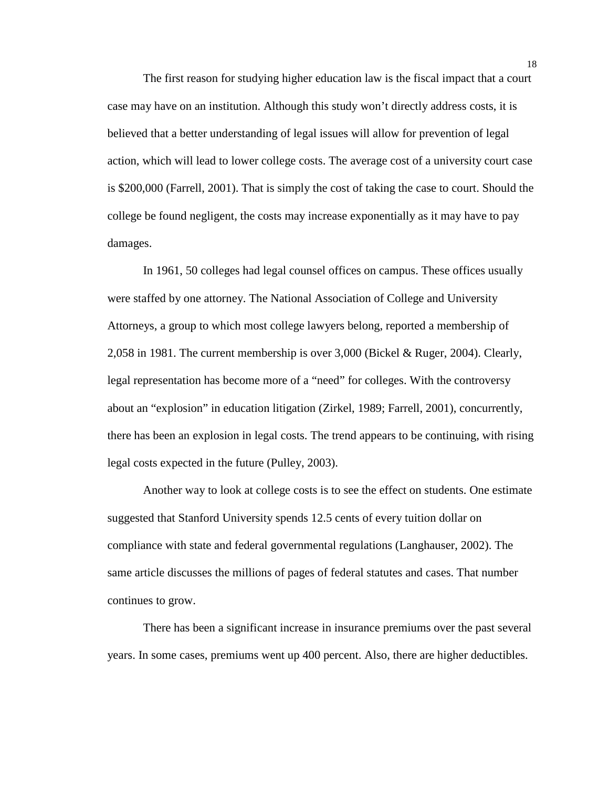The first reason for studying higher education law is the fiscal impact that a court case may have on an institution. Although this study won't directly address costs, it is believed that a better understanding of legal issues will allow for prevention of legal action, which will lead to lower college costs. The average cost of a university court case is \$200,000 (Farrell, 2001). That is simply the cost of taking the case to court. Should the college be found negligent, the costs may increase exponentially as it may have to pay damages.

In 1961, 50 colleges had legal counsel offices on campus. These offices usually were staffed by one attorney. The National Association of College and University Attorneys, a group to which most college lawyers belong, reported a membership of 2,058 in 1981. The current membership is over 3,000 (Bickel & Ruger, 2004). Clearly, legal representation has become more of a "need" for colleges. With the controversy about an "explosion" in education litigation (Zirkel, 1989; Farrell, 2001), concurrently, there has been an explosion in legal costs. The trend appears to be continuing, with rising legal costs expected in the future (Pulley, 2003).

Another way to look at college costs is to see the effect on students. One estimate suggested that Stanford University spends 12.5 cents of every tuition dollar on compliance with state and federal governmental regulations (Langhauser, 2002). The same article discusses the millions of pages of federal statutes and cases. That number continues to grow.

 There has been a significant increase in insurance premiums over the past several years. In some cases, premiums went up 400 percent. Also, there are higher deductibles.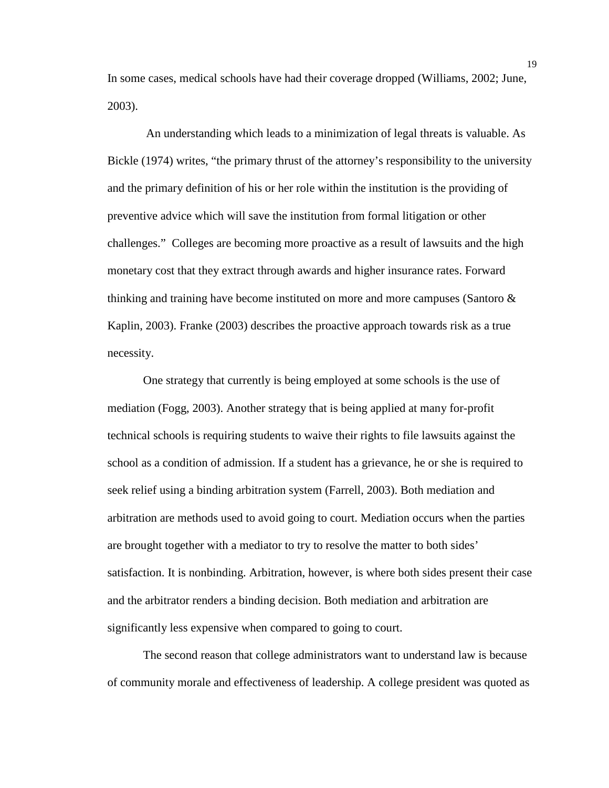In some cases, medical schools have had their coverage dropped (Williams, 2002; June, 2003).

 An understanding which leads to a minimization of legal threats is valuable. As Bickle (1974) writes, "the primary thrust of the attorney's responsibility to the university and the primary definition of his or her role within the institution is the providing of preventive advice which will save the institution from formal litigation or other challenges." Colleges are becoming more proactive as a result of lawsuits and the high monetary cost that they extract through awards and higher insurance rates. Forward thinking and training have become instituted on more and more campuses (Santoro  $\&$ Kaplin, 2003). Franke (2003) describes the proactive approach towards risk as a true necessity.

One strategy that currently is being employed at some schools is the use of mediation (Fogg, 2003). Another strategy that is being applied at many for-profit technical schools is requiring students to waive their rights to file lawsuits against the school as a condition of admission. If a student has a grievance, he or she is required to seek relief using a binding arbitration system (Farrell, 2003). Both mediation and arbitration are methods used to avoid going to court. Mediation occurs when the parties are brought together with a mediator to try to resolve the matter to both sides' satisfaction. It is nonbinding. Arbitration, however, is where both sides present their case and the arbitrator renders a binding decision. Both mediation and arbitration are significantly less expensive when compared to going to court.

 The second reason that college administrators want to understand law is because of community morale and effectiveness of leadership. A college president was quoted as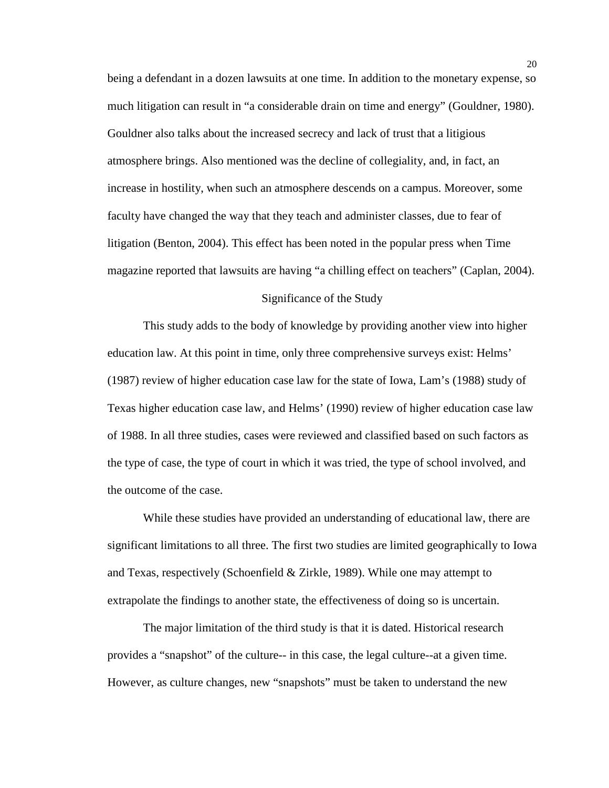being a defendant in a dozen lawsuits at one time. In addition to the monetary expense, so much litigation can result in "a considerable drain on time and energy" (Gouldner, 1980). Gouldner also talks about the increased secrecy and lack of trust that a litigious atmosphere brings. Also mentioned was the decline of collegiality, and, in fact, an increase in hostility, when such an atmosphere descends on a campus. Moreover, some faculty have changed the way that they teach and administer classes, due to fear of litigation (Benton, 2004). This effect has been noted in the popular press when Time magazine reported that lawsuits are having "a chilling effect on teachers" (Caplan, 2004).

## Significance of the Study

 This study adds to the body of knowledge by providing another view into higher education law. At this point in time, only three comprehensive surveys exist: Helms' (1987) review of higher education case law for the state of Iowa, Lam's (1988) study of Texas higher education case law, and Helms' (1990) review of higher education case law of 1988. In all three studies, cases were reviewed and classified based on such factors as the type of case, the type of court in which it was tried, the type of school involved, and the outcome of the case.

While these studies have provided an understanding of educational law, there are significant limitations to all three. The first two studies are limited geographically to Iowa and Texas, respectively (Schoenfield & Zirkle, 1989). While one may attempt to extrapolate the findings to another state, the effectiveness of doing so is uncertain.

 The major limitation of the third study is that it is dated. Historical research provides a "snapshot" of the culture-- in this case, the legal culture--at a given time. However, as culture changes, new "snapshots" must be taken to understand the new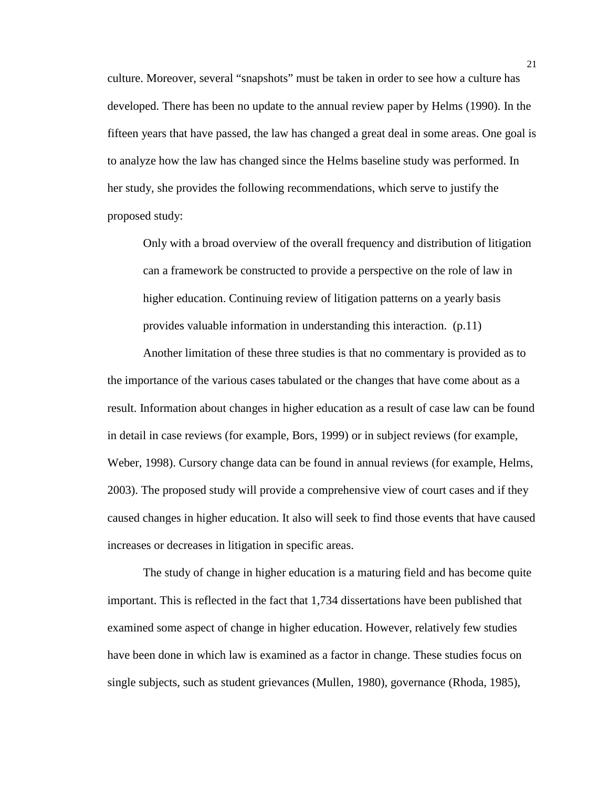culture. Moreover, several "snapshots" must be taken in order to see how a culture has developed. There has been no update to the annual review paper by Helms (1990). In the fifteen years that have passed, the law has changed a great deal in some areas. One goal is to analyze how the law has changed since the Helms baseline study was performed. In her study, she provides the following recommendations, which serve to justify the proposed study:

Only with a broad overview of the overall frequency and distribution of litigation can a framework be constructed to provide a perspective on the role of law in higher education. Continuing review of litigation patterns on a yearly basis provides valuable information in understanding this interaction. (p.11)

 Another limitation of these three studies is that no commentary is provided as to the importance of the various cases tabulated or the changes that have come about as a result. Information about changes in higher education as a result of case law can be found in detail in case reviews (for example, Bors, 1999) or in subject reviews (for example, Weber, 1998). Cursory change data can be found in annual reviews (for example, Helms, 2003). The proposed study will provide a comprehensive view of court cases and if they caused changes in higher education. It also will seek to find those events that have caused increases or decreases in litigation in specific areas.

 The study of change in higher education is a maturing field and has become quite important. This is reflected in the fact that 1,734 dissertations have been published that examined some aspect of change in higher education. However, relatively few studies have been done in which law is examined as a factor in change. These studies focus on single subjects, such as student grievances (Mullen, 1980), governance (Rhoda, 1985),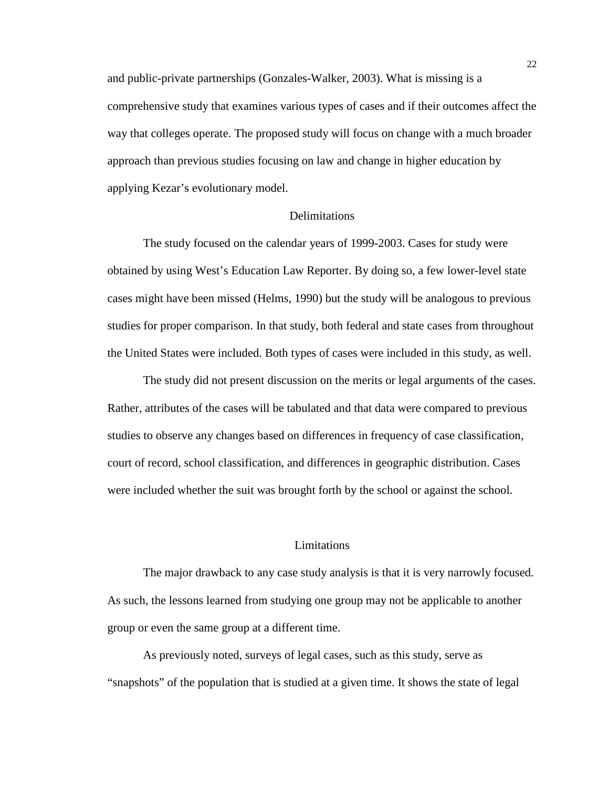and public-private partnerships (Gonzales-Walker, 2003). What is missing is a comprehensive study that examines various types of cases and if their outcomes affect the way that colleges operate. The proposed study will focus on change with a much broader approach than previous studies focusing on law and change in higher education by applying Kezar's evolutionary model.

### **Delimitations**

The study focused on the calendar years of 1999-2003. Cases for study were obtained by using West's Education Law Reporter. By doing so, a few lower-level state cases might have been missed (Helms, 1990) but the study will be analogous to previous studies for proper comparison. In that study, both federal and state cases from throughout the United States were included. Both types of cases were included in this study, as well.

 The study did not present discussion on the merits or legal arguments of the cases. Rather, attributes of the cases will be tabulated and that data were compared to previous studies to observe any changes based on differences in frequency of case classification, court of record, school classification, and differences in geographic distribution. Cases were included whether the suit was brought forth by the school or against the school.

## Limitations

 The major drawback to any case study analysis is that it is very narrowly focused. As such, the lessons learned from studying one group may not be applicable to another group or even the same group at a different time.

 As previously noted, surveys of legal cases, such as this study, serve as "snapshots" of the population that is studied at a given time. It shows the state of legal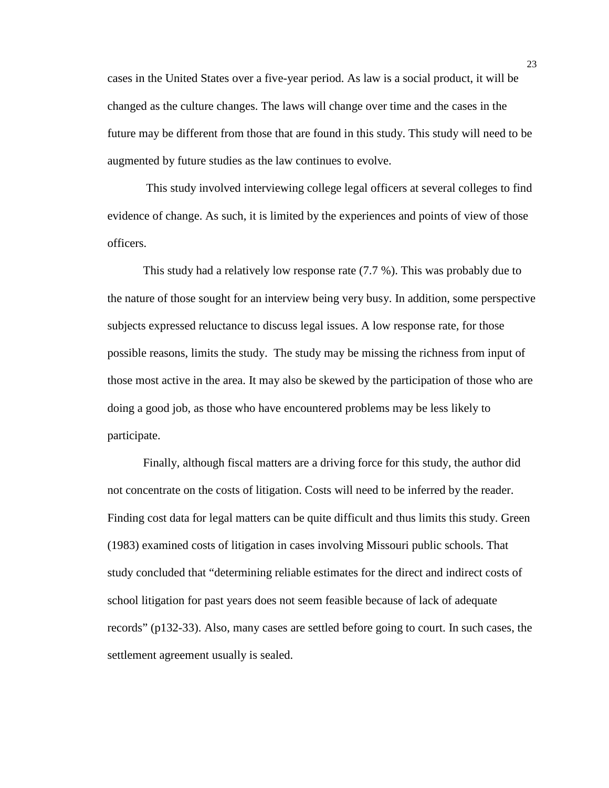cases in the United States over a five-year period. As law is a social product, it will be changed as the culture changes. The laws will change over time and the cases in the future may be different from those that are found in this study. This study will need to be augmented by future studies as the law continues to evolve.

 This study involved interviewing college legal officers at several colleges to find evidence of change. As such, it is limited by the experiences and points of view of those officers.

 This study had a relatively low response rate (7.7 %). This was probably due to the nature of those sought for an interview being very busy. In addition, some perspective subjects expressed reluctance to discuss legal issues. A low response rate, for those possible reasons, limits the study. The study may be missing the richness from input of those most active in the area. It may also be skewed by the participation of those who are doing a good job, as those who have encountered problems may be less likely to participate.

 Finally, although fiscal matters are a driving force for this study, the author did not concentrate on the costs of litigation. Costs will need to be inferred by the reader. Finding cost data for legal matters can be quite difficult and thus limits this study. Green (1983) examined costs of litigation in cases involving Missouri public schools. That study concluded that "determining reliable estimates for the direct and indirect costs of school litigation for past years does not seem feasible because of lack of adequate records" (p132-33). Also, many cases are settled before going to court. In such cases, the settlement agreement usually is sealed.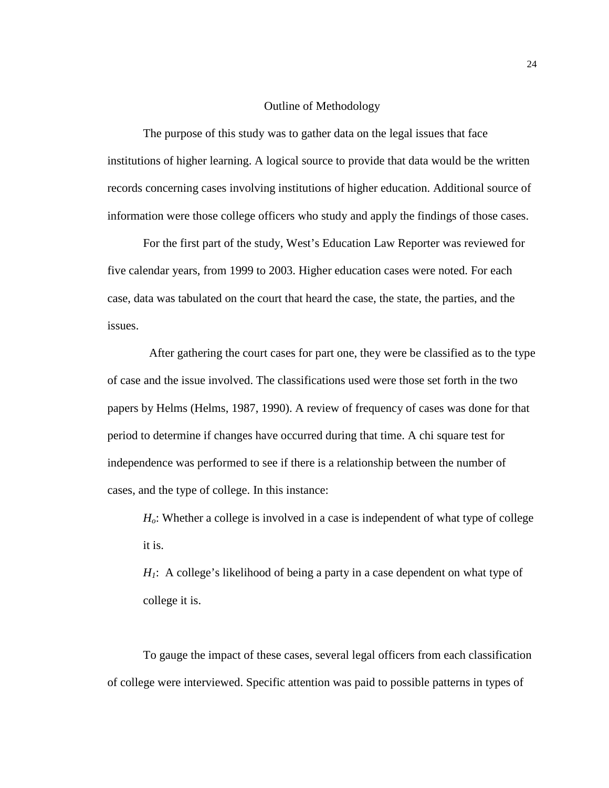## Outline of Methodology

 The purpose of this study was to gather data on the legal issues that face institutions of higher learning. A logical source to provide that data would be the written records concerning cases involving institutions of higher education. Additional source of information were those college officers who study and apply the findings of those cases.

 For the first part of the study, West's Education Law Reporter was reviewed for five calendar years, from 1999 to 2003. Higher education cases were noted. For each case, data was tabulated on the court that heard the case, the state, the parties, and the issues.

 After gathering the court cases for part one, they were be classified as to the type of case and the issue involved. The classifications used were those set forth in the two papers by Helms (Helms, 1987, 1990). A review of frequency of cases was done for that period to determine if changes have occurred during that time. A chi square test for independence was performed to see if there is a relationship between the number of cases, and the type of college. In this instance:

*Ho*: Whether a college is involved in a case is independent of what type of college it is.

*H1*: A college's likelihood of being a party in a case dependent on what type of college it is.

 To gauge the impact of these cases, several legal officers from each classification of college were interviewed. Specific attention was paid to possible patterns in types of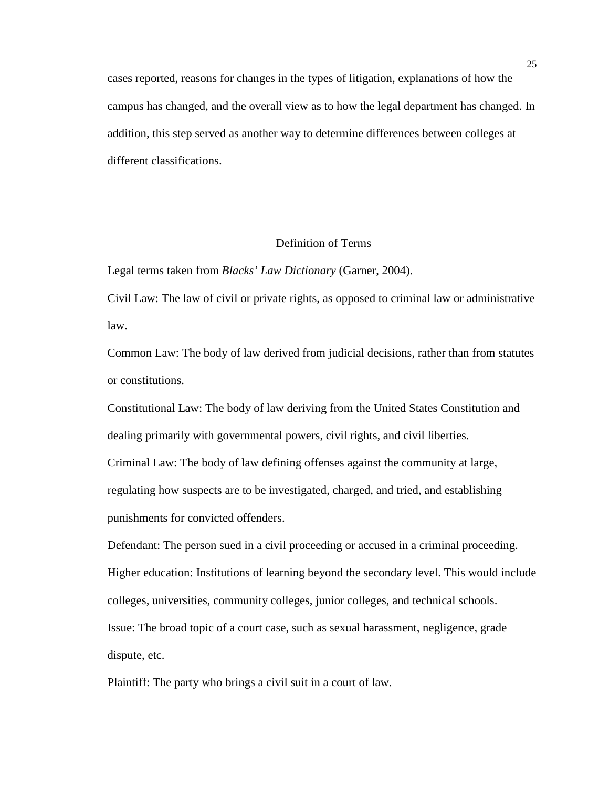cases reported, reasons for changes in the types of litigation, explanations of how the campus has changed, and the overall view as to how the legal department has changed. In addition, this step served as another way to determine differences between colleges at different classifications.

## Definition of Terms

Legal terms taken from *Blacks' Law Dictionary* (Garner, 2004).

Civil Law: The law of civil or private rights, as opposed to criminal law or administrative law.

Common Law: The body of law derived from judicial decisions, rather than from statutes or constitutions.

Constitutional Law: The body of law deriving from the United States Constitution and dealing primarily with governmental powers, civil rights, and civil liberties.

Criminal Law: The body of law defining offenses against the community at large,

regulating how suspects are to be investigated, charged, and tried, and establishing punishments for convicted offenders.

Defendant: The person sued in a civil proceeding or accused in a criminal proceeding. Higher education: Institutions of learning beyond the secondary level. This would include colleges, universities, community colleges, junior colleges, and technical schools. Issue: The broad topic of a court case, such as sexual harassment, negligence, grade dispute, etc.

Plaintiff: The party who brings a civil suit in a court of law.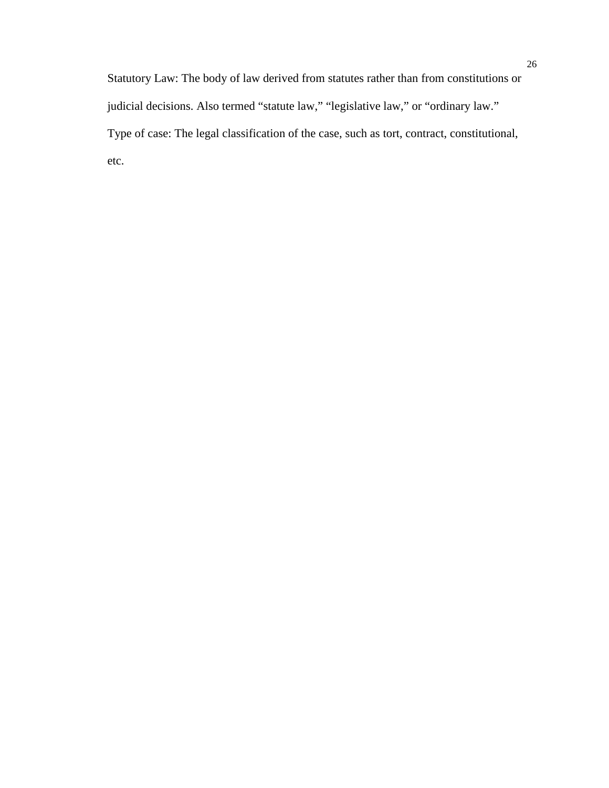Statutory Law: The body of law derived from statutes rather than from constitutions or judicial decisions. Also termed "statute law," "legislative law," or "ordinary law." Type of case: The legal classification of the case, such as tort, contract, constitutional, etc.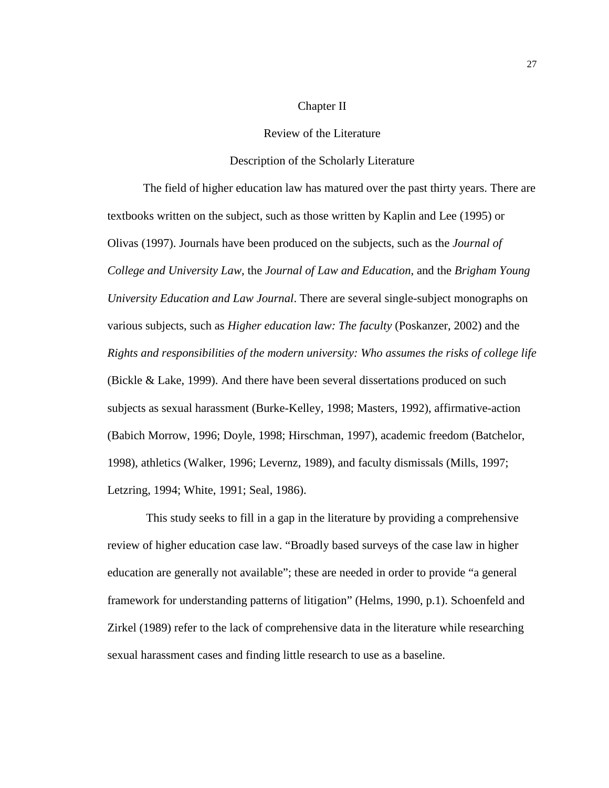### Chapter II

### Review of the Literature

### Description of the Scholarly Literature

The field of higher education law has matured over the past thirty years. There are textbooks written on the subject, such as those written by Kaplin and Lee (1995) or Olivas (1997). Journals have been produced on the subjects, such as the *Journal of College and University Law*, the *Journal of Law and Education*, and the *Brigham Young University Education and Law Journal*. There are several single-subject monographs on various subjects, such as *Higher education law: The faculty* (Poskanzer, 2002) and the *Rights and responsibilities of the modern university: Who assumes the risks of college life* (Bickle & Lake, 1999). And there have been several dissertations produced on such subjects as sexual harassment (Burke-Kelley, 1998; Masters, 1992), affirmative-action (Babich Morrow, 1996; Doyle, 1998; Hirschman, 1997), academic freedom (Batchelor, 1998), athletics (Walker, 1996; Levernz, 1989), and faculty dismissals (Mills, 1997; Letzring, 1994; White, 1991; Seal, 1986).

 This study seeks to fill in a gap in the literature by providing a comprehensive review of higher education case law. "Broadly based surveys of the case law in higher education are generally not available"; these are needed in order to provide "a general framework for understanding patterns of litigation" (Helms, 1990, p.1). Schoenfeld and Zirkel (1989) refer to the lack of comprehensive data in the literature while researching sexual harassment cases and finding little research to use as a baseline.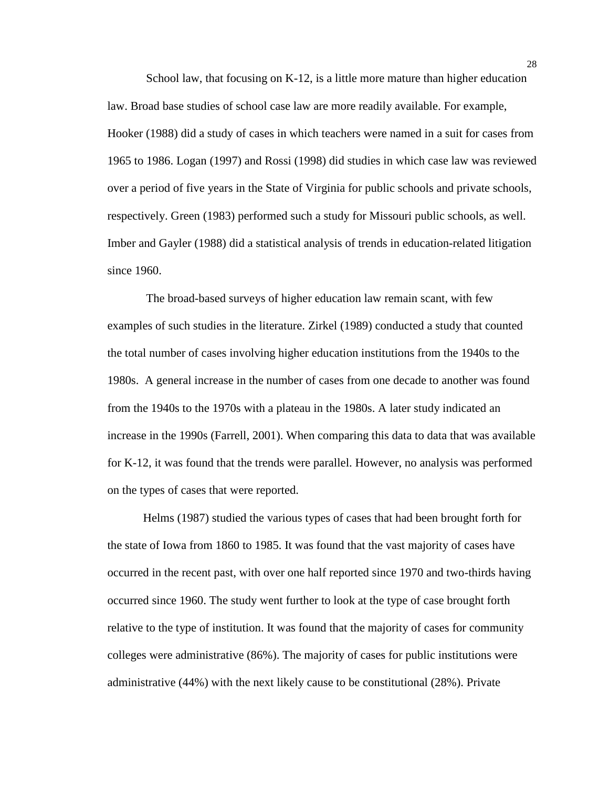School law, that focusing on K-12, is a little more mature than higher education law. Broad base studies of school case law are more readily available. For example, Hooker (1988) did a study of cases in which teachers were named in a suit for cases from 1965 to 1986. Logan (1997) and Rossi (1998) did studies in which case law was reviewed over a period of five years in the State of Virginia for public schools and private schools, respectively. Green (1983) performed such a study for Missouri public schools, as well. Imber and Gayler (1988) did a statistical analysis of trends in education-related litigation since 1960.

 The broad-based surveys of higher education law remain scant, with few examples of such studies in the literature. Zirkel (1989) conducted a study that counted the total number of cases involving higher education institutions from the 1940s to the 1980s. A general increase in the number of cases from one decade to another was found from the 1940s to the 1970s with a plateau in the 1980s. A later study indicated an increase in the 1990s (Farrell, 2001). When comparing this data to data that was available for K-12, it was found that the trends were parallel. However, no analysis was performed on the types of cases that were reported.

 Helms (1987) studied the various types of cases that had been brought forth for the state of Iowa from 1860 to 1985. It was found that the vast majority of cases have occurred in the recent past, with over one half reported since 1970 and two-thirds having occurred since 1960. The study went further to look at the type of case brought forth relative to the type of institution. It was found that the majority of cases for community colleges were administrative (86%). The majority of cases for public institutions were administrative (44%) with the next likely cause to be constitutional (28%). Private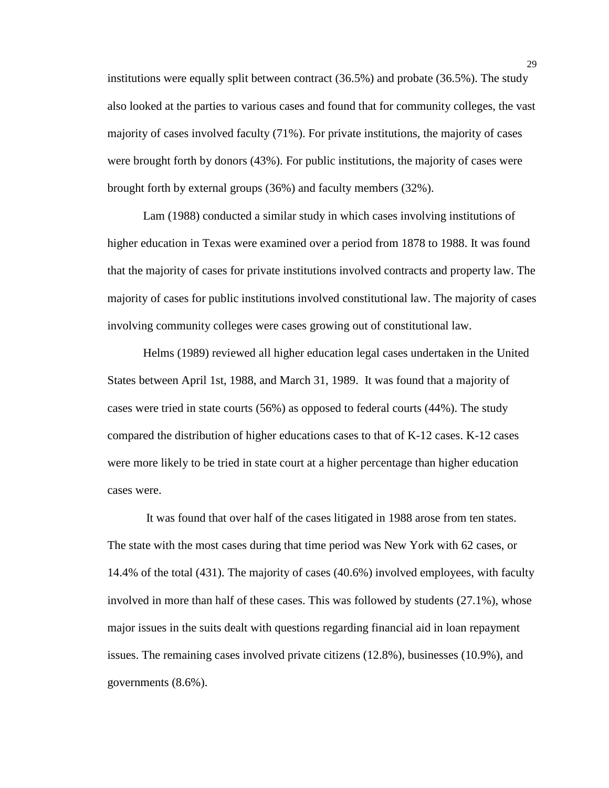institutions were equally split between contract  $(36.5\%)$  and probate  $(36.5\%)$ . The study also looked at the parties to various cases and found that for community colleges, the vast majority of cases involved faculty (71%). For private institutions, the majority of cases were brought forth by donors (43%). For public institutions, the majority of cases were brought forth by external groups (36%) and faculty members (32%).

 Lam (1988) conducted a similar study in which cases involving institutions of higher education in Texas were examined over a period from 1878 to 1988. It was found that the majority of cases for private institutions involved contracts and property law. The majority of cases for public institutions involved constitutional law. The majority of cases involving community colleges were cases growing out of constitutional law.

 Helms (1989) reviewed all higher education legal cases undertaken in the United States between April 1st, 1988, and March 31, 1989. It was found that a majority of cases were tried in state courts (56%) as opposed to federal courts (44%). The study compared the distribution of higher educations cases to that of K-12 cases. K-12 cases were more likely to be tried in state court at a higher percentage than higher education cases were.

 It was found that over half of the cases litigated in 1988 arose from ten states. The state with the most cases during that time period was New York with 62 cases, or 14.4% of the total (431). The majority of cases (40.6%) involved employees, with faculty involved in more than half of these cases. This was followed by students (27.1%), whose major issues in the suits dealt with questions regarding financial aid in loan repayment issues. The remaining cases involved private citizens (12.8%), businesses (10.9%), and governments (8.6%).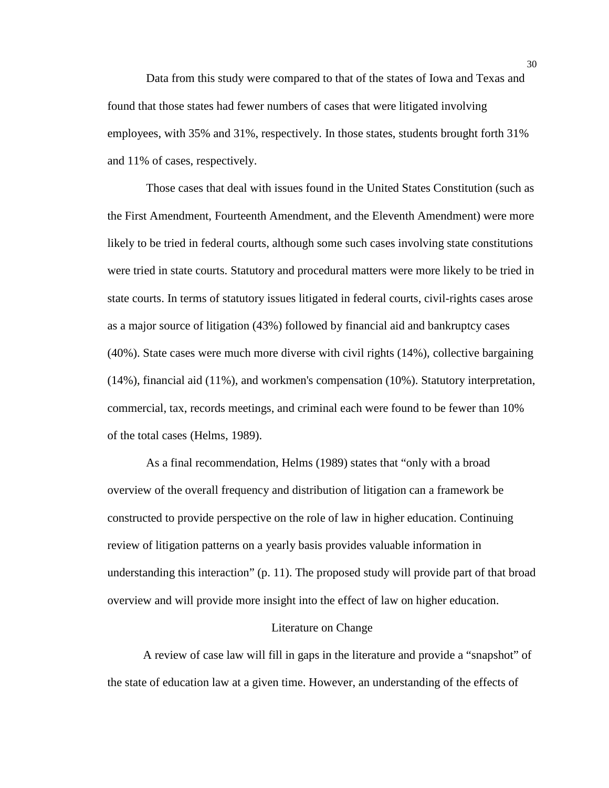Data from this study were compared to that of the states of Iowa and Texas and found that those states had fewer numbers of cases that were litigated involving employees, with 35% and 31%, respectively. In those states, students brought forth 31% and 11% of cases, respectively.

 Those cases that deal with issues found in the United States Constitution (such as the First Amendment, Fourteenth Amendment, and the Eleventh Amendment) were more likely to be tried in federal courts, although some such cases involving state constitutions were tried in state courts. Statutory and procedural matters were more likely to be tried in state courts. In terms of statutory issues litigated in federal courts, civil-rights cases arose as a major source of litigation (43%) followed by financial aid and bankruptcy cases (40%). State cases were much more diverse with civil rights (14%), collective bargaining (14%), financial aid (11%), and workmen's compensation (10%). Statutory interpretation, commercial, tax, records meetings, and criminal each were found to be fewer than 10% of the total cases (Helms, 1989).

 As a final recommendation, Helms (1989) states that "only with a broad overview of the overall frequency and distribution of litigation can a framework be constructed to provide perspective on the role of law in higher education. Continuing review of litigation patterns on a yearly basis provides valuable information in understanding this interaction" (p. 11). The proposed study will provide part of that broad overview and will provide more insight into the effect of law on higher education.

### Literature on Change

 A review of case law will fill in gaps in the literature and provide a "snapshot" of the state of education law at a given time. However, an understanding of the effects of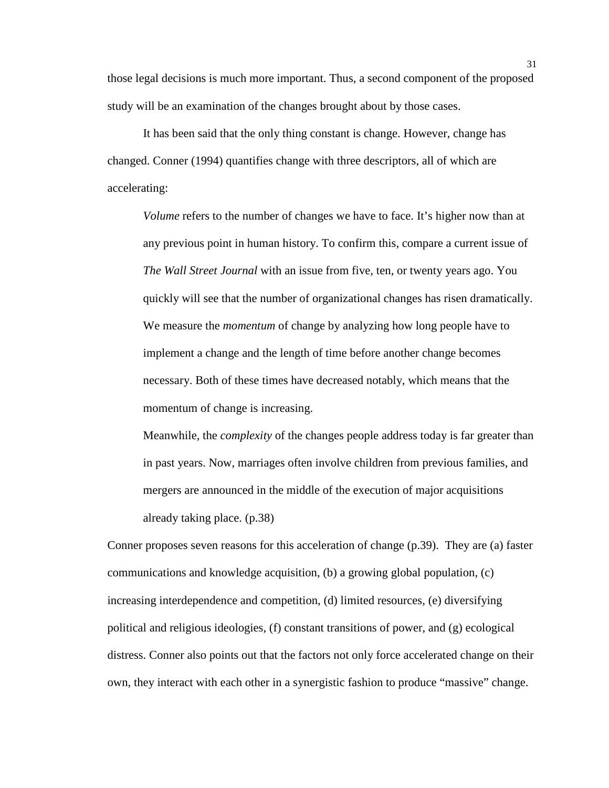those legal decisions is much more important. Thus, a second component of the proposed study will be an examination of the changes brought about by those cases.

 It has been said that the only thing constant is change. However, change has changed. Conner (1994) quantifies change with three descriptors, all of which are accelerating:

*Volume* refers to the number of changes we have to face. It's higher now than at any previous point in human history. To confirm this, compare a current issue of *The Wall Street Journal* with an issue from five, ten, or twenty years ago. You quickly will see that the number of organizational changes has risen dramatically. We measure the *momentum* of change by analyzing how long people have to implement a change and the length of time before another change becomes necessary. Both of these times have decreased notably, which means that the momentum of change is increasing.

Meanwhile, the *complexity* of the changes people address today is far greater than in past years. Now, marriages often involve children from previous families, and mergers are announced in the middle of the execution of major acquisitions already taking place. (p.38)

Conner proposes seven reasons for this acceleration of change (p.39). They are (a) faster communications and knowledge acquisition, (b) a growing global population, (c) increasing interdependence and competition, (d) limited resources, (e) diversifying political and religious ideologies, (f) constant transitions of power, and (g) ecological distress. Conner also points out that the factors not only force accelerated change on their own, they interact with each other in a synergistic fashion to produce "massive" change.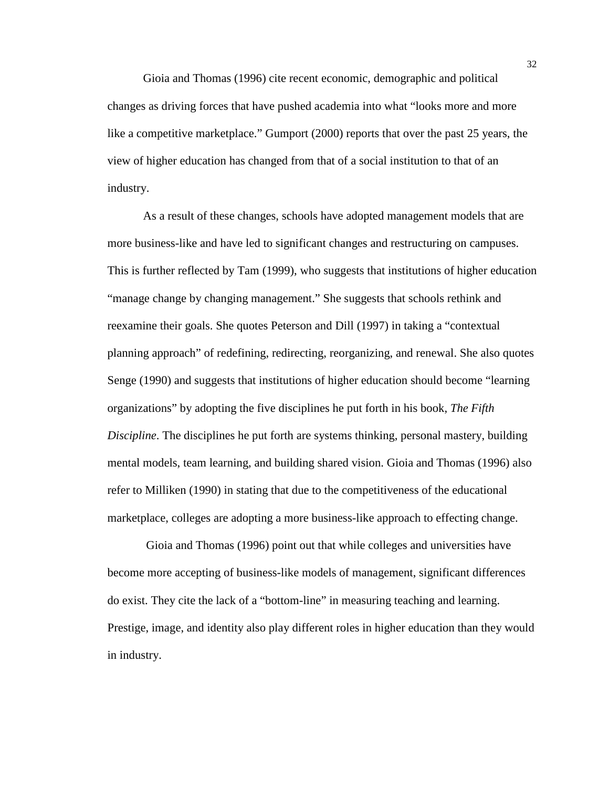Gioia and Thomas (1996) cite recent economic, demographic and political changes as driving forces that have pushed academia into what "looks more and more like a competitive marketplace." Gumport (2000) reports that over the past 25 years, the view of higher education has changed from that of a social institution to that of an industry.

As a result of these changes, schools have adopted management models that are more business-like and have led to significant changes and restructuring on campuses. This is further reflected by Tam (1999), who suggests that institutions of higher education "manage change by changing management." She suggests that schools rethink and reexamine their goals. She quotes Peterson and Dill (1997) in taking a "contextual planning approach" of redefining, redirecting, reorganizing, and renewal. She also quotes Senge (1990) and suggests that institutions of higher education should become "learning organizations" by adopting the five disciplines he put forth in his book, *The Fifth Discipline*. The disciplines he put forth are systems thinking, personal mastery, building mental models, team learning, and building shared vision. Gioia and Thomas (1996) also refer to Milliken (1990) in stating that due to the competitiveness of the educational marketplace, colleges are adopting a more business-like approach to effecting change.

 Gioia and Thomas (1996) point out that while colleges and universities have become more accepting of business-like models of management, significant differences do exist. They cite the lack of a "bottom-line" in measuring teaching and learning. Prestige, image, and identity also play different roles in higher education than they would in industry.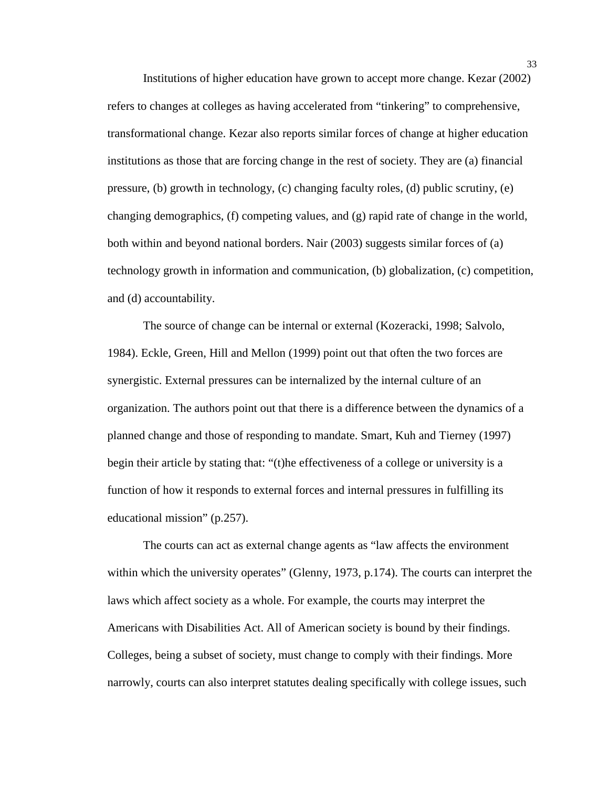Institutions of higher education have grown to accept more change. Kezar (2002) refers to changes at colleges as having accelerated from "tinkering" to comprehensive, transformational change. Kezar also reports similar forces of change at higher education institutions as those that are forcing change in the rest of society. They are (a) financial pressure, (b) growth in technology, (c) changing faculty roles, (d) public scrutiny, (e) changing demographics, (f) competing values, and (g) rapid rate of change in the world, both within and beyond national borders. Nair (2003) suggests similar forces of (a) technology growth in information and communication, (b) globalization, (c) competition, and (d) accountability.

The source of change can be internal or external (Kozeracki, 1998; Salvolo, 1984). Eckle, Green, Hill and Mellon (1999) point out that often the two forces are synergistic. External pressures can be internalized by the internal culture of an organization. The authors point out that there is a difference between the dynamics of a planned change and those of responding to mandate. Smart, Kuh and Tierney (1997) begin their article by stating that: "(t)he effectiveness of a college or university is a function of how it responds to external forces and internal pressures in fulfilling its educational mission" (p.257).

The courts can act as external change agents as "law affects the environment within which the university operates" (Glenny, 1973, p.174). The courts can interpret the laws which affect society as a whole. For example, the courts may interpret the Americans with Disabilities Act. All of American society is bound by their findings. Colleges, being a subset of society, must change to comply with their findings. More narrowly, courts can also interpret statutes dealing specifically with college issues, such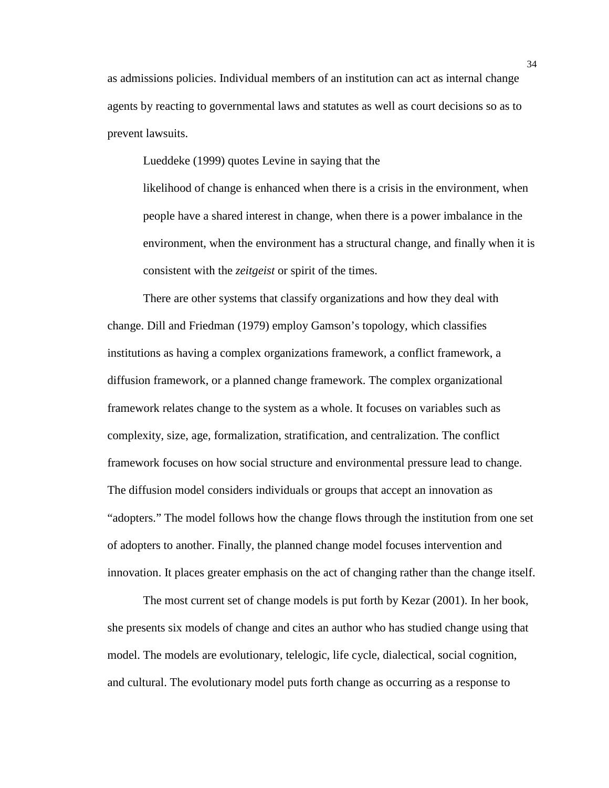as admissions policies. Individual members of an institution can act as internal change agents by reacting to governmental laws and statutes as well as court decisions so as to prevent lawsuits.

Lueddeke (1999) quotes Levine in saying that the

likelihood of change is enhanced when there is a crisis in the environment, when people have a shared interest in change, when there is a power imbalance in the environment, when the environment has a structural change, and finally when it is consistent with the *zeitgeist* or spirit of the times.

There are other systems that classify organizations and how they deal with change. Dill and Friedman (1979) employ Gamson's topology, which classifies institutions as having a complex organizations framework, a conflict framework, a diffusion framework, or a planned change framework. The complex organizational framework relates change to the system as a whole. It focuses on variables such as complexity, size, age, formalization, stratification, and centralization. The conflict framework focuses on how social structure and environmental pressure lead to change. The diffusion model considers individuals or groups that accept an innovation as "adopters." The model follows how the change flows through the institution from one set of adopters to another. Finally, the planned change model focuses intervention and innovation. It places greater emphasis on the act of changing rather than the change itself.

The most current set of change models is put forth by Kezar (2001). In her book, she presents six models of change and cites an author who has studied change using that model. The models are evolutionary, telelogic, life cycle, dialectical, social cognition, and cultural. The evolutionary model puts forth change as occurring as a response to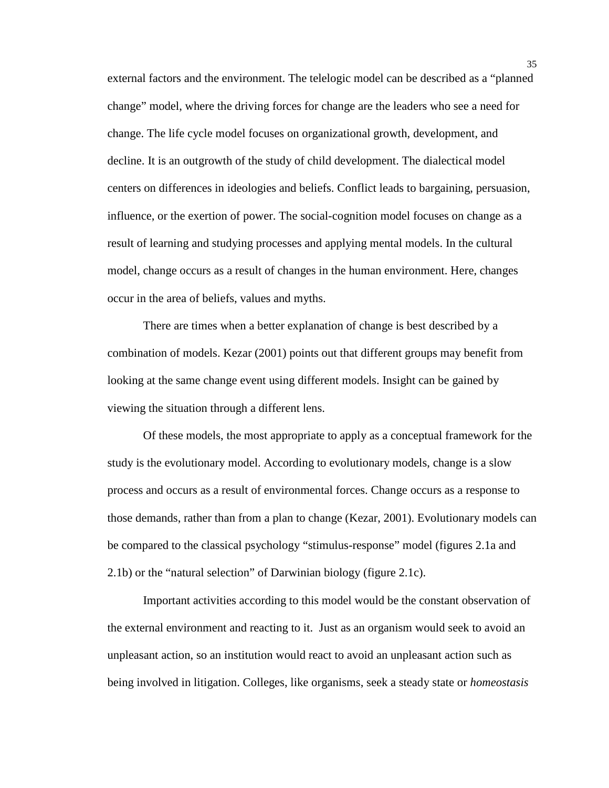external factors and the environment. The telelogic model can be described as a "planned change" model, where the driving forces for change are the leaders who see a need for change. The life cycle model focuses on organizational growth, development, and decline. It is an outgrowth of the study of child development. The dialectical model centers on differences in ideologies and beliefs. Conflict leads to bargaining, persuasion, influence, or the exertion of power. The social-cognition model focuses on change as a result of learning and studying processes and applying mental models. In the cultural model, change occurs as a result of changes in the human environment. Here, changes occur in the area of beliefs, values and myths.

There are times when a better explanation of change is best described by a combination of models. Kezar (2001) points out that different groups may benefit from looking at the same change event using different models. Insight can be gained by viewing the situation through a different lens.

 Of these models, the most appropriate to apply as a conceptual framework for the study is the evolutionary model. According to evolutionary models, change is a slow process and occurs as a result of environmental forces. Change occurs as a response to those demands, rather than from a plan to change (Kezar, 2001). Evolutionary models can be compared to the classical psychology "stimulus-response" model (figures 2.1a and 2.1b) or the "natural selection" of Darwinian biology (figure 2.1c).

 Important activities according to this model would be the constant observation of the external environment and reacting to it. Just as an organism would seek to avoid an unpleasant action, so an institution would react to avoid an unpleasant action such as being involved in litigation. Colleges, like organisms, seek a steady state or *homeostasis*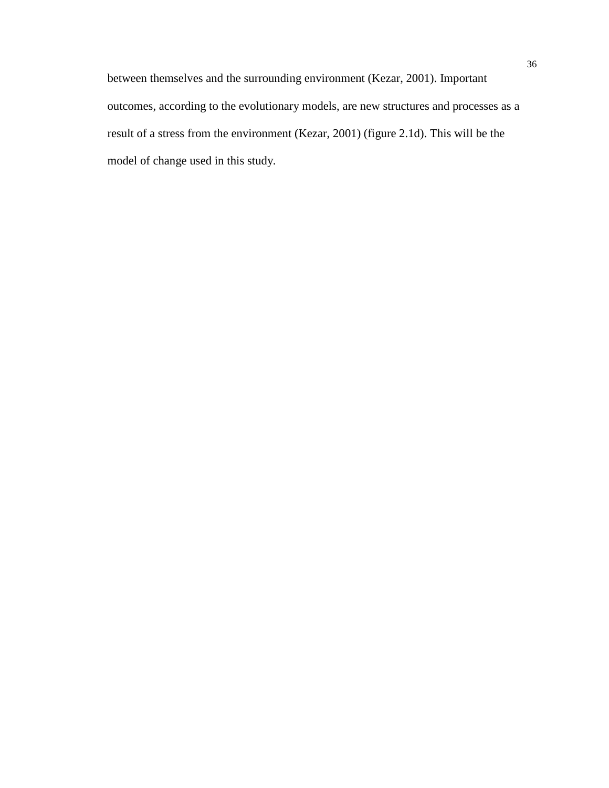between themselves and the surrounding environment (Kezar, 2001). Important outcomes, according to the evolutionary models, are new structures and processes as a result of a stress from the environment (Kezar, 2001) (figure 2.1d). This will be the model of change used in this study.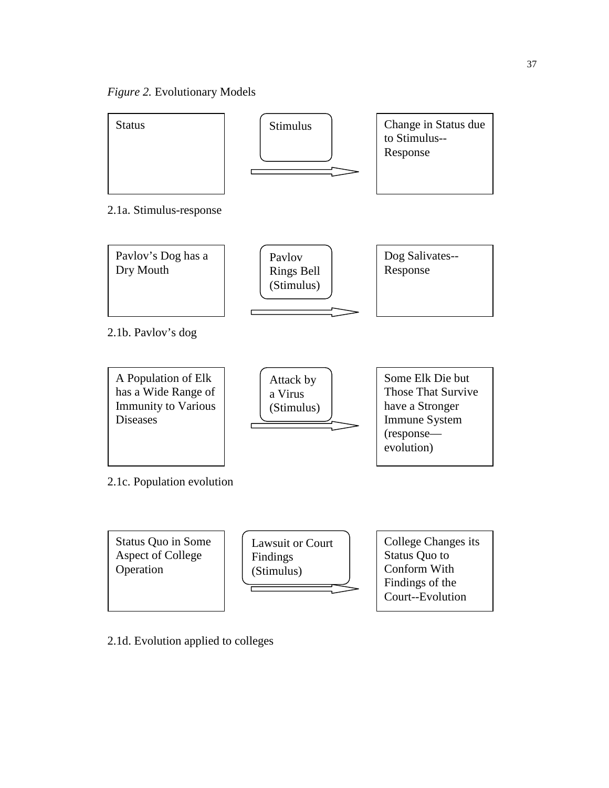

2.1d. Evolution applied to colleges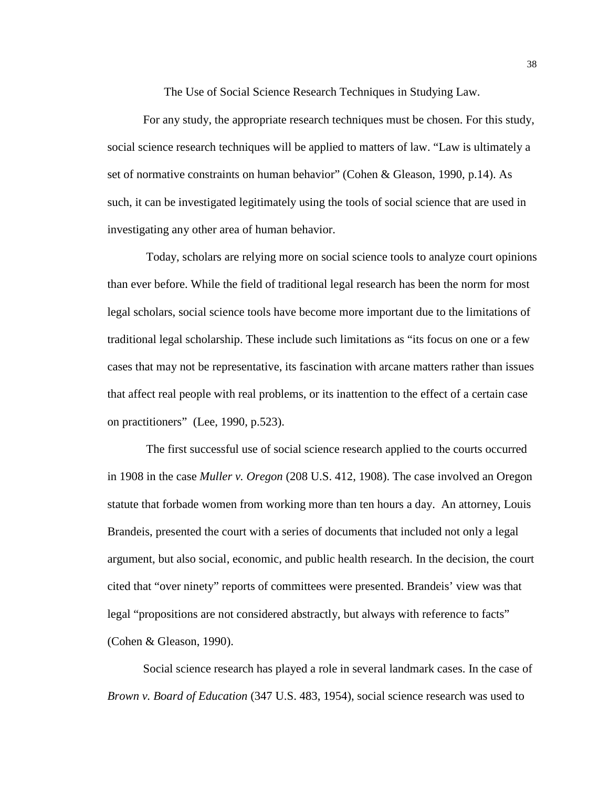The Use of Social Science Research Techniques in Studying Law.

For any study, the appropriate research techniques must be chosen. For this study, social science research techniques will be applied to matters of law. "Law is ultimately a set of normative constraints on human behavior" (Cohen & Gleason, 1990, p.14). As such, it can be investigated legitimately using the tools of social science that are used in investigating any other area of human behavior.

 Today, scholars are relying more on social science tools to analyze court opinions than ever before. While the field of traditional legal research has been the norm for most legal scholars, social science tools have become more important due to the limitations of traditional legal scholarship. These include such limitations as "its focus on one or a few cases that may not be representative, its fascination with arcane matters rather than issues that affect real people with real problems, or its inattention to the effect of a certain case on practitioners" (Lee, 1990, p.523).

 The first successful use of social science research applied to the courts occurred in 1908 in the case *Muller v. Oregon* (208 U.S. 412, 1908). The case involved an Oregon statute that forbade women from working more than ten hours a day. An attorney, Louis Brandeis, presented the court with a series of documents that included not only a legal argument, but also social, economic, and public health research. In the decision, the court cited that "over ninety" reports of committees were presented. Brandeis' view was that legal "propositions are not considered abstractly, but always with reference to facts" (Cohen & Gleason, 1990).

 Social science research has played a role in several landmark cases. In the case of *Brown v. Board of Education* (347 U.S. 483, 1954), social science research was used to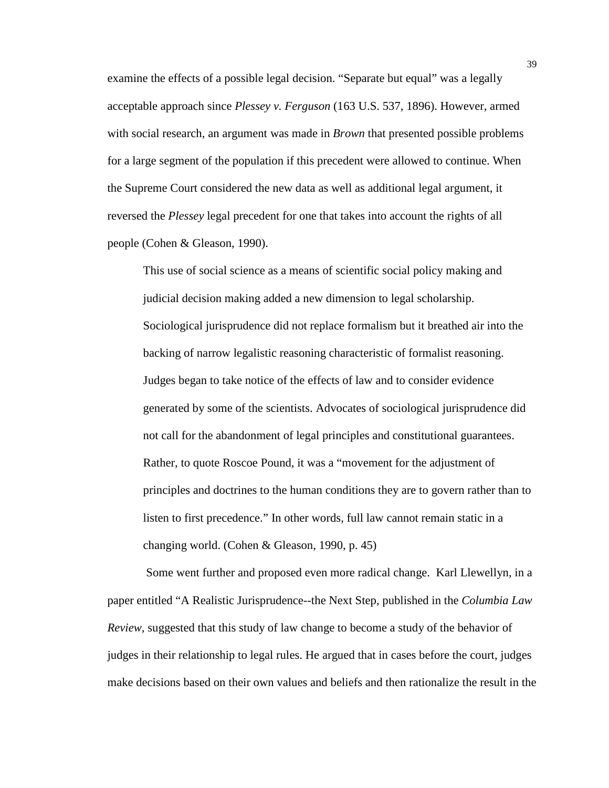examine the effects of a possible legal decision. "Separate but equal" was a legally acceptable approach since *Plessey v. Ferguson* (163 U.S. 537, 1896). However, armed with social research, an argument was made in *Brown* that presented possible problems for a large segment of the population if this precedent were allowed to continue. When the Supreme Court considered the new data as well as additional legal argument, it reversed the *Plessey* legal precedent for one that takes into account the rights of all people (Cohen & Gleason, 1990).

 This use of social science as a means of scientific social policy making and judicial decision making added a new dimension to legal scholarship. Sociological jurisprudence did not replace formalism but it breathed air into the backing of narrow legalistic reasoning characteristic of formalist reasoning. Judges began to take notice of the effects of law and to consider evidence generated by some of the scientists. Advocates of sociological jurisprudence did not call for the abandonment of legal principles and constitutional guarantees. Rather, to quote Roscoe Pound, it was a "movement for the adjustment of principles and doctrines to the human conditions they are to govern rather than to listen to first precedence." In other words, full law cannot remain static in a changing world. (Cohen & Gleason, 1990, p. 45)

 Some went further and proposed even more radical change. Karl Llewellyn, in a paper entitled "A Realistic Jurisprudence--the Next Step, published in the *Columbia Law Review,* suggested that this study of law change to become a study of the behavior of judges in their relationship to legal rules. He argued that in cases before the court, judges make decisions based on their own values and beliefs and then rationalize the result in the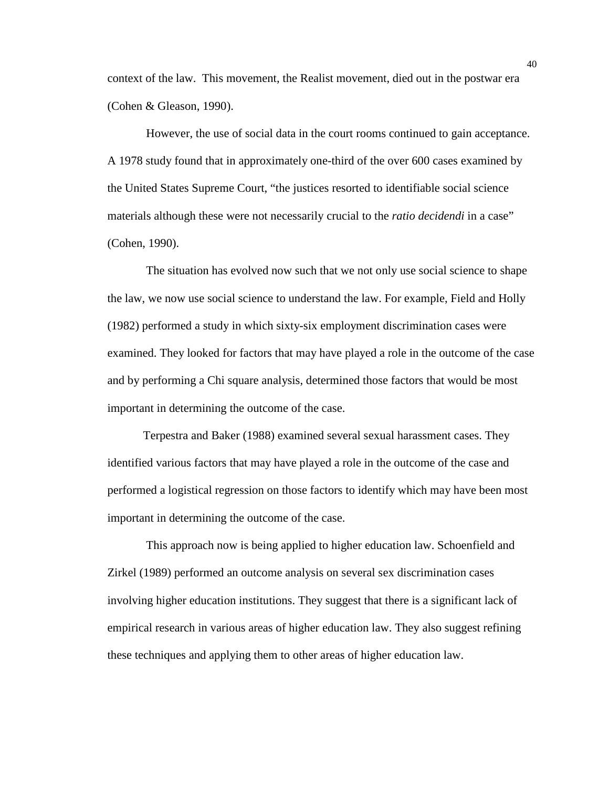context of the law. This movement, the Realist movement, died out in the postwar era (Cohen & Gleason, 1990).

 However, the use of social data in the court rooms continued to gain acceptance. A 1978 study found that in approximately one-third of the over 600 cases examined by the United States Supreme Court, "the justices resorted to identifiable social science materials although these were not necessarily crucial to the *ratio decidendi* in a case" (Cohen, 1990).

 The situation has evolved now such that we not only use social science to shape the law, we now use social science to understand the law. For example, Field and Holly (1982) performed a study in which sixty-six employment discrimination cases were examined. They looked for factors that may have played a role in the outcome of the case and by performing a Chi square analysis, determined those factors that would be most important in determining the outcome of the case.

 Terpestra and Baker (1988) examined several sexual harassment cases. They identified various factors that may have played a role in the outcome of the case and performed a logistical regression on those factors to identify which may have been most important in determining the outcome of the case.

 This approach now is being applied to higher education law. Schoenfield and Zirkel (1989) performed an outcome analysis on several sex discrimination cases involving higher education institutions. They suggest that there is a significant lack of empirical research in various areas of higher education law. They also suggest refining these techniques and applying them to other areas of higher education law.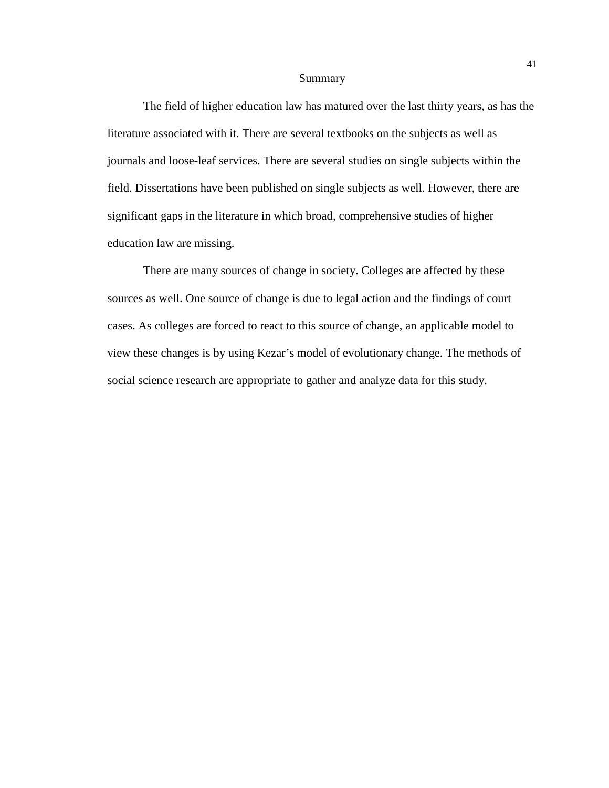#### Summary

 The field of higher education law has matured over the last thirty years, as has the literature associated with it. There are several textbooks on the subjects as well as journals and loose-leaf services. There are several studies on single subjects within the field. Dissertations have been published on single subjects as well. However, there are significant gaps in the literature in which broad, comprehensive studies of higher education law are missing.

There are many sources of change in society. Colleges are affected by these sources as well. One source of change is due to legal action and the findings of court cases. As colleges are forced to react to this source of change, an applicable model to view these changes is by using Kezar's model of evolutionary change. The methods of social science research are appropriate to gather and analyze data for this study.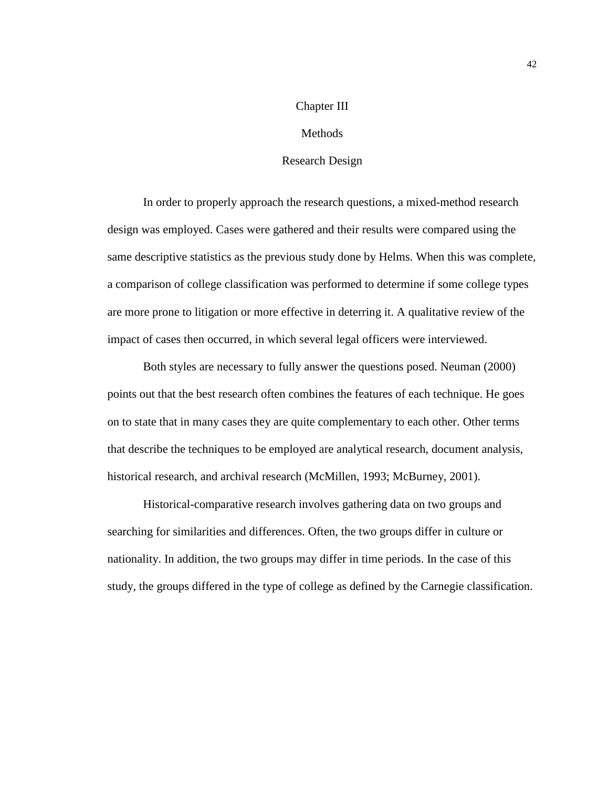### Chapter III

### Methods

### Research Design

In order to properly approach the research questions, a mixed-method research design was employed. Cases were gathered and their results were compared using the same descriptive statistics as the previous study done by Helms. When this was complete, a comparison of college classification was performed to determine if some college types are more prone to litigation or more effective in deterring it. A qualitative review of the impact of cases then occurred, in which several legal officers were interviewed.

Both styles are necessary to fully answer the questions posed. Neuman (2000) points out that the best research often combines the features of each technique. He goes on to state that in many cases they are quite complementary to each other. Other terms that describe the techniques to be employed are analytical research, document analysis, historical research, and archival research (McMillen, 1993; McBurney, 2001).

Historical-comparative research involves gathering data on two groups and searching for similarities and differences. Often, the two groups differ in culture or nationality. In addition, the two groups may differ in time periods. In the case of this study, the groups differed in the type of college as defined by the Carnegie classification.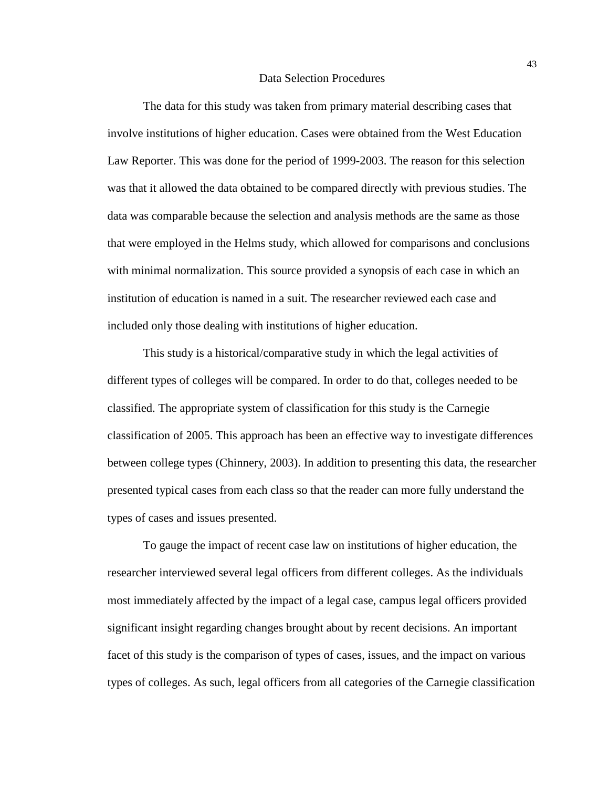#### Data Selection Procedures

The data for this study was taken from primary material describing cases that involve institutions of higher education. Cases were obtained from the West Education Law Reporter. This was done for the period of 1999-2003. The reason for this selection was that it allowed the data obtained to be compared directly with previous studies. The data was comparable because the selection and analysis methods are the same as those that were employed in the Helms study, which allowed for comparisons and conclusions with minimal normalization. This source provided a synopsis of each case in which an institution of education is named in a suit. The researcher reviewed each case and included only those dealing with institutions of higher education.

This study is a historical/comparative study in which the legal activities of different types of colleges will be compared. In order to do that, colleges needed to be classified. The appropriate system of classification for this study is the Carnegie classification of 2005. This approach has been an effective way to investigate differences between college types (Chinnery, 2003). In addition to presenting this data, the researcher presented typical cases from each class so that the reader can more fully understand the types of cases and issues presented.

To gauge the impact of recent case law on institutions of higher education, the researcher interviewed several legal officers from different colleges. As the individuals most immediately affected by the impact of a legal case, campus legal officers provided significant insight regarding changes brought about by recent decisions. An important facet of this study is the comparison of types of cases, issues, and the impact on various types of colleges. As such, legal officers from all categories of the Carnegie classification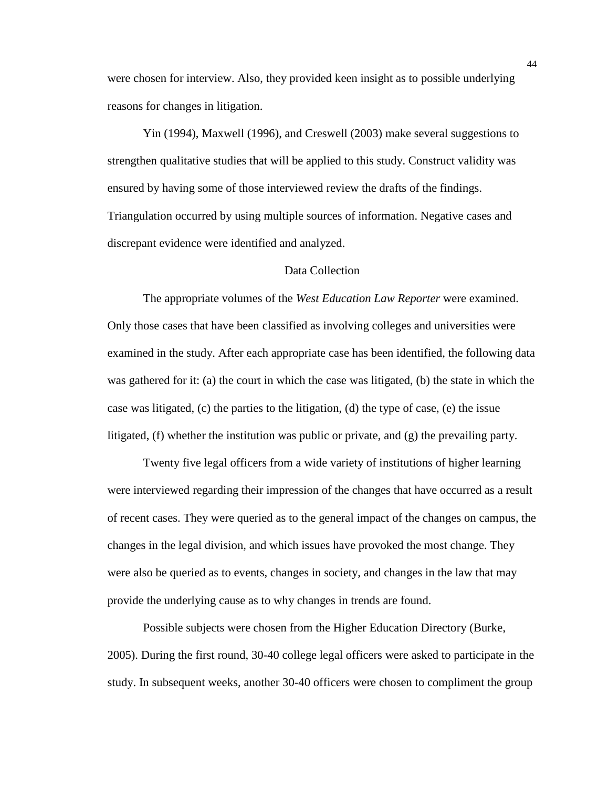were chosen for interview. Also, they provided keen insight as to possible underlying reasons for changes in litigation.

Yin (1994), Maxwell (1996), and Creswell (2003) make several suggestions to strengthen qualitative studies that will be applied to this study. Construct validity was ensured by having some of those interviewed review the drafts of the findings. Triangulation occurred by using multiple sources of information. Negative cases and discrepant evidence were identified and analyzed.

### Data Collection

The appropriate volumes of the *West Education Law Reporter* were examined. Only those cases that have been classified as involving colleges and universities were examined in the study. After each appropriate case has been identified, the following data was gathered for it: (a) the court in which the case was litigated, (b) the state in which the case was litigated, (c) the parties to the litigation, (d) the type of case, (e) the issue litigated, (f) whether the institution was public or private, and (g) the prevailing party.

Twenty five legal officers from a wide variety of institutions of higher learning were interviewed regarding their impression of the changes that have occurred as a result of recent cases. They were queried as to the general impact of the changes on campus, the changes in the legal division, and which issues have provoked the most change. They were also be queried as to events, changes in society, and changes in the law that may provide the underlying cause as to why changes in trends are found.

Possible subjects were chosen from the Higher Education Directory (Burke, 2005). During the first round, 30-40 college legal officers were asked to participate in the study. In subsequent weeks, another 30-40 officers were chosen to compliment the group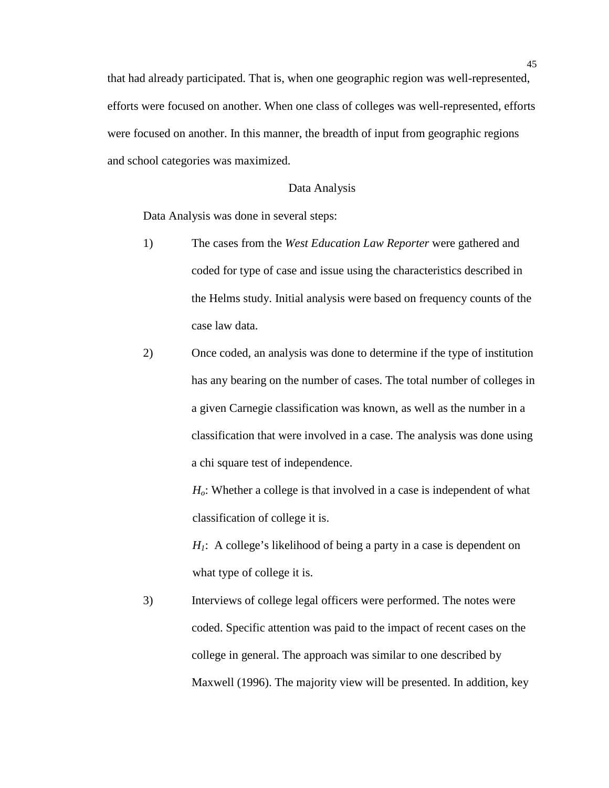that had already participated. That is, when one geographic region was well-represented, efforts were focused on another. When one class of colleges was well-represented, efforts were focused on another. In this manner, the breadth of input from geographic regions and school categories was maximized.

### Data Analysis

Data Analysis was done in several steps:

- 1) The cases from the *West Education Law Reporter* were gathered and coded for type of case and issue using the characteristics described in the Helms study. Initial analysis were based on frequency counts of the case law data.
- 2) Once coded, an analysis was done to determine if the type of institution has any bearing on the number of cases. The total number of colleges in a given Carnegie classification was known, as well as the number in a classification that were involved in a case. The analysis was done using a chi square test of independence.

*Ho*: Whether a college is that involved in a case is independent of what classification of college it is.

*H*<sub>1</sub>: A college's likelihood of being a party in a case is dependent on what type of college it is.

3) Interviews of college legal officers were performed. The notes were coded. Specific attention was paid to the impact of recent cases on the college in general. The approach was similar to one described by Maxwell (1996). The majority view will be presented. In addition, key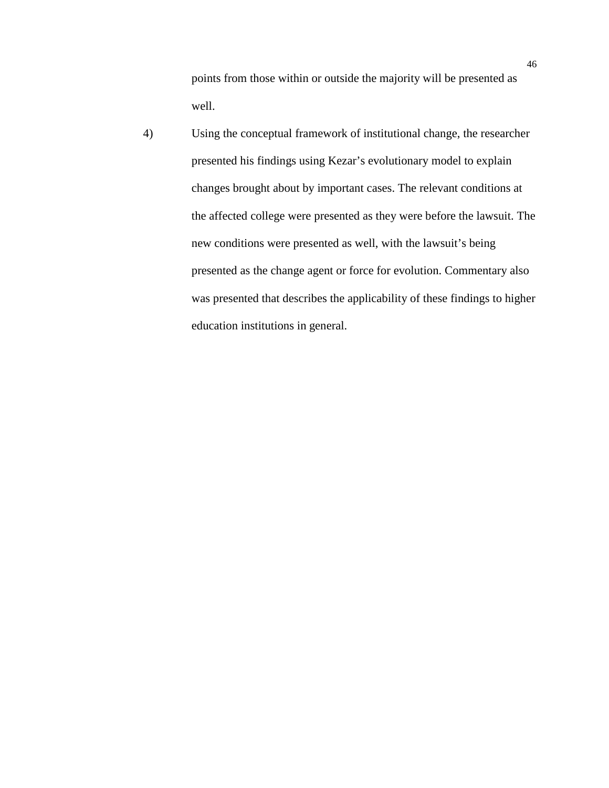points from those within or outside the majority will be presented as well.

4) Using the conceptual framework of institutional change, the researcher presented his findings using Kezar's evolutionary model to explain changes brought about by important cases. The relevant conditions at the affected college were presented as they were before the lawsuit. The new conditions were presented as well, with the lawsuit's being presented as the change agent or force for evolution. Commentary also was presented that describes the applicability of these findings to higher education institutions in general.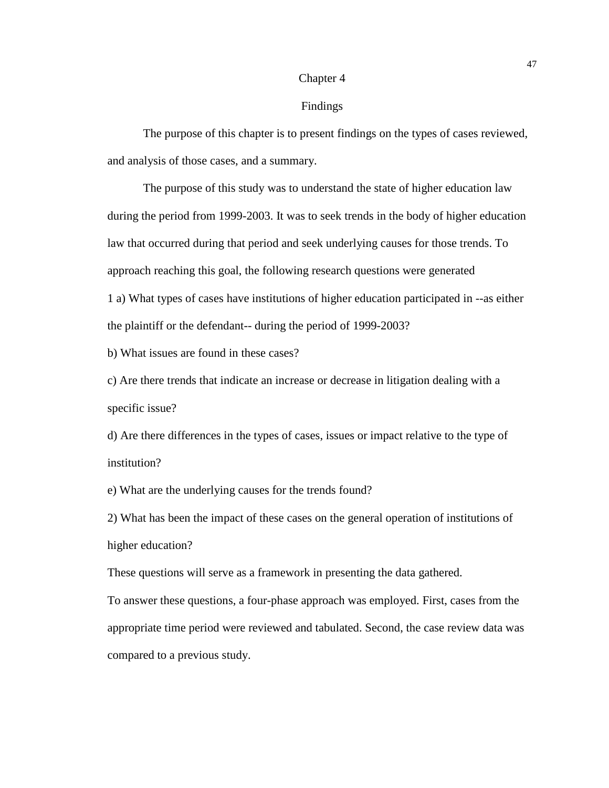### Chapter 4

### Findings

 The purpose of this chapter is to present findings on the types of cases reviewed, and analysis of those cases, and a summary.

 The purpose of this study was to understand the state of higher education law during the period from 1999-2003. It was to seek trends in the body of higher education law that occurred during that period and seek underlying causes for those trends. To approach reaching this goal, the following research questions were generated 1 a) What types of cases have institutions of higher education participated in --as either the plaintiff or the defendant-- during the period of 1999-2003?

b) What issues are found in these cases?

c) Are there trends that indicate an increase or decrease in litigation dealing with a specific issue?

d) Are there differences in the types of cases, issues or impact relative to the type of institution?

e) What are the underlying causes for the trends found?

2) What has been the impact of these cases on the general operation of institutions of higher education?

These questions will serve as a framework in presenting the data gathered.

To answer these questions, a four-phase approach was employed. First, cases from the appropriate time period were reviewed and tabulated. Second, the case review data was compared to a previous study.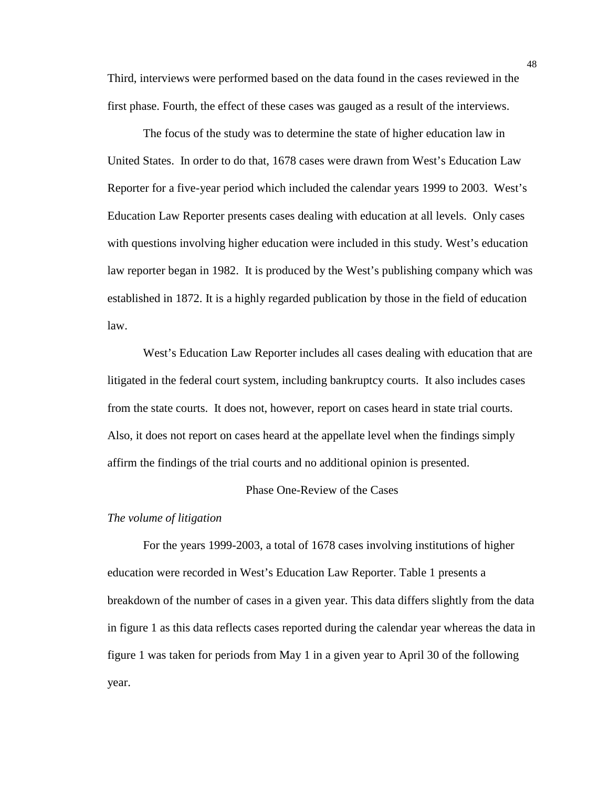Third, interviews were performed based on the data found in the cases reviewed in the first phase. Fourth, the effect of these cases was gauged as a result of the interviews.

 The focus of the study was to determine the state of higher education law in United States. In order to do that, 1678 cases were drawn from West's Education Law Reporter for a five-year period which included the calendar years 1999 to 2003. West's Education Law Reporter presents cases dealing with education at all levels. Only cases with questions involving higher education were included in this study. West's education law reporter began in 1982. It is produced by the West's publishing company which was established in 1872. It is a highly regarded publication by those in the field of education law.

 West's Education Law Reporter includes all cases dealing with education that are litigated in the federal court system, including bankruptcy courts. It also includes cases from the state courts. It does not, however, report on cases heard in state trial courts. Also, it does not report on cases heard at the appellate level when the findings simply affirm the findings of the trial courts and no additional opinion is presented.

### Phase One-Review of the Cases

### *The volume of litigation*

For the years 1999-2003, a total of 1678 cases involving institutions of higher education were recorded in West's Education Law Reporter. Table 1 presents a breakdown of the number of cases in a given year. This data differs slightly from the data in figure 1 as this data reflects cases reported during the calendar year whereas the data in figure 1 was taken for periods from May 1 in a given year to April 30 of the following year.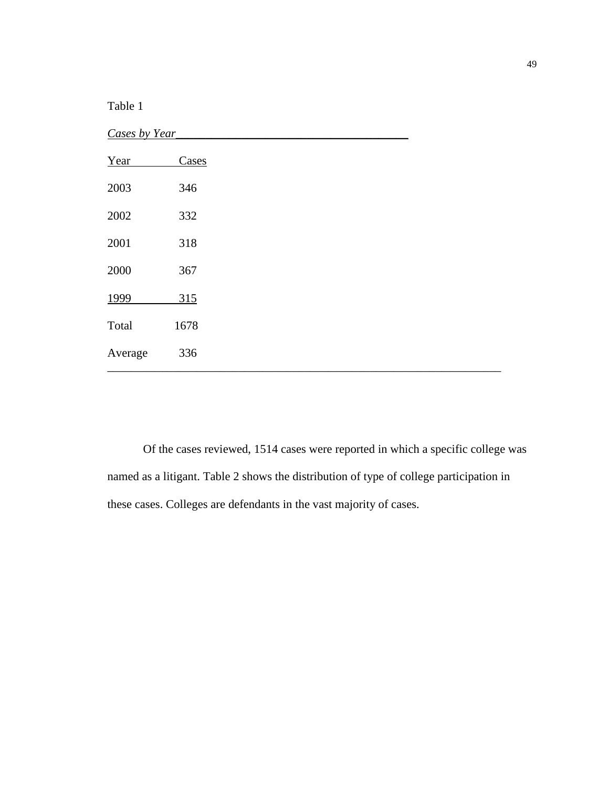| <b>Table</b><br>-1 |
|--------------------|
|--------------------|

| Cases by Year |       |  |  |
|---------------|-------|--|--|
| Year          | Cases |  |  |
| 2003          | 346   |  |  |
| 2002          | 332   |  |  |
| 2001          | 318   |  |  |
| 2000          | 367   |  |  |
| 1999          | 315   |  |  |
| Total         | 1678  |  |  |
| Average       | 336   |  |  |

Of the cases reviewed, 1514 cases were reported in which a specific college was named as a litigant. Table 2 shows the distribution of type of college participation in these cases. Colleges are defendants in the vast majority of cases.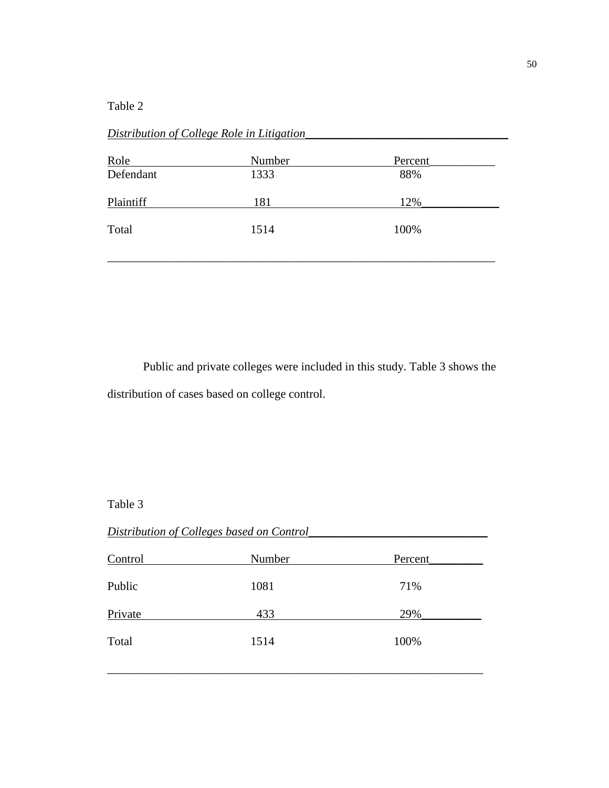# Table 2

| Role<br>Defendant | Number<br>1333 | Percent<br>88% |  |
|-------------------|----------------|----------------|--|
| Plaintiff         | 181            | 12%            |  |
| Total             | 1514           | 100%           |  |
|                   |                |                |  |

*Distribution of College Role in Litigation\_\_\_\_\_\_\_\_\_\_\_\_\_\_\_\_\_\_\_\_\_\_\_\_\_\_\_\_\_\_\_\_\_\_*

 Public and private colleges were included in this study. Table 3 shows the distribution of cases based on college control.

# Table 3

| Distribution of Colleges based on Control |        |         |  |  |  |
|-------------------------------------------|--------|---------|--|--|--|
| Control                                   | Number | Percent |  |  |  |
| Public                                    | 1081   | 71%     |  |  |  |
| Private                                   | 433    | 29%     |  |  |  |
| Total                                     | 1514   | 100%    |  |  |  |

\_\_\_\_\_\_\_\_\_\_\_\_\_\_\_\_\_\_\_\_\_\_\_\_\_\_\_\_\_\_\_\_\_\_\_\_\_\_\_\_\_\_\_\_\_\_\_\_\_\_\_\_\_\_\_\_\_\_\_\_\_\_\_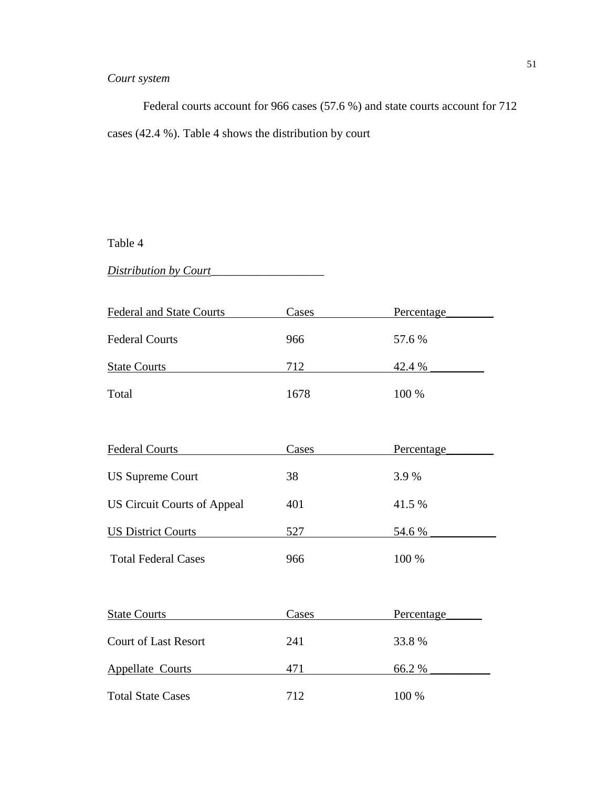# *Court system*

Federal courts account for 966 cases (57.6 %) and state courts account for 712 cases (42.4 %). Table 4 shows the distribution by court

Table 4

*Distribution by Court*\_\_\_\_\_\_\_\_\_\_\_\_\_\_\_\_\_\_\_

| <b>Federal and State Courts</b>    | Cases | Percentage |
|------------------------------------|-------|------------|
| <b>Federal Courts</b>              | 966   | 57.6 %     |
| <b>State Courts</b>                | 712   | 42.4 %     |
| Total                              | 1678  | 100 %      |
|                                    |       |            |
| <b>Federal Courts</b>              | Cases | Percentage |
| <b>US Supreme Court</b>            | 38    | 3.9%       |
| <b>US Circuit Courts of Appeal</b> | 401   | 41.5 %     |
| <b>US District Courts</b>          | 527   | 54.6 %     |
| <b>Total Federal Cases</b>         | 966   | 100 %      |
|                                    |       |            |
| <b>State Courts</b>                | Cases | Percentage |
| <b>Court of Last Resort</b>        | 241   | 33.8%      |
| <b>Appellate Courts</b>            | 471   | 66.2 %     |
| <b>Total State Cases</b>           | 712   | 100 %      |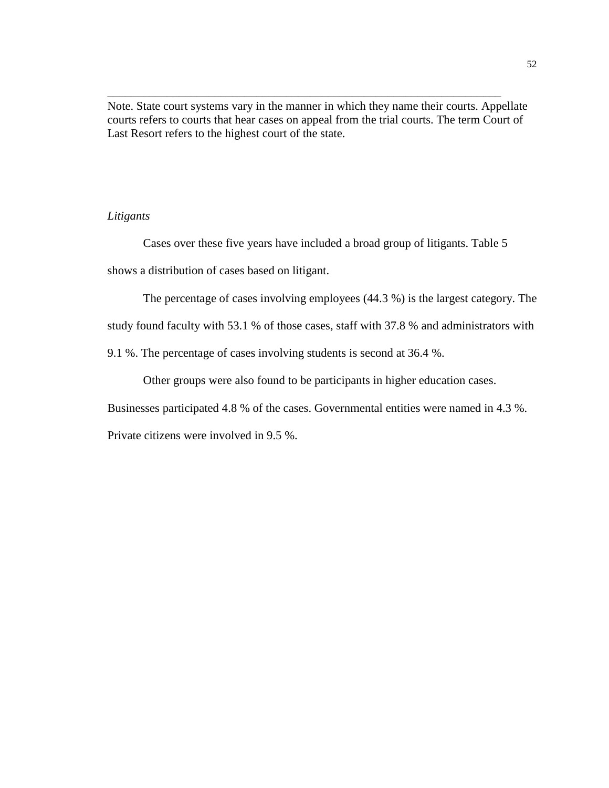Note. State court systems vary in the manner in which they name their courts. Appellate courts refers to courts that hear cases on appeal from the trial courts. The term Court of Last Resort refers to the highest court of the state.

\_\_\_\_\_\_\_\_\_\_\_\_\_\_\_\_\_\_\_\_\_\_\_\_\_\_\_\_\_\_\_\_\_\_\_\_\_\_\_\_\_\_\_\_\_\_\_\_\_\_\_\_\_\_\_\_\_\_\_\_\_\_\_\_\_\_

### *Litigants*

Cases over these five years have included a broad group of litigants. Table 5 shows a distribution of cases based on litigant.

The percentage of cases involving employees (44.3 %) is the largest category. The

study found faculty with 53.1 % of those cases, staff with 37.8 % and administrators with

9.1 %. The percentage of cases involving students is second at 36.4 %.

Other groups were also found to be participants in higher education cases.

Businesses participated 4.8 % of the cases. Governmental entities were named in 4.3 %.

Private citizens were involved in 9.5 %.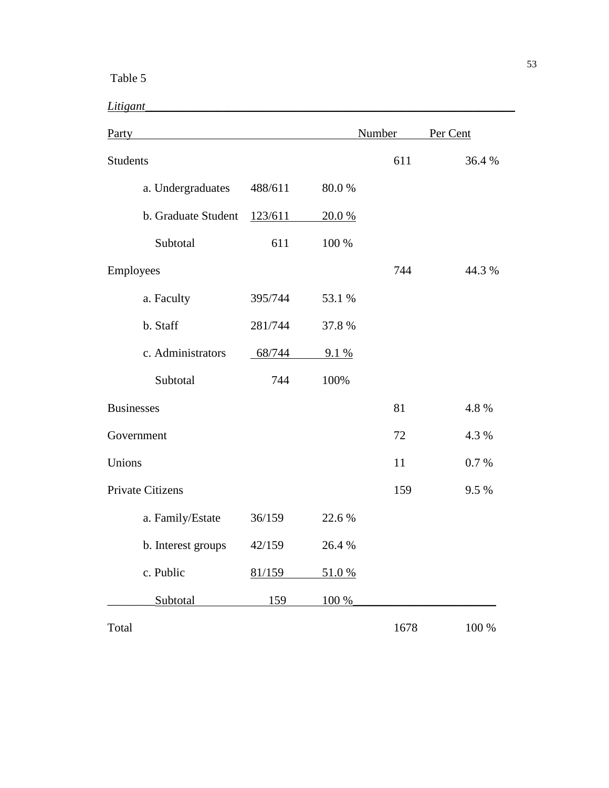# Table 5

*Litigant*\_\_\_\_\_\_\_\_\_\_\_\_\_\_\_\_\_\_\_\_\_\_\_\_\_\_\_\_\_\_\_\_\_\_\_\_\_\_\_\_\_\_\_\_\_\_\_\_\_\_\_\_\_\_\_\_\_\_\_\_\_\_

| Party             |                         |         |        | Number | Per Cent |
|-------------------|-------------------------|---------|--------|--------|----------|
| <b>Students</b>   |                         |         |        | 611    | 36.4 %   |
|                   | a. Undergraduates       | 488/611 | 80.0%  |        |          |
|                   | b. Graduate Student     | 123/611 | 20.0%  |        |          |
|                   | Subtotal                | 611     | 100 %  |        |          |
| Employees         |                         |         |        | 744    | 44.3 %   |
|                   | a. Faculty              | 395/744 | 53.1 % |        |          |
|                   | b. Staff                | 281/744 | 37.8%  |        |          |
|                   | c. Administrators       | 68/744  | 9.1%   |        |          |
|                   | Subtotal                | 744     | 100%   |        |          |
| <b>Businesses</b> |                         |         |        | 81     | 4.8%     |
|                   | Government              |         |        | 72     | 4.3 %    |
| Unions            |                         |         |        | 11     | 0.7%     |
|                   | <b>Private Citizens</b> |         |        | 159    | 9.5 %    |
|                   | a. Family/Estate        | 36/159  | 22.6%  |        |          |
|                   | b. Interest groups      | 42/159  | 26.4 % |        |          |
|                   | c. Public               | 81/159  | 51.0%  |        |          |
|                   | Subtotal                | 159     | 100 %  |        |          |
| Total             |                         |         |        | 1678   | 100 %    |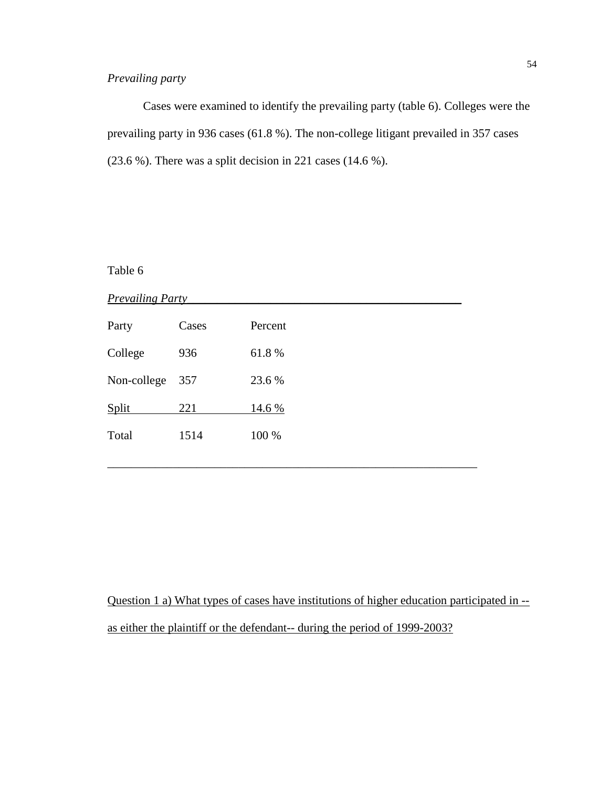# *Prevailing party*

Cases were examined to identify the prevailing party (table 6). Colleges were the prevailing party in 936 cases (61.8 %). The non-college litigant prevailed in 357 cases (23.6 %). There was a split decision in 221 cases (14.6 %).

Table 6

*Prevailing Party\_\_\_\_\_\_\_\_\_\_\_\_\_\_\_\_\_\_\_\_\_\_\_\_\_\_\_\_\_\_\_\_\_\_\_\_\_\_\_\_\_\_\_\_\_\_*

| Party       | Cases | Percent |
|-------------|-------|---------|
| College     | 936   | 61.8%   |
| Non-college | 357   | 23.6 %  |
| Split       | 221   | 14.6 %  |
| Total       | 1514  | 100 %   |
|             |       |         |

\_\_\_\_\_\_\_\_\_\_\_\_\_\_\_\_\_\_\_\_\_\_\_\_\_\_\_\_\_\_\_\_\_\_\_\_\_\_\_\_\_\_\_\_\_\_\_\_\_\_\_\_\_\_\_\_\_\_\_\_\_\_

Question 1 a) What types of cases have institutions of higher education participated in - as either the plaintiff or the defendant-- during the period of 1999-2003?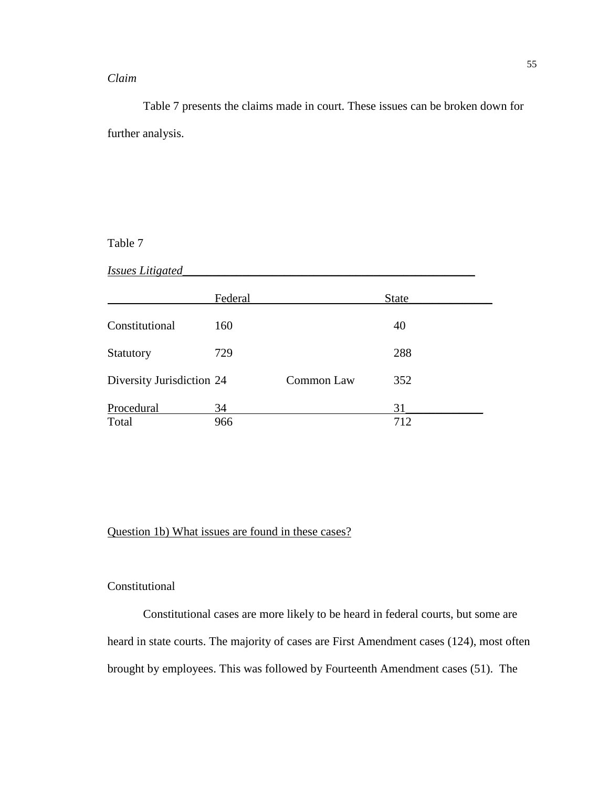## *Claim*

Table 7 presents the claims made in court. These issues can be broken down for further analysis.

## Table 7

### *Issues Litigated\_\_\_\_\_\_\_\_\_\_\_\_\_\_\_\_\_\_\_\_\_\_\_\_\_\_\_\_\_\_\_\_\_\_\_\_\_\_\_\_\_\_\_\_\_\_\_\_\_*

|                           | Federal |            | <b>State</b> |
|---------------------------|---------|------------|--------------|
| Constitutional            | 160     |            | 40           |
| <b>Statutory</b>          | 729     |            | 288          |
| Diversity Jurisdiction 24 |         | Common Law | 352          |
| Procedural                | 34      |            | 31           |
| Total                     | 966     |            | 712          |

Question 1b) What issues are found in these cases?

### Constitutional

 Constitutional cases are more likely to be heard in federal courts, but some are heard in state courts. The majority of cases are First Amendment cases (124), most often brought by employees. This was followed by Fourteenth Amendment cases (51). The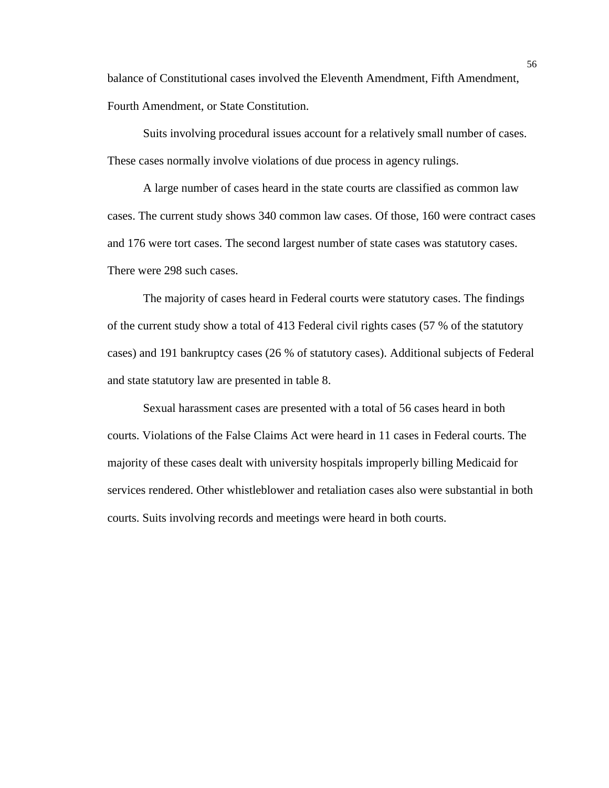balance of Constitutional cases involved the Eleventh Amendment, Fifth Amendment, Fourth Amendment, or State Constitution.

Suits involving procedural issues account for a relatively small number of cases. These cases normally involve violations of due process in agency rulings.

A large number of cases heard in the state courts are classified as common law cases. The current study shows 340 common law cases. Of those, 160 were contract cases and 176 were tort cases. The second largest number of state cases was statutory cases. There were 298 such cases.

The majority of cases heard in Federal courts were statutory cases. The findings of the current study show a total of 413 Federal civil rights cases (57 % of the statutory cases) and 191 bankruptcy cases (26 % of statutory cases). Additional subjects of Federal and state statutory law are presented in table 8.

Sexual harassment cases are presented with a total of 56 cases heard in both courts. Violations of the False Claims Act were heard in 11 cases in Federal courts. The majority of these cases dealt with university hospitals improperly billing Medicaid for services rendered. Other whistleblower and retaliation cases also were substantial in both courts. Suits involving records and meetings were heard in both courts.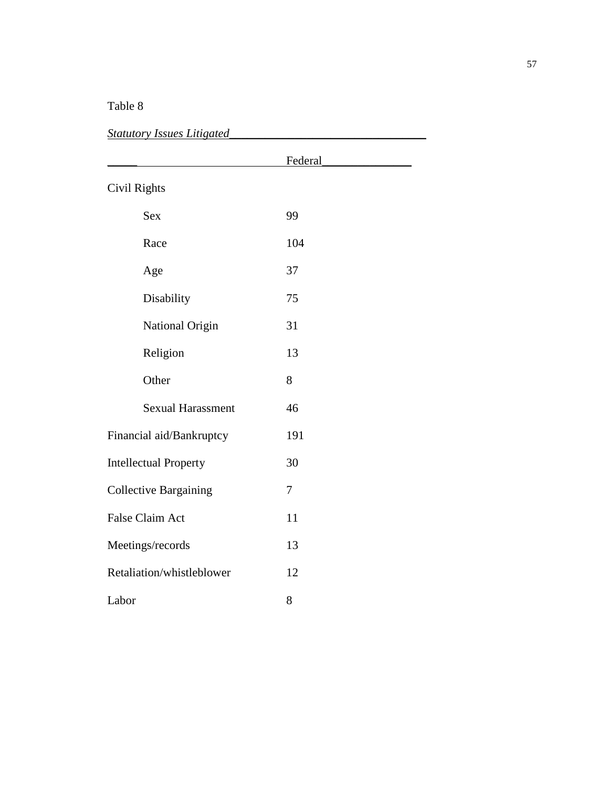# Table 8

| <b>Statutory Issues Litigated</b> |  |
|-----------------------------------|--|
|                                   |  |

|                              | Federal |  |
|------------------------------|---------|--|
| Civil Rights                 |         |  |
| <b>Sex</b>                   | 99      |  |
| Race                         | 104     |  |
| Age                          | 37      |  |
| Disability                   | 75      |  |
| National Origin              | 31      |  |
| Religion                     | 13      |  |
| Other                        | 8       |  |
| <b>Sexual Harassment</b>     | 46      |  |
| Financial aid/Bankruptcy     | 191     |  |
| <b>Intellectual Property</b> | 30      |  |
| <b>Collective Bargaining</b> | 7       |  |
| <b>False Claim Act</b>       | 11      |  |
| Meetings/records             | 13      |  |
| Retaliation/whistleblower    | 12      |  |
| Labor                        | 8       |  |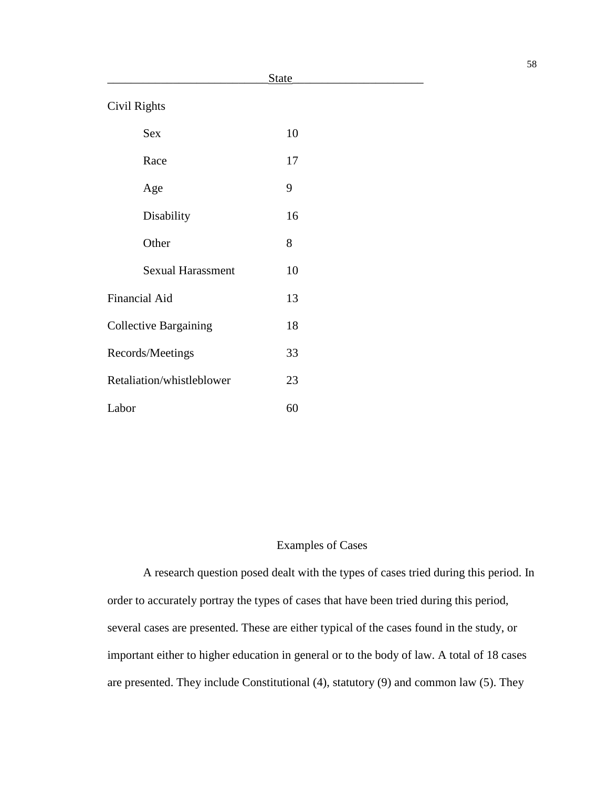|                              | State |  |
|------------------------------|-------|--|
| Civil Rights                 |       |  |
| <b>Sex</b>                   | 10    |  |
| Race                         | 17    |  |
| Age                          | 9     |  |
| Disability                   | 16    |  |
| Other                        | 8     |  |
| <b>Sexual Harassment</b>     | 10    |  |
| <b>Financial Aid</b>         | 13    |  |
| <b>Collective Bargaining</b> | 18    |  |
| Records/Meetings             | 33    |  |
| Retaliation/whistleblower    | 23    |  |
| Labor                        | 60    |  |

## Examples of Cases

 A research question posed dealt with the types of cases tried during this period. In order to accurately portray the types of cases that have been tried during this period, several cases are presented. These are either typical of the cases found in the study, or important either to higher education in general or to the body of law. A total of 18 cases are presented. They include Constitutional (4), statutory (9) and common law (5). They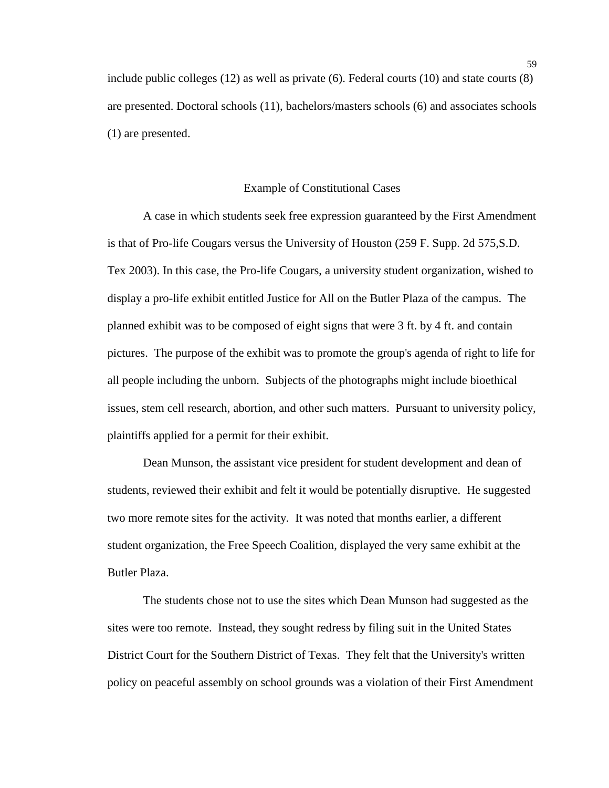include public colleges (12) as well as private (6). Federal courts (10) and state courts (8) are presented. Doctoral schools (11), bachelors/masters schools (6) and associates schools (1) are presented.

### Example of Constitutional Cases

A case in which students seek free expression guaranteed by the First Amendment is that of Pro-life Cougars versus the University of Houston (259 F. Supp. 2d 575,S.D. Tex 2003). In this case, the Pro-life Cougars, a university student organization, wished to display a pro-life exhibit entitled Justice for All on the Butler Plaza of the campus. The planned exhibit was to be composed of eight signs that were 3 ft. by 4 ft. and contain pictures. The purpose of the exhibit was to promote the group's agenda of right to life for all people including the unborn. Subjects of the photographs might include bioethical issues, stem cell research, abortion, and other such matters. Pursuant to university policy, plaintiffs applied for a permit for their exhibit.

Dean Munson, the assistant vice president for student development and dean of students, reviewed their exhibit and felt it would be potentially disruptive. He suggested two more remote sites for the activity. It was noted that months earlier, a different student organization, the Free Speech Coalition, displayed the very same exhibit at the Butler Plaza.

The students chose not to use the sites which Dean Munson had suggested as the sites were too remote. Instead, they sought redress by filing suit in the United States District Court for the Southern District of Texas. They felt that the University's written policy on peaceful assembly on school grounds was a violation of their First Amendment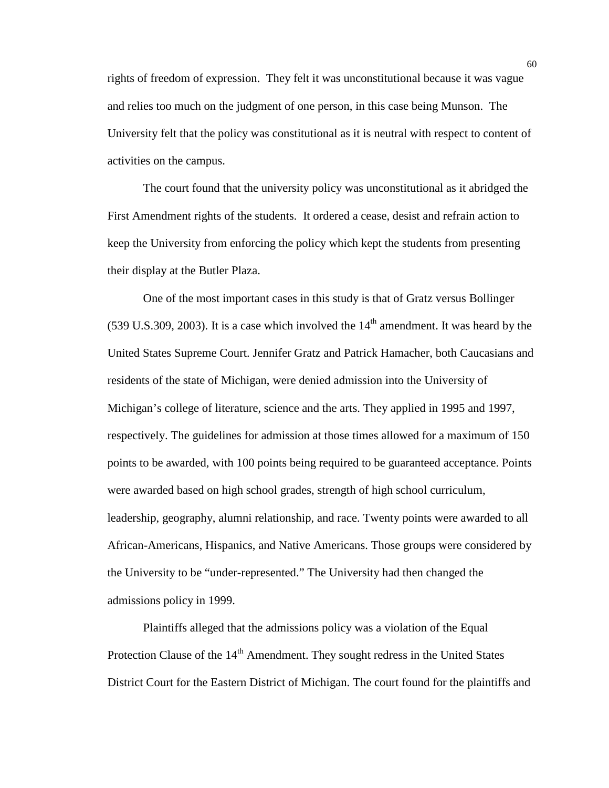rights of freedom of expression. They felt it was unconstitutional because it was vague and relies too much on the judgment of one person, in this case being Munson. The University felt that the policy was constitutional as it is neutral with respect to content of activities on the campus.

The court found that the university policy was unconstitutional as it abridged the First Amendment rights of the students. It ordered a cease, desist and refrain action to keep the University from enforcing the policy which kept the students from presenting their display at the Butler Plaza.

One of the most important cases in this study is that of Gratz versus Bollinger (539 U.S.309, 2003). It is a case which involved the  $14<sup>th</sup>$  amendment. It was heard by the United States Supreme Court. Jennifer Gratz and Patrick Hamacher, both Caucasians and residents of the state of Michigan, were denied admission into the University of Michigan's college of literature, science and the arts. They applied in 1995 and 1997, respectively. The guidelines for admission at those times allowed for a maximum of 150 points to be awarded, with 100 points being required to be guaranteed acceptance. Points were awarded based on high school grades, strength of high school curriculum, leadership, geography, alumni relationship, and race. Twenty points were awarded to all African-Americans, Hispanics, and Native Americans. Those groups were considered by the University to be "under-represented." The University had then changed the admissions policy in 1999.

Plaintiffs alleged that the admissions policy was a violation of the Equal Protection Clause of the 14<sup>th</sup> Amendment. They sought redress in the United States District Court for the Eastern District of Michigan. The court found for the plaintiffs and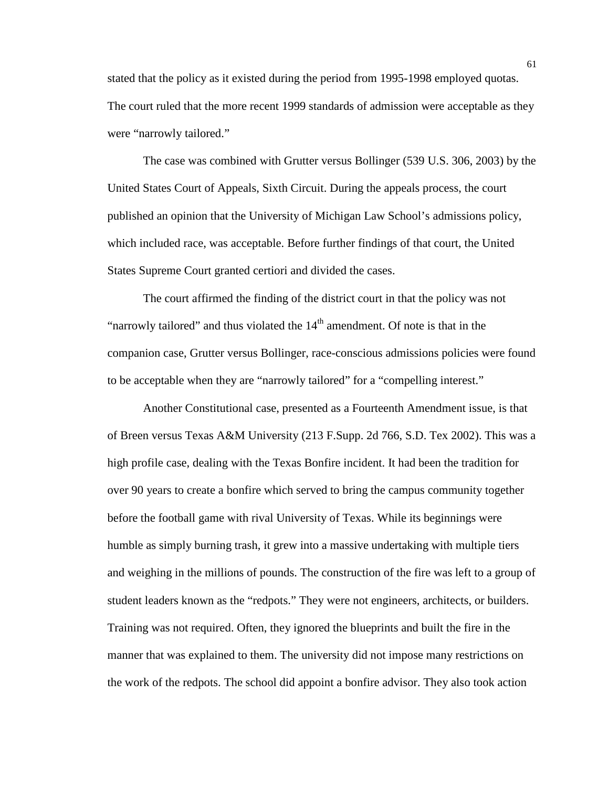stated that the policy as it existed during the period from 1995-1998 employed quotas. The court ruled that the more recent 1999 standards of admission were acceptable as they were "narrowly tailored."

The case was combined with Grutter versus Bollinger (539 U.S. 306, 2003) by the United States Court of Appeals, Sixth Circuit. During the appeals process, the court published an opinion that the University of Michigan Law School's admissions policy, which included race, was acceptable. Before further findings of that court, the United States Supreme Court granted certiori and divided the cases.

The court affirmed the finding of the district court in that the policy was not "narrowly tailored" and thus violated the  $14<sup>th</sup>$  amendment. Of note is that in the companion case, Grutter versus Bollinger, race-conscious admissions policies were found to be acceptable when they are "narrowly tailored" for a "compelling interest."

Another Constitutional case, presented as a Fourteenth Amendment issue, is that of Breen versus Texas A&M University (213 F.Supp. 2d 766, S.D. Tex 2002). This was a high profile case, dealing with the Texas Bonfire incident. It had been the tradition for over 90 years to create a bonfire which served to bring the campus community together before the football game with rival University of Texas. While its beginnings were humble as simply burning trash, it grew into a massive undertaking with multiple tiers and weighing in the millions of pounds. The construction of the fire was left to a group of student leaders known as the "redpots." They were not engineers, architects, or builders. Training was not required. Often, they ignored the blueprints and built the fire in the manner that was explained to them. The university did not impose many restrictions on the work of the redpots. The school did appoint a bonfire advisor. They also took action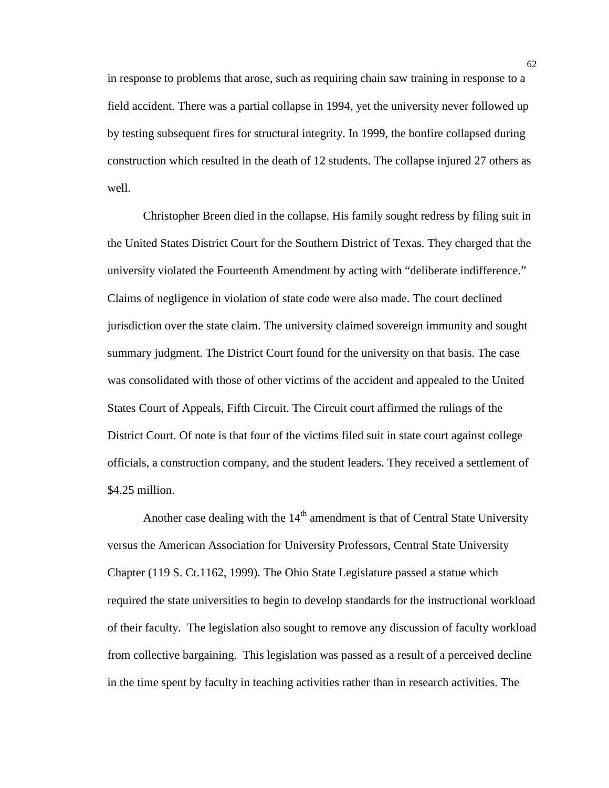in response to problems that arose, such as requiring chain saw training in response to a field accident. There was a partial collapse in 1994, yet the university never followed up by testing subsequent fires for structural integrity. In 1999, the bonfire collapsed during construction which resulted in the death of 12 students. The collapse injured 27 others as well.

Christopher Breen died in the collapse. His family sought redress by filing suit in the United States District Court for the Southern District of Texas. They charged that the university violated the Fourteenth Amendment by acting with "deliberate indifference." Claims of negligence in violation of state code were also made. The court declined jurisdiction over the state claim. The university claimed sovereign immunity and sought summary judgment. The District Court found for the university on that basis. The case was consolidated with those of other victims of the accident and appealed to the United States Court of Appeals, Fifth Circuit. The Circuit court affirmed the rulings of the District Court. Of note is that four of the victims filed suit in state court against college officials, a construction company, and the student leaders. They received a settlement of \$4.25 million.

Another case dealing with the  $14<sup>th</sup>$  amendment is that of Central State University versus the American Association for University Professors, Central State University Chapter (119 S. Ct.1162, 1999). The Ohio State Legislature passed a statue which required the state universities to begin to develop standards for the instructional workload of their faculty. The legislation also sought to remove any discussion of faculty workload from collective bargaining. This legislation was passed as a result of a perceived decline in the time spent by faculty in teaching activities rather than in research activities. The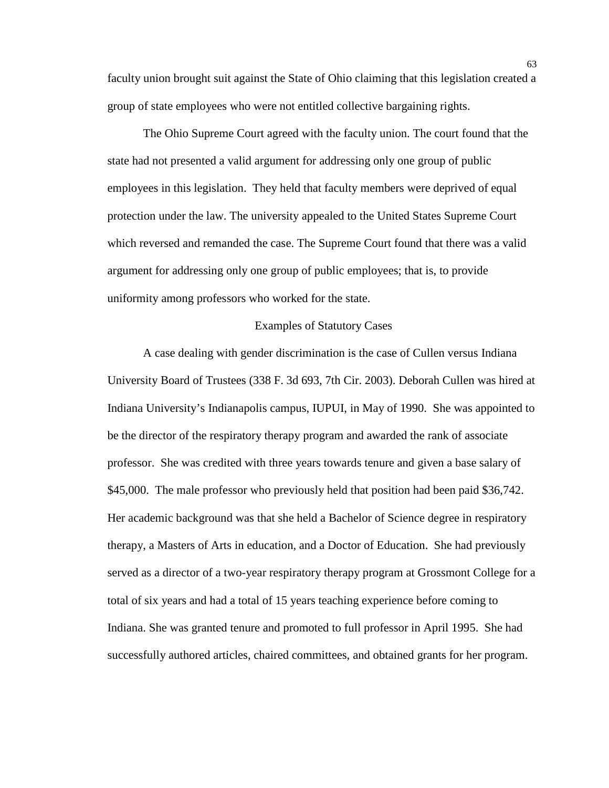faculty union brought suit against the State of Ohio claiming that this legislation created a group of state employees who were not entitled collective bargaining rights.

The Ohio Supreme Court agreed with the faculty union. The court found that the state had not presented a valid argument for addressing only one group of public employees in this legislation. They held that faculty members were deprived of equal protection under the law. The university appealed to the United States Supreme Court which reversed and remanded the case. The Supreme Court found that there was a valid argument for addressing only one group of public employees; that is, to provide uniformity among professors who worked for the state.

#### Examples of Statutory Cases

A case dealing with gender discrimination is the case of Cullen versus Indiana University Board of Trustees (338 F. 3d 693, 7th Cir. 2003). Deborah Cullen was hired at Indiana University's Indianapolis campus, IUPUI, in May of 1990. She was appointed to be the director of the respiratory therapy program and awarded the rank of associate professor. She was credited with three years towards tenure and given a base salary of \$45,000. The male professor who previously held that position had been paid \$36,742. Her academic background was that she held a Bachelor of Science degree in respiratory therapy, a Masters of Arts in education, and a Doctor of Education. She had previously served as a director of a two-year respiratory therapy program at Grossmont College for a total of six years and had a total of 15 years teaching experience before coming to Indiana. She was granted tenure and promoted to full professor in April 1995. She had successfully authored articles, chaired committees, and obtained grants for her program.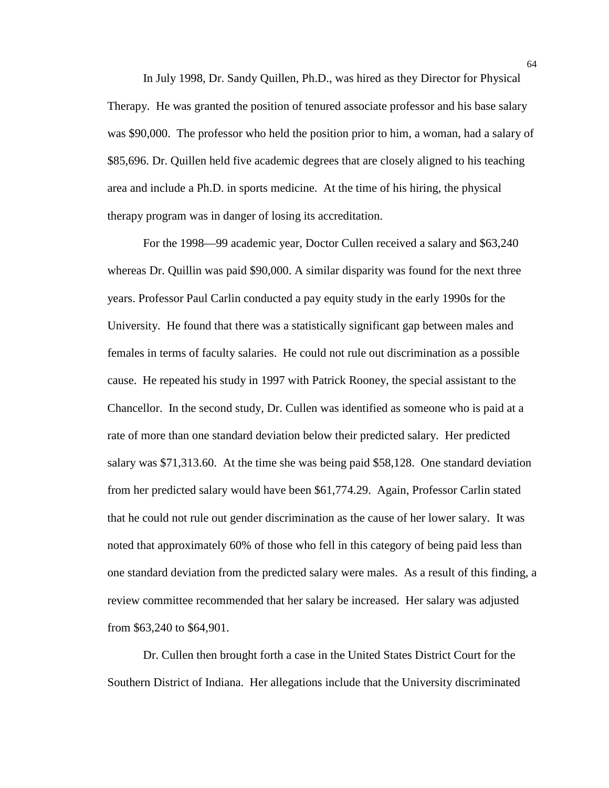In July 1998, Dr. Sandy Quillen, Ph.D., was hired as they Director for Physical Therapy. He was granted the position of tenured associate professor and his base salary was \$90,000. The professor who held the position prior to him, a woman, had a salary of \$85,696. Dr. Quillen held five academic degrees that are closely aligned to his teaching area and include a Ph.D. in sports medicine. At the time of his hiring, the physical therapy program was in danger of losing its accreditation.

For the 1998—99 academic year, Doctor Cullen received a salary and \$63,240 whereas Dr. Quillin was paid \$90,000. A similar disparity was found for the next three years. Professor Paul Carlin conducted a pay equity study in the early 1990s for the University. He found that there was a statistically significant gap between males and females in terms of faculty salaries. He could not rule out discrimination as a possible cause. He repeated his study in 1997 with Patrick Rooney, the special assistant to the Chancellor. In the second study, Dr. Cullen was identified as someone who is paid at a rate of more than one standard deviation below their predicted salary. Her predicted salary was \$71,313.60. At the time she was being paid \$58,128. One standard deviation from her predicted salary would have been \$61,774.29. Again, Professor Carlin stated that he could not rule out gender discrimination as the cause of her lower salary. It was noted that approximately 60% of those who fell in this category of being paid less than one standard deviation from the predicted salary were males. As a result of this finding, a review committee recommended that her salary be increased. Her salary was adjusted from \$63,240 to \$64,901.

Dr. Cullen then brought forth a case in the United States District Court for the Southern District of Indiana. Her allegations include that the University discriminated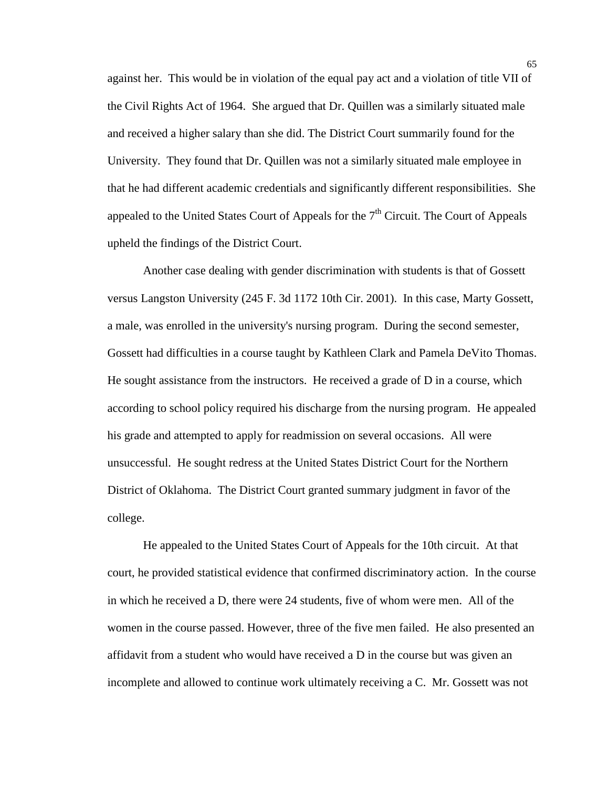against her. This would be in violation of the equal pay act and a violation of title VII of the Civil Rights Act of 1964. She argued that Dr. Quillen was a similarly situated male and received a higher salary than she did. The District Court summarily found for the University. They found that Dr. Quillen was not a similarly situated male employee in that he had different academic credentials and significantly different responsibilities. She appealed to the United States Court of Appeals for the  $7<sup>th</sup>$  Circuit. The Court of Appeals upheld the findings of the District Court.

Another case dealing with gender discrimination with students is that of Gossett versus Langston University (245 F. 3d 1172 10th Cir. 2001). In this case, Marty Gossett, a male, was enrolled in the university's nursing program. During the second semester, Gossett had difficulties in a course taught by Kathleen Clark and Pamela DeVito Thomas. He sought assistance from the instructors. He received a grade of D in a course, which according to school policy required his discharge from the nursing program. He appealed his grade and attempted to apply for readmission on several occasions. All were unsuccessful. He sought redress at the United States District Court for the Northern District of Oklahoma. The District Court granted summary judgment in favor of the college.

He appealed to the United States Court of Appeals for the 10th circuit. At that court, he provided statistical evidence that confirmed discriminatory action. In the course in which he received a D, there were 24 students, five of whom were men. All of the women in the course passed. However, three of the five men failed. He also presented an affidavit from a student who would have received a D in the course but was given an incomplete and allowed to continue work ultimately receiving a C. Mr. Gossett was not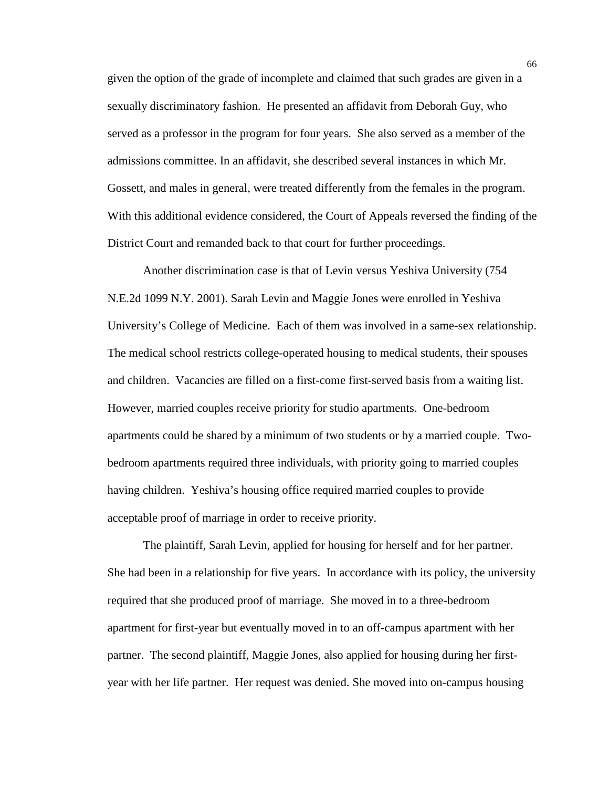given the option of the grade of incomplete and claimed that such grades are given in a sexually discriminatory fashion. He presented an affidavit from Deborah Guy, who served as a professor in the program for four years. She also served as a member of the admissions committee. In an affidavit, she described several instances in which Mr. Gossett, and males in general, were treated differently from the females in the program. With this additional evidence considered, the Court of Appeals reversed the finding of the District Court and remanded back to that court for further proceedings.

Another discrimination case is that of Levin versus Yeshiva University (754 N.E.2d 1099 N.Y. 2001). Sarah Levin and Maggie Jones were enrolled in Yeshiva University's College of Medicine. Each of them was involved in a same-sex relationship. The medical school restricts college-operated housing to medical students, their spouses and children. Vacancies are filled on a first-come first-served basis from a waiting list. However, married couples receive priority for studio apartments. One-bedroom apartments could be shared by a minimum of two students or by a married couple. Twobedroom apartments required three individuals, with priority going to married couples having children. Yeshiva's housing office required married couples to provide acceptable proof of marriage in order to receive priority.

The plaintiff, Sarah Levin, applied for housing for herself and for her partner. She had been in a relationship for five years. In accordance with its policy, the university required that she produced proof of marriage. She moved in to a three-bedroom apartment for first-year but eventually moved in to an off-campus apartment with her partner. The second plaintiff, Maggie Jones, also applied for housing during her firstyear with her life partner. Her request was denied. She moved into on-campus housing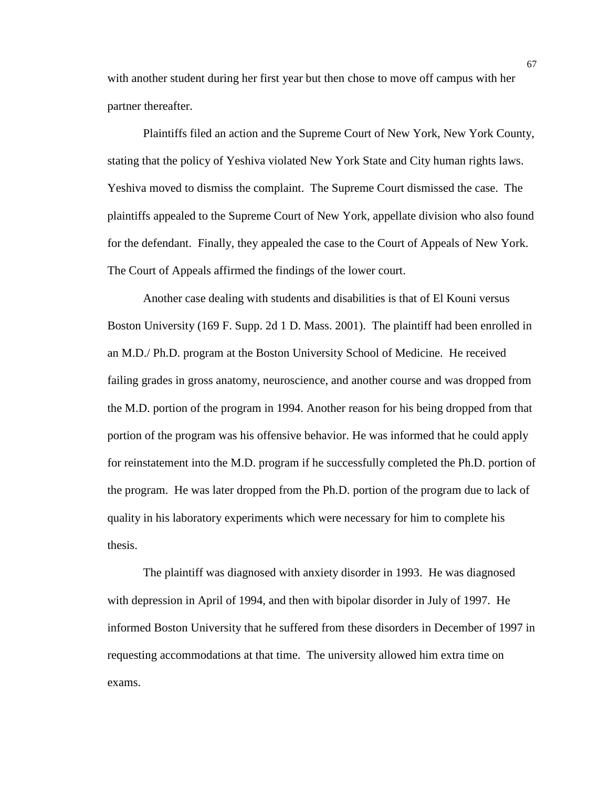with another student during her first year but then chose to move off campus with her partner thereafter.

Plaintiffs filed an action and the Supreme Court of New York, New York County, stating that the policy of Yeshiva violated New York State and City human rights laws. Yeshiva moved to dismiss the complaint. The Supreme Court dismissed the case. The plaintiffs appealed to the Supreme Court of New York, appellate division who also found for the defendant. Finally, they appealed the case to the Court of Appeals of New York. The Court of Appeals affirmed the findings of the lower court.

Another case dealing with students and disabilities is that of El Kouni versus Boston University (169 F. Supp. 2d 1 D. Mass. 2001). The plaintiff had been enrolled in an M.D./ Ph.D. program at the Boston University School of Medicine. He received failing grades in gross anatomy, neuroscience, and another course and was dropped from the M.D. portion of the program in 1994. Another reason for his being dropped from that portion of the program was his offensive behavior. He was informed that he could apply for reinstatement into the M.D. program if he successfully completed the Ph.D. portion of the program. He was later dropped from the Ph.D. portion of the program due to lack of quality in his laboratory experiments which were necessary for him to complete his thesis.

The plaintiff was diagnosed with anxiety disorder in 1993. He was diagnosed with depression in April of 1994, and then with bipolar disorder in July of 1997. He informed Boston University that he suffered from these disorders in December of 1997 in requesting accommodations at that time. The university allowed him extra time on exams.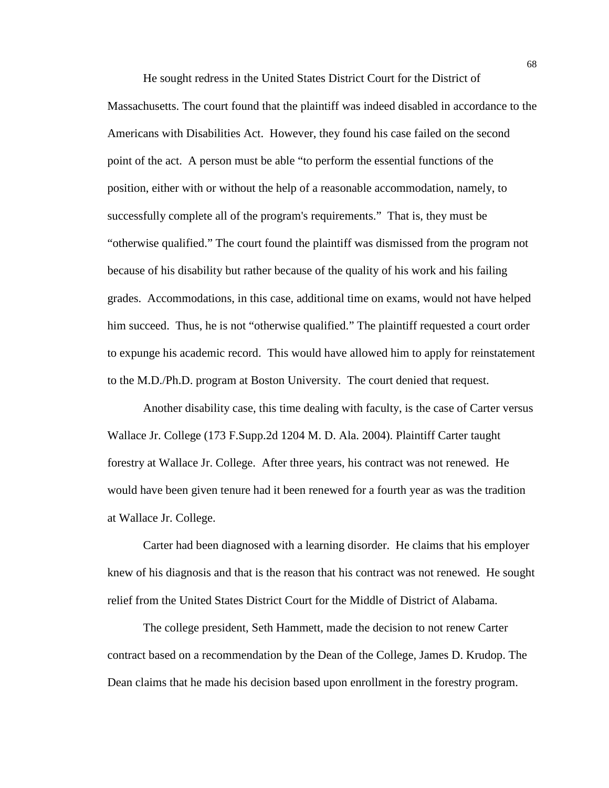He sought redress in the United States District Court for the District of Massachusetts. The court found that the plaintiff was indeed disabled in accordance to the Americans with Disabilities Act. However, they found his case failed on the second point of the act. A person must be able "to perform the essential functions of the position, either with or without the help of a reasonable accommodation, namely, to successfully complete all of the program's requirements." That is, they must be "otherwise qualified." The court found the plaintiff was dismissed from the program not because of his disability but rather because of the quality of his work and his failing grades. Accommodations, in this case, additional time on exams, would not have helped him succeed. Thus, he is not "otherwise qualified." The plaintiff requested a court order to expunge his academic record. This would have allowed him to apply for reinstatement to the M.D./Ph.D. program at Boston University. The court denied that request.

Another disability case, this time dealing with faculty, is the case of Carter versus Wallace Jr. College (173 F.Supp.2d 1204 M. D. Ala. 2004). Plaintiff Carter taught forestry at Wallace Jr. College. After three years, his contract was not renewed. He would have been given tenure had it been renewed for a fourth year as was the tradition at Wallace Jr. College.

Carter had been diagnosed with a learning disorder. He claims that his employer knew of his diagnosis and that is the reason that his contract was not renewed. He sought relief from the United States District Court for the Middle of District of Alabama.

The college president, Seth Hammett, made the decision to not renew Carter contract based on a recommendation by the Dean of the College, James D. Krudop. The Dean claims that he made his decision based upon enrollment in the forestry program.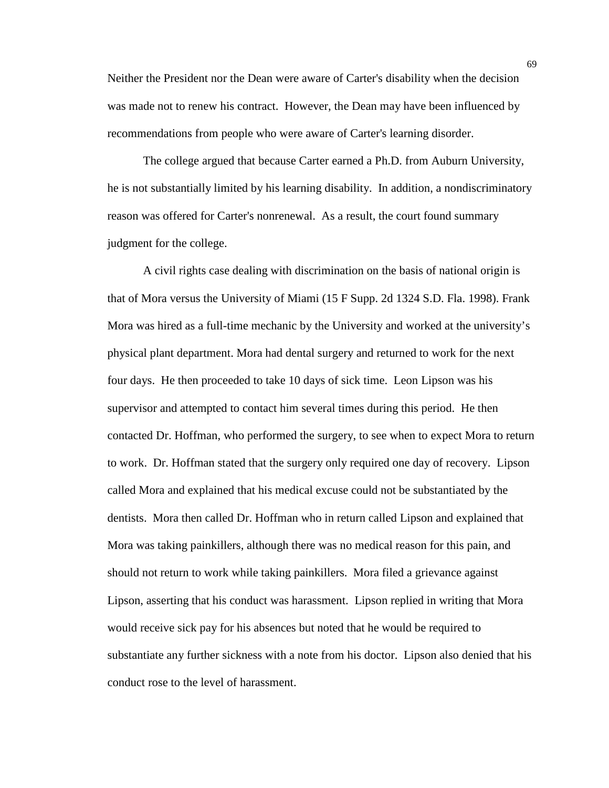Neither the President nor the Dean were aware of Carter's disability when the decision was made not to renew his contract. However, the Dean may have been influenced by recommendations from people who were aware of Carter's learning disorder.

The college argued that because Carter earned a Ph.D. from Auburn University, he is not substantially limited by his learning disability. In addition, a nondiscriminatory reason was offered for Carter's nonrenewal. As a result, the court found summary judgment for the college.

A civil rights case dealing with discrimination on the basis of national origin is that of Mora versus the University of Miami (15 F Supp. 2d 1324 S.D. Fla. 1998). Frank Mora was hired as a full-time mechanic by the University and worked at the university's physical plant department. Mora had dental surgery and returned to work for the next four days. He then proceeded to take 10 days of sick time. Leon Lipson was his supervisor and attempted to contact him several times during this period. He then contacted Dr. Hoffman, who performed the surgery, to see when to expect Mora to return to work. Dr. Hoffman stated that the surgery only required one day of recovery. Lipson called Mora and explained that his medical excuse could not be substantiated by the dentists. Mora then called Dr. Hoffman who in return called Lipson and explained that Mora was taking painkillers, although there was no medical reason for this pain, and should not return to work while taking painkillers. Mora filed a grievance against Lipson, asserting that his conduct was harassment. Lipson replied in writing that Mora would receive sick pay for his absences but noted that he would be required to substantiate any further sickness with a note from his doctor. Lipson also denied that his conduct rose to the level of harassment.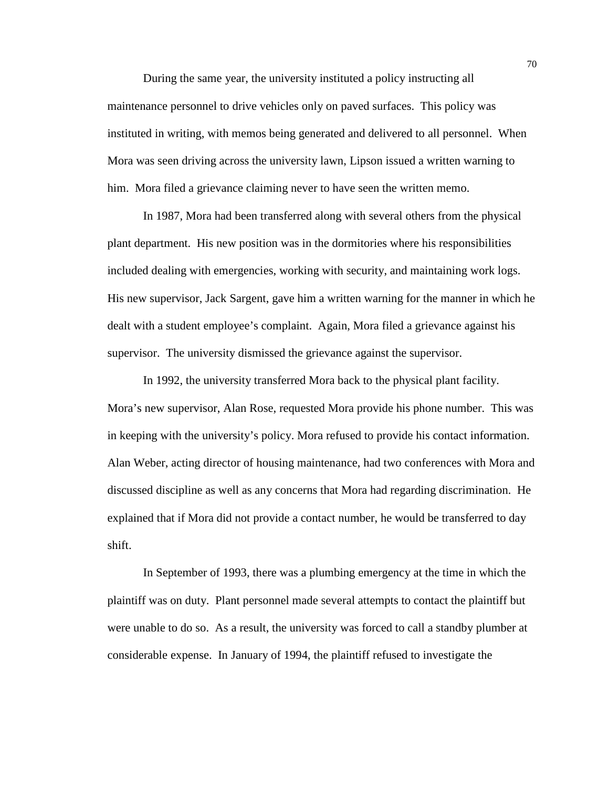During the same year, the university instituted a policy instructing all maintenance personnel to drive vehicles only on paved surfaces. This policy was instituted in writing, with memos being generated and delivered to all personnel. When Mora was seen driving across the university lawn, Lipson issued a written warning to him. Mora filed a grievance claiming never to have seen the written memo.

In 1987, Mora had been transferred along with several others from the physical plant department. His new position was in the dormitories where his responsibilities included dealing with emergencies, working with security, and maintaining work logs. His new supervisor, Jack Sargent, gave him a written warning for the manner in which he dealt with a student employee's complaint. Again, Mora filed a grievance against his supervisor. The university dismissed the grievance against the supervisor.

In 1992, the university transferred Mora back to the physical plant facility. Mora's new supervisor, Alan Rose, requested Mora provide his phone number. This was in keeping with the university's policy. Mora refused to provide his contact information. Alan Weber, acting director of housing maintenance, had two conferences with Mora and discussed discipline as well as any concerns that Mora had regarding discrimination. He explained that if Mora did not provide a contact number, he would be transferred to day shift.

In September of 1993, there was a plumbing emergency at the time in which the plaintiff was on duty. Plant personnel made several attempts to contact the plaintiff but were unable to do so. As a result, the university was forced to call a standby plumber at considerable expense. In January of 1994, the plaintiff refused to investigate the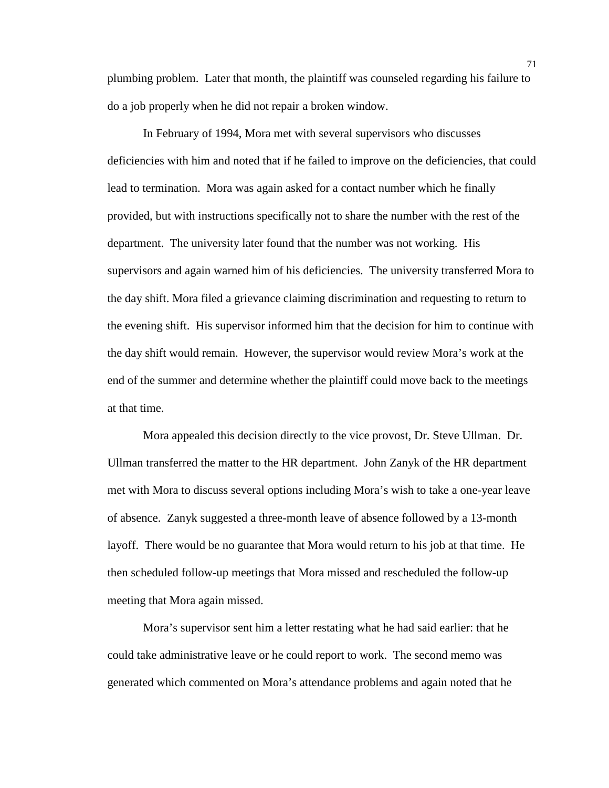plumbing problem. Later that month, the plaintiff was counseled regarding his failure to do a job properly when he did not repair a broken window.

In February of 1994, Mora met with several supervisors who discusses deficiencies with him and noted that if he failed to improve on the deficiencies, that could lead to termination. Mora was again asked for a contact number which he finally provided, but with instructions specifically not to share the number with the rest of the department. The university later found that the number was not working. His supervisors and again warned him of his deficiencies. The university transferred Mora to the day shift. Mora filed a grievance claiming discrimination and requesting to return to the evening shift. His supervisor informed him that the decision for him to continue with the day shift would remain. However, the supervisor would review Mora's work at the end of the summer and determine whether the plaintiff could move back to the meetings at that time.

Mora appealed this decision directly to the vice provost, Dr. Steve Ullman. Dr. Ullman transferred the matter to the HR department. John Zanyk of the HR department met with Mora to discuss several options including Mora's wish to take a one-year leave of absence. Zanyk suggested a three-month leave of absence followed by a 13-month layoff. There would be no guarantee that Mora would return to his job at that time. He then scheduled follow-up meetings that Mora missed and rescheduled the follow-up meeting that Mora again missed.

Mora's supervisor sent him a letter restating what he had said earlier: that he could take administrative leave or he could report to work. The second memo was generated which commented on Mora's attendance problems and again noted that he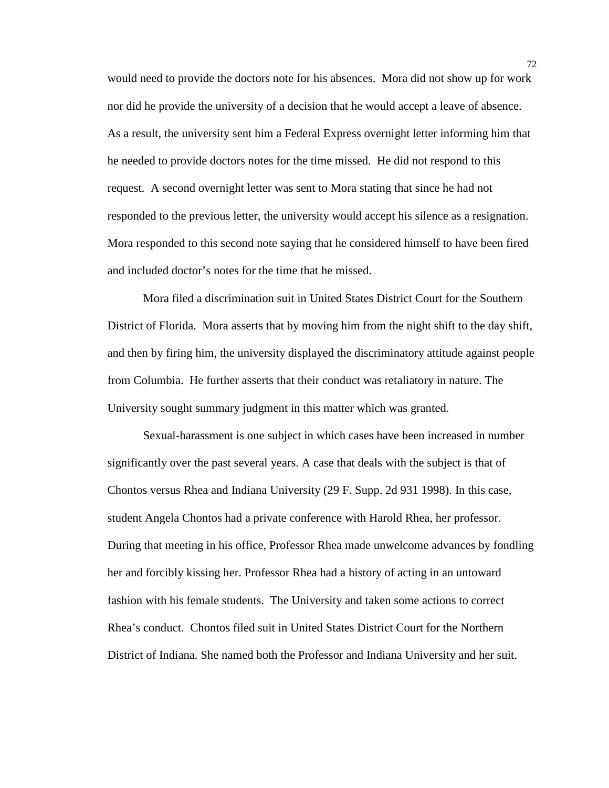would need to provide the doctors note for his absences. Mora did not show up for work nor did he provide the university of a decision that he would accept a leave of absence. As a result, the university sent him a Federal Express overnight letter informing him that he needed to provide doctors notes for the time missed. He did not respond to this request. A second overnight letter was sent to Mora stating that since he had not responded to the previous letter, the university would accept his silence as a resignation. Mora responded to this second note saying that he considered himself to have been fired and included doctor's notes for the time that he missed.

Mora filed a discrimination suit in United States District Court for the Southern District of Florida. Mora asserts that by moving him from the night shift to the day shift, and then by firing him, the university displayed the discriminatory attitude against people from Columbia. He further asserts that their conduct was retaliatory in nature. The University sought summary judgment in this matter which was granted.

Sexual-harassment is one subject in which cases have been increased in number significantly over the past several years. A case that deals with the subject is that of Chontos versus Rhea and Indiana University (29 F. Supp. 2d 931 1998). In this case, student Angela Chontos had a private conference with Harold Rhea, her professor. During that meeting in his office, Professor Rhea made unwelcome advances by fondling her and forcibly kissing her. Professor Rhea had a history of acting in an untoward fashion with his female students. The University and taken some actions to correct Rhea's conduct. Chontos filed suit in United States District Court for the Northern District of Indiana. She named both the Professor and Indiana University and her suit.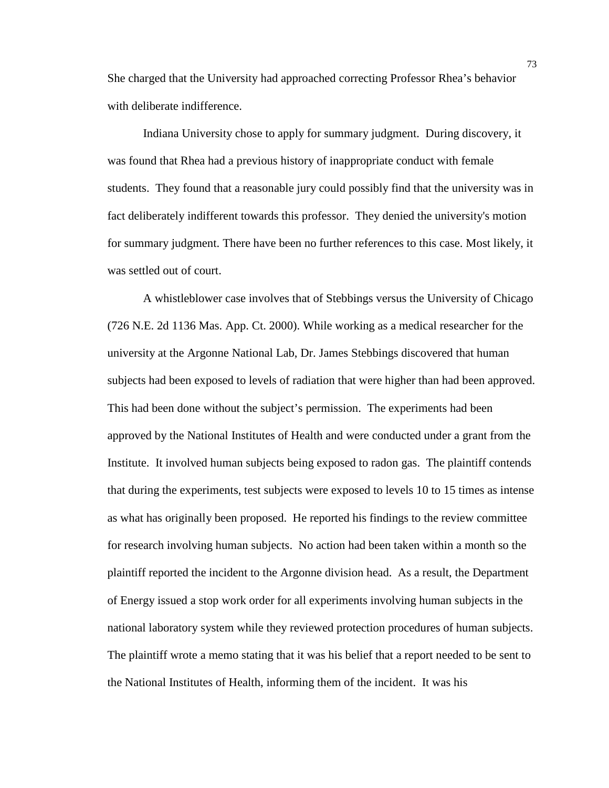She charged that the University had approached correcting Professor Rhea's behavior with deliberate indifference.

Indiana University chose to apply for summary judgment. During discovery, it was found that Rhea had a previous history of inappropriate conduct with female students. They found that a reasonable jury could possibly find that the university was in fact deliberately indifferent towards this professor. They denied the university's motion for summary judgment. There have been no further references to this case. Most likely, it was settled out of court.

A whistleblower case involves that of Stebbings versus the University of Chicago (726 N.E. 2d 1136 Mas. App. Ct. 2000). While working as a medical researcher for the university at the Argonne National Lab, Dr. James Stebbings discovered that human subjects had been exposed to levels of radiation that were higher than had been approved. This had been done without the subject's permission. The experiments had been approved by the National Institutes of Health and were conducted under a grant from the Institute. It involved human subjects being exposed to radon gas. The plaintiff contends that during the experiments, test subjects were exposed to levels 10 to 15 times as intense as what has originally been proposed. He reported his findings to the review committee for research involving human subjects. No action had been taken within a month so the plaintiff reported the incident to the Argonne division head. As a result, the Department of Energy issued a stop work order for all experiments involving human subjects in the national laboratory system while they reviewed protection procedures of human subjects. The plaintiff wrote a memo stating that it was his belief that a report needed to be sent to the National Institutes of Health, informing them of the incident. It was his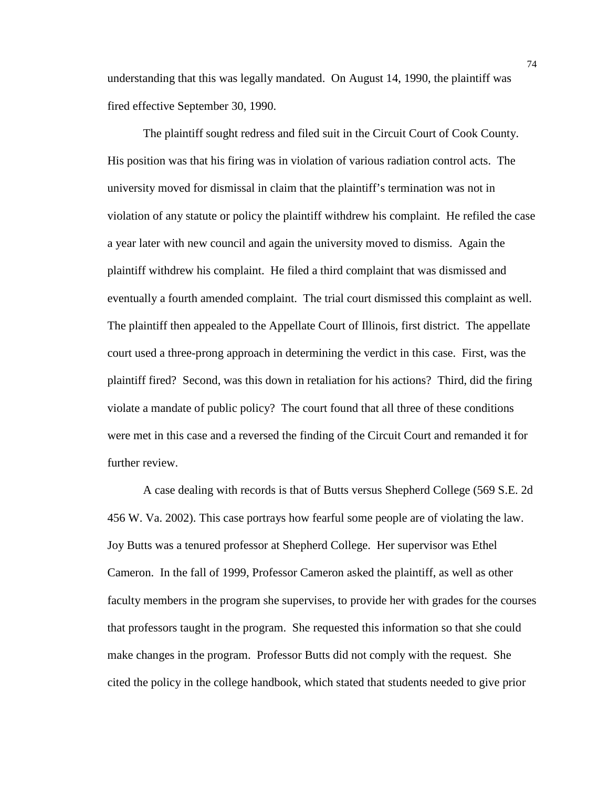understanding that this was legally mandated. On August 14, 1990, the plaintiff was fired effective September 30, 1990.

The plaintiff sought redress and filed suit in the Circuit Court of Cook County. His position was that his firing was in violation of various radiation control acts. The university moved for dismissal in claim that the plaintiff's termination was not in violation of any statute or policy the plaintiff withdrew his complaint. He refiled the case a year later with new council and again the university moved to dismiss. Again the plaintiff withdrew his complaint. He filed a third complaint that was dismissed and eventually a fourth amended complaint. The trial court dismissed this complaint as well. The plaintiff then appealed to the Appellate Court of Illinois, first district. The appellate court used a three-prong approach in determining the verdict in this case. First, was the plaintiff fired? Second, was this down in retaliation for his actions? Third, did the firing violate a mandate of public policy? The court found that all three of these conditions were met in this case and a reversed the finding of the Circuit Court and remanded it for further review.

 A case dealing with records is that of Butts versus Shepherd College (569 S.E. 2d 456 W. Va. 2002). This case portrays how fearful some people are of violating the law. Joy Butts was a tenured professor at Shepherd College. Her supervisor was Ethel Cameron. In the fall of 1999, Professor Cameron asked the plaintiff, as well as other faculty members in the program she supervises, to provide her with grades for the courses that professors taught in the program. She requested this information so that she could make changes in the program. Professor Butts did not comply with the request. She cited the policy in the college handbook, which stated that students needed to give prior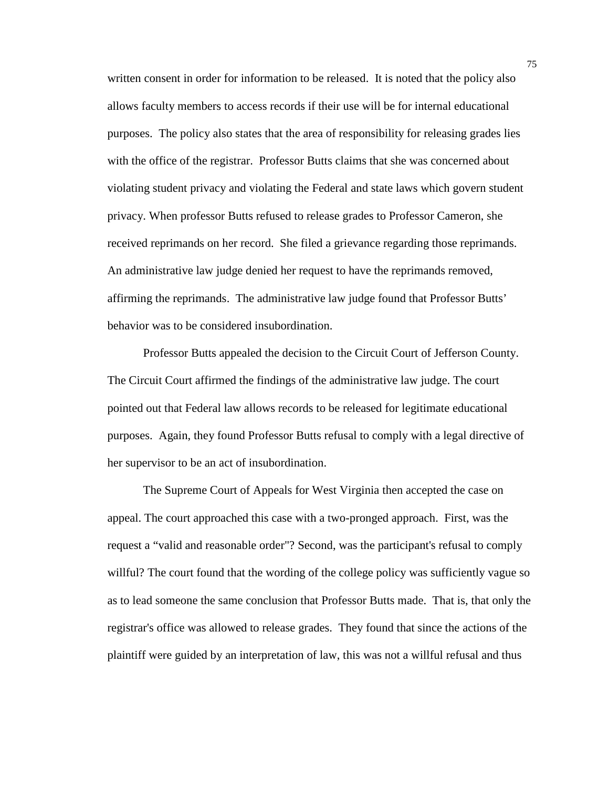written consent in order for information to be released. It is noted that the policy also allows faculty members to access records if their use will be for internal educational purposes. The policy also states that the area of responsibility for releasing grades lies with the office of the registrar. Professor Butts claims that she was concerned about violating student privacy and violating the Federal and state laws which govern student privacy. When professor Butts refused to release grades to Professor Cameron, she received reprimands on her record. She filed a grievance regarding those reprimands. An administrative law judge denied her request to have the reprimands removed, affirming the reprimands. The administrative law judge found that Professor Butts' behavior was to be considered insubordination.

Professor Butts appealed the decision to the Circuit Court of Jefferson County. The Circuit Court affirmed the findings of the administrative law judge. The court pointed out that Federal law allows records to be released for legitimate educational purposes. Again, they found Professor Butts refusal to comply with a legal directive of her supervisor to be an act of insubordination.

The Supreme Court of Appeals for West Virginia then accepted the case on appeal. The court approached this case with a two-pronged approach. First, was the request a "valid and reasonable order"? Second, was the participant's refusal to comply willful? The court found that the wording of the college policy was sufficiently vague so as to lead someone the same conclusion that Professor Butts made. That is, that only the registrar's office was allowed to release grades. They found that since the actions of the plaintiff were guided by an interpretation of law, this was not a willful refusal and thus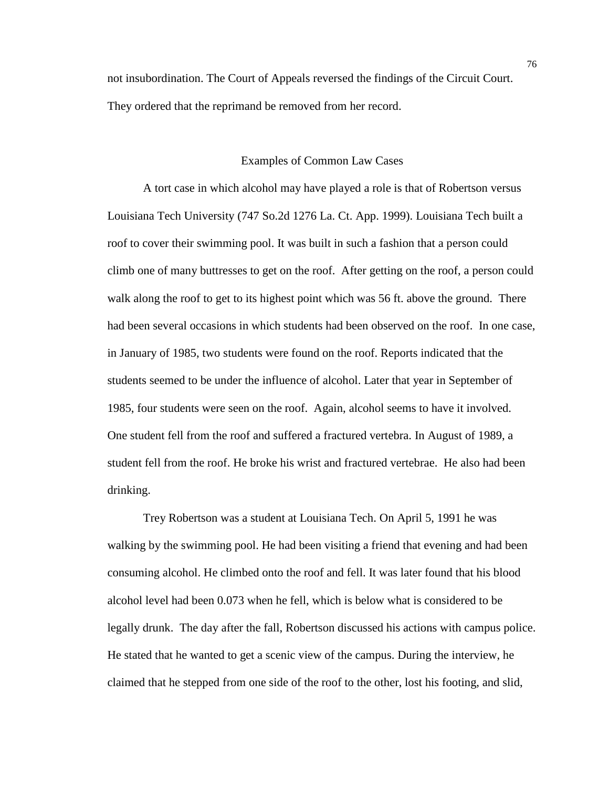not insubordination. The Court of Appeals reversed the findings of the Circuit Court. They ordered that the reprimand be removed from her record.

#### Examples of Common Law Cases

A tort case in which alcohol may have played a role is that of Robertson versus Louisiana Tech University (747 So.2d 1276 La. Ct. App. 1999). Louisiana Tech built a roof to cover their swimming pool. It was built in such a fashion that a person could climb one of many buttresses to get on the roof. After getting on the roof, a person could walk along the roof to get to its highest point which was 56 ft. above the ground. There had been several occasions in which students had been observed on the roof. In one case, in January of 1985, two students were found on the roof. Reports indicated that the students seemed to be under the influence of alcohol. Later that year in September of 1985, four students were seen on the roof. Again, alcohol seems to have it involved. One student fell from the roof and suffered a fractured vertebra. In August of 1989, a student fell from the roof. He broke his wrist and fractured vertebrae. He also had been drinking.

Trey Robertson was a student at Louisiana Tech. On April 5, 1991 he was walking by the swimming pool. He had been visiting a friend that evening and had been consuming alcohol. He climbed onto the roof and fell. It was later found that his blood alcohol level had been 0.073 when he fell, which is below what is considered to be legally drunk. The day after the fall, Robertson discussed his actions with campus police. He stated that he wanted to get a scenic view of the campus. During the interview, he claimed that he stepped from one side of the roof to the other, lost his footing, and slid,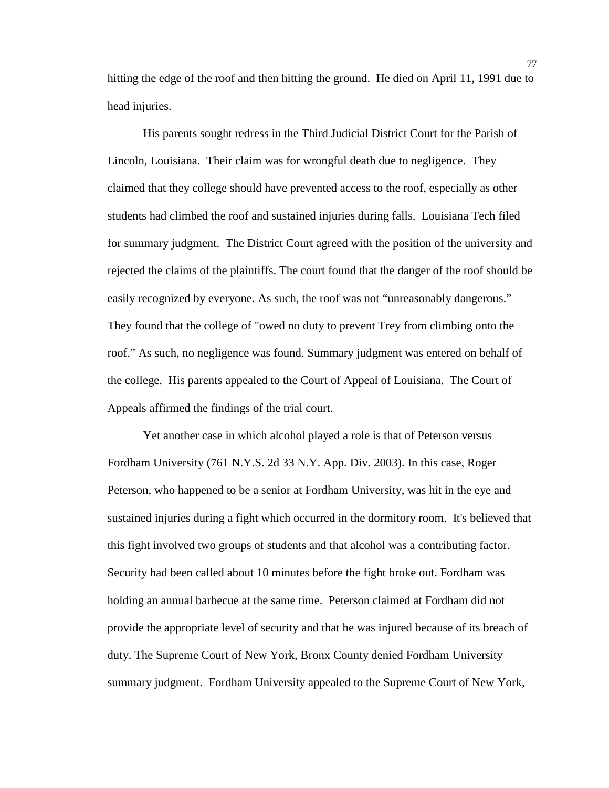hitting the edge of the roof and then hitting the ground. He died on April 11, 1991 due to head injuries.

His parents sought redress in the Third Judicial District Court for the Parish of Lincoln, Louisiana. Their claim was for wrongful death due to negligence. They claimed that they college should have prevented access to the roof, especially as other students had climbed the roof and sustained injuries during falls. Louisiana Tech filed for summary judgment. The District Court agreed with the position of the university and rejected the claims of the plaintiffs. The court found that the danger of the roof should be easily recognized by everyone. As such, the roof was not "unreasonably dangerous." They found that the college of "owed no duty to prevent Trey from climbing onto the roof." As such, no negligence was found. Summary judgment was entered on behalf of the college. His parents appealed to the Court of Appeal of Louisiana. The Court of Appeals affirmed the findings of the trial court.

Yet another case in which alcohol played a role is that of Peterson versus Fordham University (761 N.Y.S. 2d 33 N.Y. App. Div. 2003). In this case, Roger Peterson, who happened to be a senior at Fordham University, was hit in the eye and sustained injuries during a fight which occurred in the dormitory room. It's believed that this fight involved two groups of students and that alcohol was a contributing factor. Security had been called about 10 minutes before the fight broke out. Fordham was holding an annual barbecue at the same time. Peterson claimed at Fordham did not provide the appropriate level of security and that he was injured because of its breach of duty. The Supreme Court of New York, Bronx County denied Fordham University summary judgment. Fordham University appealed to the Supreme Court of New York,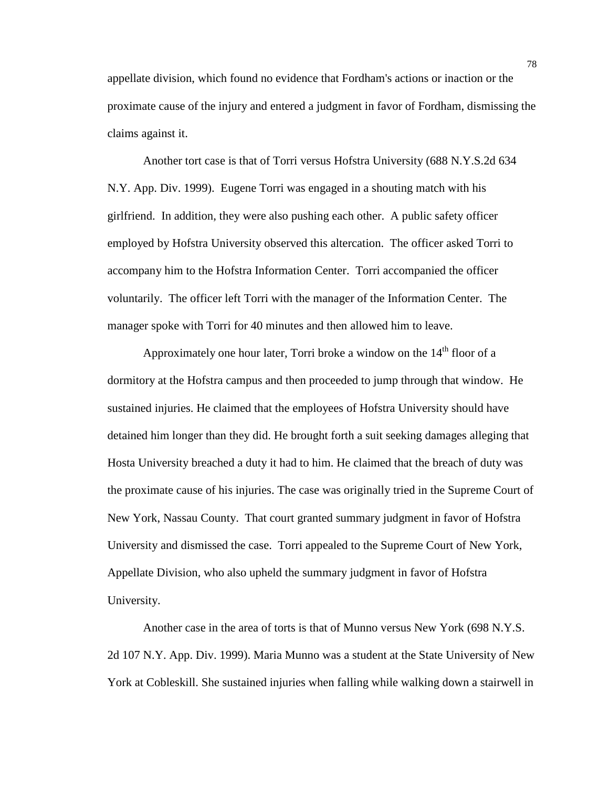appellate division, which found no evidence that Fordham's actions or inaction or the proximate cause of the injury and entered a judgment in favor of Fordham, dismissing the claims against it.

Another tort case is that of Torri versus Hofstra University (688 N.Y.S.2d 634 N.Y. App. Div. 1999). Eugene Torri was engaged in a shouting match with his girlfriend. In addition, they were also pushing each other. A public safety officer employed by Hofstra University observed this altercation. The officer asked Torri to accompany him to the Hofstra Information Center. Torri accompanied the officer voluntarily. The officer left Torri with the manager of the Information Center. The manager spoke with Torri for 40 minutes and then allowed him to leave.

Approximately one hour later, Torri broke a window on the  $14<sup>th</sup>$  floor of a dormitory at the Hofstra campus and then proceeded to jump through that window. He sustained injuries. He claimed that the employees of Hofstra University should have detained him longer than they did. He brought forth a suit seeking damages alleging that Hosta University breached a duty it had to him. He claimed that the breach of duty was the proximate cause of his injuries. The case was originally tried in the Supreme Court of New York, Nassau County. That court granted summary judgment in favor of Hofstra University and dismissed the case. Torri appealed to the Supreme Court of New York, Appellate Division, who also upheld the summary judgment in favor of Hofstra University.

Another case in the area of torts is that of Munno versus New York (698 N.Y.S. 2d 107 N.Y. App. Div. 1999). Maria Munno was a student at the State University of New York at Cobleskill. She sustained injuries when falling while walking down a stairwell in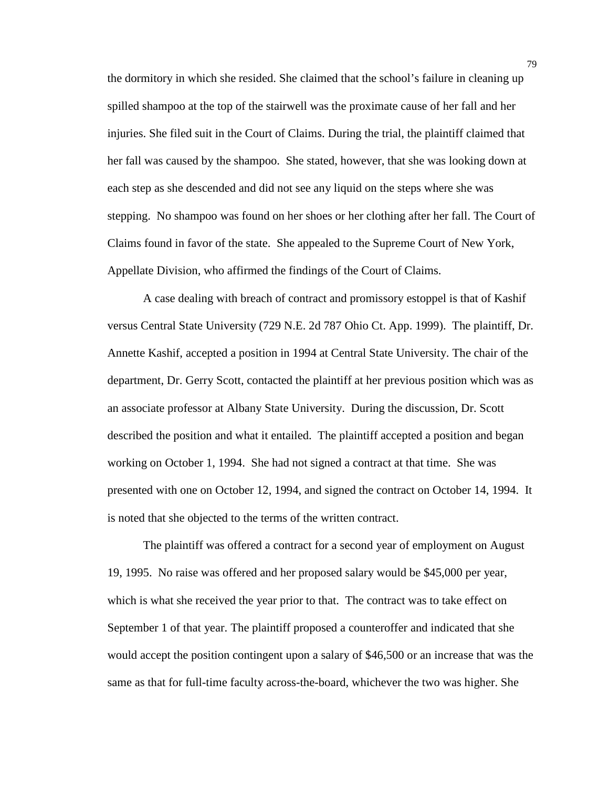the dormitory in which she resided. She claimed that the school's failure in cleaning up spilled shampoo at the top of the stairwell was the proximate cause of her fall and her injuries. She filed suit in the Court of Claims. During the trial, the plaintiff claimed that her fall was caused by the shampoo. She stated, however, that she was looking down at each step as she descended and did not see any liquid on the steps where she was stepping. No shampoo was found on her shoes or her clothing after her fall. The Court of Claims found in favor of the state. She appealed to the Supreme Court of New York, Appellate Division, who affirmed the findings of the Court of Claims.

A case dealing with breach of contract and promissory estoppel is that of Kashif versus Central State University (729 N.E. 2d 787 Ohio Ct. App. 1999). The plaintiff, Dr. Annette Kashif, accepted a position in 1994 at Central State University. The chair of the department, Dr. Gerry Scott, contacted the plaintiff at her previous position which was as an associate professor at Albany State University. During the discussion, Dr. Scott described the position and what it entailed. The plaintiff accepted a position and began working on October 1, 1994. She had not signed a contract at that time. She was presented with one on October 12, 1994, and signed the contract on October 14, 1994. It is noted that she objected to the terms of the written contract.

The plaintiff was offered a contract for a second year of employment on August 19, 1995. No raise was offered and her proposed salary would be \$45,000 per year, which is what she received the year prior to that. The contract was to take effect on September 1 of that year. The plaintiff proposed a counteroffer and indicated that she would accept the position contingent upon a salary of \$46,500 or an increase that was the same as that for full-time faculty across-the-board, whichever the two was higher. She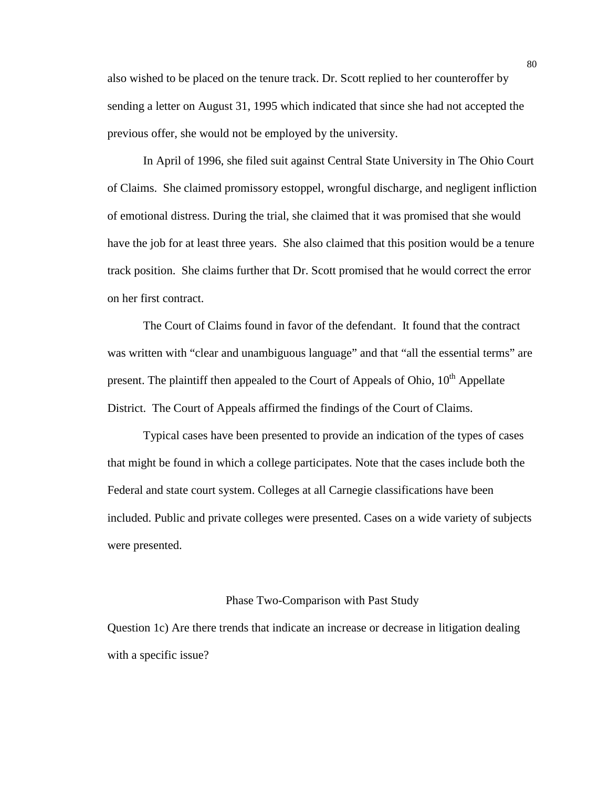also wished to be placed on the tenure track. Dr. Scott replied to her counteroffer by sending a letter on August 31, 1995 which indicated that since she had not accepted the previous offer, she would not be employed by the university.

In April of 1996, she filed suit against Central State University in The Ohio Court of Claims. She claimed promissory estoppel, wrongful discharge, and negligent infliction of emotional distress. During the trial, she claimed that it was promised that she would have the job for at least three years. She also claimed that this position would be a tenure track position. She claims further that Dr. Scott promised that he would correct the error on her first contract.

The Court of Claims found in favor of the defendant. It found that the contract was written with "clear and unambiguous language" and that "all the essential terms" are present. The plaintiff then appealed to the Court of Appeals of Ohio,  $10<sup>th</sup>$  Appellate District. The Court of Appeals affirmed the findings of the Court of Claims.

Typical cases have been presented to provide an indication of the types of cases that might be found in which a college participates. Note that the cases include both the Federal and state court system. Colleges at all Carnegie classifications have been included. Public and private colleges were presented. Cases on a wide variety of subjects were presented.

#### Phase Two-Comparison with Past Study

Question 1c) Are there trends that indicate an increase or decrease in litigation dealing with a specific issue?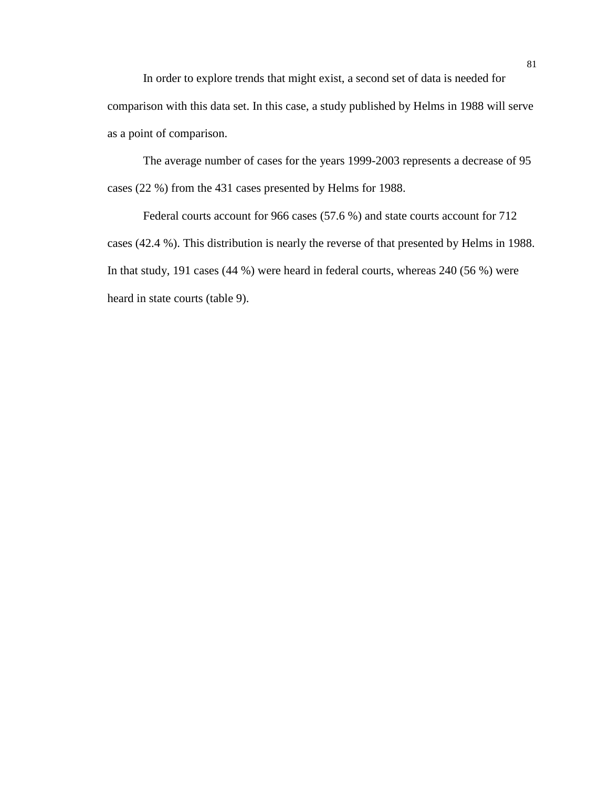In order to explore trends that might exist, a second set of data is needed for comparison with this data set. In this case, a study published by Helms in 1988 will serve as a point of comparison.

The average number of cases for the years 1999-2003 represents a decrease of 95 cases (22 %) from the 431 cases presented by Helms for 1988.

Federal courts account for 966 cases (57.6 %) and state courts account for 712 cases (42.4 %). This distribution is nearly the reverse of that presented by Helms in 1988. In that study, 191 cases (44 %) were heard in federal courts, whereas 240 (56 %) were heard in state courts (table 9).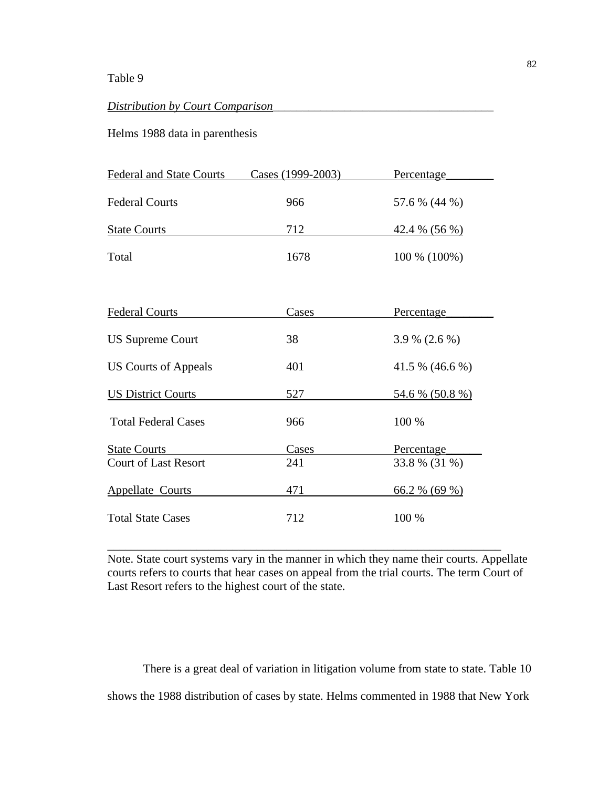### *Distribution by Court Comparison*\_\_\_\_\_\_\_\_\_\_\_\_\_\_\_\_\_\_\_\_\_\_\_\_\_\_\_\_\_\_\_\_\_\_\_\_\_

Helms 1988 data in parenthesis

| <b>Federal and State Courts</b> | Cases (1999-2003) | Percentage           |
|---------------------------------|-------------------|----------------------|
| <b>Federal Courts</b>           | 966               | 57.6 % (44 %)        |
| <b>State Courts</b>             | 712               | <u>42.4 % (56 %)</u> |
| Total                           | 1678              | 100 % (100%)         |
|                                 |                   |                      |
| <b>Federal Courts</b>           | Cases             | Percentage           |
| <b>US Supreme Court</b>         | 38                | $3.9\%$ (2.6 %)      |
| <b>US Courts of Appeals</b>     | 401               | 41.5 % $(46.6\%)$    |
| <b>US District Courts</b>       | 527               | 54.6 % (50.8 %)      |
| <b>Total Federal Cases</b>      | 966               | 100 %                |
| <b>State Courts</b>             | Cases             | Percentage           |
| <b>Court of Last Resort</b>     | 241               | 33.8 % (31 %)        |
| <b>Appellate Courts</b>         | 471               | $66.2\%$ (69 %)      |
| <b>Total State Cases</b>        | 712               | 100 %                |

Note. State court systems vary in the manner in which they name their courts. Appellate courts refers to courts that hear cases on appeal from the trial courts. The term Court of Last Resort refers to the highest court of the state.

\_\_\_\_\_\_\_\_\_\_\_\_\_\_\_\_\_\_\_\_\_\_\_\_\_\_\_\_\_\_\_\_\_\_\_\_\_\_\_\_\_\_\_\_\_\_\_\_\_\_\_\_\_\_\_\_\_\_\_\_\_\_\_\_\_\_

 There is a great deal of variation in litigation volume from state to state. Table 10 shows the 1988 distribution of cases by state. Helms commented in 1988 that New York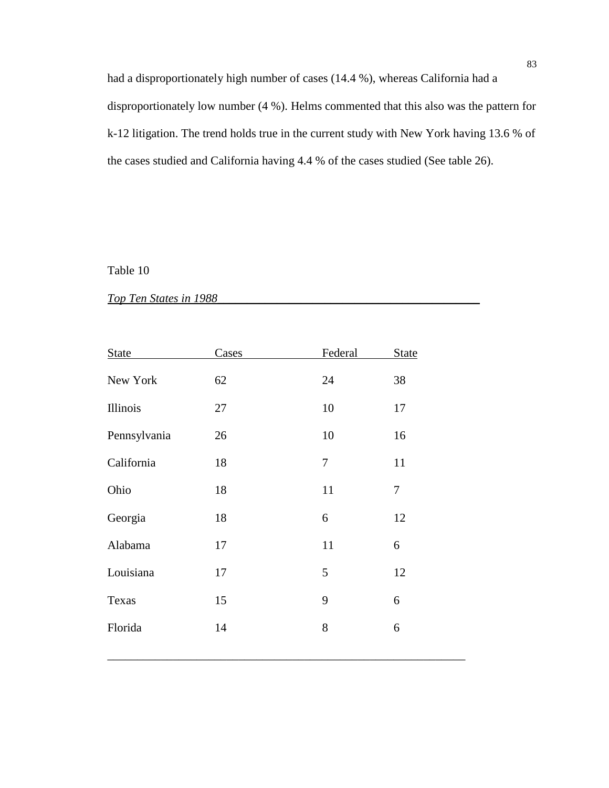had a disproportionately high number of cases (14.4 %), whereas California had a disproportionately low number (4 %). Helms commented that this also was the pattern for k-12 litigation. The trend holds true in the current study with New York having 13.6 % of the cases studied and California having 4.4 % of the cases studied (See table 26).

### Table 10

*Top Ten States in 1988\_\_\_\_\_\_\_\_\_\_\_\_\_\_\_\_\_\_\_\_\_\_\_\_\_\_\_\_\_\_\_\_\_\_\_\_\_\_\_\_\_\_\_\_*

| <b>State</b> | Cases | Federal | <b>State</b>     |
|--------------|-------|---------|------------------|
| New York     | 62    | 24      | 38               |
| Illinois     | 27    | 10      | 17               |
| Pennsylvania | 26    | 10      | 16               |
| California   | 18    | 7       | 11               |
| Ohio         | 18    | 11      | $\boldsymbol{7}$ |
| Georgia      | 18    | 6       | 12               |
| Alabama      | 17    | 11      | 6                |
| Louisiana    | 17    | 5       | 12               |
| Texas        | 15    | 9       | 6                |
| Florida      | 14    | 8       | 6                |
|              |       |         |                  |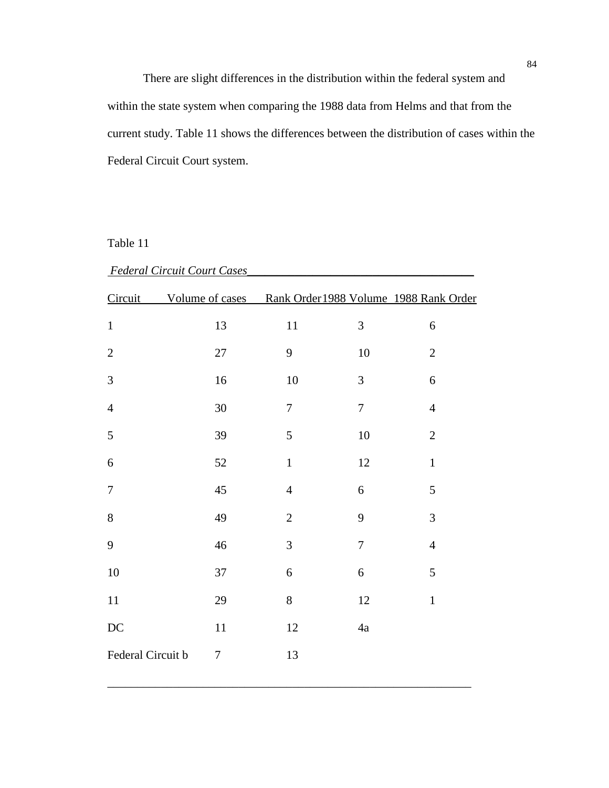There are slight differences in the distribution within the federal system and within the state system when comparing the 1988 data from Helms and that from the current study. Table 11 shows the differences between the distribution of cases within the Federal Circuit Court system.

Table 11

| Circuit           | Volume of cases Rank Order 1988 Volume 1988 Rank Order |                |                  |                |
|-------------------|--------------------------------------------------------|----------------|------------------|----------------|
| $\mathbf{1}$      | 13                                                     | $11\,$         | 3                | 6              |
| $\sqrt{2}$        | $27\,$                                                 | 9              | 10               | $\overline{2}$ |
| $\mathfrak{Z}$    | 16                                                     | 10             | $\mathfrak{Z}$   | 6              |
| $\overline{4}$    | 30                                                     | $\tau$         | $\overline{7}$   | $\overline{4}$ |
| $\mathfrak s$     | 39                                                     | 5              | $10\,$           | $\overline{2}$ |
| $\sqrt{6}$        | 52                                                     | $1\,$          | 12               | $\mathbf 1$    |
| $\overline{7}$    | 45                                                     | $\overline{4}$ | $\boldsymbol{6}$ | 5              |
| $8\,$             | 49                                                     | $\sqrt{2}$     | 9                | 3              |
| 9                 | 46                                                     | $\mathfrak{Z}$ | $\overline{7}$   | $\overline{4}$ |
| 10                | 37                                                     | 6              | $\sqrt{6}$       | 5              |
| 11                | 29                                                     | $8\,$          | 12               | $\,1\,$        |
| DC                | $11\,$                                                 | 12             | 4a               |                |
| Federal Circuit b | 7                                                      | 13             |                  |                |
|                   |                                                        |                |                  |                |

\_\_\_\_\_\_\_\_\_\_\_\_\_\_\_\_\_\_\_\_\_\_\_\_\_\_\_\_\_\_\_\_\_\_\_\_\_\_\_\_\_\_\_\_\_\_\_\_\_\_\_\_\_\_\_\_\_\_\_\_\_

 *Federal Circuit Court Cases\_\_\_\_\_\_\_\_\_\_\_\_\_\_\_\_\_\_\_\_\_\_\_\_\_\_\_\_\_\_\_\_\_\_\_\_\_\_*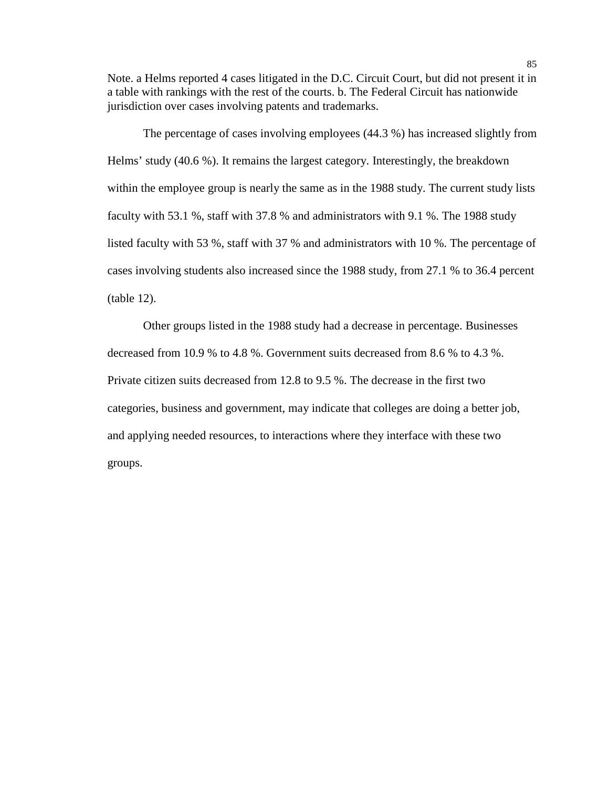Note. a Helms reported 4 cases litigated in the D.C. Circuit Court, but did not present it in a table with rankings with the rest of the courts. b. The Federal Circuit has nationwide jurisdiction over cases involving patents and trademarks.

The percentage of cases involving employees (44.3 %) has increased slightly from Helms' study (40.6 %). It remains the largest category. Interestingly, the breakdown within the employee group is nearly the same as in the 1988 study. The current study lists faculty with 53.1 %, staff with 37.8 % and administrators with 9.1 %. The 1988 study listed faculty with 53 %, staff with 37 % and administrators with 10 %. The percentage of cases involving students also increased since the 1988 study, from 27.1 % to 36.4 percent (table 12).

Other groups listed in the 1988 study had a decrease in percentage. Businesses decreased from 10.9 % to 4.8 %. Government suits decreased from 8.6 % to 4.3 %. Private citizen suits decreased from 12.8 to 9.5 %. The decrease in the first two categories, business and government, may indicate that colleges are doing a better job, and applying needed resources, to interactions where they interface with these two groups.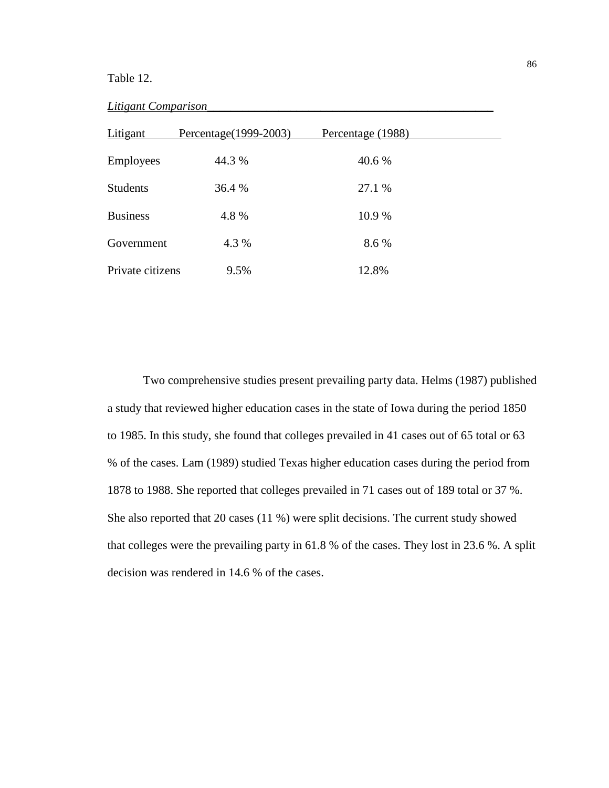### Table 12.

| Litigant         | Percentage(1999-2003) | Percentage (1988) |  |
|------------------|-----------------------|-------------------|--|
| <b>Employees</b> | 44.3 %                | 40.6 %            |  |
| <b>Students</b>  | 36.4 %                | 27.1 %            |  |
| <b>Business</b>  | 4.8%                  | 10.9 %            |  |
| Government       | 4.3 %                 | 8.6 %             |  |
| Private citizens | 9.5%                  | 12.8%             |  |

Two comprehensive studies present prevailing party data. Helms (1987) published a study that reviewed higher education cases in the state of Iowa during the period 1850 to 1985. In this study, she found that colleges prevailed in 41 cases out of 65 total or 63 % of the cases. Lam (1989) studied Texas higher education cases during the period from 1878 to 1988. She reported that colleges prevailed in 71 cases out of 189 total or 37 %. She also reported that 20 cases (11 %) were split decisions. The current study showed that colleges were the prevailing party in 61.8 % of the cases. They lost in 23.6 %. A split decision was rendered in 14.6 % of the cases.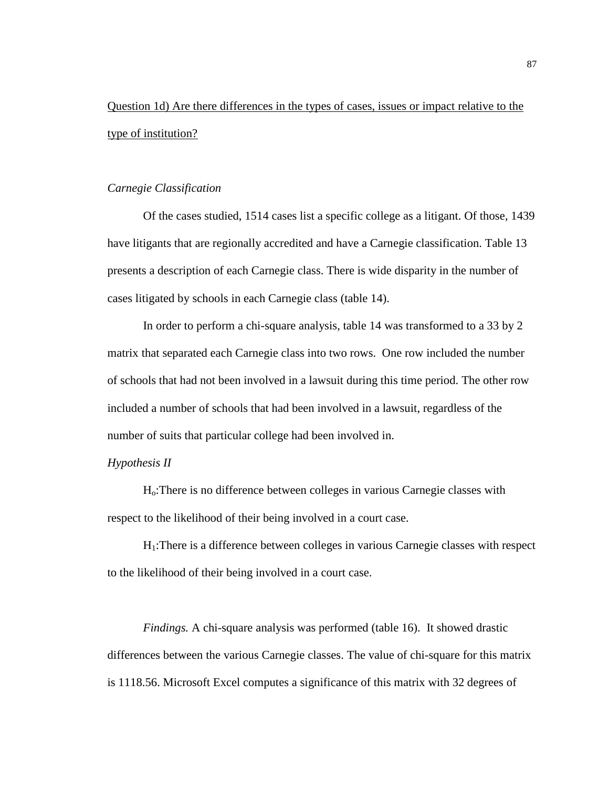# Question 1d) Are there differences in the types of cases, issues or impact relative to the type of institution?

### *Carnegie Classification*

Of the cases studied, 1514 cases list a specific college as a litigant. Of those, 1439 have litigants that are regionally accredited and have a Carnegie classification. Table 13 presents a description of each Carnegie class. There is wide disparity in the number of cases litigated by schools in each Carnegie class (table 14).

In order to perform a chi-square analysis, table 14 was transformed to a 33 by 2 matrix that separated each Carnegie class into two rows. One row included the number of schools that had not been involved in a lawsuit during this time period. The other row included a number of schools that had been involved in a lawsuit, regardless of the number of suits that particular college had been involved in.

### *Hypothesis II*

 Ho:There is no difference between colleges in various Carnegie classes with respect to the likelihood of their being involved in a court case.

 H1:There is a difference between colleges in various Carnegie classes with respect to the likelihood of their being involved in a court case.

*Findings.* A chi-square analysis was performed (table 16). It showed drastic differences between the various Carnegie classes. The value of chi-square for this matrix is 1118.56. Microsoft Excel computes a significance of this matrix with 32 degrees of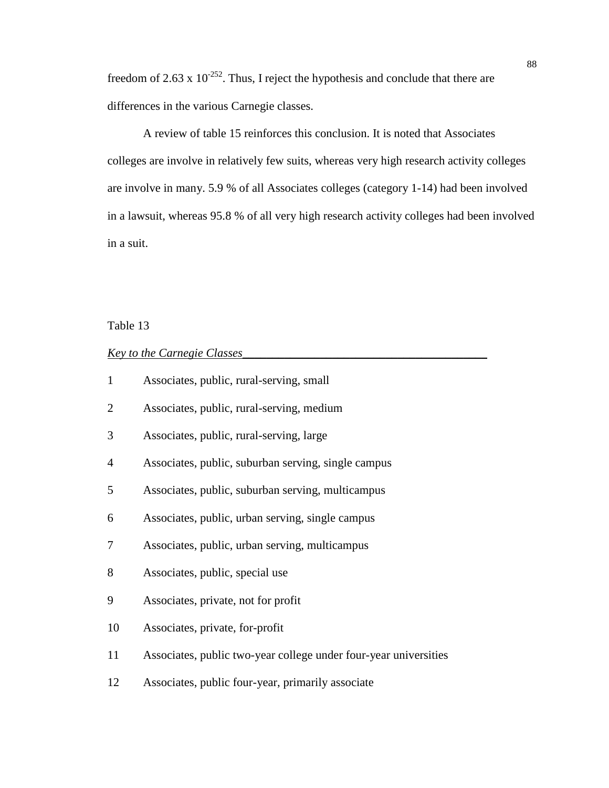freedom of 2.63 x  $10^{-252}$ . Thus, I reject the hypothesis and conclude that there are differences in the various Carnegie classes.

A review of table 15 reinforces this conclusion. It is noted that Associates colleges are involve in relatively few suits, whereas very high research activity colleges are involve in many. 5.9 % of all Associates colleges (category 1-14) had been involved in a lawsuit, whereas 95.8 % of all very high research activity colleges had been involved in a suit.

### Table 13

### *Key to the Carnegie Classes\_\_\_\_\_\_\_\_\_\_\_\_\_\_\_\_\_\_\_\_\_\_\_\_\_\_\_\_\_\_\_\_\_\_\_\_\_\_\_\_\_*

| 1  | Associates, public, rural-serving, small                         |
|----|------------------------------------------------------------------|
| 2  | Associates, public, rural-serving, medium                        |
| 3  | Associates, public, rural-serving, large                         |
| 4  | Associates, public, suburban serving, single campus              |
| 5  | Associates, public, suburban serving, multicampus                |
| 6  | Associates, public, urban serving, single campus                 |
| 7  | Associates, public, urban serving, multicampus                   |
| 8  | Associates, public, special use                                  |
| 9  | Associates, private, not for profit                              |
| 10 | Associates, private, for-profit                                  |
| 11 | Associates, public two-year college under four-year universities |
| 12 | Associates, public four-year, primarily associate                |
|    |                                                                  |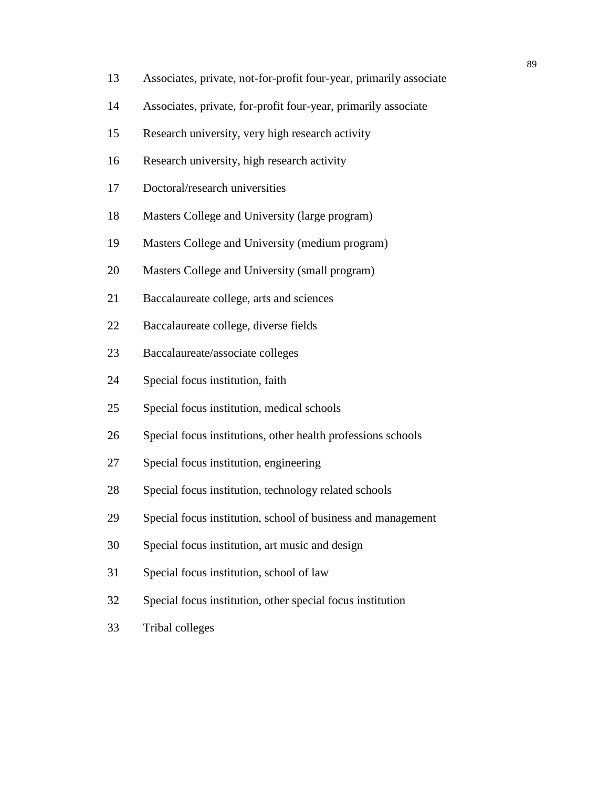- 13 Associates, private, not-for-profit four-year, primarily associate
- 14 Associates, private, for-profit four-year, primarily associate
- 15 Research university, very high research activity
- Research university, high research activity
- Doctoral/research universities
- Masters College and University (large program)
- Masters College and University (medium program)
- Masters College and University (small program)
- Baccalaureate college, arts and sciences
- Baccalaureate college, diverse fields
- Baccalaureate/associate colleges
- Special focus institution, faith
- Special focus institution, medical schools
- Special focus institutions, other health professions schools
- Special focus institution, engineering
- Special focus institution, technology related schools
- Special focus institution, school of business and management
- 30 Special focus institution, art music and design
- 31 Special focus institution, school of law
- 32 Special focus institution, other special focus institution
- 33 Tribal colleges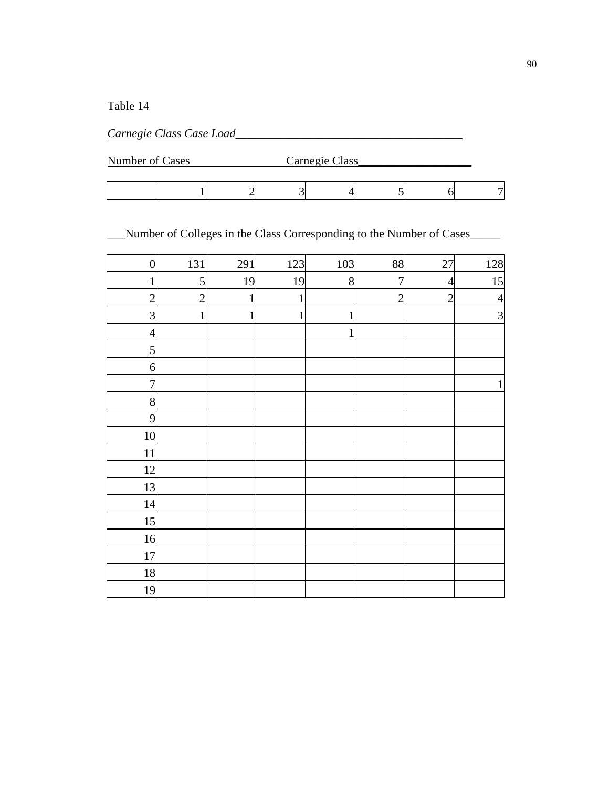| $\sim$ | Carnegie Class Case Load |  |
|--------|--------------------------|--|
|        |                          |  |

| Number of Cases |  |  | Carnegie Class |  |  |
|-----------------|--|--|----------------|--|--|
|                 |  |  |                |  |  |

| $\boldsymbol{0}$ | 131            | 291          | 123          | 103          | 88             | 27             | 128            |
|------------------|----------------|--------------|--------------|--------------|----------------|----------------|----------------|
| $\mathbf{1}$     | $\mathbf{5}$   | 19           | 19           | $8\,$        | $\overline{7}$ | $\overline{4}$ | 15             |
| $\overline{c}$   | $\overline{c}$ | $\mathbf 1$  | $\mathbf{1}$ |              | $\overline{c}$ | $\overline{c}$ | $\overline{4}$ |
| 3                | $\mathbf{1}$   | $\mathbf{1}$ | $\mathbf{1}$ | $\mathbf{1}$ |                |                | $\overline{3}$ |
| $\overline{4}$   |                |              |              | 1            |                |                |                |
| 5                |                |              |              |              |                |                |                |
| 6                |                |              |              |              |                |                |                |
| $\overline{7}$   |                |              |              |              |                |                | $\mathbf{1}$   |
| 8                |                |              |              |              |                |                |                |
| 9                |                |              |              |              |                |                |                |
| 10               |                |              |              |              |                |                |                |
| 11               |                |              |              |              |                |                |                |
| 12               |                |              |              |              |                |                |                |
| 13               |                |              |              |              |                |                |                |
| 14               |                |              |              |              |                |                |                |
| 15               |                |              |              |              |                |                |                |
| 16               |                |              |              |              |                |                |                |
| $17\,$           |                |              |              |              |                |                |                |
| 18               |                |              |              |              |                |                |                |
| 19               |                |              |              |              |                |                |                |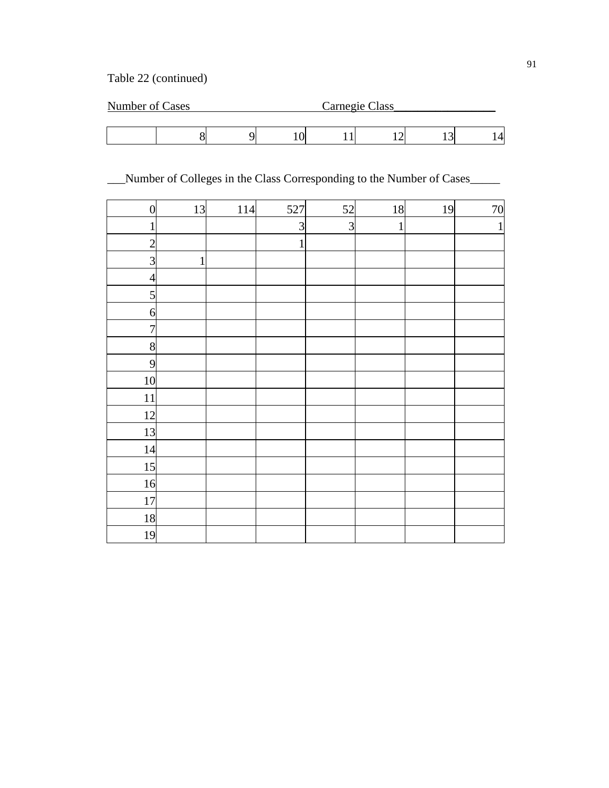## Table 22 (continued)

| Number of Cases |  |  | Carnegie Class |  |  |    |  |  |
|-----------------|--|--|----------------|--|--|----|--|--|
|                 |  |  |                |  |  |    |  |  |
|                 |  |  |                |  |  | ⊥ື |  |  |

| $\boldsymbol{0}$ | 13           | 114 | 527            | 52             | 18          | 19 | 70 |
|------------------|--------------|-----|----------------|----------------|-------------|----|----|
| $\mathbf{1}$     |              |     | $\overline{3}$ | $\overline{3}$ | $\mathbf 1$ |    | 1  |
| $\overline{c}$   |              |     | $\mathbf 1$    |                |             |    |    |
| $\overline{3}$   | $\mathbf{1}$ |     |                |                |             |    |    |
| $\overline{4}$   |              |     |                |                |             |    |    |
| $\overline{5}$   |              |     |                |                |             |    |    |
| 6                |              |     |                |                |             |    |    |
| $\overline{7}$   |              |     |                |                |             |    |    |
| 8                |              |     |                |                |             |    |    |
| 9                |              |     |                |                |             |    |    |
| 10               |              |     |                |                |             |    |    |
| 11               |              |     |                |                |             |    |    |
| 12               |              |     |                |                |             |    |    |
| 13               |              |     |                |                |             |    |    |
| 14               |              |     |                |                |             |    |    |
| 15               |              |     |                |                |             |    |    |
| 16               |              |     |                |                |             |    |    |
| 17               |              |     |                |                |             |    |    |
| 18               |              |     |                |                |             |    |    |
| 19               |              |     |                |                |             |    |    |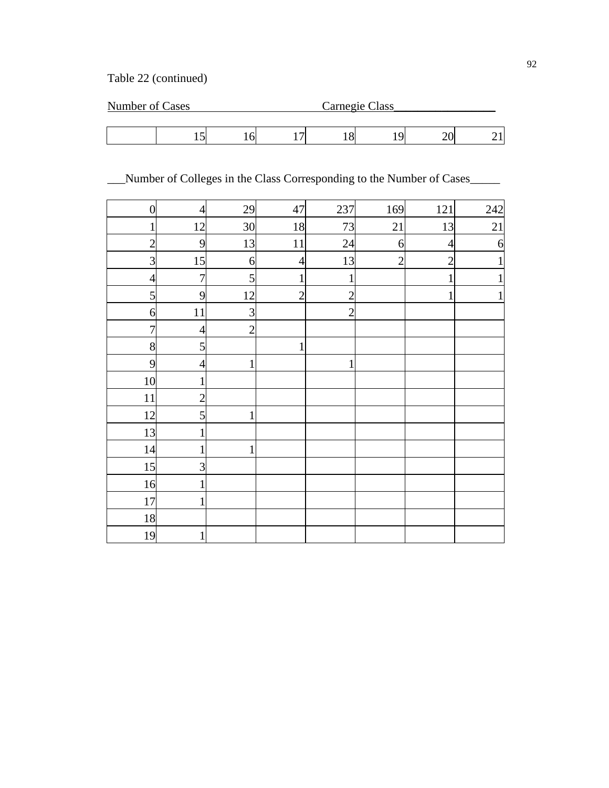| Number of Cases |    |  | Carnegie Class |         |  |  |  |
|-----------------|----|--|----------------|---------|--|--|--|
|                 |    |  |                |         |  |  |  |
|                 | ⊥ັ |  |                | $\circ$ |  |  |  |

| $\boldsymbol{0}$ | $\overline{4}$ | 29             | 47             | 237            | 169            | 121            | 242          |
|------------------|----------------|----------------|----------------|----------------|----------------|----------------|--------------|
| $\mathbf{1}$     | 12             | 30             | 18             | 73             | $21\,$         | 13             | 21           |
| $\overline{c}$   | 9              | 13             | 11             | 24             | 6              | $\overline{4}$ | 6            |
| 3                | 15             | 6              | $\overline{4}$ | 13             | $\overline{2}$ | $\overline{c}$ | $\mathbf 1$  |
| $\overline{4}$   | $\overline{7}$ | 5              | $\mathbf{1}$   | $\mathbf{1}$   |                | $\mathbf{1}$   | $\mathbf{1}$ |
| 5                | 9              | 12             | $\overline{c}$ | $\overline{c}$ |                | $\mathbf{1}$   | $\mathbf 1$  |
| 6                | 11             | 3              |                | $\overline{2}$ |                |                |              |
| $\overline{7}$   | $\overline{4}$ | $\overline{c}$ |                |                |                |                |              |
| 8                | 5              |                | 1              |                |                |                |              |
| 9                | $\overline{4}$ | $\mathbf{1}$   |                | 1              |                |                |              |
| 10               | 1              |                |                |                |                |                |              |
| 11               | $\overline{c}$ |                |                |                |                |                |              |
| 12               | 5              | $\mathbf{1}$   |                |                |                |                |              |
| 13               |                |                |                |                |                |                |              |
| 14               | $\mathbf 1$    | $\mathbf{1}$   |                |                |                |                |              |
| 15               | 3              |                |                |                |                |                |              |
| 16               |                |                |                |                |                |                |              |
| 17               | 1              |                |                |                |                |                |              |
| 18               |                |                |                |                |                |                |              |
| 19               |                |                |                |                |                |                |              |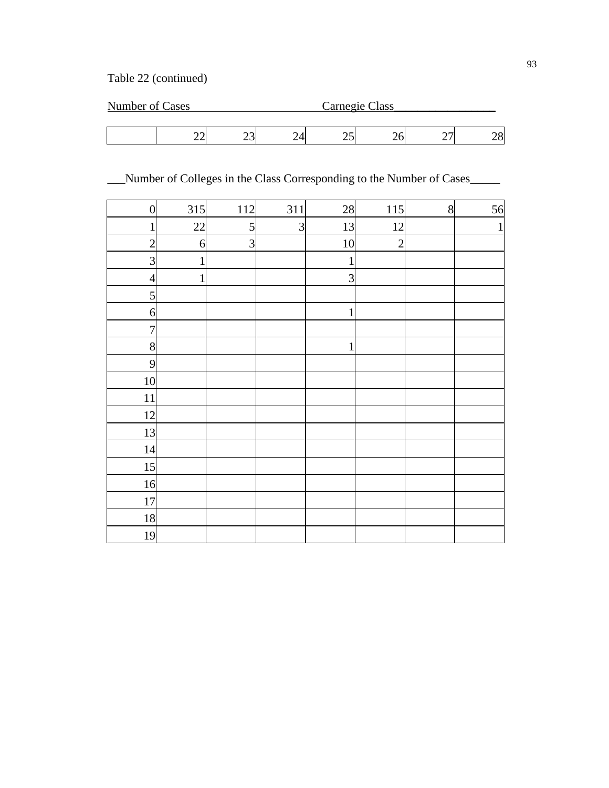## Table 22 (continued)

| Number of Cases |  |   | Carnegie Class |   |   |  |
|-----------------|--|---|----------------|---|---|--|
|                 |  |   |                |   |   |  |
|                 |  | ت | رے             | ⊷ | ∼ |  |

| $\boldsymbol{0}$ | 315          | 112            | 311            | 28           | 115            | 8 | 56                        |
|------------------|--------------|----------------|----------------|--------------|----------------|---|---------------------------|
| $\mathbf{1}$     | 22           | 5              | $\overline{3}$ | 13           | 12             |   | $\mathbf{1}_{\mathsf{I}}$ |
| $\overline{c}$   | 6            | $\overline{3}$ |                | 10           | $\overline{c}$ |   |                           |
| 3                | $\mathbf{1}$ |                |                | $\mathbf{1}$ |                |   |                           |
| $\overline{a}$   | $\mathbf{1}$ |                |                | 3            |                |   |                           |
| 5                |              |                |                |              |                |   |                           |
| 6                |              |                |                | $\mathbf{1}$ |                |   |                           |
| $\overline{7}$   |              |                |                |              |                |   |                           |
| 8                |              |                |                | 1            |                |   |                           |
| 9                |              |                |                |              |                |   |                           |
| 10               |              |                |                |              |                |   |                           |
| 11               |              |                |                |              |                |   |                           |
| 12               |              |                |                |              |                |   |                           |
| 13               |              |                |                |              |                |   |                           |
| 14               |              |                |                |              |                |   |                           |
| 15               |              |                |                |              |                |   |                           |
| 16               |              |                |                |              |                |   |                           |
| 17               |              |                |                |              |                |   |                           |
| 18               |              |                |                |              |                |   |                           |
| 19               |              |                |                |              |                |   |                           |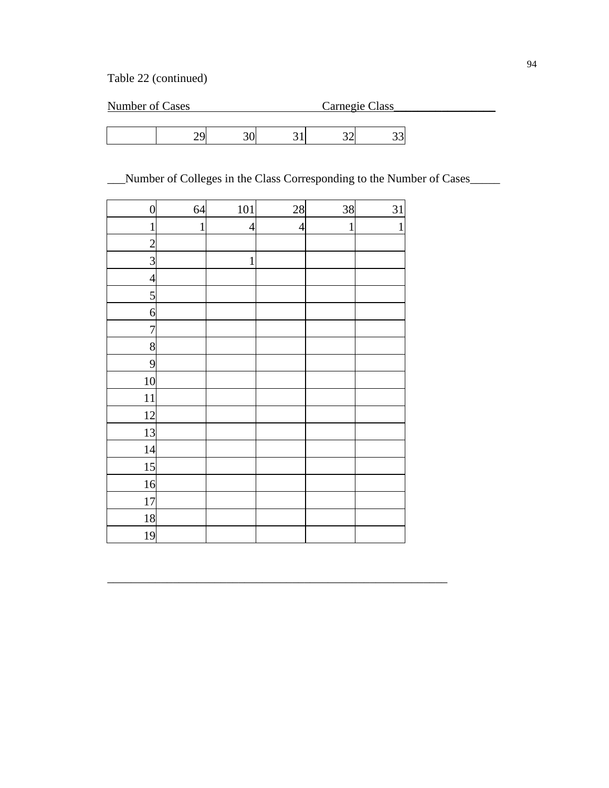## Table 22 (continued)

| Number of Cases |  |  | Carnegie Class |  |    |  |
|-----------------|--|--|----------------|--|----|--|
|                 |  |  |                |  |    |  |
|                 |  |  |                |  | ັບ |  |

## \_\_\_Number of Colleges in the Class Corresponding to the Number of Cases\_\_\_\_\_

\_\_\_\_\_\_\_\_\_\_\_\_\_\_\_\_\_\_\_\_\_\_\_\_\_\_\_\_\_\_\_\_\_\_\_\_\_\_\_\_\_\_\_\_\_\_\_\_\_\_\_\_\_\_\_\_\_

| $\boldsymbol{0}$ | 64           | 101            | 28             | 38           | 31           |
|------------------|--------------|----------------|----------------|--------------|--------------|
| $\mathbf{1}$     | $\mathbf{1}$ | $\overline{4}$ | $\overline{4}$ | $\mathbf{1}$ | $\mathbf{1}$ |
| $\overline{c}$   |              |                |                |              |              |
| $\overline{3}$   |              | $\mathbf{1}$   |                |              |              |
| $\overline{4}$   |              |                |                |              |              |
| 5                |              |                |                |              |              |
| 6                |              |                |                |              |              |
| $\overline{7}$   |              |                |                |              |              |
| $\bf{8}$         |              |                |                |              |              |
| 9                |              |                |                |              |              |
| 10               |              |                |                |              |              |
| 11               |              |                |                |              |              |
| 12               |              |                |                |              |              |
| 13               |              |                |                |              |              |
| 14               |              |                |                |              |              |
| 15               |              |                |                |              |              |
| 16               |              |                |                |              |              |
| 17               |              |                |                |              |              |
| 18               |              |                |                |              |              |
| 19               |              |                |                |              |              |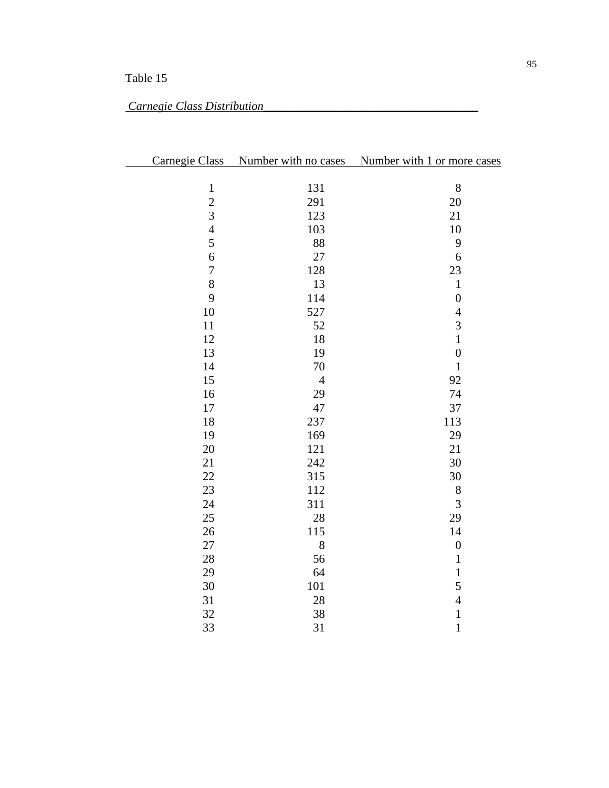| Carnegie Class   |                | Number with no cases Number with 1 or more cases |
|------------------|----------------|--------------------------------------------------|
|                  |                |                                                  |
| $\,1\,$          | 131            | $8\,$                                            |
| $\overline{c}$   | 291            | 20                                               |
| $\overline{3}$   | 123            | 21                                               |
| $\overline{4}$   | 103            | 10                                               |
| 5                | 88             | 9                                                |
| 6                | 27             | 6                                                |
| $\boldsymbol{7}$ | 128            | 23                                               |
| 8                | 13             | $\,1$                                            |
| 9                | 114            | $\boldsymbol{0}$                                 |
| 10               | 527            | $\overline{4}$                                   |
| 11               | 52             | $\overline{3}$                                   |
| 12               | 18             | $\mathbf{1}$                                     |
| 13               | 19             | $\boldsymbol{0}$                                 |
| 14               | 70             | $\mathbf{1}$                                     |
| 15               | $\overline{4}$ | 92                                               |
| 16               | 29             | 74                                               |
| 17               | 47             | 37                                               |
| 18               | 237            | 113                                              |
| 19               | 169            | 29                                               |
| 20               | 121            | 21                                               |
| 21               | 242            | 30                                               |
| 22               | 315            | 30                                               |
| 23               | 112            | $\,$ $\,$                                        |
| 24               | 311            | 3                                                |
| 25               | 28             | 29                                               |
| 26               | 115            | 14                                               |
| $27\,$           | 8              | $\boldsymbol{0}$                                 |
| 28               | 56             | $\mathbf 1$                                      |
| 29               | 64             | $\mathbf{1}$                                     |
| 30               | 101            | 5                                                |
| 31               | 28             | $\overline{4}$                                   |
| 32               | 38             | $\mathbf{1}$                                     |
| 33               | 31             | $\mathbf{1}$                                     |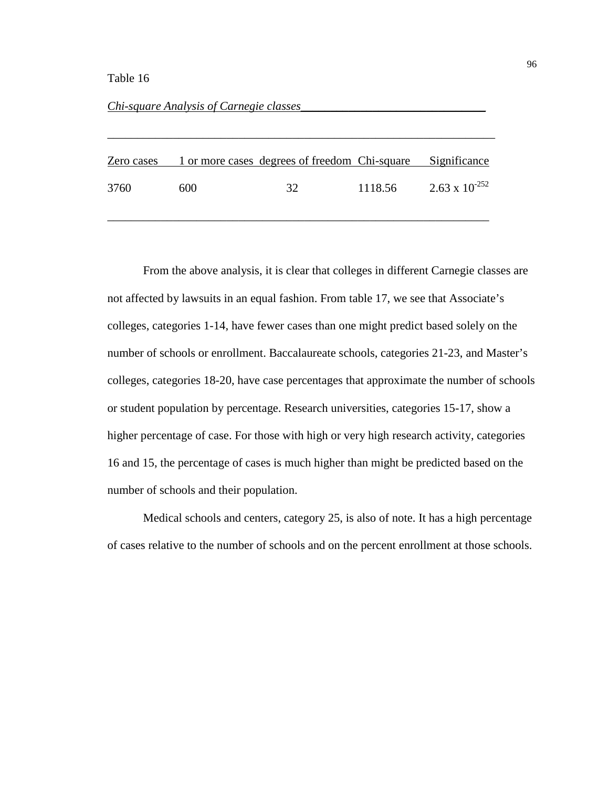### *Chi-square Analysis of Carnegie classes\_\_\_\_\_\_\_\_\_\_\_\_\_\_\_\_\_\_\_\_\_\_\_\_\_\_\_\_\_\_\_*

|      |     | Zero cases 1 or more cases degrees of freedom Chi-square Significance |         |                         |
|------|-----|-----------------------------------------------------------------------|---------|-------------------------|
| 3760 | 600 | 32                                                                    | 1118.56 | $2.63 \times 10^{-252}$ |
|      |     |                                                                       |         |                         |

*\_\_\_\_\_\_\_\_\_\_\_\_\_\_\_\_\_\_\_\_\_\_\_\_\_\_\_\_\_\_\_\_\_\_\_\_\_\_\_\_\_\_\_\_\_\_\_\_\_\_\_\_\_\_\_\_\_\_\_\_\_\_\_\_\_* 

 From the above analysis, it is clear that colleges in different Carnegie classes are not affected by lawsuits in an equal fashion. From table 17, we see that Associate's colleges, categories 1-14, have fewer cases than one might predict based solely on the number of schools or enrollment. Baccalaureate schools, categories 21-23, and Master's colleges, categories 18-20, have case percentages that approximate the number of schools or student population by percentage. Research universities, categories 15-17, show a higher percentage of case. For those with high or very high research activity, categories 16 and 15, the percentage of cases is much higher than might be predicted based on the number of schools and their population.

 Medical schools and centers, category 25, is also of note. It has a high percentage of cases relative to the number of schools and on the percent enrollment at those schools.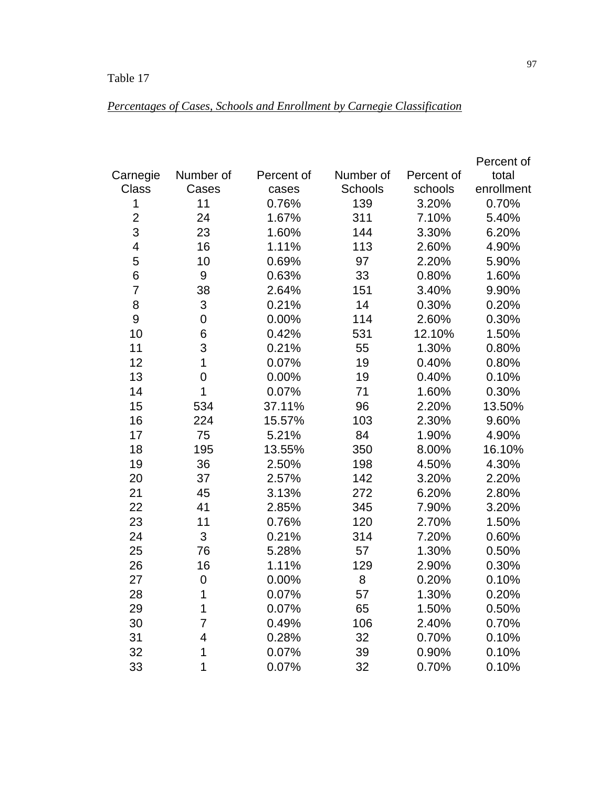| Percentages of Cases, Schools and Enrollment by Carnegie Classification |  |
|-------------------------------------------------------------------------|--|
|-------------------------------------------------------------------------|--|

|                          |                |            |           |            | Percent of |
|--------------------------|----------------|------------|-----------|------------|------------|
| Carnegie                 | Number of      | Percent of | Number of | Percent of | total      |
| <b>Class</b>             | Cases          | cases      | Schools   | schools    | enrollment |
| 1                        | 11             | 0.76%      | 139       | 3.20%      | 0.70%      |
| $\overline{2}$           | 24             | 1.67%      | 311       | 7.10%      | 5.40%      |
| 3                        | 23             | 1.60%      | 144       | 3.30%      | 6.20%      |
| $\overline{\mathcal{A}}$ | 16             | 1.11%      | 113       | 2.60%      | 4.90%      |
| 5                        | 10             | 0.69%      | 97        | 2.20%      | 5.90%      |
| $6\phantom{1}6$          | 9              | 0.63%      | 33        | 0.80%      | 1.60%      |
| $\overline{7}$           | 38             | 2.64%      | 151       | 3.40%      | 9.90%      |
| 8                        | 3              | 0.21%      | 14        | 0.30%      | 0.20%      |
| 9                        | $\mathbf 0$    | 0.00%      | 114       | 2.60%      | 0.30%      |
| 10                       | 6              | 0.42%      | 531       | 12.10%     | 1.50%      |
| 11                       | 3              | 0.21%      | 55        | 1.30%      | 0.80%      |
| 12                       | $\mathbf 1$    | 0.07%      | 19        | 0.40%      | 0.80%      |
| 13                       | $\overline{0}$ | 0.00%      | 19        | 0.40%      | 0.10%      |
| 14                       | $\mathbf 1$    | 0.07%      | 71        | 1.60%      | 0.30%      |
| 15                       | 534            | 37.11%     | 96        | 2.20%      | 13.50%     |
| 16                       | 224            | 15.57%     | 103       | 2.30%      | 9.60%      |
| 17                       | 75             | 5.21%      | 84        | 1.90%      | 4.90%      |
| 18                       | 195            | 13.55%     | 350       | 8.00%      | 16.10%     |
| 19                       | 36             | 2.50%      | 198       | 4.50%      | 4.30%      |
| 20                       | 37             | 2.57%      | 142       | 3.20%      | 2.20%      |
| 21                       | 45             | 3.13%      | 272       | 6.20%      | 2.80%      |
| 22                       | 41             | 2.85%      | 345       | 7.90%      | 3.20%      |
| 23                       | 11             | 0.76%      | 120       | 2.70%      | 1.50%      |
| 24                       | 3              | 0.21%      | 314       | 7.20%      | 0.60%      |
| 25                       | 76             | 5.28%      | 57        | 1.30%      | 0.50%      |
| 26                       | 16             | 1.11%      | 129       | 2.90%      | 0.30%      |
| 27                       | $\mathbf 0$    | 0.00%      | 8         | 0.20%      | 0.10%      |
| 28                       | 1              | 0.07%      | 57        | 1.30%      | 0.20%      |
| 29                       | 1              | 0.07%      | 65        | 1.50%      | 0.50%      |
| 30                       | 7              | 0.49%      | 106       | 2.40%      | 0.70%      |
| 31                       | 4              | 0.28%      | 32        | 0.70%      | 0.10%      |
| 32                       | 1              | 0.07%      | 39        | 0.90%      | 0.10%      |
| 33                       | 1              | 0.07%      | 32        | 0.70%      | 0.10%      |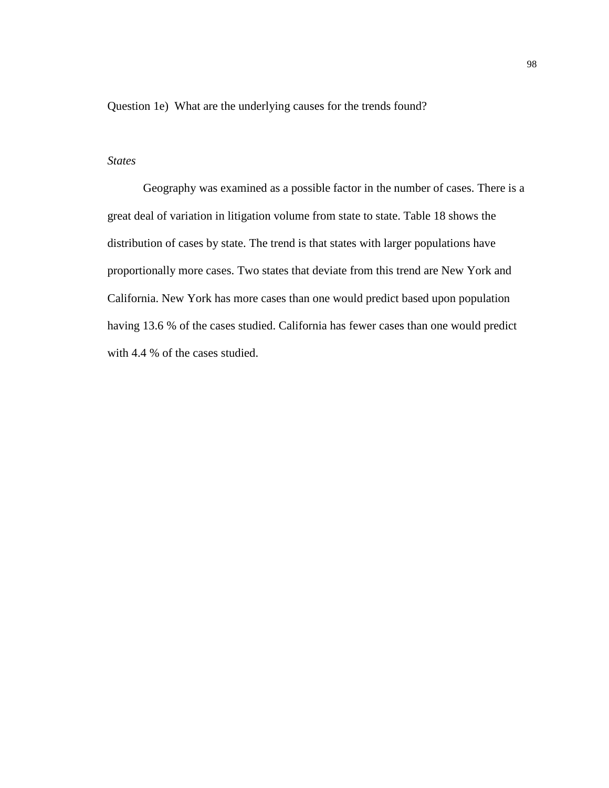Question 1e) What are the underlying causes for the trends found?

### *States*

 Geography was examined as a possible factor in the number of cases. There is a great deal of variation in litigation volume from state to state. Table 18 shows the distribution of cases by state. The trend is that states with larger populations have proportionally more cases. Two states that deviate from this trend are New York and California. New York has more cases than one would predict based upon population having 13.6 % of the cases studied. California has fewer cases than one would predict with 4.4 % of the cases studied.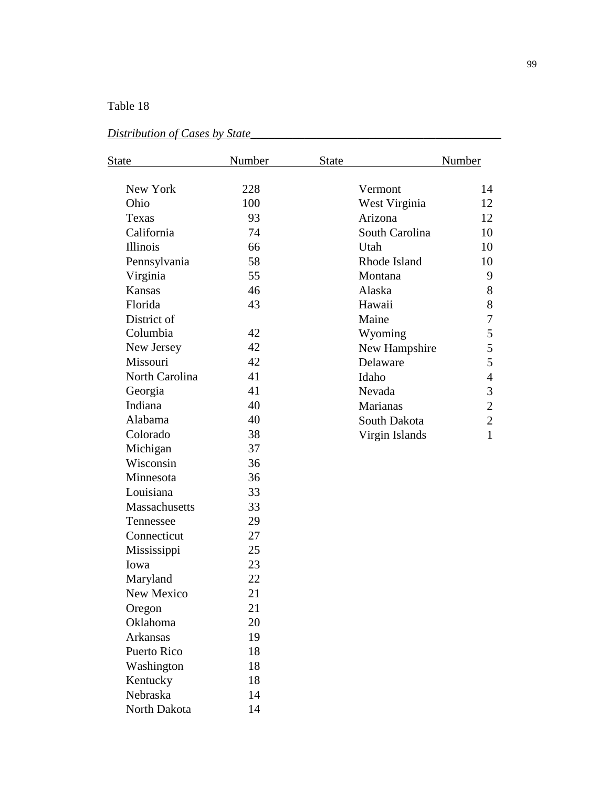## Table 18

| State           | Number | State           | Number         |
|-----------------|--------|-----------------|----------------|
| New York        | 228    | Vermont         | 14             |
| Ohio            | 100    | West Virginia   | 12             |
| Texas           | 93     | Arizona         | 12             |
| California      | 74     | South Carolina  | 10             |
| <b>Illinois</b> | 66     | Utah            | 10             |
| Pennsylvania    | 58     | Rhode Island    | 10             |
| Virginia        | 55     | Montana         | 9              |
| Kansas          | 46     | Alaska          | 8              |
| Florida         | 43     | Hawaii          | 8              |
| District of     |        | Maine           | $\overline{7}$ |
| Columbia        | 42     | Wyoming         | 5              |
| New Jersey      | 42     | New Hampshire   | 5              |
| Missouri        | 42     | Delaware        | 5              |
| North Carolina  | 41     | Idaho           | $\overline{4}$ |
| Georgia         | 41     | Nevada          | 3              |
| Indiana         | 40     | <b>Marianas</b> | $\overline{c}$ |
| Alabama         | 40     | South Dakota    | $\overline{c}$ |
| Colorado        | 38     | Virgin Islands  | $\mathbf{1}$   |
| Michigan        | 37     |                 |                |
| Wisconsin       | 36     |                 |                |
| Minnesota       | 36     |                 |                |
| Louisiana       | 33     |                 |                |
| Massachusetts   | 33     |                 |                |
| Tennessee       | 29     |                 |                |
| Connecticut     | 27     |                 |                |
| Mississippi     | 25     |                 |                |
| Iowa            | 23     |                 |                |
| Maryland        | 22     |                 |                |
| New Mexico      | 21     |                 |                |
| Oregon          | 21     |                 |                |
| Oklahoma        | 20     |                 |                |
| <b>Arkansas</b> | 19     |                 |                |
| Puerto Rico     | 18     |                 |                |
| Washington      | 18     |                 |                |
| Kentucky        | 18     |                 |                |
| Nebraska        | 14     |                 |                |

| Distribution of Cases by State |  |
|--------------------------------|--|
|                                |  |

North Dakota 14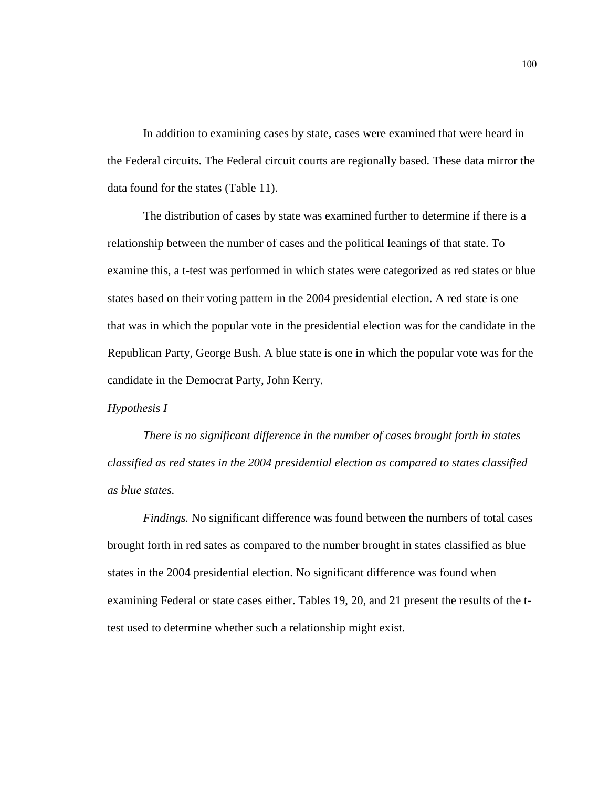In addition to examining cases by state, cases were examined that were heard in the Federal circuits. The Federal circuit courts are regionally based. These data mirror the data found for the states (Table 11).

The distribution of cases by state was examined further to determine if there is a relationship between the number of cases and the political leanings of that state. To examine this, a t-test was performed in which states were categorized as red states or blue states based on their voting pattern in the 2004 presidential election. A red state is one that was in which the popular vote in the presidential election was for the candidate in the Republican Party, George Bush. A blue state is one in which the popular vote was for the candidate in the Democrat Party, John Kerry.

#### *Hypothesis I*

 *There is no significant difference in the number of cases brought forth in states classified as red states in the 2004 presidential election as compared to states classified as blue states.* 

*Findings.* No significant difference was found between the numbers of total cases brought forth in red sates as compared to the number brought in states classified as blue states in the 2004 presidential election. No significant difference was found when examining Federal or state cases either. Tables 19, 20, and 21 present the results of the ttest used to determine whether such a relationship might exist.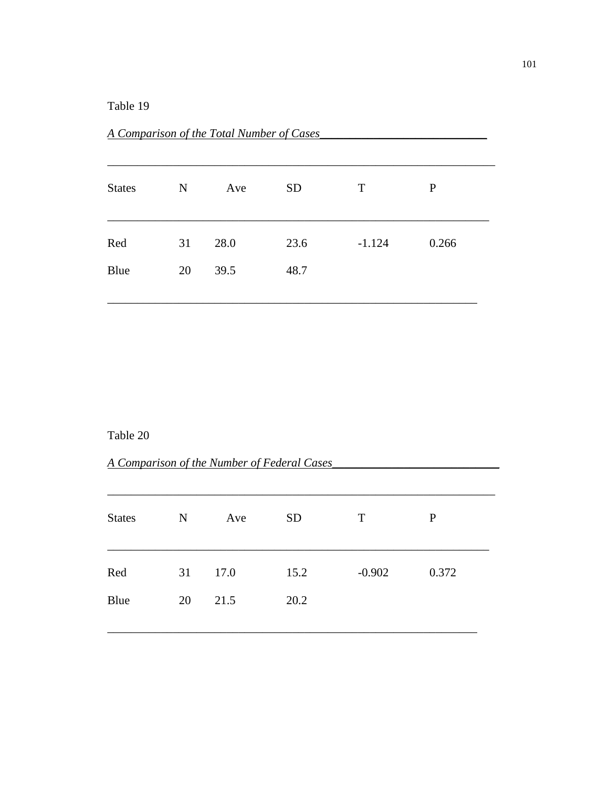## Table 19

| <b>States</b> | $\mathbf N$ | Ave  | <b>SD</b> | T        | $\mathbf P$ |
|---------------|-------------|------|-----------|----------|-------------|
| Red           | 31          | 28.0 | 23.6      | $-1.124$ | 0.266       |
| Blue          | 20          | 39.5 | 48.7      |          |             |

A Comparison of the Total Number of Cases

### Table 20

A Comparison of the Number of Federal Cases

| <b>States</b> | $\mathbf N$ | Ave  | <b>SD</b> | T        | $\mathbf{P}$ |
|---------------|-------------|------|-----------|----------|--------------|
| Red           | 31          | 17.0 | 15.2      | $-0.902$ | 0.372        |
| Blue          | 20          | 21.5 | 20.2      |          |              |
|               |             |      |           |          |              |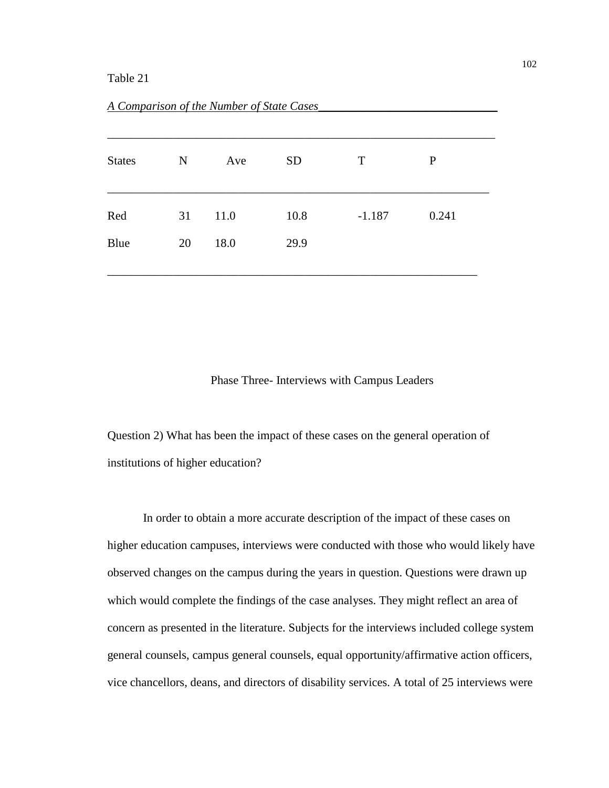#### Table 21

| <b>States</b> | $\mathbf N$ | Ave  | <b>SD</b> | T        | $\mathbf{P}$ |
|---------------|-------------|------|-----------|----------|--------------|
| Red           | 31          | 11.0 | 10.8      | $-1.187$ | 0.241        |
| Blue          | 20          | 18.0 | 29.9      |          |              |

*A Comparison of the Number of State Cases\_\_\_\_\_\_\_\_\_\_\_\_\_\_\_\_\_\_\_\_\_\_\_\_\_\_\_\_\_\_*

Phase Three- Interviews with Campus Leaders

Question 2) What has been the impact of these cases on the general operation of institutions of higher education?

In order to obtain a more accurate description of the impact of these cases on higher education campuses, interviews were conducted with those who would likely have observed changes on the campus during the years in question. Questions were drawn up which would complete the findings of the case analyses. They might reflect an area of concern as presented in the literature. Subjects for the interviews included college system general counsels, campus general counsels, equal opportunity/affirmative action officers, vice chancellors, deans, and directors of disability services. A total of 25 interviews were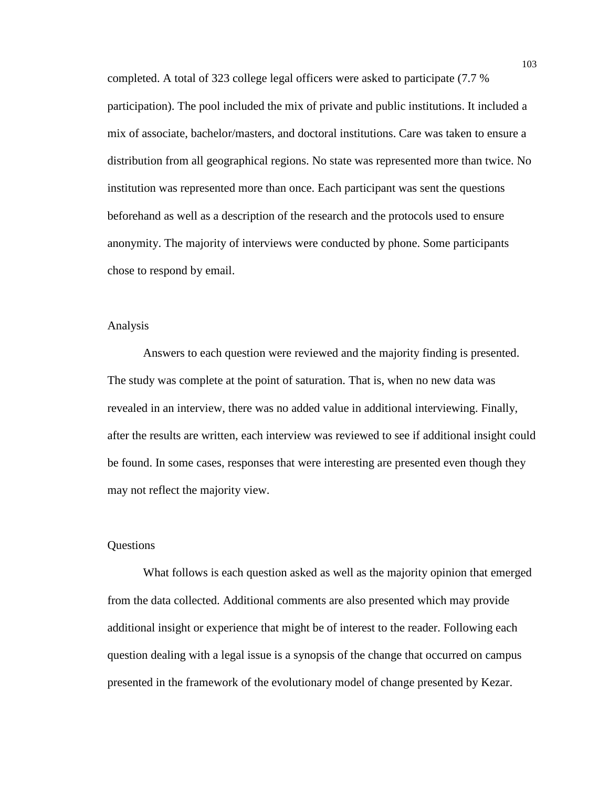completed. A total of 323 college legal officers were asked to participate (7.7 % participation). The pool included the mix of private and public institutions. It included a mix of associate, bachelor/masters, and doctoral institutions. Care was taken to ensure a distribution from all geographical regions. No state was represented more than twice. No institution was represented more than once. Each participant was sent the questions beforehand as well as a description of the research and the protocols used to ensure anonymity. The majority of interviews were conducted by phone. Some participants chose to respond by email.

#### Analysis

Answers to each question were reviewed and the majority finding is presented. The study was complete at the point of saturation. That is, when no new data was revealed in an interview, there was no added value in additional interviewing. Finally, after the results are written, each interview was reviewed to see if additional insight could be found. In some cases, responses that were interesting are presented even though they may not reflect the majority view.

#### Questions

What follows is each question asked as well as the majority opinion that emerged from the data collected. Additional comments are also presented which may provide additional insight or experience that might be of interest to the reader. Following each question dealing with a legal issue is a synopsis of the change that occurred on campus presented in the framework of the evolutionary model of change presented by Kezar.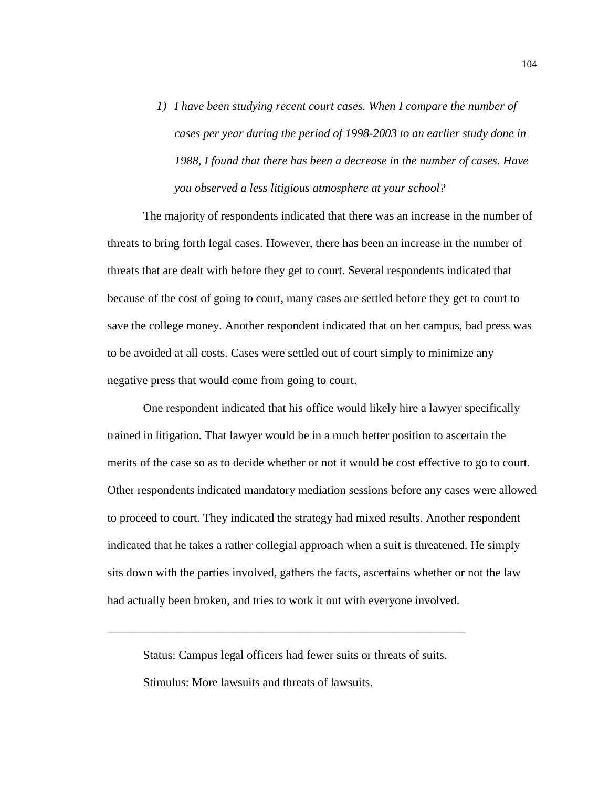*1) I have been studying recent court cases. When I compare the number of cases per year during the period of 1998-2003 to an earlier study done in 1988, I found that there has been a decrease in the number of cases. Have you observed a less litigious atmosphere at your school?* 

The majority of respondents indicated that there was an increase in the number of threats to bring forth legal cases. However, there has been an increase in the number of threats that are dealt with before they get to court. Several respondents indicated that because of the cost of going to court, many cases are settled before they get to court to save the college money. Another respondent indicated that on her campus, bad press was to be avoided at all costs. Cases were settled out of court simply to minimize any negative press that would come from going to court.

One respondent indicated that his office would likely hire a lawyer specifically trained in litigation. That lawyer would be in a much better position to ascertain the merits of the case so as to decide whether or not it would be cost effective to go to court. Other respondents indicated mandatory mediation sessions before any cases were allowed to proceed to court. They indicated the strategy had mixed results. Another respondent indicated that he takes a rather collegial approach when a suit is threatened. He simply sits down with the parties involved, gathers the facts, ascertains whether or not the law had actually been broken, and tries to work it out with everyone involved.

Status: Campus legal officers had fewer suits or threats of suits. Stimulus: More lawsuits and threats of lawsuits.

\_\_\_\_\_\_\_\_\_\_\_\_\_\_\_\_\_\_\_\_\_\_\_\_\_\_\_\_\_\_\_\_\_\_\_\_\_\_\_\_\_\_\_\_\_\_\_\_\_\_\_\_\_\_\_\_\_\_\_\_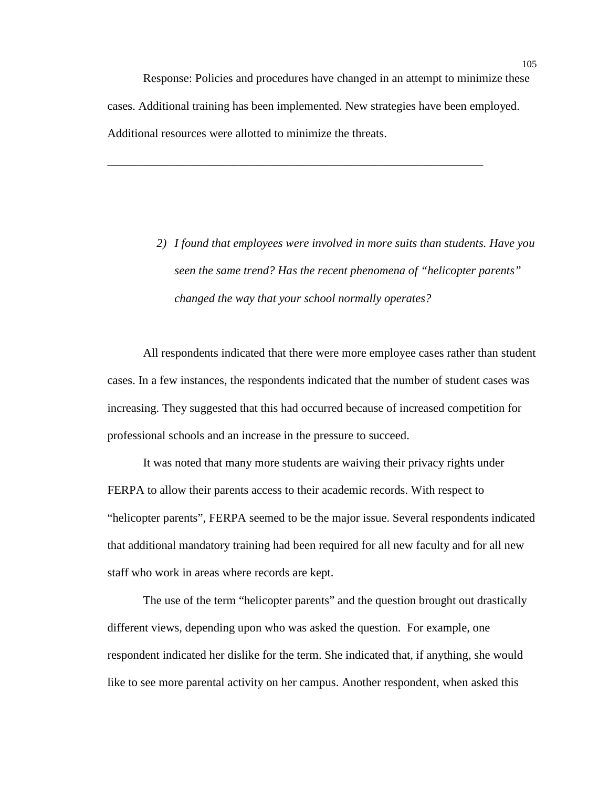Response: Policies and procedures have changed in an attempt to minimize these cases. Additional training has been implemented. New strategies have been employed. Additional resources were allotted to minimize the threats.

\_\_\_\_\_\_\_\_\_\_\_\_\_\_\_\_\_\_\_\_\_\_\_\_\_\_\_\_\_\_\_\_\_\_\_\_\_\_\_\_\_\_\_\_\_\_\_\_\_\_\_\_\_\_\_\_\_\_\_\_\_\_\_

*2) I found that employees were involved in more suits than students. Have you seen the same trend? Has the recent phenomena of "helicopter parents" changed the way that your school normally operates?*

All respondents indicated that there were more employee cases rather than student cases. In a few instances, the respondents indicated that the number of student cases was increasing. They suggested that this had occurred because of increased competition for professional schools and an increase in the pressure to succeed.

It was noted that many more students are waiving their privacy rights under FERPA to allow their parents access to their academic records. With respect to "helicopter parents", FERPA seemed to be the major issue. Several respondents indicated that additional mandatory training had been required for all new faculty and for all new staff who work in areas where records are kept.

The use of the term "helicopter parents" and the question brought out drastically different views, depending upon who was asked the question. For example, one respondent indicated her dislike for the term. She indicated that, if anything, she would like to see more parental activity on her campus. Another respondent, when asked this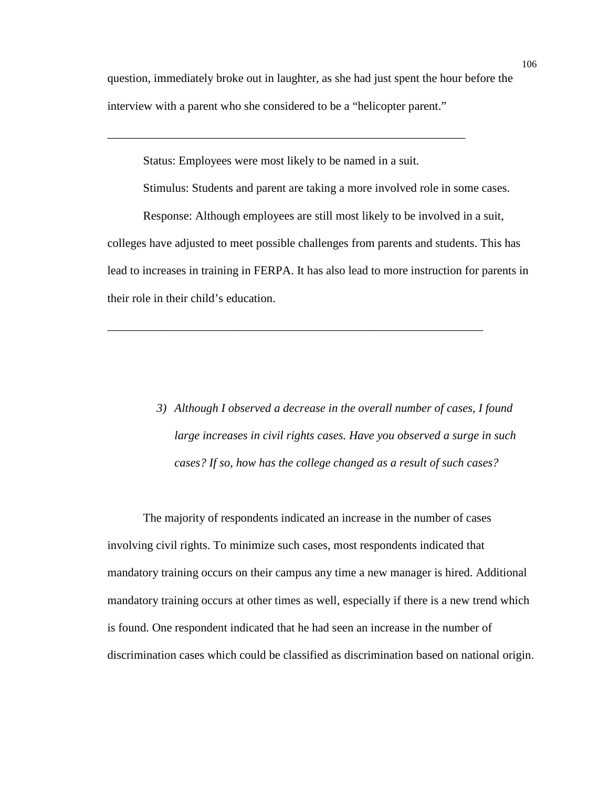question, immediately broke out in laughter, as she had just spent the hour before the interview with a parent who she considered to be a "helicopter parent."

\_\_\_\_\_\_\_\_\_\_\_\_\_\_\_\_\_\_\_\_\_\_\_\_\_\_\_\_\_\_\_\_\_\_\_\_\_\_\_\_\_\_\_\_\_\_\_\_\_\_\_\_\_\_\_\_\_\_\_\_

Status: Employees were most likely to be named in a suit. Stimulus: Students and parent are taking a more involved role in some cases. Response: Although employees are still most likely to be involved in a suit, colleges have adjusted to meet possible challenges from parents and students. This has lead to increases in training in FERPA. It has also lead to more instruction for parents in their role in their child's education.

\_\_\_\_\_\_\_\_\_\_\_\_\_\_\_\_\_\_\_\_\_\_\_\_\_\_\_\_\_\_\_\_\_\_\_\_\_\_\_\_\_\_\_\_\_\_\_\_\_\_\_\_\_\_\_\_\_\_\_\_\_\_\_

*3) Although I observed a decrease in the overall number of cases, I found large increases in civil rights cases. Have you observed a surge in such cases? If so, how has the college changed as a result of such cases?* 

The majority of respondents indicated an increase in the number of cases involving civil rights. To minimize such cases, most respondents indicated that mandatory training occurs on their campus any time a new manager is hired. Additional mandatory training occurs at other times as well, especially if there is a new trend which is found. One respondent indicated that he had seen an increase in the number of discrimination cases which could be classified as discrimination based on national origin.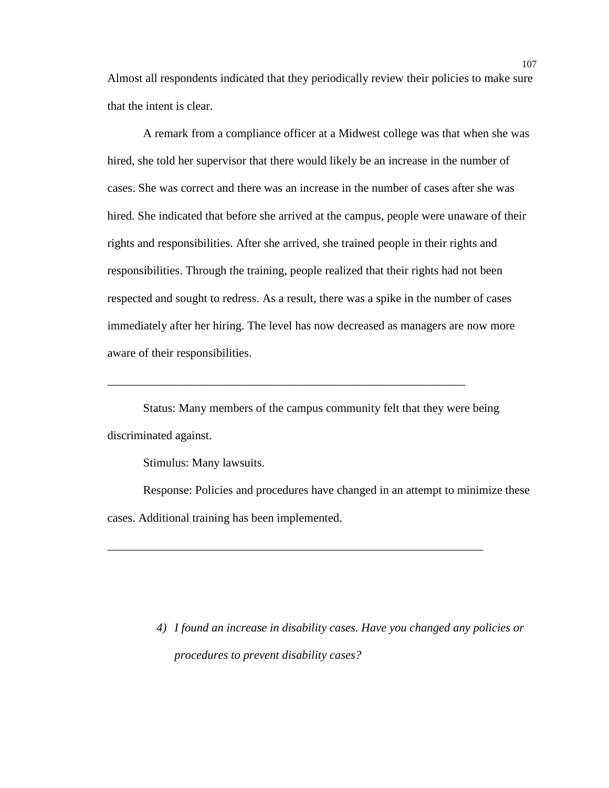Almost all respondents indicated that they periodically review their policies to make sure that the intent is clear.

A remark from a compliance officer at a Midwest college was that when she was hired, she told her supervisor that there would likely be an increase in the number of cases. She was correct and there was an increase in the number of cases after she was hired. She indicated that before she arrived at the campus, people were unaware of their rights and responsibilities. After she arrived, she trained people in their rights and responsibilities. Through the training, people realized that their rights had not been respected and sought to redress. As a result, there was a spike in the number of cases immediately after her hiring. The level has now decreased as managers are now more aware of their responsibilities.

Status: Many members of the campus community felt that they were being discriminated against.

\_\_\_\_\_\_\_\_\_\_\_\_\_\_\_\_\_\_\_\_\_\_\_\_\_\_\_\_\_\_\_\_\_\_\_\_\_\_\_\_\_\_\_\_\_\_\_\_\_\_\_\_\_\_\_\_\_\_\_\_

Stimulus: Many lawsuits.

Response: Policies and procedures have changed in an attempt to minimize these cases. Additional training has been implemented.

\_\_\_\_\_\_\_\_\_\_\_\_\_\_\_\_\_\_\_\_\_\_\_\_\_\_\_\_\_\_\_\_\_\_\_\_\_\_\_\_\_\_\_\_\_\_\_\_\_\_\_\_\_\_\_\_\_\_\_\_\_\_\_

*4) I found an increase in disability cases. Have you changed any policies or procedures to prevent disability cases?*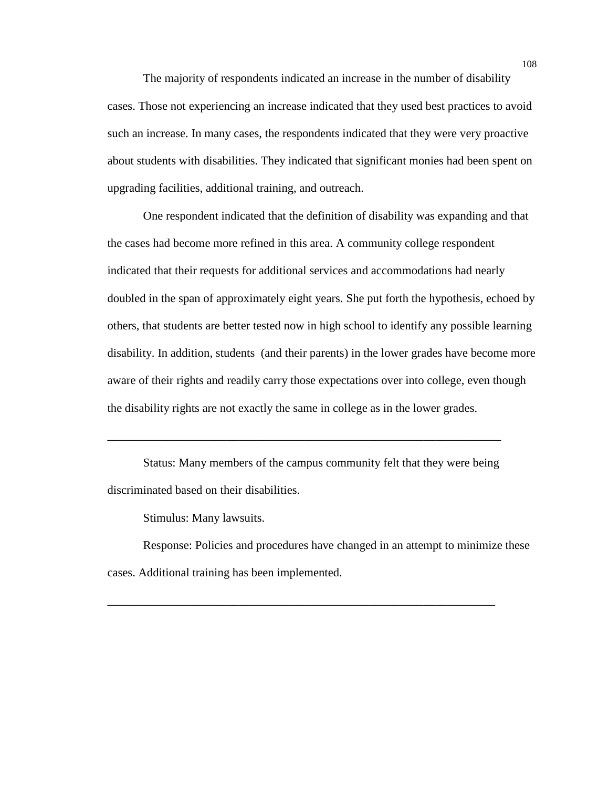The majority of respondents indicated an increase in the number of disability cases. Those not experiencing an increase indicated that they used best practices to avoid such an increase. In many cases, the respondents indicated that they were very proactive about students with disabilities. They indicated that significant monies had been spent on upgrading facilities, additional training, and outreach.

One respondent indicated that the definition of disability was expanding and that the cases had become more refined in this area. A community college respondent indicated that their requests for additional services and accommodations had nearly doubled in the span of approximately eight years. She put forth the hypothesis, echoed by others, that students are better tested now in high school to identify any possible learning disability. In addition, students (and their parents) in the lower grades have become more aware of their rights and readily carry those expectations over into college, even though the disability rights are not exactly the same in college as in the lower grades.

Status: Many members of the campus community felt that they were being discriminated based on their disabilities.

\_\_\_\_\_\_\_\_\_\_\_\_\_\_\_\_\_\_\_\_\_\_\_\_\_\_\_\_\_\_\_\_\_\_\_\_\_\_\_\_\_\_\_\_\_\_\_\_\_\_\_\_\_\_\_\_\_\_\_\_\_\_\_\_\_\_

Stimulus: Many lawsuits.

Response: Policies and procedures have changed in an attempt to minimize these cases. Additional training has been implemented.

\_\_\_\_\_\_\_\_\_\_\_\_\_\_\_\_\_\_\_\_\_\_\_\_\_\_\_\_\_\_\_\_\_\_\_\_\_\_\_\_\_\_\_\_\_\_\_\_\_\_\_\_\_\_\_\_\_\_\_\_\_\_\_\_\_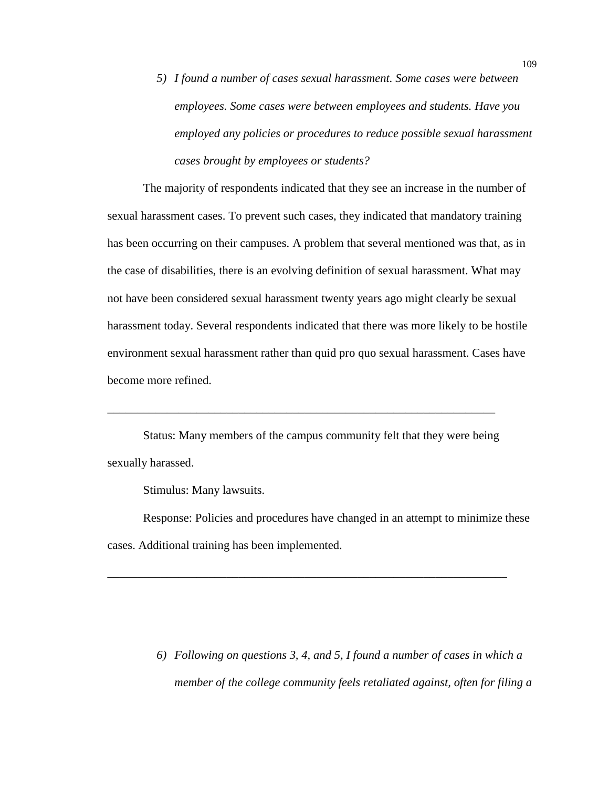*5) I found a number of cases sexual harassment. Some cases were between employees. Some cases were between employees and students. Have you employed any policies or procedures to reduce possible sexual harassment cases brought by employees or students?* 

The majority of respondents indicated that they see an increase in the number of sexual harassment cases. To prevent such cases, they indicated that mandatory training has been occurring on their campuses. A problem that several mentioned was that, as in the case of disabilities, there is an evolving definition of sexual harassment. What may not have been considered sexual harassment twenty years ago might clearly be sexual harassment today. Several respondents indicated that there was more likely to be hostile environment sexual harassment rather than quid pro quo sexual harassment. Cases have become more refined.

Status: Many members of the campus community felt that they were being sexually harassed.

\_\_\_\_\_\_\_\_\_\_\_\_\_\_\_\_\_\_\_\_\_\_\_\_\_\_\_\_\_\_\_\_\_\_\_\_\_\_\_\_\_\_\_\_\_\_\_\_\_\_\_\_\_\_\_\_\_\_\_\_\_\_\_\_\_

Stimulus: Many lawsuits.

Response: Policies and procedures have changed in an attempt to minimize these cases. Additional training has been implemented.

\_\_\_\_\_\_\_\_\_\_\_\_\_\_\_\_\_\_\_\_\_\_\_\_\_\_\_\_\_\_\_\_\_\_\_\_\_\_\_\_\_\_\_\_\_\_\_\_\_\_\_\_\_\_\_\_\_\_\_\_\_\_\_\_\_\_\_

*6) Following on questions 3, 4, and 5, I found a number of cases in which a member of the college community feels retaliated against, often for filing a*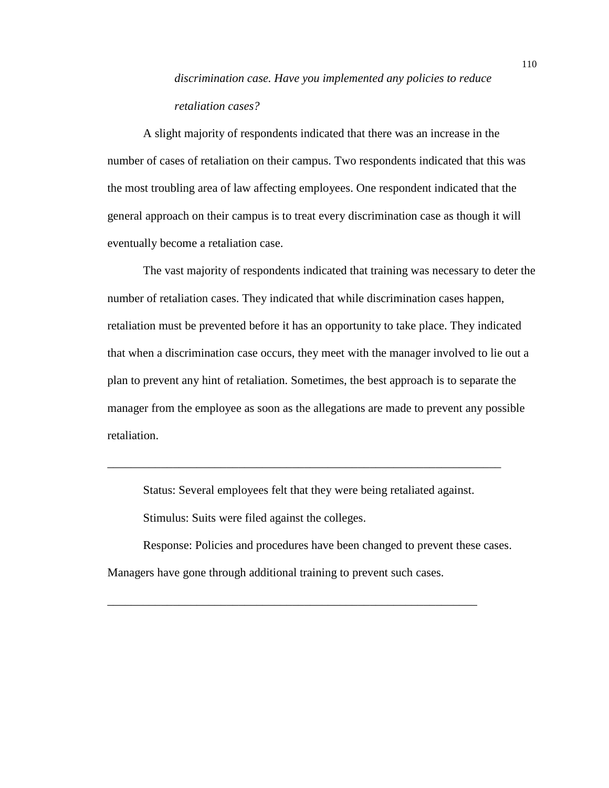# *discrimination case. Have you implemented any policies to reduce retaliation cases?*

A slight majority of respondents indicated that there was an increase in the number of cases of retaliation on their campus. Two respondents indicated that this was the most troubling area of law affecting employees. One respondent indicated that the general approach on their campus is to treat every discrimination case as though it will eventually become a retaliation case.

The vast majority of respondents indicated that training was necessary to deter the number of retaliation cases. They indicated that while discrimination cases happen, retaliation must be prevented before it has an opportunity to take place. They indicated that when a discrimination case occurs, they meet with the manager involved to lie out a plan to prevent any hint of retaliation. Sometimes, the best approach is to separate the manager from the employee as soon as the allegations are made to prevent any possible retaliation.

Status: Several employees felt that they were being retaliated against.

\_\_\_\_\_\_\_\_\_\_\_\_\_\_\_\_\_\_\_\_\_\_\_\_\_\_\_\_\_\_\_\_\_\_\_\_\_\_\_\_\_\_\_\_\_\_\_\_\_\_\_\_\_\_\_\_\_\_\_\_\_\_\_\_\_\_

Stimulus: Suits were filed against the colleges.

Response: Policies and procedures have been changed to prevent these cases. Managers have gone through additional training to prevent such cases.

\_\_\_\_\_\_\_\_\_\_\_\_\_\_\_\_\_\_\_\_\_\_\_\_\_\_\_\_\_\_\_\_\_\_\_\_\_\_\_\_\_\_\_\_\_\_\_\_\_\_\_\_\_\_\_\_\_\_\_\_\_\_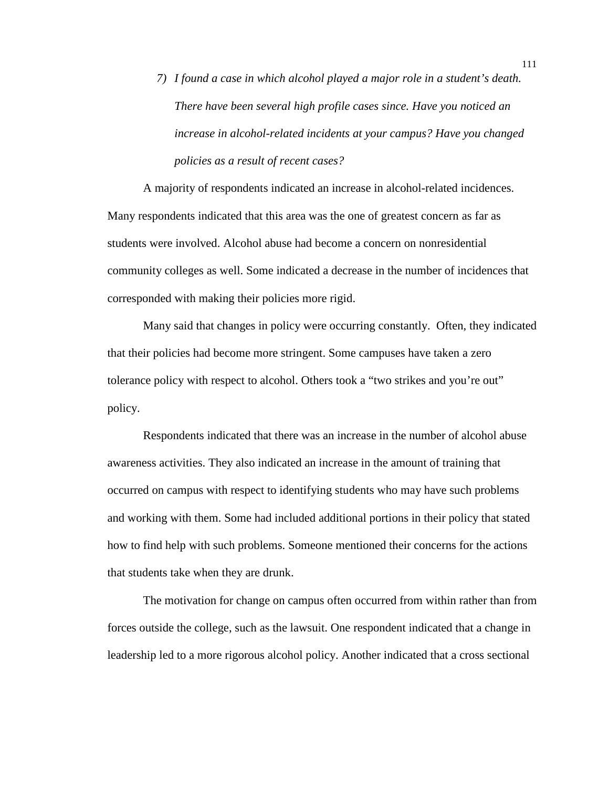*7) I found a case in which alcohol played a major role in a student's death. There have been several high profile cases since. Have you noticed an increase in alcohol-related incidents at your campus? Have you changed policies as a result of recent cases?* 

A majority of respondents indicated an increase in alcohol-related incidences. Many respondents indicated that this area was the one of greatest concern as far as students were involved. Alcohol abuse had become a concern on nonresidential community colleges as well. Some indicated a decrease in the number of incidences that corresponded with making their policies more rigid.

Many said that changes in policy were occurring constantly. Often, they indicated that their policies had become more stringent. Some campuses have taken a zero tolerance policy with respect to alcohol. Others took a "two strikes and you're out" policy.

Respondents indicated that there was an increase in the number of alcohol abuse awareness activities. They also indicated an increase in the amount of training that occurred on campus with respect to identifying students who may have such problems and working with them. Some had included additional portions in their policy that stated how to find help with such problems. Someone mentioned their concerns for the actions that students take when they are drunk.

The motivation for change on campus often occurred from within rather than from forces outside the college, such as the lawsuit. One respondent indicated that a change in leadership led to a more rigorous alcohol policy. Another indicated that a cross sectional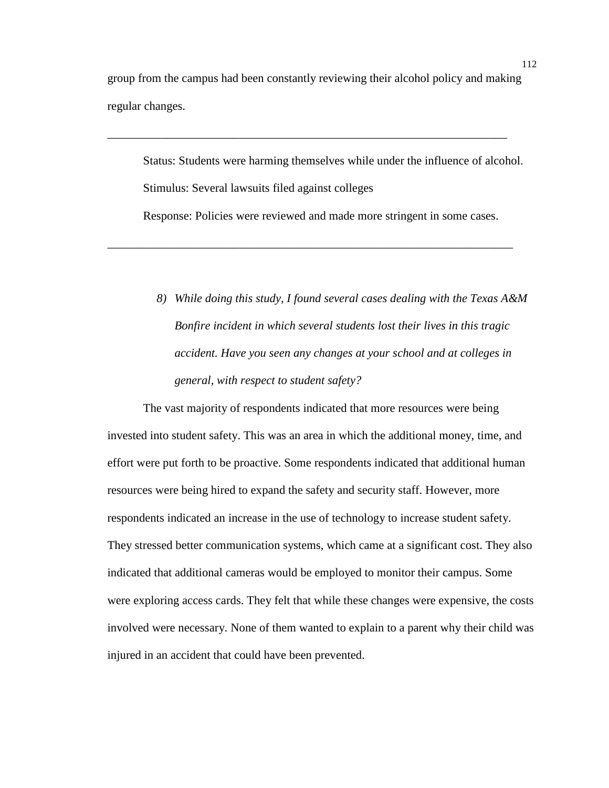group from the campus had been constantly reviewing their alcohol policy and making regular changes.

\_\_\_\_\_\_\_\_\_\_\_\_\_\_\_\_\_\_\_\_\_\_\_\_\_\_\_\_\_\_\_\_\_\_\_\_\_\_\_\_\_\_\_\_\_\_\_\_\_\_\_\_\_\_\_\_\_\_\_\_\_\_\_\_\_\_\_

\_\_\_\_\_\_\_\_\_\_\_\_\_\_\_\_\_\_\_\_\_\_\_\_\_\_\_\_\_\_\_\_\_\_\_\_\_\_\_\_\_\_\_\_\_\_\_\_\_\_\_\_\_\_\_\_\_\_\_\_\_\_\_\_\_\_\_\_

Status: Students were harming themselves while under the influence of alcohol. Stimulus: Several lawsuits filed against colleges Response: Policies were reviewed and made more stringent in some cases.

*8) While doing this study, I found several cases dealing with the Texas A&M Bonfire incident in which several students lost their lives in this tragic accident. Have you seen any changes at your school and at colleges in general, with respect to student safety?* 

The vast majority of respondents indicated that more resources were being invested into student safety. This was an area in which the additional money, time, and effort were put forth to be proactive. Some respondents indicated that additional human resources were being hired to expand the safety and security staff. However, more respondents indicated an increase in the use of technology to increase student safety. They stressed better communication systems, which came at a significant cost. They also indicated that additional cameras would be employed to monitor their campus. Some were exploring access cards. They felt that while these changes were expensive, the costs involved were necessary. None of them wanted to explain to a parent why their child was injured in an accident that could have been prevented.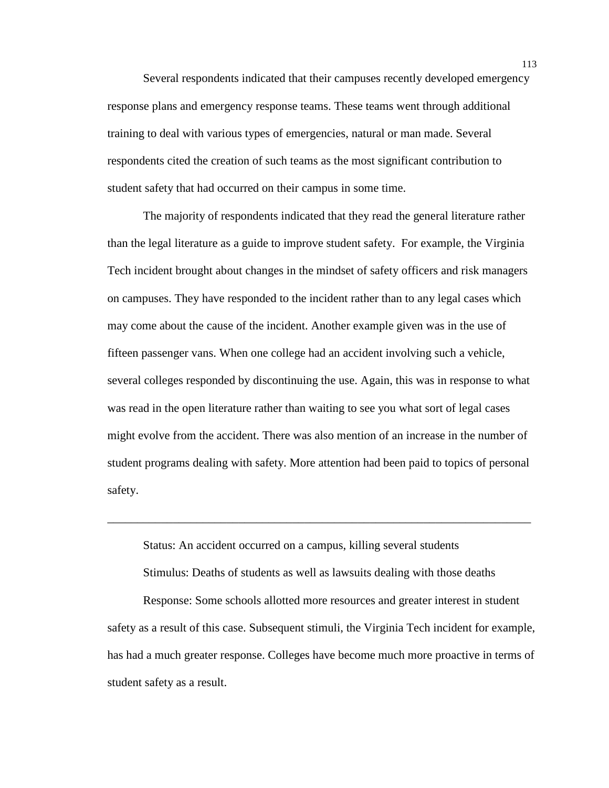Several respondents indicated that their campuses recently developed emergency response plans and emergency response teams. These teams went through additional training to deal with various types of emergencies, natural or man made. Several respondents cited the creation of such teams as the most significant contribution to student safety that had occurred on their campus in some time.

The majority of respondents indicated that they read the general literature rather than the legal literature as a guide to improve student safety. For example, the Virginia Tech incident brought about changes in the mindset of safety officers and risk managers on campuses. They have responded to the incident rather than to any legal cases which may come about the cause of the incident. Another example given was in the use of fifteen passenger vans. When one college had an accident involving such a vehicle, several colleges responded by discontinuing the use. Again, this was in response to what was read in the open literature rather than waiting to see you what sort of legal cases might evolve from the accident. There was also mention of an increase in the number of student programs dealing with safety. More attention had been paid to topics of personal safety.

Status: An accident occurred on a campus, killing several students

Stimulus: Deaths of students as well as lawsuits dealing with those deaths

\_\_\_\_\_\_\_\_\_\_\_\_\_\_\_\_\_\_\_\_\_\_\_\_\_\_\_\_\_\_\_\_\_\_\_\_\_\_\_\_\_\_\_\_\_\_\_\_\_\_\_\_\_\_\_\_\_\_\_\_\_\_\_\_\_\_\_\_\_\_\_

Response: Some schools allotted more resources and greater interest in student safety as a result of this case. Subsequent stimuli, the Virginia Tech incident for example, has had a much greater response. Colleges have become much more proactive in terms of student safety as a result.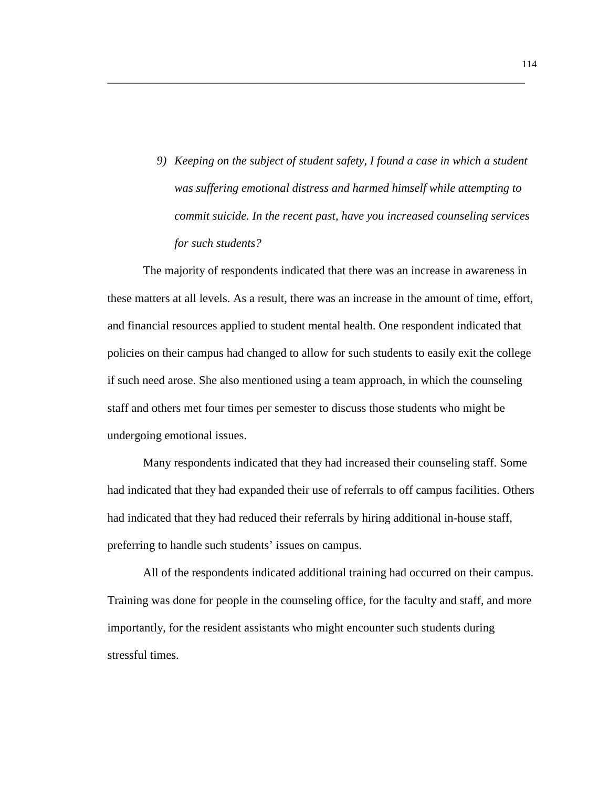*9) Keeping on the subject of student safety, I found a case in which a student was suffering emotional distress and harmed himself while attempting to commit suicide. In the recent past, have you increased counseling services for such students?* 

\_\_\_\_\_\_\_\_\_\_\_\_\_\_\_\_\_\_\_\_\_\_\_\_\_\_\_\_\_\_\_\_\_\_\_\_\_\_\_\_\_\_\_\_\_\_\_\_\_\_\_\_\_\_\_\_\_\_\_\_\_\_\_\_\_\_\_\_\_\_

The majority of respondents indicated that there was an increase in awareness in these matters at all levels. As a result, there was an increase in the amount of time, effort, and financial resources applied to student mental health. One respondent indicated that policies on their campus had changed to allow for such students to easily exit the college if such need arose. She also mentioned using a team approach, in which the counseling staff and others met four times per semester to discuss those students who might be undergoing emotional issues.

Many respondents indicated that they had increased their counseling staff. Some had indicated that they had expanded their use of referrals to off campus facilities. Others had indicated that they had reduced their referrals by hiring additional in-house staff, preferring to handle such students' issues on campus.

All of the respondents indicated additional training had occurred on their campus. Training was done for people in the counseling office, for the faculty and staff, and more importantly, for the resident assistants who might encounter such students during stressful times.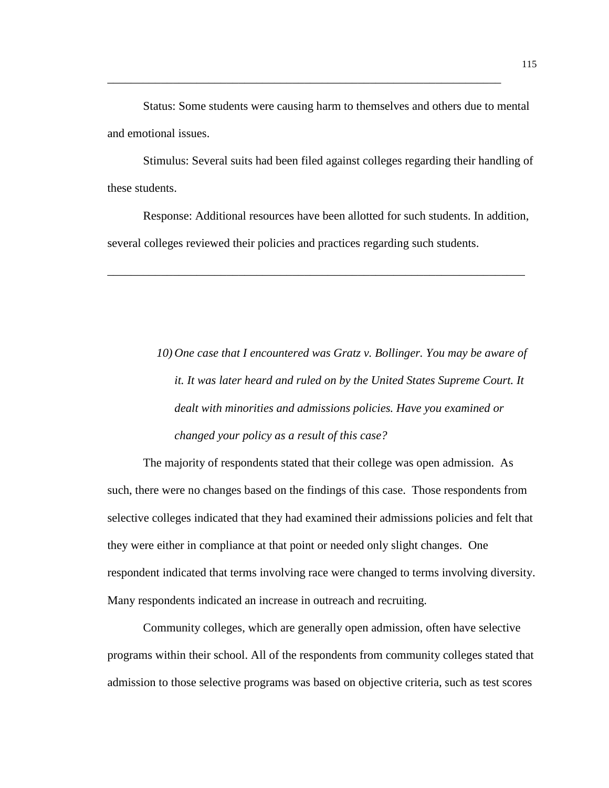Status: Some students were causing harm to themselves and others due to mental and emotional issues.

\_\_\_\_\_\_\_\_\_\_\_\_\_\_\_\_\_\_\_\_\_\_\_\_\_\_\_\_\_\_\_\_\_\_\_\_\_\_\_\_\_\_\_\_\_\_\_\_\_\_\_\_\_\_\_\_\_\_\_\_\_\_\_\_\_\_

Stimulus: Several suits had been filed against colleges regarding their handling of these students.

Response: Additional resources have been allotted for such students. In addition, several colleges reviewed their policies and practices regarding such students.

\_\_\_\_\_\_\_\_\_\_\_\_\_\_\_\_\_\_\_\_\_\_\_\_\_\_\_\_\_\_\_\_\_\_\_\_\_\_\_\_\_\_\_\_\_\_\_\_\_\_\_\_\_\_\_\_\_\_\_\_\_\_\_\_\_\_\_\_\_\_

*10) One case that I encountered was Gratz v. Bollinger. You may be aware of it. It was later heard and ruled on by the United States Supreme Court. It dealt with minorities and admissions policies. Have you examined or changed your policy as a result of this case?* 

The majority of respondents stated that their college was open admission. As such, there were no changes based on the findings of this case. Those respondents from selective colleges indicated that they had examined their admissions policies and felt that they were either in compliance at that point or needed only slight changes. One respondent indicated that terms involving race were changed to terms involving diversity. Many respondents indicated an increase in outreach and recruiting.

Community colleges, which are generally open admission, often have selective programs within their school. All of the respondents from community colleges stated that admission to those selective programs was based on objective criteria, such as test scores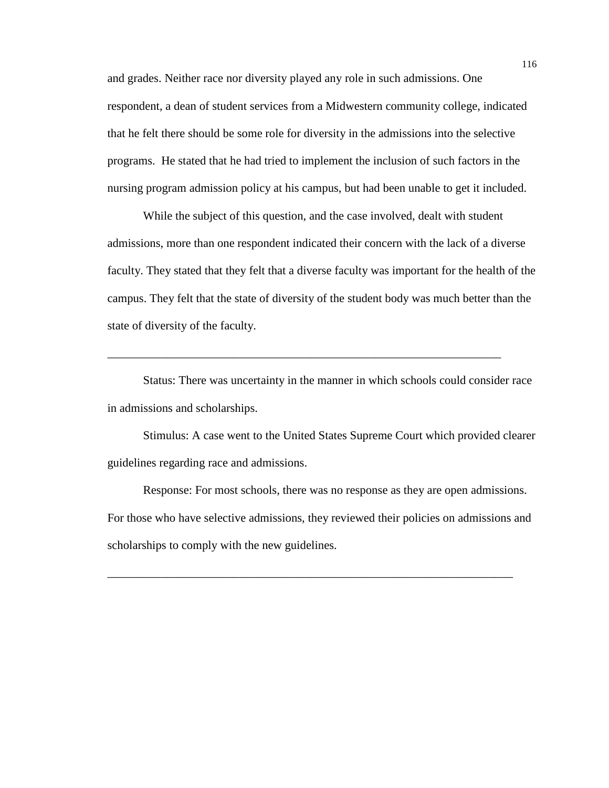and grades. Neither race nor diversity played any role in such admissions. One respondent, a dean of student services from a Midwestern community college, indicated that he felt there should be some role for diversity in the admissions into the selective programs. He stated that he had tried to implement the inclusion of such factors in the nursing program admission policy at his campus, but had been unable to get it included.

While the subject of this question, and the case involved, dealt with student admissions, more than one respondent indicated their concern with the lack of a diverse faculty. They stated that they felt that a diverse faculty was important for the health of the campus. They felt that the state of diversity of the student body was much better than the state of diversity of the faculty.

Status: There was uncertainty in the manner in which schools could consider race in admissions and scholarships.

\_\_\_\_\_\_\_\_\_\_\_\_\_\_\_\_\_\_\_\_\_\_\_\_\_\_\_\_\_\_\_\_\_\_\_\_\_\_\_\_\_\_\_\_\_\_\_\_\_\_\_\_\_\_\_\_\_\_\_\_\_\_\_\_\_\_

Stimulus: A case went to the United States Supreme Court which provided clearer guidelines regarding race and admissions.

Response: For most schools, there was no response as they are open admissions. For those who have selective admissions, they reviewed their policies on admissions and scholarships to comply with the new guidelines.

\_\_\_\_\_\_\_\_\_\_\_\_\_\_\_\_\_\_\_\_\_\_\_\_\_\_\_\_\_\_\_\_\_\_\_\_\_\_\_\_\_\_\_\_\_\_\_\_\_\_\_\_\_\_\_\_\_\_\_\_\_\_\_\_\_\_\_\_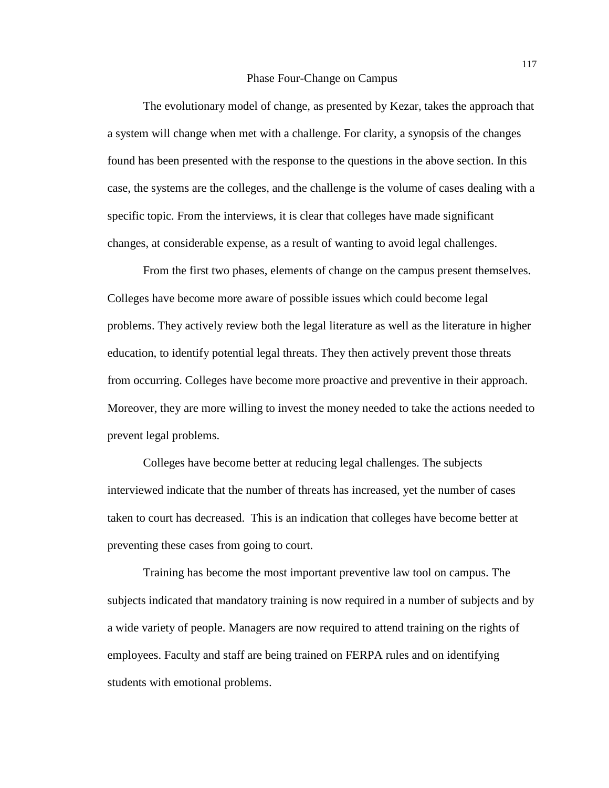#### Phase Four-Change on Campus

 The evolutionary model of change, as presented by Kezar, takes the approach that a system will change when met with a challenge. For clarity, a synopsis of the changes found has been presented with the response to the questions in the above section. In this case, the systems are the colleges, and the challenge is the volume of cases dealing with a specific topic. From the interviews, it is clear that colleges have made significant changes, at considerable expense, as a result of wanting to avoid legal challenges.

From the first two phases, elements of change on the campus present themselves. Colleges have become more aware of possible issues which could become legal problems. They actively review both the legal literature as well as the literature in higher education, to identify potential legal threats. They then actively prevent those threats from occurring. Colleges have become more proactive and preventive in their approach. Moreover, they are more willing to invest the money needed to take the actions needed to prevent legal problems.

Colleges have become better at reducing legal challenges. The subjects interviewed indicate that the number of threats has increased, yet the number of cases taken to court has decreased. This is an indication that colleges have become better at preventing these cases from going to court.

Training has become the most important preventive law tool on campus. The subjects indicated that mandatory training is now required in a number of subjects and by a wide variety of people. Managers are now required to attend training on the rights of employees. Faculty and staff are being trained on FERPA rules and on identifying students with emotional problems.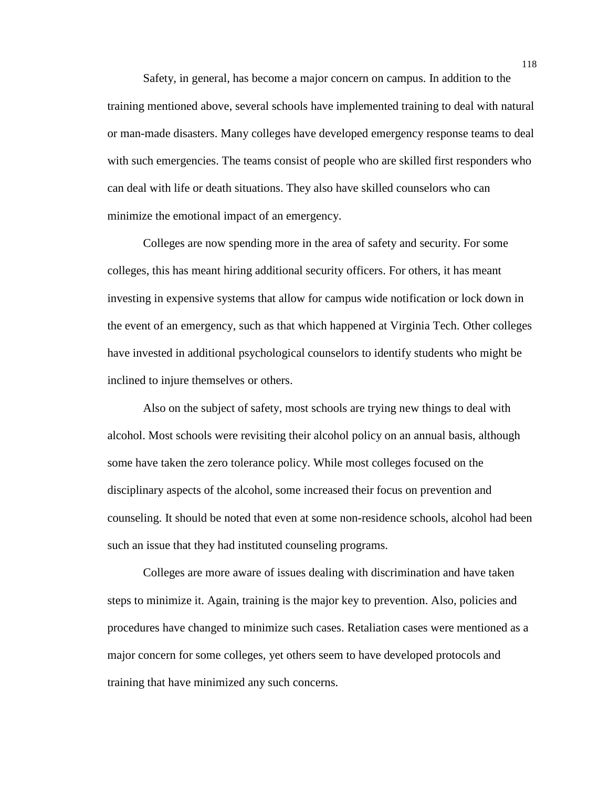Safety, in general, has become a major concern on campus. In addition to the training mentioned above, several schools have implemented training to deal with natural or man-made disasters. Many colleges have developed emergency response teams to deal with such emergencies. The teams consist of people who are skilled first responders who can deal with life or death situations. They also have skilled counselors who can minimize the emotional impact of an emergency.

Colleges are now spending more in the area of safety and security. For some colleges, this has meant hiring additional security officers. For others, it has meant investing in expensive systems that allow for campus wide notification or lock down in the event of an emergency, such as that which happened at Virginia Tech. Other colleges have invested in additional psychological counselors to identify students who might be inclined to injure themselves or others.

Also on the subject of safety, most schools are trying new things to deal with alcohol. Most schools were revisiting their alcohol policy on an annual basis, although some have taken the zero tolerance policy. While most colleges focused on the disciplinary aspects of the alcohol, some increased their focus on prevention and counseling. It should be noted that even at some non-residence schools, alcohol had been such an issue that they had instituted counseling programs.

Colleges are more aware of issues dealing with discrimination and have taken steps to minimize it. Again, training is the major key to prevention. Also, policies and procedures have changed to minimize such cases. Retaliation cases were mentioned as a major concern for some colleges, yet others seem to have developed protocols and training that have minimized any such concerns.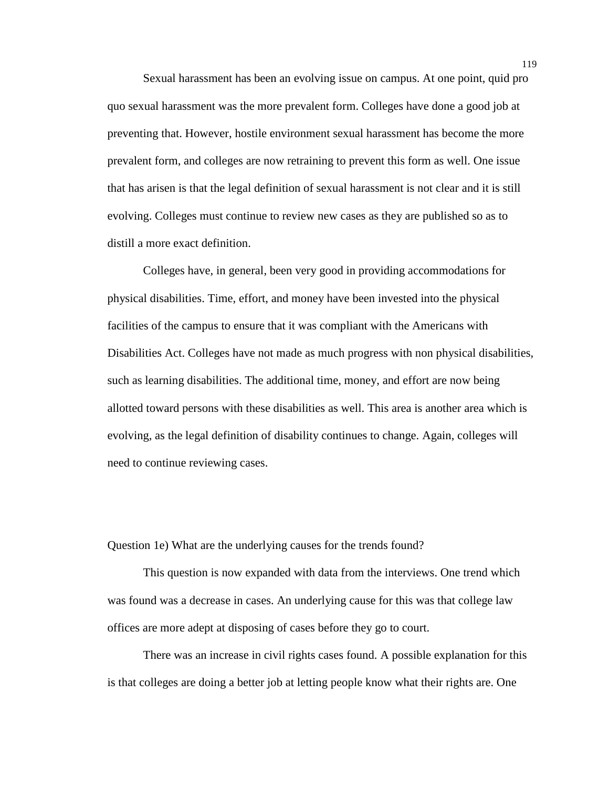Sexual harassment has been an evolving issue on campus. At one point, quid pro quo sexual harassment was the more prevalent form. Colleges have done a good job at preventing that. However, hostile environment sexual harassment has become the more prevalent form, and colleges are now retraining to prevent this form as well. One issue that has arisen is that the legal definition of sexual harassment is not clear and it is still evolving. Colleges must continue to review new cases as they are published so as to distill a more exact definition.

Colleges have, in general, been very good in providing accommodations for physical disabilities. Time, effort, and money have been invested into the physical facilities of the campus to ensure that it was compliant with the Americans with Disabilities Act. Colleges have not made as much progress with non physical disabilities, such as learning disabilities. The additional time, money, and effort are now being allotted toward persons with these disabilities as well. This area is another area which is evolving, as the legal definition of disability continues to change. Again, colleges will need to continue reviewing cases.

Question 1e) What are the underlying causes for the trends found?

This question is now expanded with data from the interviews. One trend which was found was a decrease in cases. An underlying cause for this was that college law offices are more adept at disposing of cases before they go to court.

There was an increase in civil rights cases found. A possible explanation for this is that colleges are doing a better job at letting people know what their rights are. One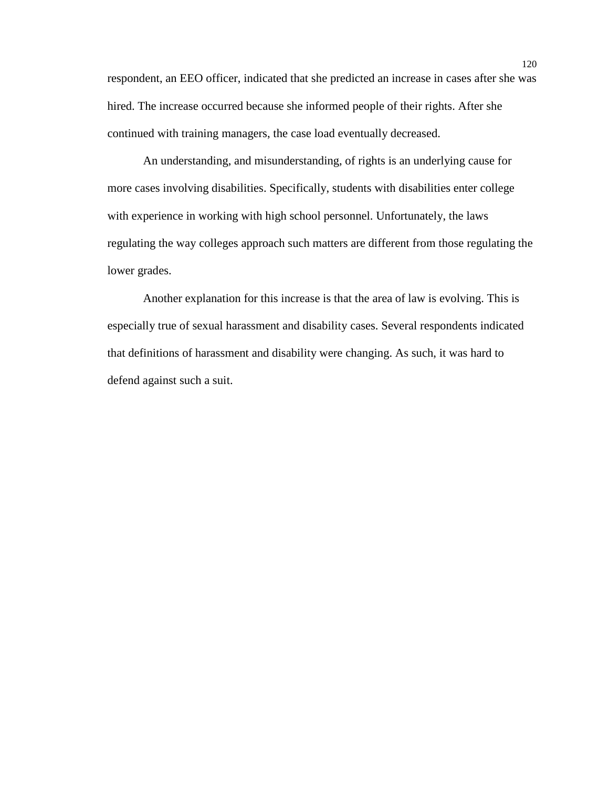respondent, an EEO officer, indicated that she predicted an increase in cases after she was hired. The increase occurred because she informed people of their rights. After she continued with training managers, the case load eventually decreased.

An understanding, and misunderstanding, of rights is an underlying cause for more cases involving disabilities. Specifically, students with disabilities enter college with experience in working with high school personnel. Unfortunately, the laws regulating the way colleges approach such matters are different from those regulating the lower grades.

Another explanation for this increase is that the area of law is evolving. This is especially true of sexual harassment and disability cases. Several respondents indicated that definitions of harassment and disability were changing. As such, it was hard to defend against such a suit.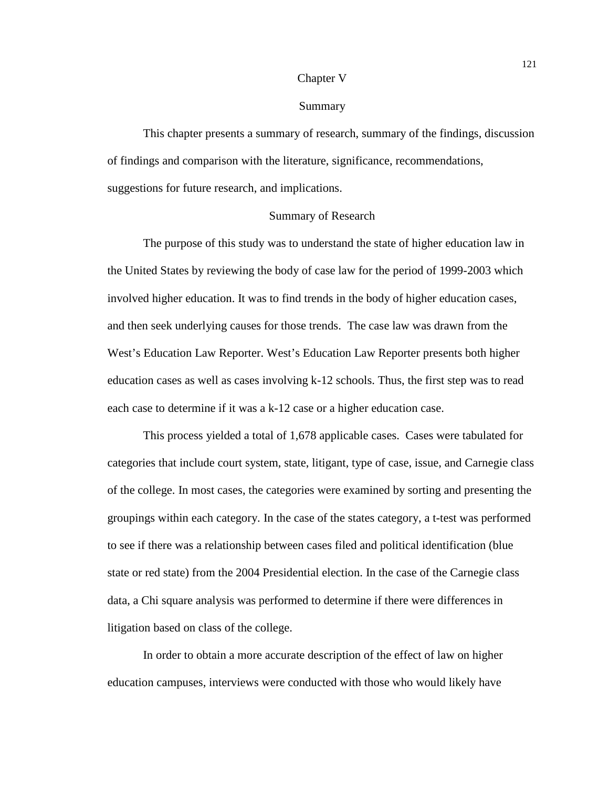#### Chapter V

#### Summary

 This chapter presents a summary of research, summary of the findings, discussion of findings and comparison with the literature, significance, recommendations, suggestions for future research, and implications.

#### Summary of Research

 The purpose of this study was to understand the state of higher education law in the United States by reviewing the body of case law for the period of 1999-2003 which involved higher education. It was to find trends in the body of higher education cases, and then seek underlying causes for those trends. The case law was drawn from the West's Education Law Reporter. West's Education Law Reporter presents both higher education cases as well as cases involving k-12 schools. Thus, the first step was to read each case to determine if it was a k-12 case or a higher education case.

 This process yielded a total of 1,678 applicable cases. Cases were tabulated for categories that include court system, state, litigant, type of case, issue, and Carnegie class of the college. In most cases, the categories were examined by sorting and presenting the groupings within each category. In the case of the states category, a t-test was performed to see if there was a relationship between cases filed and political identification (blue state or red state) from the 2004 Presidential election. In the case of the Carnegie class data, a Chi square analysis was performed to determine if there were differences in litigation based on class of the college.

In order to obtain a more accurate description of the effect of law on higher education campuses, interviews were conducted with those who would likely have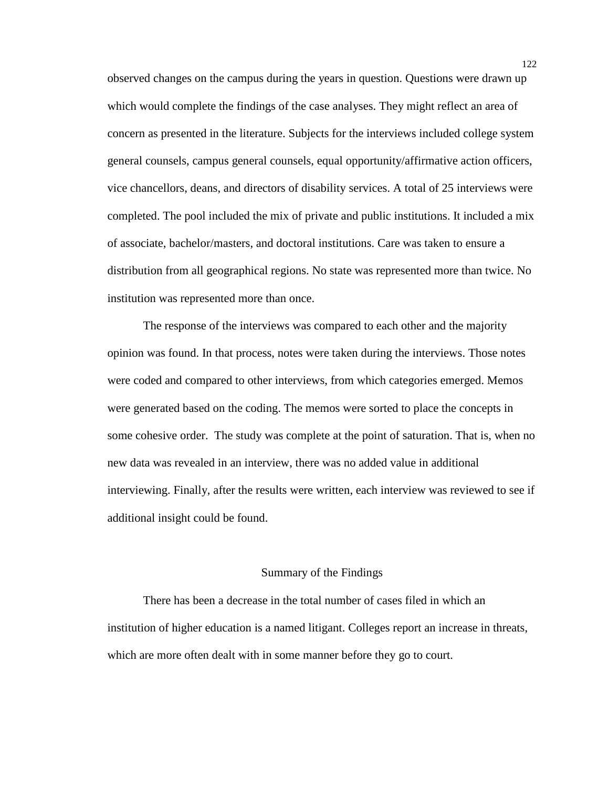observed changes on the campus during the years in question. Questions were drawn up which would complete the findings of the case analyses. They might reflect an area of concern as presented in the literature. Subjects for the interviews included college system general counsels, campus general counsels, equal opportunity/affirmative action officers, vice chancellors, deans, and directors of disability services. A total of 25 interviews were completed. The pool included the mix of private and public institutions. It included a mix of associate, bachelor/masters, and doctoral institutions. Care was taken to ensure a distribution from all geographical regions. No state was represented more than twice. No institution was represented more than once.

The response of the interviews was compared to each other and the majority opinion was found. In that process, notes were taken during the interviews. Those notes were coded and compared to other interviews, from which categories emerged. Memos were generated based on the coding. The memos were sorted to place the concepts in some cohesive order. The study was complete at the point of saturation. That is, when no new data was revealed in an interview, there was no added value in additional interviewing. Finally, after the results were written, each interview was reviewed to see if additional insight could be found.

#### Summary of the Findings

There has been a decrease in the total number of cases filed in which an institution of higher education is a named litigant. Colleges report an increase in threats, which are more often dealt with in some manner before they go to court.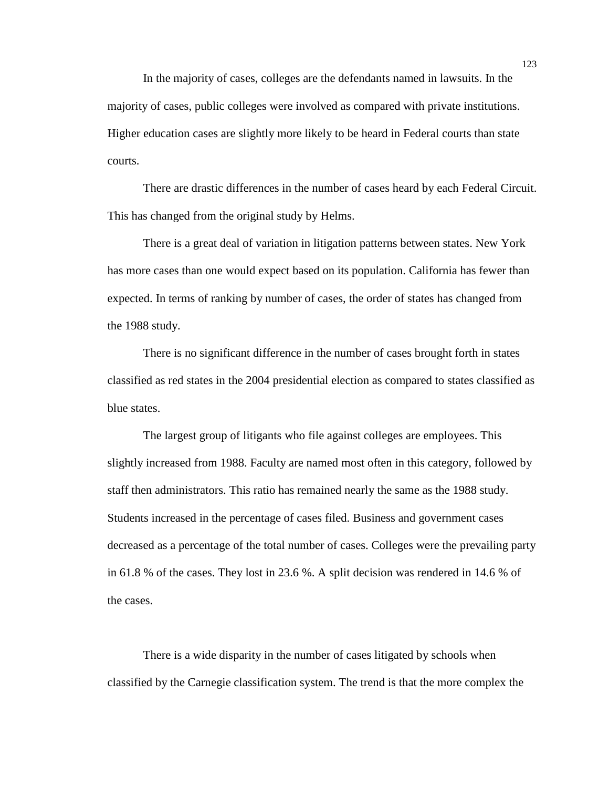In the majority of cases, colleges are the defendants named in lawsuits. In the majority of cases, public colleges were involved as compared with private institutions. Higher education cases are slightly more likely to be heard in Federal courts than state courts.

There are drastic differences in the number of cases heard by each Federal Circuit. This has changed from the original study by Helms.

There is a great deal of variation in litigation patterns between states. New York has more cases than one would expect based on its population. California has fewer than expected. In terms of ranking by number of cases, the order of states has changed from the 1988 study.

There is no significant difference in the number of cases brought forth in states classified as red states in the 2004 presidential election as compared to states classified as blue states.

The largest group of litigants who file against colleges are employees. This slightly increased from 1988. Faculty are named most often in this category, followed by staff then administrators. This ratio has remained nearly the same as the 1988 study. Students increased in the percentage of cases filed. Business and government cases decreased as a percentage of the total number of cases. Colleges were the prevailing party in 61.8 % of the cases. They lost in 23.6 %. A split decision was rendered in 14.6 % of the cases.

There is a wide disparity in the number of cases litigated by schools when classified by the Carnegie classification system. The trend is that the more complex the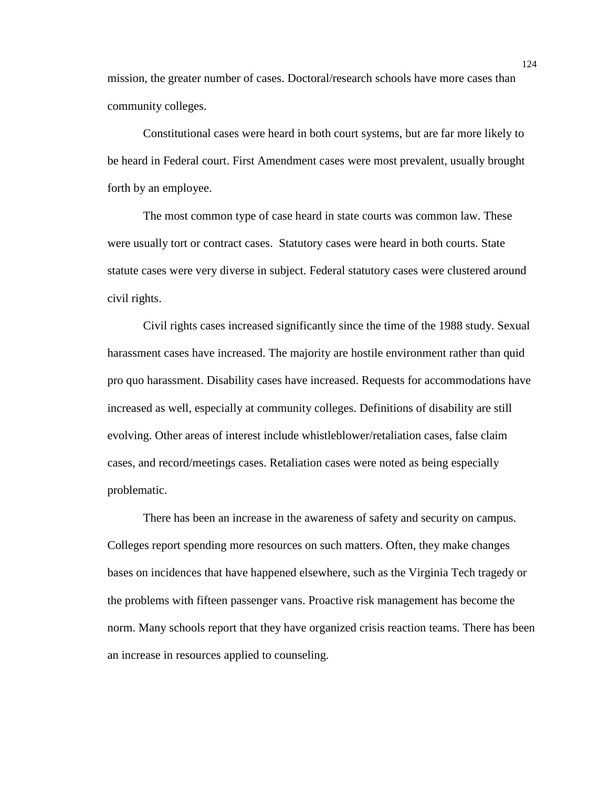mission, the greater number of cases. Doctoral/research schools have more cases than community colleges.

Constitutional cases were heard in both court systems, but are far more likely to be heard in Federal court. First Amendment cases were most prevalent, usually brought forth by an employee.

The most common type of case heard in state courts was common law. These were usually tort or contract cases. Statutory cases were heard in both courts. State statute cases were very diverse in subject. Federal statutory cases were clustered around civil rights.

Civil rights cases increased significantly since the time of the 1988 study. Sexual harassment cases have increased. The majority are hostile environment rather than quid pro quo harassment. Disability cases have increased. Requests for accommodations have increased as well, especially at community colleges. Definitions of disability are still evolving. Other areas of interest include whistleblower/retaliation cases, false claim cases, and record/meetings cases. Retaliation cases were noted as being especially problematic.

There has been an increase in the awareness of safety and security on campus. Colleges report spending more resources on such matters. Often, they make changes bases on incidences that have happened elsewhere, such as the Virginia Tech tragedy or the problems with fifteen passenger vans. Proactive risk management has become the norm. Many schools report that they have organized crisis reaction teams. There has been an increase in resources applied to counseling.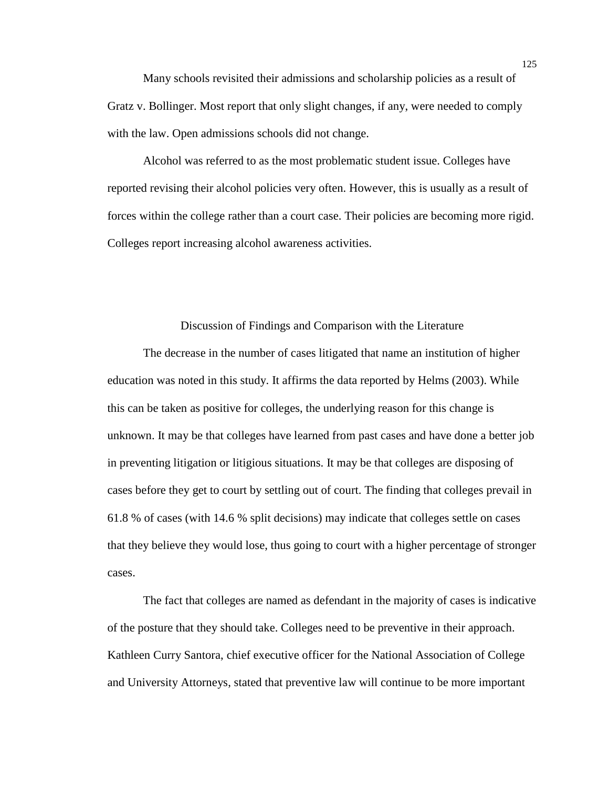Many schools revisited their admissions and scholarship policies as a result of Gratz v. Bollinger. Most report that only slight changes, if any, were needed to comply with the law. Open admissions schools did not change.

Alcohol was referred to as the most problematic student issue. Colleges have reported revising their alcohol policies very often. However, this is usually as a result of forces within the college rather than a court case. Their policies are becoming more rigid. Colleges report increasing alcohol awareness activities.

#### Discussion of Findings and Comparison with the Literature

 The decrease in the number of cases litigated that name an institution of higher education was noted in this study. It affirms the data reported by Helms (2003). While this can be taken as positive for colleges, the underlying reason for this change is unknown. It may be that colleges have learned from past cases and have done a better job in preventing litigation or litigious situations. It may be that colleges are disposing of cases before they get to court by settling out of court. The finding that colleges prevail in 61.8 % of cases (with 14.6 % split decisions) may indicate that colleges settle on cases that they believe they would lose, thus going to court with a higher percentage of stronger cases.

 The fact that colleges are named as defendant in the majority of cases is indicative of the posture that they should take. Colleges need to be preventive in their approach. Kathleen Curry Santora, chief executive officer for the National Association of College and University Attorneys, stated that preventive law will continue to be more important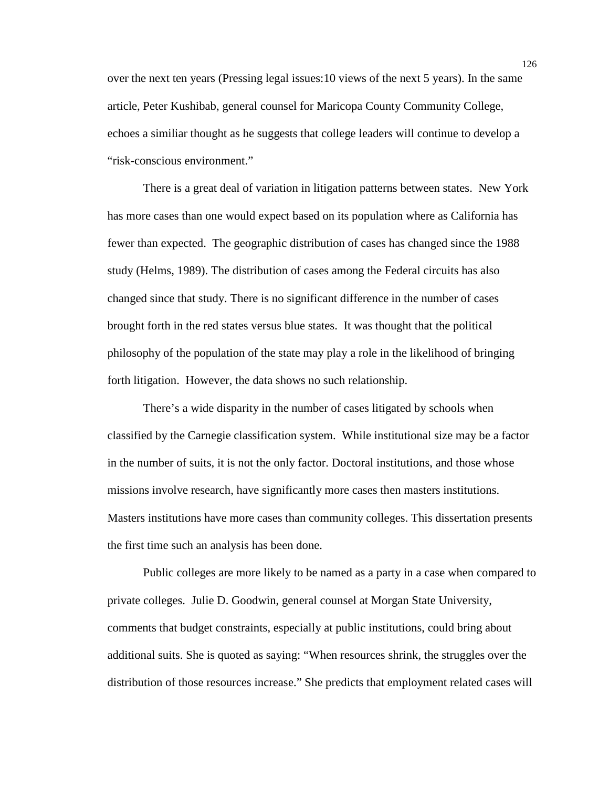over the next ten years (Pressing legal issues:10 views of the next 5 years). In the same article, Peter Kushibab, general counsel for Maricopa County Community College, echoes a similiar thought as he suggests that college leaders will continue to develop a "risk-conscious environment."

 There is a great deal of variation in litigation patterns between states. New York has more cases than one would expect based on its population where as California has fewer than expected. The geographic distribution of cases has changed since the 1988 study (Helms, 1989). The distribution of cases among the Federal circuits has also changed since that study. There is no significant difference in the number of cases brought forth in the red states versus blue states. It was thought that the political philosophy of the population of the state may play a role in the likelihood of bringing forth litigation. However, the data shows no such relationship.

 There's a wide disparity in the number of cases litigated by schools when classified by the Carnegie classification system. While institutional size may be a factor in the number of suits, it is not the only factor. Doctoral institutions, and those whose missions involve research, have significantly more cases then masters institutions. Masters institutions have more cases than community colleges. This dissertation presents the first time such an analysis has been done.

Public colleges are more likely to be named as a party in a case when compared to private colleges. Julie D. Goodwin, general counsel at Morgan State University, comments that budget constraints, especially at public institutions, could bring about additional suits. She is quoted as saying: "When resources shrink, the struggles over the distribution of those resources increase." She predicts that employment related cases will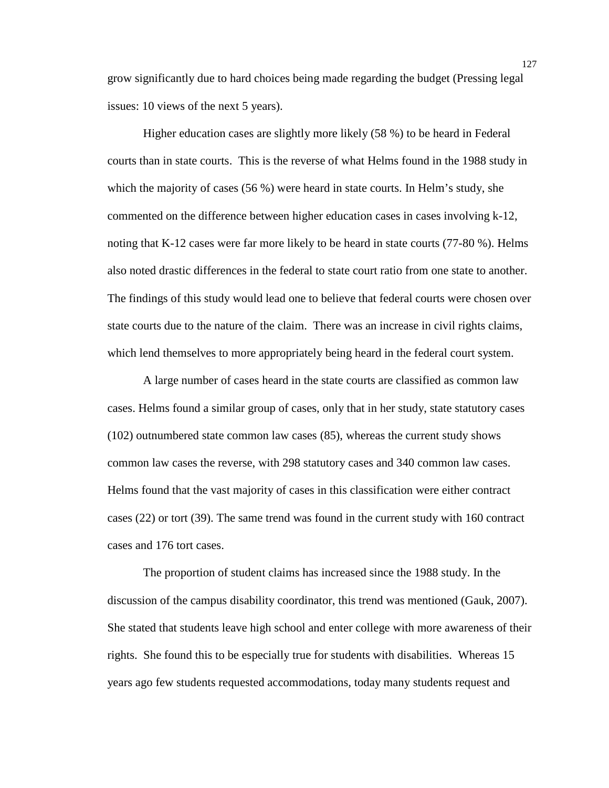grow significantly due to hard choices being made regarding the budget (Pressing legal issues: 10 views of the next 5 years).

 Higher education cases are slightly more likely (58 %) to be heard in Federal courts than in state courts. This is the reverse of what Helms found in the 1988 study in which the majority of cases (56 %) were heard in state courts. In Helm's study, she commented on the difference between higher education cases in cases involving k-12, noting that K-12 cases were far more likely to be heard in state courts (77-80 %). Helms also noted drastic differences in the federal to state court ratio from one state to another. The findings of this study would lead one to believe that federal courts were chosen over state courts due to the nature of the claim. There was an increase in civil rights claims, which lend themselves to more appropriately being heard in the federal court system.

A large number of cases heard in the state courts are classified as common law cases. Helms found a similar group of cases, only that in her study, state statutory cases (102) outnumbered state common law cases (85), whereas the current study shows common law cases the reverse, with 298 statutory cases and 340 common law cases. Helms found that the vast majority of cases in this classification were either contract cases (22) or tort (39). The same trend was found in the current study with 160 contract cases and 176 tort cases.

 The proportion of student claims has increased since the 1988 study. In the discussion of the campus disability coordinator, this trend was mentioned (Gauk, 2007). She stated that students leave high school and enter college with more awareness of their rights. She found this to be especially true for students with disabilities. Whereas 15 years ago few students requested accommodations, today many students request and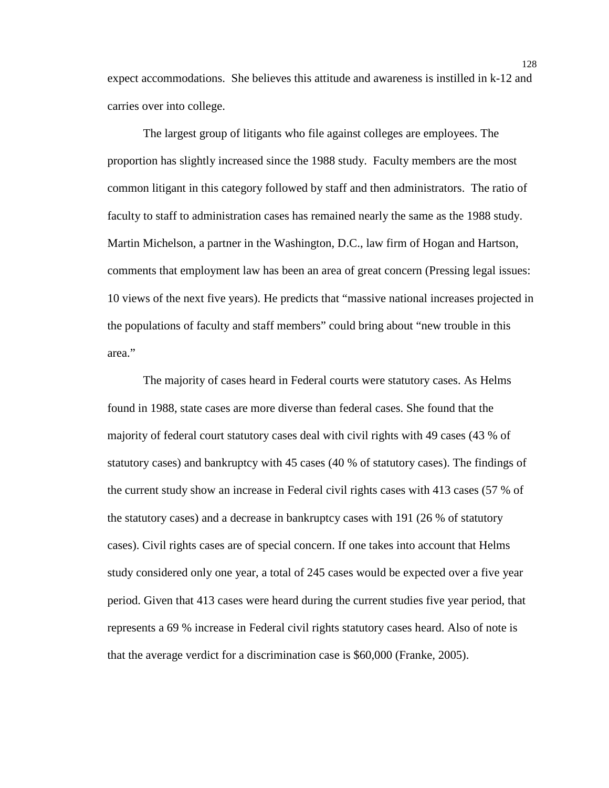expect accommodations. She believes this attitude and awareness is instilled in k-12 and carries over into college.

 The largest group of litigants who file against colleges are employees. The proportion has slightly increased since the 1988 study. Faculty members are the most common litigant in this category followed by staff and then administrators. The ratio of faculty to staff to administration cases has remained nearly the same as the 1988 study. Martin Michelson, a partner in the Washington, D.C., law firm of Hogan and Hartson, comments that employment law has been an area of great concern (Pressing legal issues: 10 views of the next five years). He predicts that "massive national increases projected in the populations of faculty and staff members" could bring about "new trouble in this area."

The majority of cases heard in Federal courts were statutory cases. As Helms found in 1988, state cases are more diverse than federal cases. She found that the majority of federal court statutory cases deal with civil rights with 49 cases (43 % of statutory cases) and bankruptcy with 45 cases (40 % of statutory cases). The findings of the current study show an increase in Federal civil rights cases with 413 cases (57 % of the statutory cases) and a decrease in bankruptcy cases with 191 (26 % of statutory cases). Civil rights cases are of special concern. If one takes into account that Helms study considered only one year, a total of 245 cases would be expected over a five year period. Given that 413 cases were heard during the current studies five year period, that represents a 69 % increase in Federal civil rights statutory cases heard. Also of note is that the average verdict for a discrimination case is \$60,000 (Franke, 2005).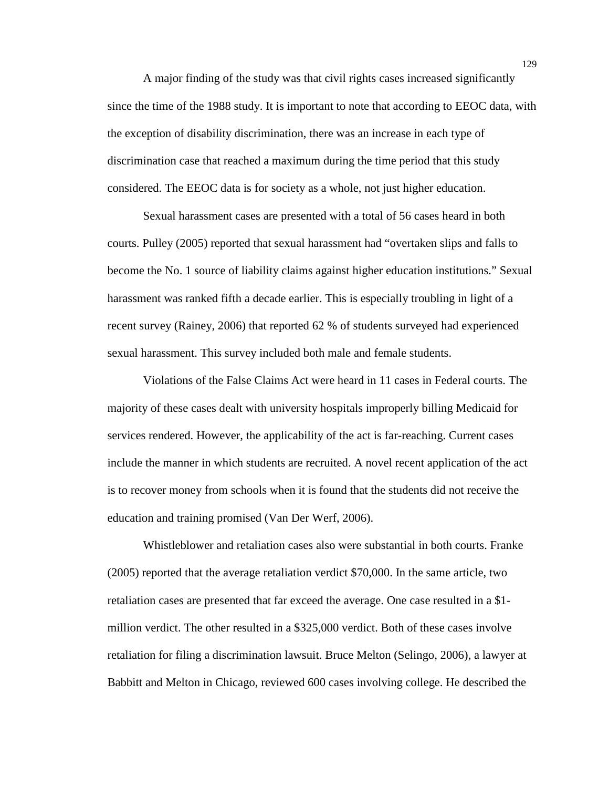A major finding of the study was that civil rights cases increased significantly since the time of the 1988 study. It is important to note that according to EEOC data, with the exception of disability discrimination, there was an increase in each type of discrimination case that reached a maximum during the time period that this study considered. The EEOC data is for society as a whole, not just higher education.

Sexual harassment cases are presented with a total of 56 cases heard in both courts. Pulley (2005) reported that sexual harassment had "overtaken slips and falls to become the No. 1 source of liability claims against higher education institutions." Sexual harassment was ranked fifth a decade earlier. This is especially troubling in light of a recent survey (Rainey, 2006) that reported 62 % of students surveyed had experienced sexual harassment. This survey included both male and female students.

 Violations of the False Claims Act were heard in 11 cases in Federal courts. The majority of these cases dealt with university hospitals improperly billing Medicaid for services rendered. However, the applicability of the act is far-reaching. Current cases include the manner in which students are recruited. A novel recent application of the act is to recover money from schools when it is found that the students did not receive the education and training promised (Van Der Werf, 2006).

 Whistleblower and retaliation cases also were substantial in both courts. Franke (2005) reported that the average retaliation verdict \$70,000. In the same article, two retaliation cases are presented that far exceed the average. One case resulted in a \$1 million verdict. The other resulted in a \$325,000 verdict. Both of these cases involve retaliation for filing a discrimination lawsuit. Bruce Melton (Selingo, 2006), a lawyer at Babbitt and Melton in Chicago, reviewed 600 cases involving college. He described the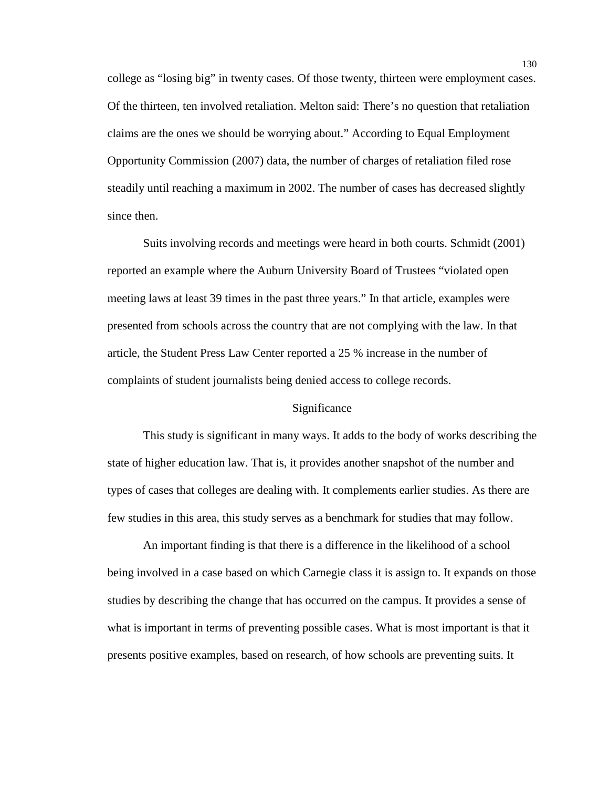college as "losing big" in twenty cases. Of those twenty, thirteen were employment cases. Of the thirteen, ten involved retaliation. Melton said: There's no question that retaliation claims are the ones we should be worrying about." According to Equal Employment Opportunity Commission (2007) data, the number of charges of retaliation filed rose steadily until reaching a maximum in 2002. The number of cases has decreased slightly since then.

 Suits involving records and meetings were heard in both courts. Schmidt (2001) reported an example where the Auburn University Board of Trustees "violated open meeting laws at least 39 times in the past three years." In that article, examples were presented from schools across the country that are not complying with the law. In that article, the Student Press Law Center reported a 25 % increase in the number of complaints of student journalists being denied access to college records.

#### Significance

 This study is significant in many ways. It adds to the body of works describing the state of higher education law. That is, it provides another snapshot of the number and types of cases that colleges are dealing with. It complements earlier studies. As there are few studies in this area, this study serves as a benchmark for studies that may follow.

 An important finding is that there is a difference in the likelihood of a school being involved in a case based on which Carnegie class it is assign to. It expands on those studies by describing the change that has occurred on the campus. It provides a sense of what is important in terms of preventing possible cases. What is most important is that it presents positive examples, based on research, of how schools are preventing suits. It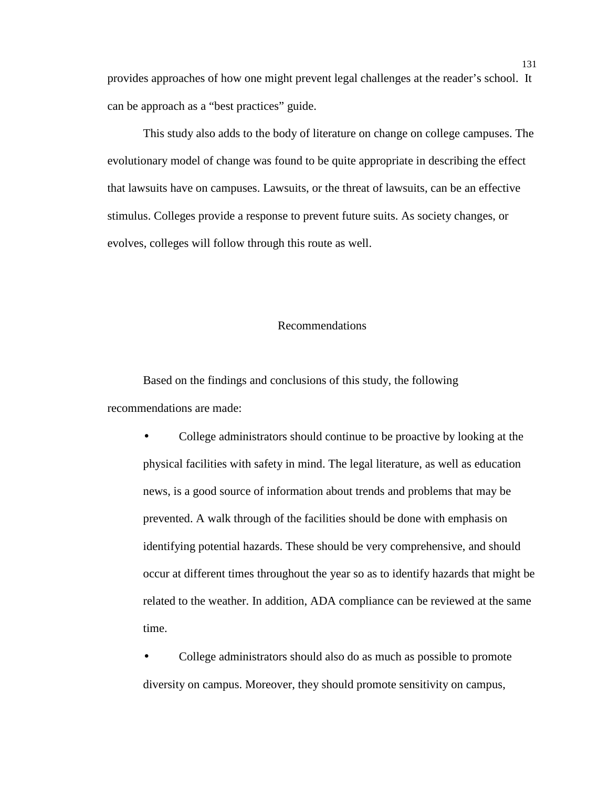provides approaches of how one might prevent legal challenges at the reader's school. It can be approach as a "best practices" guide.

 This study also adds to the body of literature on change on college campuses. The evolutionary model of change was found to be quite appropriate in describing the effect that lawsuits have on campuses. Lawsuits, or the threat of lawsuits, can be an effective stimulus. Colleges provide a response to prevent future suits. As society changes, or evolves, colleges will follow through this route as well.

#### Recommendations

 Based on the findings and conclusions of this study, the following recommendations are made:

• College administrators should continue to be proactive by looking at the physical facilities with safety in mind. The legal literature, as well as education news, is a good source of information about trends and problems that may be prevented. A walk through of the facilities should be done with emphasis on identifying potential hazards. These should be very comprehensive, and should occur at different times throughout the year so as to identify hazards that might be related to the weather. In addition, ADA compliance can be reviewed at the same time.

• College administrators should also do as much as possible to promote diversity on campus. Moreover, they should promote sensitivity on campus,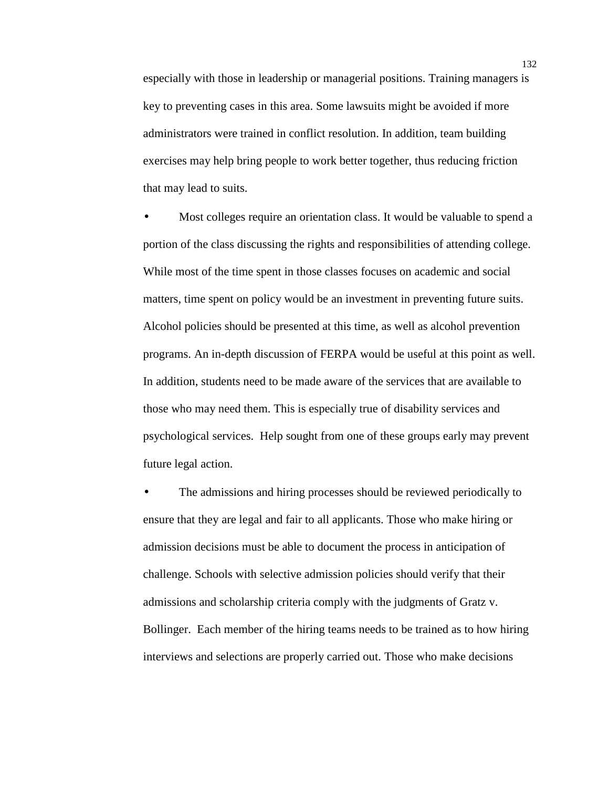especially with those in leadership or managerial positions. Training managers is key to preventing cases in this area. Some lawsuits might be avoided if more administrators were trained in conflict resolution. In addition, team building exercises may help bring people to work better together, thus reducing friction that may lead to suits.

Most colleges require an orientation class. It would be valuable to spend a portion of the class discussing the rights and responsibilities of attending college. While most of the time spent in those classes focuses on academic and social matters, time spent on policy would be an investment in preventing future suits. Alcohol policies should be presented at this time, as well as alcohol prevention programs. An in-depth discussion of FERPA would be useful at this point as well. In addition, students need to be made aware of the services that are available to those who may need them. This is especially true of disability services and psychological services. Help sought from one of these groups early may prevent future legal action.

• The admissions and hiring processes should be reviewed periodically to ensure that they are legal and fair to all applicants. Those who make hiring or admission decisions must be able to document the process in anticipation of challenge. Schools with selective admission policies should verify that their admissions and scholarship criteria comply with the judgments of Gratz v. Bollinger. Each member of the hiring teams needs to be trained as to how hiring interviews and selections are properly carried out. Those who make decisions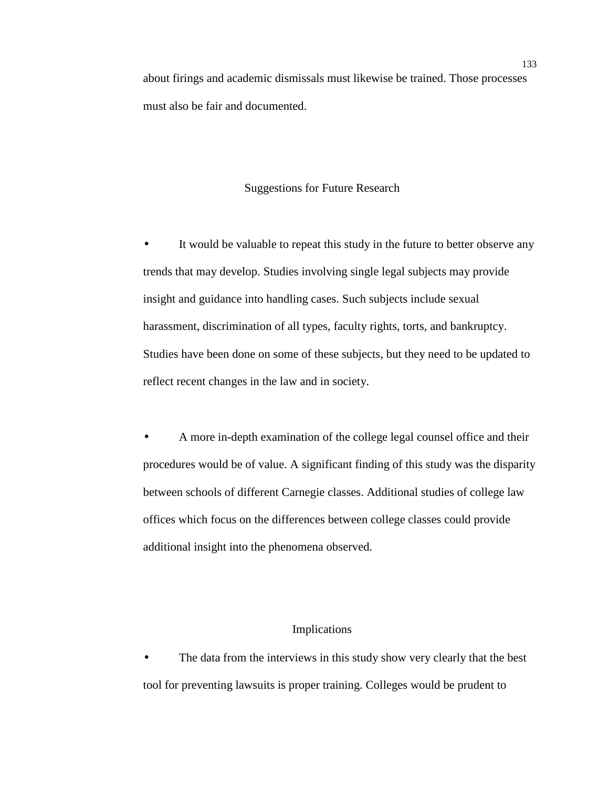about firings and academic dismissals must likewise be trained. Those processes must also be fair and documented.

#### Suggestions for Future Research

It would be valuable to repeat this study in the future to better observe any trends that may develop. Studies involving single legal subjects may provide insight and guidance into handling cases. Such subjects include sexual harassment, discrimination of all types, faculty rights, torts, and bankruptcy. Studies have been done on some of these subjects, but they need to be updated to reflect recent changes in the law and in society.

• A more in-depth examination of the college legal counsel office and their procedures would be of value. A significant finding of this study was the disparity between schools of different Carnegie classes. Additional studies of college law offices which focus on the differences between college classes could provide additional insight into the phenomena observed.

#### Implications

The data from the interviews in this study show very clearly that the best tool for preventing lawsuits is proper training. Colleges would be prudent to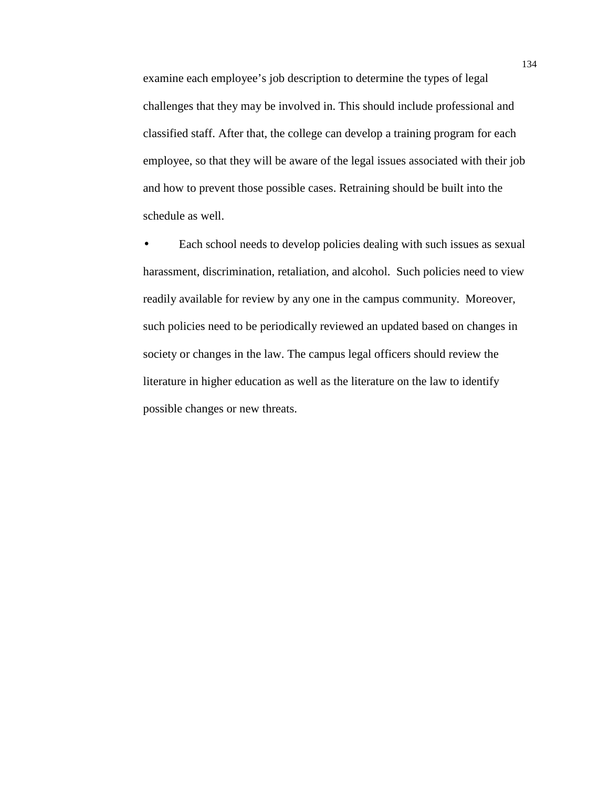examine each employee's job description to determine the types of legal challenges that they may be involved in. This should include professional and classified staff. After that, the college can develop a training program for each employee, so that they will be aware of the legal issues associated with their job and how to prevent those possible cases. Retraining should be built into the schedule as well.

Each school needs to develop policies dealing with such issues as sexual harassment, discrimination, retaliation, and alcohol. Such policies need to view readily available for review by any one in the campus community. Moreover, such policies need to be periodically reviewed an updated based on changes in society or changes in the law. The campus legal officers should review the literature in higher education as well as the literature on the law to identify possible changes or new threats.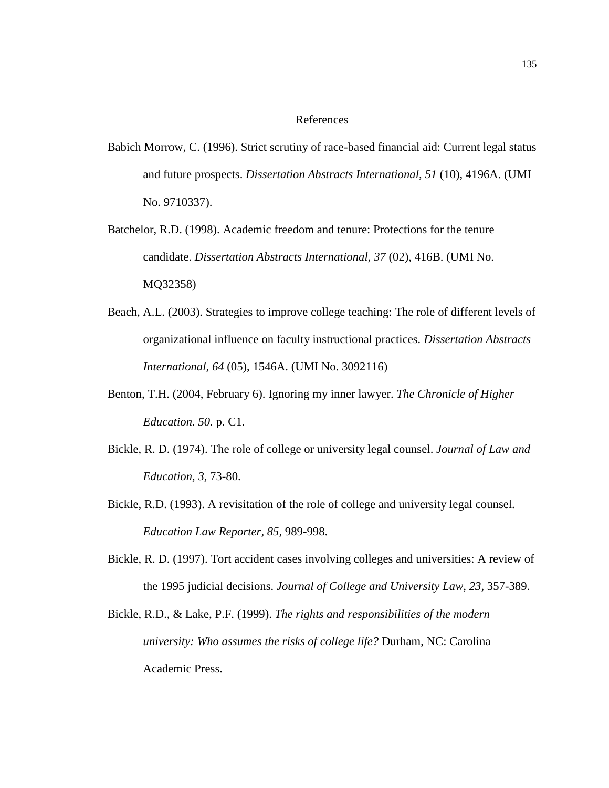## References

- Babich Morrow, C. (1996). Strict scrutiny of race-based financial aid: Current legal status and future prospects. *Dissertation Abstracts International, 51* (10), 4196A. (UMI No. 9710337).
- Batchelor, R.D. (1998). Academic freedom and tenure: Protections for the tenure candidate. *Dissertation Abstracts International, 37* (02), 416B. (UMI No. MQ32358)
- Beach, A.L. (2003). Strategies to improve college teaching: The role of different levels of organizational influence on faculty instructional practices. *Dissertation Abstracts International, 64* (05), 1546A. (UMI No. 3092116)
- Benton, T.H. (2004, February 6). Ignoring my inner lawyer. *The Chronicle of Higher Education. 50.* p. C1.
- Bickle, R. D. (1974). The role of college or university legal counsel. *Journal of Law and Education, 3,* 73-80.
- Bickle, R.D. (1993). A revisitation of the role of college and university legal counsel. *Education Law Reporter, 85,* 989-998.
- Bickle, R. D. (1997). Tort accident cases involving colleges and universities: A review of the 1995 judicial decisions. *Journal of College and University Law, 23,* 357-389.
- Bickle, R.D., & Lake, P.F. (1999). *The rights and responsibilities of the modern university: Who assumes the risks of college life?* Durham, NC: Carolina Academic Press.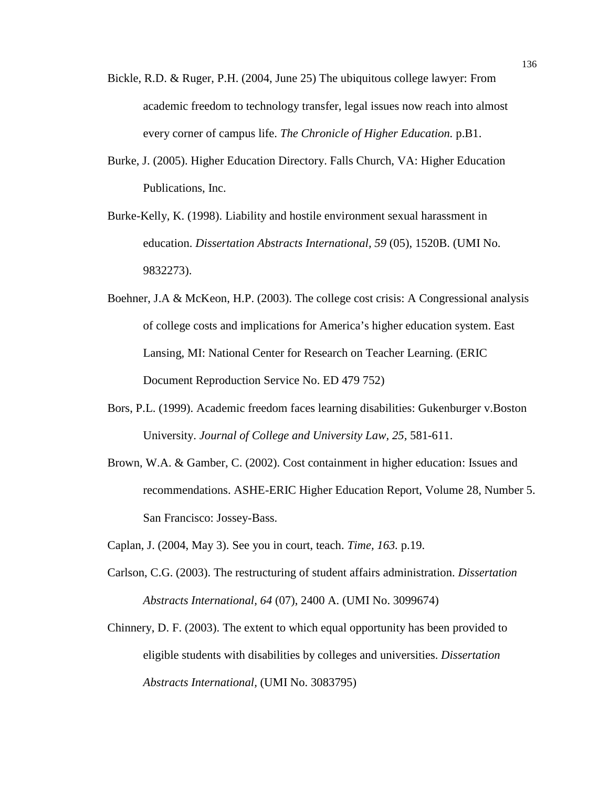- Bickle, R.D. & Ruger, P.H. (2004, June 25) The ubiquitous college lawyer: From academic freedom to technology transfer, legal issues now reach into almost every corner of campus life. *The Chronicle of Higher Education.* p.B1.
- Burke, J. (2005). Higher Education Directory. Falls Church, VA: Higher Education Publications, Inc.
- Burke-Kelly, K. (1998). Liability and hostile environment sexual harassment in education. *Dissertation Abstracts International, 59* (05), 1520B. (UMI No. 9832273).
- Boehner, J.A & McKeon, H.P. (2003). The college cost crisis: A Congressional analysis of college costs and implications for America's higher education system. East Lansing, MI: National Center for Research on Teacher Learning. (ERIC Document Reproduction Service No. ED 479 752)
- Bors, P.L. (1999). Academic freedom faces learning disabilities: Gukenburger v.Boston University. *Journal of College and University Law, 25,* 581-611.
- Brown, W.A. & Gamber, C. (2002). Cost containment in higher education: Issues and recommendations. ASHE-ERIC Higher Education Report, Volume 28, Number 5. San Francisco: Jossey-Bass.
- Caplan, J. (2004, May 3). See you in court, teach. *Time, 163.* p.19.
- Carlson, C.G. (2003). The restructuring of student affairs administration. *Dissertation Abstracts International, 64* (07), 2400 A. (UMI No. 3099674)
- Chinnery, D. F. (2003). The extent to which equal opportunity has been provided to eligible students with disabilities by colleges and universities. *Dissertation Abstracts International,* (UMI No. 3083795)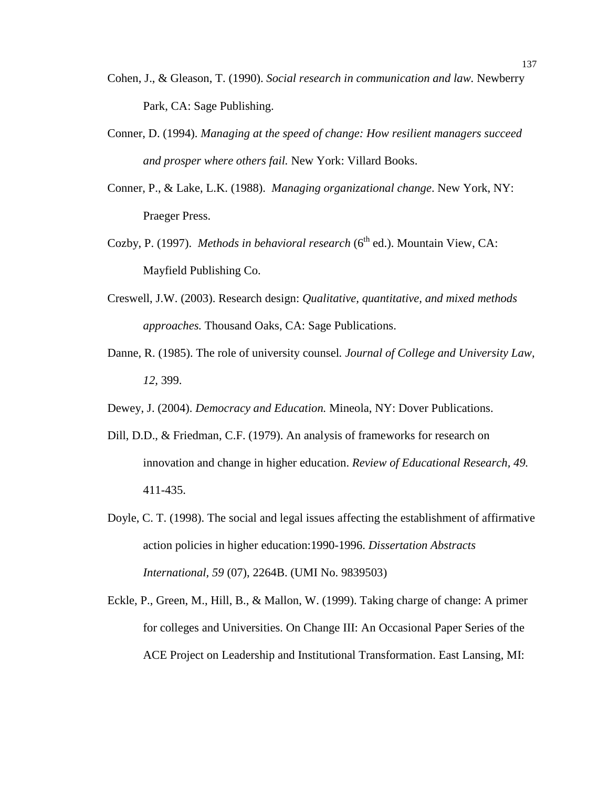- Cohen, J., & Gleason, T. (1990). *Social research in communication and law.* Newberry Park, CA: Sage Publishing.
- Conner, D. (1994). *Managing at the speed of change: How resilient managers succeed and prosper where others fail.* New York: Villard Books.
- Conner, P., & Lake, L.K. (1988). *Managing organizational change*. New York, NY: Praeger Press.
- Cozby, P. (1997). *Methods in behavioral research* (6<sup>th</sup> ed.). Mountain View, CA: Mayfield Publishing Co.
- Creswell, J.W. (2003). Research design: *Qualitative, quantitative, and mixed methods approaches.* Thousand Oaks, CA: Sage Publications.
- Danne, R. (1985). The role of university counsel*. Journal of College and University Law, 12,* 399.
- Dewey, J. (2004). *Democracy and Education.* Mineola, NY: Dover Publications.
- Dill, D.D., & Friedman, C.F. (1979). An analysis of frameworks for research on innovation and change in higher education. *Review of Educational Research, 49.* 411-435.
- Doyle, C. T. (1998). The social and legal issues affecting the establishment of affirmative action policies in higher education:1990-1996. *Dissertation Abstracts International, 59* (07), 2264B. (UMI No. 9839503)
- Eckle, P., Green, M., Hill, B., & Mallon, W. (1999). Taking charge of change: A primer for colleges and Universities. On Change III: An Occasional Paper Series of the ACE Project on Leadership and Institutional Transformation. East Lansing, MI: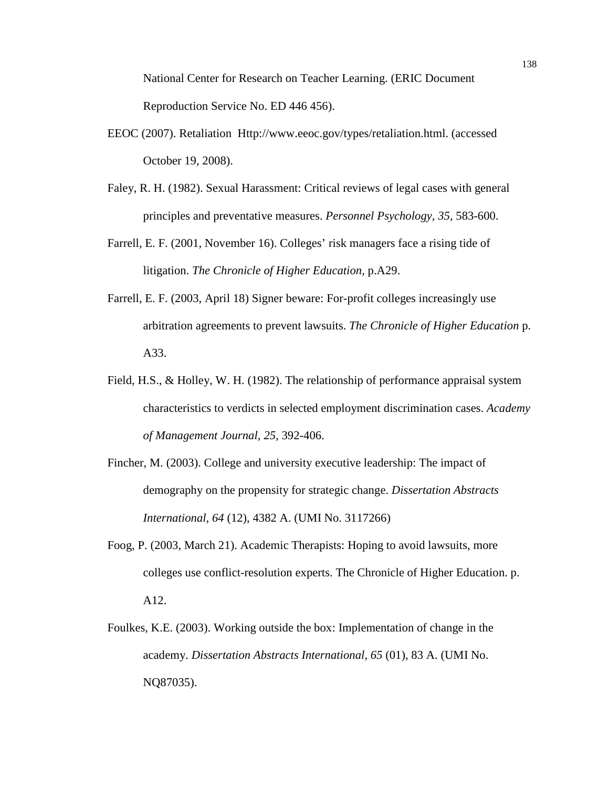National Center for Research on Teacher Learning. (ERIC Document Reproduction Service No. ED 446 456).

- EEOC (2007). Retaliation Http://www.eeoc.gov/types/retaliation.html. (accessed October 19, 2008).
- Faley, R. H. (1982). Sexual Harassment: Critical reviews of legal cases with general principles and preventative measures. *Personnel Psychology, 35,* 583-600.
- Farrell, E. F. (2001, November 16). Colleges' risk managers face a rising tide of litigation. *The Chronicle of Higher Education,* p.A29.
- Farrell, E. F. (2003, April 18) Signer beware: For-profit colleges increasingly use arbitration agreements to prevent lawsuits. *The Chronicle of Higher Education* p. A33.
- Field, H.S., & Holley, W. H. (1982). The relationship of performance appraisal system characteristics to verdicts in selected employment discrimination cases. *Academy of Management Journal, 25,* 392-406.
- Fincher, M. (2003). College and university executive leadership: The impact of demography on the propensity for strategic change. *Dissertation Abstracts International, 64* (12), 4382 A. (UMI No. 3117266)
- Foog, P. (2003, March 21). Academic Therapists: Hoping to avoid lawsuits, more colleges use conflict-resolution experts. The Chronicle of Higher Education. p. A12.
- Foulkes, K.E. (2003). Working outside the box: Implementation of change in the academy. *Dissertation Abstracts International, 65* (01), 83 A. (UMI No. NQ87035).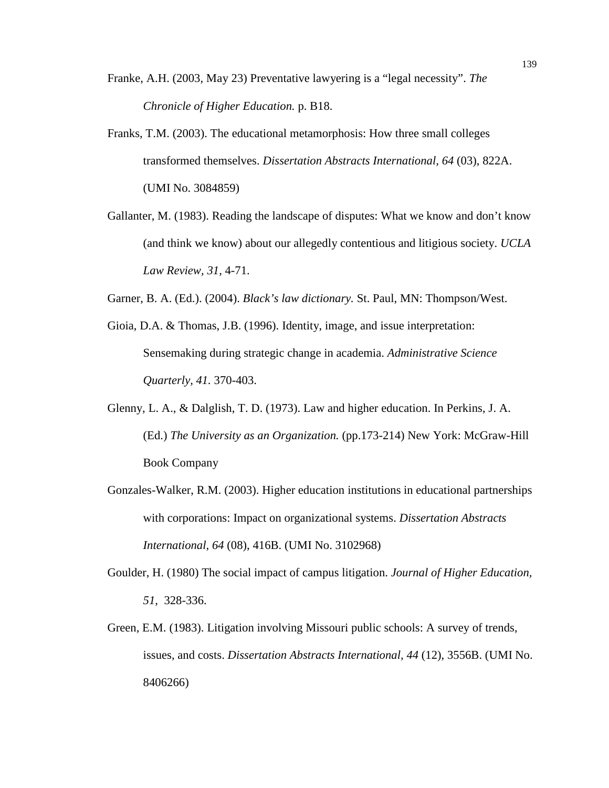- Franke, A.H. (2003, May 23) Preventative lawyering is a "legal necessity". *The Chronicle of Higher Education.* p. B18.
- Franks, T.M. (2003). The educational metamorphosis: How three small colleges transformed themselves. *Dissertation Abstracts International, 64* (03), 822A. (UMI No. 3084859)
- Gallanter, M. (1983). Reading the landscape of disputes: What we know and don't know (and think we know) about our allegedly contentious and litigious society. *UCLA Law Review, 31,* 4-71.
- Garner, B. A. (Ed.). (2004). *Black's law dictionary.* St. Paul, MN: Thompson/West.
- Gioia, D.A. & Thomas, J.B. (1996). Identity, image, and issue interpretation: Sensemaking during strategic change in academia. *Administrative Science Quarterly, 41.* 370-403.
- Glenny, L. A., & Dalglish, T. D. (1973). Law and higher education. In Perkins, J. A. (Ed.) *The University as an Organization.* (pp.173-214) New York: McGraw-Hill Book Company
- Gonzales-Walker, R.M. (2003). Higher education institutions in educational partnerships with corporations: Impact on organizational systems. *Dissertation Abstracts International, 64* (08), 416B. (UMI No. 3102968)
- Goulder, H. (1980) The social impact of campus litigation. *Journal of Higher Education, 51,* 328-336.
- Green, E.M. (1983). Litigation involving Missouri public schools: A survey of trends, issues, and costs. *Dissertation Abstracts International, 44* (12), 3556B. (UMI No. 8406266)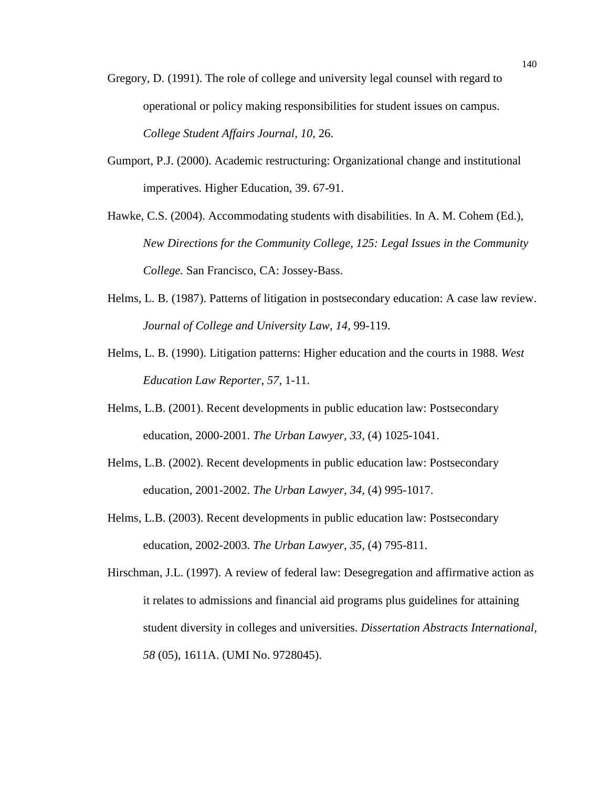- Gregory, D. (1991). The role of college and university legal counsel with regard to operational or policy making responsibilities for student issues on campus. *College Student Affairs Journal, 10,* 26.
- Gumport, P.J. (2000). Academic restructuring: Organizational change and institutional imperatives. Higher Education, 39. 67-91.
- Hawke, C.S. (2004). Accommodating students with disabilities. In A. M. Cohem (Ed.), *New Directions for the Community College, 125: Legal Issues in the Community College.* San Francisco, CA: Jossey-Bass.
- Helms, L. B. (1987). Patterns of litigation in postsecondary education: A case law review. *Journal of College and University Law, 14,* 99-119.
- Helms, L. B. (1990). Litigation patterns: Higher education and the courts in 1988. *West Education Law Reporter, 57,* 1-11.
- Helms, L.B. (2001). Recent developments in public education law: Postsecondary education, 2000-2001. *The Urban Lawyer, 33,* (4) 1025-1041.
- Helms, L.B. (2002). Recent developments in public education law: Postsecondary education, 2001-2002. *The Urban Lawyer, 34,* (4) 995-1017.
- Helms, L.B. (2003). Recent developments in public education law: Postsecondary education, 2002-2003. *The Urban Lawyer, 35,* (4) 795-811.

Hirschman, J.L. (1997). A review of federal law: Desegregation and affirmative action as it relates to admissions and financial aid programs plus guidelines for attaining student diversity in colleges and universities. *Dissertation Abstracts International, 58* (05), 1611A. (UMI No. 9728045).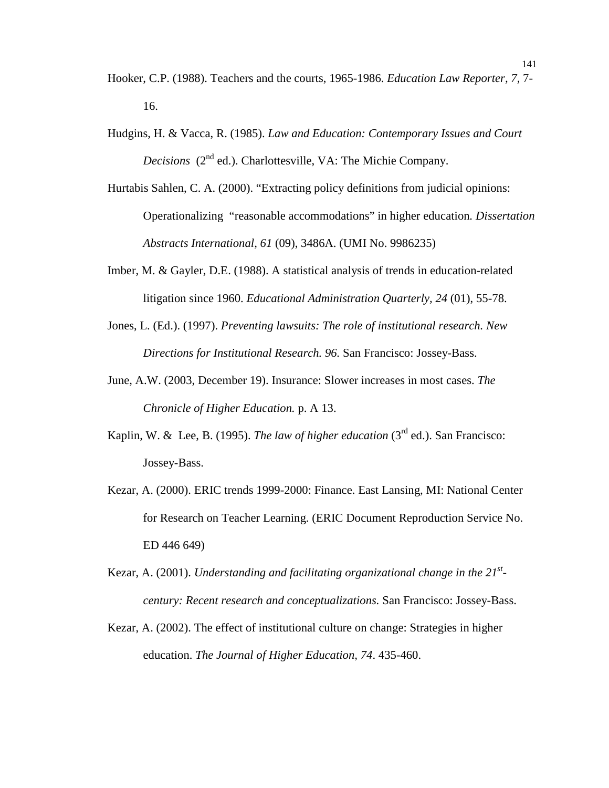- Hooker, C.P. (1988). Teachers and the courts, 1965-1986. *Education Law Reporter, 7,* 7- 16.
- Hudgins, H. & Vacca, R. (1985). *Law and Education: Contemporary Issues and Court Decisions* (2<sup>nd</sup> ed.). Charlottesville, VA: The Michie Company.
- Hurtabis Sahlen, C. A. (2000). "Extracting policy definitions from judicial opinions: Operationalizing "reasonable accommodations" in higher education*. Dissertation Abstracts International, 61* (09), 3486A. (UMI No. 9986235)
- Imber, M. & Gayler, D.E. (1988). A statistical analysis of trends in education-related litigation since 1960. *Educational Administration Quarterly, 24* (01), 55-78.
- Jones, L. (Ed.). (1997). *Preventing lawsuits: The role of institutional research. New Directions for Institutional Research. 96.* San Francisco: Jossey-Bass.
- June, A.W. (2003, December 19). Insurance: Slower increases in most cases. *The Chronicle of Higher Education.* p. A 13.
- Kaplin, W. & Lee, B. (1995). *The law of higher education* (3<sup>rd</sup> ed.). San Francisco: Jossey-Bass.
- Kezar, A. (2000). ERIC trends 1999-2000: Finance. East Lansing, MI: National Center for Research on Teacher Learning. (ERIC Document Reproduction Service No. ED 446 649)
- Kezar, A. (2001). *Understanding and facilitating organizational change in the 21st century: Recent research and conceptualizations.* San Francisco: Jossey-Bass.
- Kezar, A. (2002). The effect of institutional culture on change: Strategies in higher education. *The Journal of Higher Education, 74*. 435-460.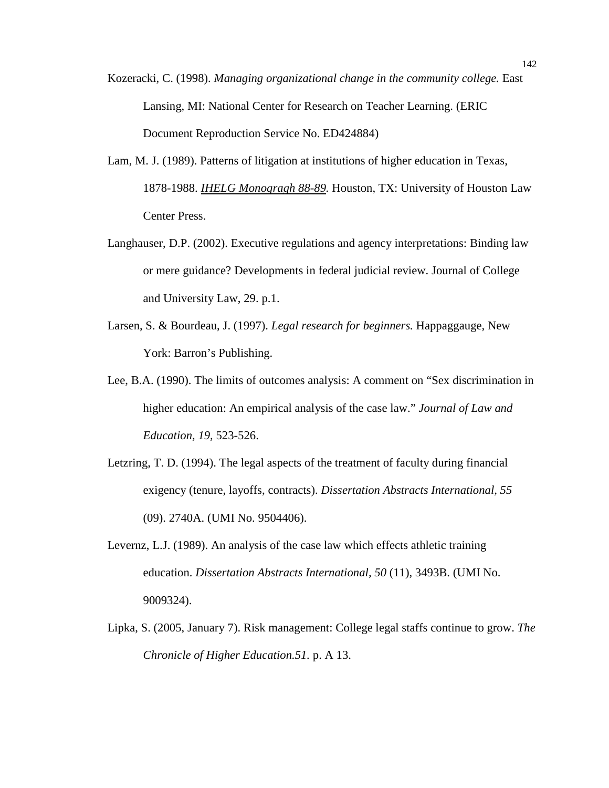- Kozeracki, C. (1998). *Managing organizational change in the community college.* East Lansing, MI: National Center for Research on Teacher Learning. (ERIC Document Reproduction Service No. ED424884)
- Lam, M. J. (1989). Patterns of litigation at institutions of higher education in Texas, 1878-1988. *IHELG Monogragh 88-89.* Houston, TX: University of Houston Law Center Press.
- Langhauser, D.P. (2002). Executive regulations and agency interpretations: Binding law or mere guidance? Developments in federal judicial review. Journal of College and University Law, 29. p.1.
- Larsen, S. & Bourdeau, J. (1997). *Legal research for beginners.* Happaggauge, New York: Barron's Publishing.
- Lee, B.A. (1990). The limits of outcomes analysis: A comment on "Sex discrimination in higher education: An empirical analysis of the case law." *Journal of Law and Education, 19,* 523-526.
- Letzring, T. D. (1994). The legal aspects of the treatment of faculty during financial exigency (tenure, layoffs, contracts). *Dissertation Abstracts International, 55* (09). 2740A. (UMI No. 9504406).
- Levernz, L.J. (1989). An analysis of the case law which effects athletic training education. *Dissertation Abstracts International, 50* (11), 3493B. (UMI No. 9009324).
- Lipka, S. (2005, January 7). Risk management: College legal staffs continue to grow. *The Chronicle of Higher Education.51.* p. A 13.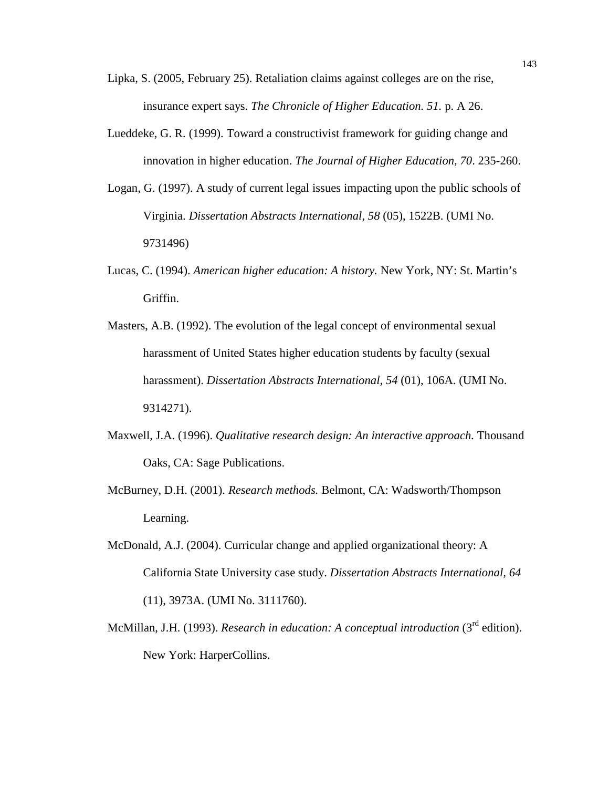- Lipka, S. (2005, February 25). Retaliation claims against colleges are on the rise, insurance expert says. *The Chronicle of Higher Education. 51.* p. A 26.
- Lueddeke, G. R. (1999). Toward a constructivist framework for guiding change and innovation in higher education. *The Journal of Higher Education, 70*. 235-260.
- Logan, G. (1997). A study of current legal issues impacting upon the public schools of Virginia. *Dissertation Abstracts International, 58* (05), 1522B. (UMI No. 9731496)
- Lucas, C. (1994). *American higher education: A history.* New York, NY: St. Martin's Griffin.
- Masters, A.B. (1992). The evolution of the legal concept of environmental sexual harassment of United States higher education students by faculty (sexual harassment). *Dissertation Abstracts International, 54* (01), 106A. (UMI No. 9314271).
- Maxwell, J.A. (1996). *Qualitative research design: An interactive approach.* Thousand Oaks, CA: Sage Publications.
- McBurney, D.H. (2001). *Research methods.* Belmont, CA: Wadsworth/Thompson Learning.
- McDonald, A.J. (2004). Curricular change and applied organizational theory: A California State University case study. *Dissertation Abstracts International, 64*  (11), 3973A. (UMI No. 3111760).
- McMillan, J.H. (1993). *Research in education: A conceptual introduction* (3<sup>rd</sup> edition). New York: HarperCollins.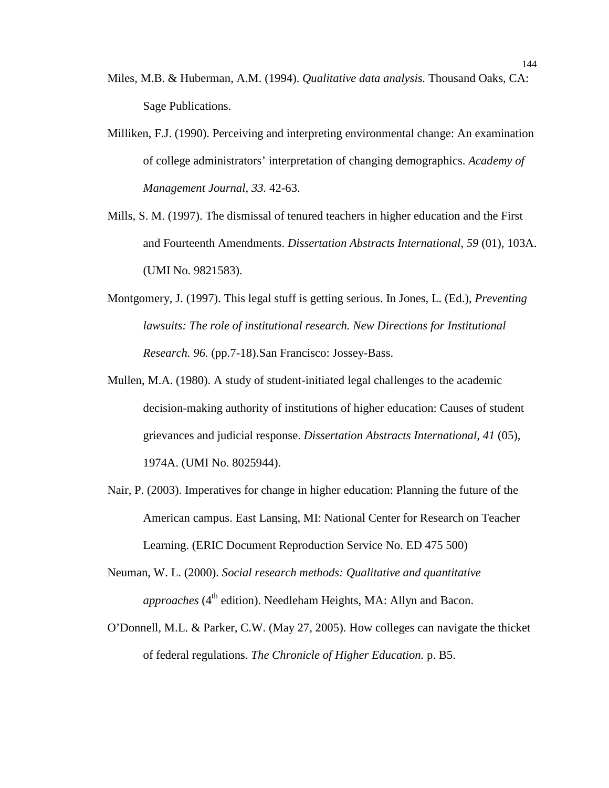- Miles, M.B. & Huberman, A.M. (1994). *Qualitative data analysis.* Thousand Oaks, CA: Sage Publications.
- Milliken, F.J. (1990). Perceiving and interpreting environmental change: An examination of college administrators' interpretation of changing demographics. *Academy of Management Journal, 33.* 42-63.
- Mills, S. M. (1997). The dismissal of tenured teachers in higher education and the First and Fourteenth Amendments. *Dissertation Abstracts International, 59* (01), 103A. (UMI No. 9821583).
- Montgomery, J. (1997). This legal stuff is getting serious. In Jones, L. (Ed.), *Preventing lawsuits: The role of institutional research. New Directions for Institutional Research. 96.* (pp.7-18).San Francisco: Jossey-Bass.
- Mullen, M.A. (1980). A study of student-initiated legal challenges to the academic decision-making authority of institutions of higher education: Causes of student grievances and judicial response. *Dissertation Abstracts International, 41* (05), 1974A. (UMI No. 8025944).
- Nair, P. (2003). Imperatives for change in higher education: Planning the future of the American campus. East Lansing, MI: National Center for Research on Teacher Learning. (ERIC Document Reproduction Service No. ED 475 500)
- Neuman, W. L. (2000). *Social research methods: Qualitative and quantitative approaches* (4<sup>th</sup> edition). Needleham Heights, MA: Allyn and Bacon.
- O'Donnell, M.L. & Parker, C.W. (May 27, 2005). How colleges can navigate the thicket of federal regulations. *The Chronicle of Higher Education.* p. B5.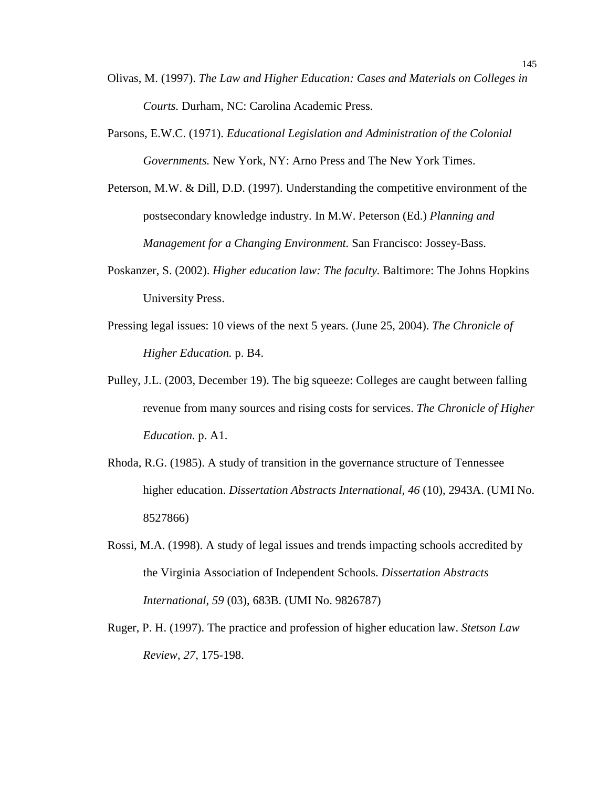- Olivas, M. (1997). *The Law and Higher Education: Cases and Materials on Colleges in Courts.* Durham, NC: Carolina Academic Press.
- Parsons, E.W.C. (1971). *Educational Legislation and Administration of the Colonial Governments.* New York, NY: Arno Press and The New York Times.
- Peterson, M.W. & Dill, D.D. (1997). Understanding the competitive environment of the postsecondary knowledge industry. In M.W. Peterson (Ed.) *Planning and Management for a Changing Environment.* San Francisco: Jossey-Bass.
- Poskanzer, S. (2002). *Higher education law: The faculty.* Baltimore: The Johns Hopkins University Press.
- Pressing legal issues: 10 views of the next 5 years. (June 25, 2004). *The Chronicle of Higher Education.* p. B4.
- Pulley, J.L. (2003, December 19). The big squeeze: Colleges are caught between falling revenue from many sources and rising costs for services. *The Chronicle of Higher Education.* p. A1.
- Rhoda, R.G. (1985). A study of transition in the governance structure of Tennessee higher education. *Dissertation Abstracts International, 46* (10), 2943A. (UMI No. 8527866)
- Rossi, M.A. (1998). A study of legal issues and trends impacting schools accredited by the Virginia Association of Independent Schools. *Dissertation Abstracts International, 59* (03), 683B. (UMI No. 9826787)
- Ruger, P. H. (1997). The practice and profession of higher education law. *Stetson Law Review, 27,* 175-198.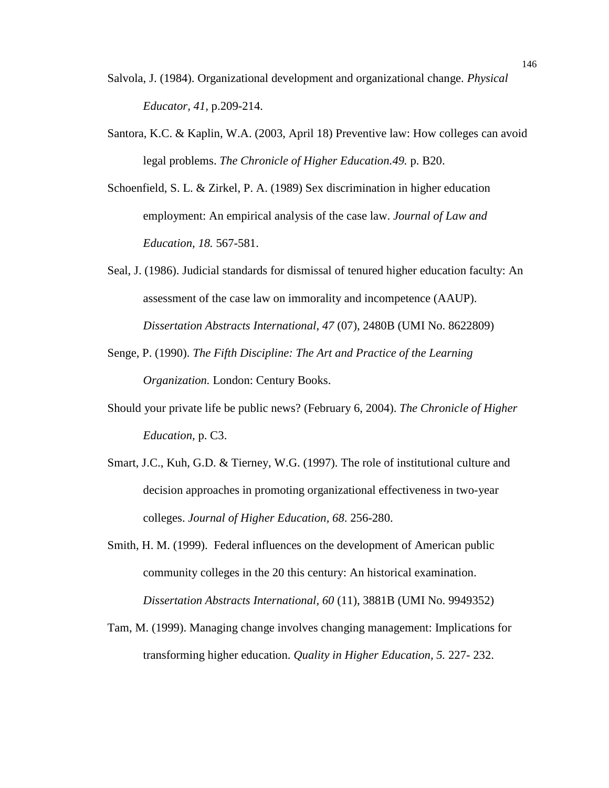- Salvola, J. (1984). Organizational development and organizational change. *Physical Educator, 41,* p.209-214.
- Santora, K.C. & Kaplin, W.A. (2003, April 18) Preventive law: How colleges can avoid legal problems. *The Chronicle of Higher Education.49.* p. B20.
- Schoenfield, S. L. & Zirkel, P. A. (1989) Sex discrimination in higher education employment: An empirical analysis of the case law. *Journal of Law and Education, 18.* 567-581.
- Seal, J. (1986). Judicial standards for dismissal of tenured higher education faculty: An assessment of the case law on immorality and incompetence (AAUP). *Dissertation Abstracts International, 47* (07), 2480B (UMI No. 8622809)
- Senge, P. (1990). *The Fifth Discipline: The Art and Practice of the Learning Organization.* London: Century Books.
- Should your private life be public news? (February 6, 2004). *The Chronicle of Higher Education,* p. C3.
- Smart, J.C., Kuh, G.D. & Tierney, W.G. (1997). The role of institutional culture and decision approaches in promoting organizational effectiveness in two-year colleges. *Journal of Higher Education, 68*. 256-280.
- Smith, H. M. (1999). Federal influences on the development of American public community colleges in the 20 this century: An historical examination. *Dissertation Abstracts International, 60* (11), 3881B (UMI No. 9949352)
- Tam, M. (1999). Managing change involves changing management: Implications for transforming higher education. *Quality in Higher Education, 5.* 227- 232.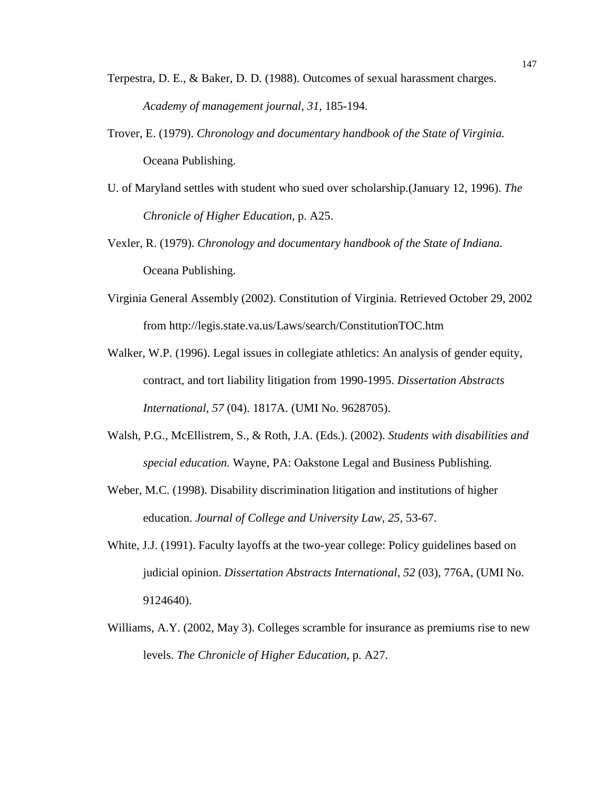- Terpestra, D. E., & Baker, D. D. (1988). Outcomes of sexual harassment charges. *Academy of management journal, 31,* 185-194.
- Trover, E. (1979). *Chronology and documentary handbook of the State of Virginia.* Oceana Publishing.
- U. of Maryland settles with student who sued over scholarship.(January 12, 1996). *The Chronicle of Higher Education,* p. A25.
- Vexler, R. (1979). *Chronology and documentary handbook of the State of Indiana.* Oceana Publishing.
- Virginia General Assembly (2002). Constitution of Virginia. Retrieved October 29, 2002 from http://legis.state.va.us/Laws/search/ConstitutionTOC.htm
- Walker, W.P. (1996). Legal issues in collegiate athletics: An analysis of gender equity, contract, and tort liability litigation from 1990-1995. *Dissertation Abstracts International, 57* (04). 1817A. (UMI No. 9628705).
- Walsh, P.G., McEllistrem, S., & Roth, J.A. (Eds.). (2002). *Students with disabilities and special education.* Wayne, PA: Oakstone Legal and Business Publishing.
- Weber, M.C. (1998). Disability discrimination litigation and institutions of higher education. *Journal of College and University Law, 25,* 53-67.
- White, J.J. (1991). Faculty layoffs at the two-year college: Policy guidelines based on judicial opinion. *Dissertation Abstracts International, 52* (03), 776A, (UMI No. 9124640).
- Williams, A.Y. (2002, May 3). Colleges scramble for insurance as premiums rise to new levels. *The Chronicle of Higher Education*, p. A27.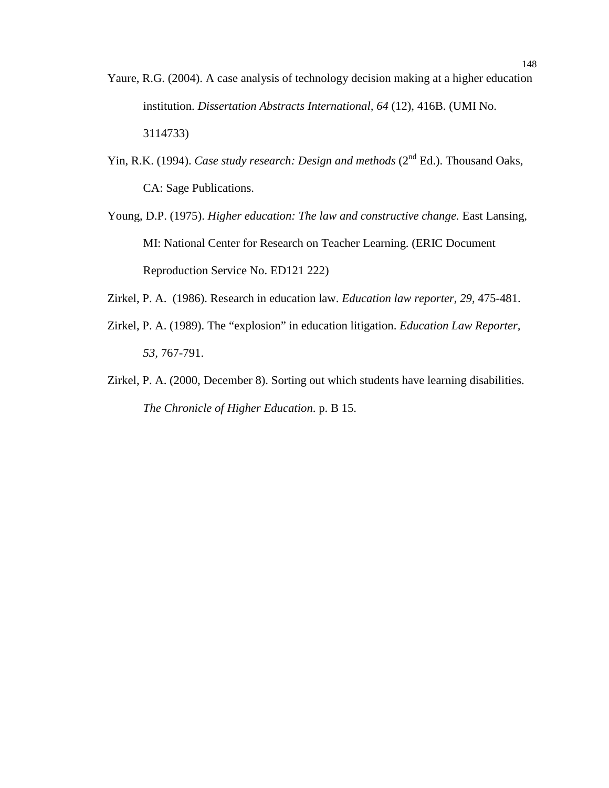- Yaure, R.G. (2004). A case analysis of technology decision making at a higher education institution. *Dissertation Abstracts International, 64* (12), 416B. (UMI No. 3114733)
- Yin, R.K. (1994). *Case study research: Design and methods* (2<sup>nd</sup> Ed.). Thousand Oaks, CA: Sage Publications.
- Young, D.P. (1975). *Higher education: The law and constructive change.* East Lansing, MI: National Center for Research on Teacher Learning. (ERIC Document Reproduction Service No. ED121 222)
- Zirkel, P. A. (1986). Research in education law. *Education law reporter, 29,* 475-481.
- Zirkel, P. A. (1989). The "explosion" in education litigation. *Education Law Reporter, 53,* 767-791.
- Zirkel, P. A. (2000, December 8). Sorting out which students have learning disabilities. *The Chronicle of Higher Education*. p. B 15.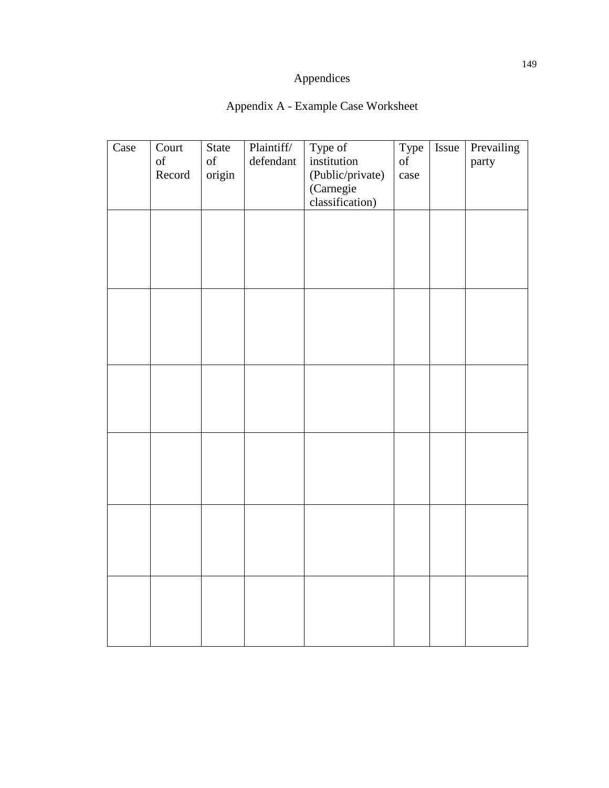## Appendices

## Appendix A - Example Case Worksheet

| Case | Court  | State         | Plaintiff/ | Type of          | Type | Issue | Prevailing |
|------|--------|---------------|------------|------------------|------|-------|------------|
|      | of     | $\mathrm{of}$ | defendant  | institution      | of   |       | party      |
|      | Record | origin        |            | (Public/private) | case |       |            |
|      |        |               |            | (Carnegie        |      |       |            |
|      |        |               |            | classification)  |      |       |            |
|      |        |               |            |                  |      |       |            |
|      |        |               |            |                  |      |       |            |
|      |        |               |            |                  |      |       |            |
|      |        |               |            |                  |      |       |            |
|      |        |               |            |                  |      |       |            |
|      |        |               |            |                  |      |       |            |
|      |        |               |            |                  |      |       |            |
|      |        |               |            |                  |      |       |            |
|      |        |               |            |                  |      |       |            |
|      |        |               |            |                  |      |       |            |
|      |        |               |            |                  |      |       |            |
|      |        |               |            |                  |      |       |            |
|      |        |               |            |                  |      |       |            |
|      |        |               |            |                  |      |       |            |
|      |        |               |            |                  |      |       |            |
|      |        |               |            |                  |      |       |            |
|      |        |               |            |                  |      |       |            |
|      |        |               |            |                  |      |       |            |
|      |        |               |            |                  |      |       |            |
|      |        |               |            |                  |      |       |            |
|      |        |               |            |                  |      |       |            |
|      |        |               |            |                  |      |       |            |
|      |        |               |            |                  |      |       |            |
|      |        |               |            |                  |      |       |            |
|      |        |               |            |                  |      |       |            |
|      |        |               |            |                  |      |       |            |
|      |        |               |            |                  |      |       |            |
|      |        |               |            |                  |      |       |            |
|      |        |               |            |                  |      |       |            |
|      |        |               |            |                  |      |       |            |
|      |        |               |            |                  |      |       |            |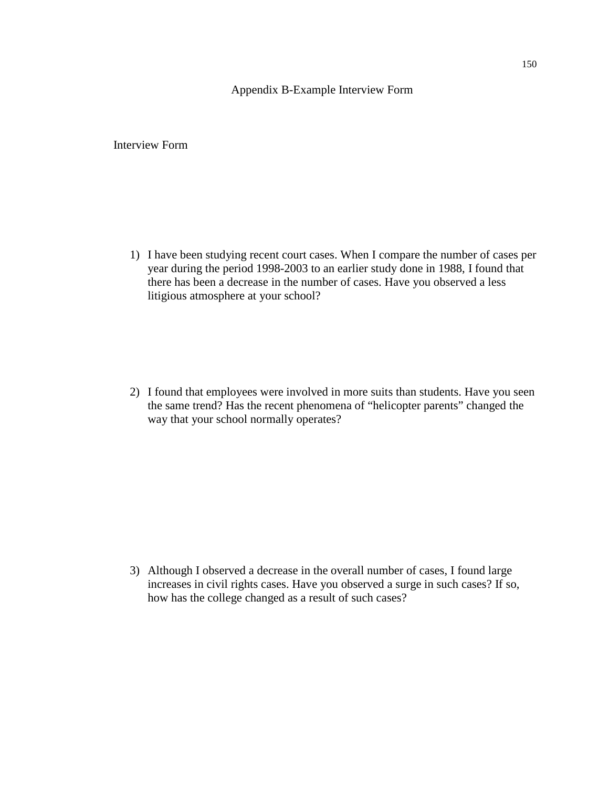## Appendix B-Example Interview Form

Interview Form

1) I have been studying recent court cases. When I compare the number of cases per year during the period 1998-2003 to an earlier study done in 1988, I found that there has been a decrease in the number of cases. Have you observed a less litigious atmosphere at your school?

2) I found that employees were involved in more suits than students. Have you seen the same trend? Has the recent phenomena of "helicopter parents" changed the way that your school normally operates?

3) Although I observed a decrease in the overall number of cases, I found large increases in civil rights cases. Have you observed a surge in such cases? If so, how has the college changed as a result of such cases?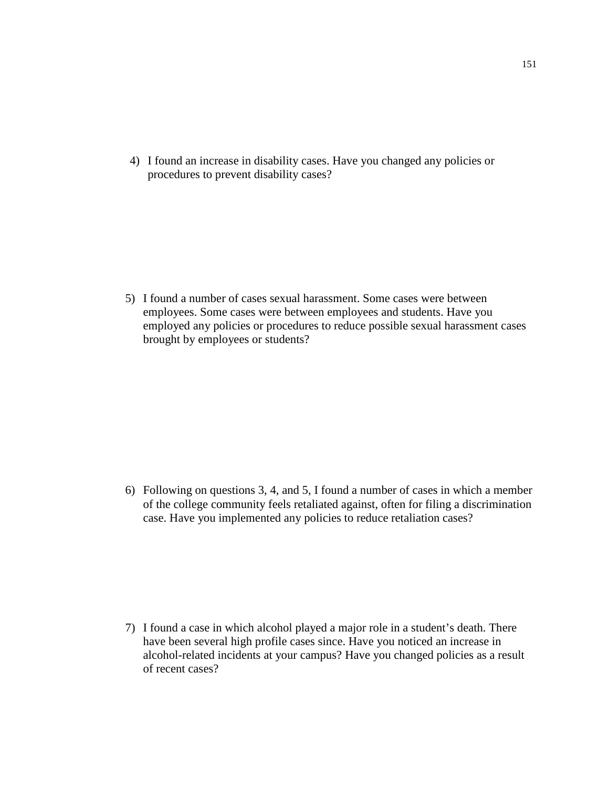4) I found an increase in disability cases. Have you changed any policies or procedures to prevent disability cases?

5) I found a number of cases sexual harassment. Some cases were between employees. Some cases were between employees and students. Have you employed any policies or procedures to reduce possible sexual harassment cases brought by employees or students?

6) Following on questions 3, 4, and 5, I found a number of cases in which a member of the college community feels retaliated against, often for filing a discrimination case. Have you implemented any policies to reduce retaliation cases?

7) I found a case in which alcohol played a major role in a student's death. There have been several high profile cases since. Have you noticed an increase in alcohol-related incidents at your campus? Have you changed policies as a result of recent cases?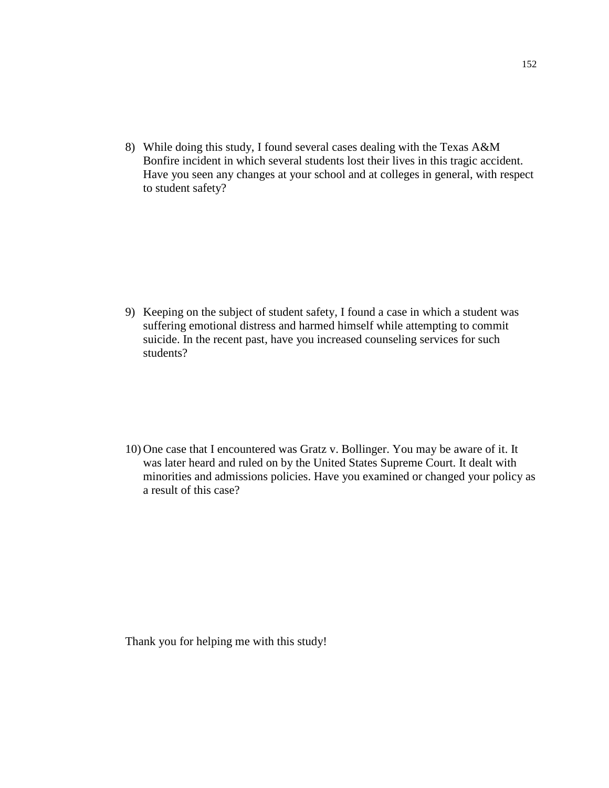8) While doing this study, I found several cases dealing with the Texas A&M Bonfire incident in which several students lost their lives in this tragic accident. Have you seen any changes at your school and at colleges in general, with respect to student safety?

9) Keeping on the subject of student safety, I found a case in which a student was suffering emotional distress and harmed himself while attempting to commit suicide. In the recent past, have you increased counseling services for such students?

10) One case that I encountered was Gratz v. Bollinger. You may be aware of it. It was later heard and ruled on by the United States Supreme Court. It dealt with minorities and admissions policies. Have you examined or changed your policy as a result of this case?

Thank you for helping me with this study!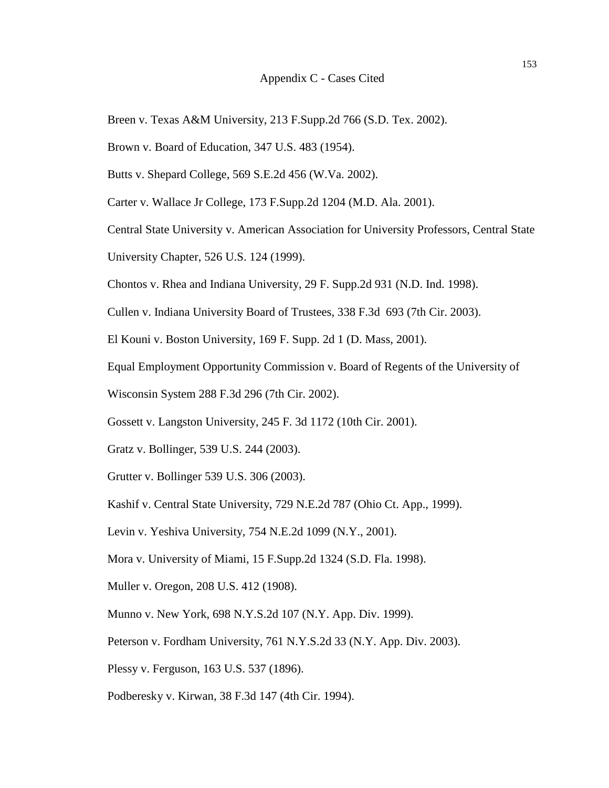- Breen v. Texas A&M University, 213 F.Supp.2d 766 (S.D. Tex. 2002).
- Brown v. Board of Education, 347 U.S. 483 (1954).
- Butts v. Shepard College, 569 S.E.2d 456 (W.Va. 2002).
- Carter v. Wallace Jr College, 173 F.Supp.2d 1204 (M.D. Ala. 2001).
- Central State University v. American Association for University Professors, Central State
- University Chapter, 526 U.S. 124 (1999).
- Chontos v. Rhea and Indiana University, 29 F. Supp.2d 931 (N.D. Ind. 1998).
- Cullen v. Indiana University Board of Trustees, 338 F.3d 693 (7th Cir. 2003).
- El Kouni v. Boston University, 169 F. Supp. 2d 1 (D. Mass, 2001).
- Equal Employment Opportunity Commission v. Board of Regents of the University of
- Wisconsin System 288 F.3d 296 (7th Cir. 2002).
- Gossett v. Langston University, 245 F. 3d 1172 (10th Cir. 2001).
- Gratz v. Bollinger, 539 U.S. 244 (2003).
- Grutter v. Bollinger 539 U.S. 306 (2003).
- Kashif v. Central State University, 729 N.E.2d 787 (Ohio Ct. App., 1999).
- Levin v. Yeshiva University, 754 N.E.2d 1099 (N.Y., 2001).
- Mora v. University of Miami, 15 F.Supp.2d 1324 (S.D. Fla. 1998).
- Muller v. Oregon, 208 U.S. 412 (1908).
- Munno v. New York, 698 N.Y.S.2d 107 (N.Y. App. Div. 1999).
- Peterson v. Fordham University, 761 N.Y.S.2d 33 (N.Y. App. Div. 2003).
- Plessy v. Ferguson, 163 U.S. 537 (1896).
- Podberesky v. Kirwan, 38 F.3d 147 (4th Cir. 1994).